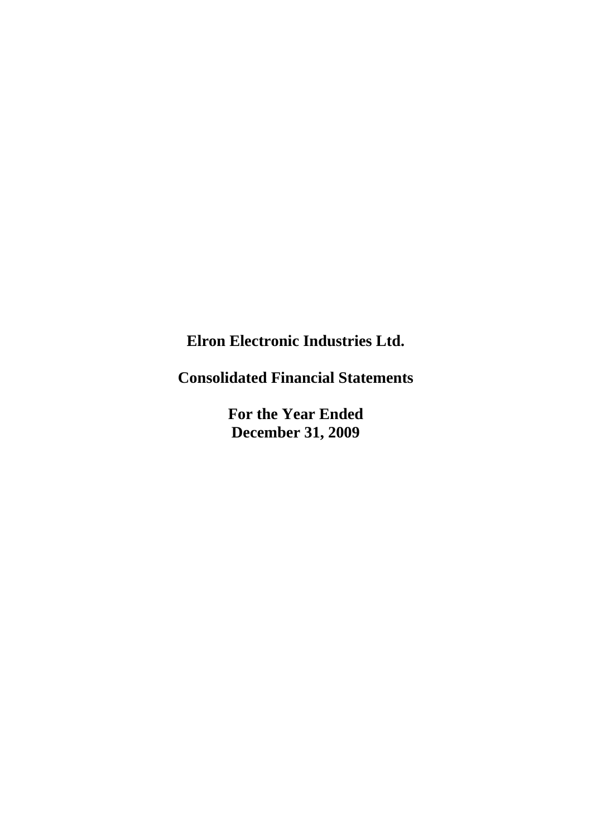**Elron Electronic Industries Ltd.** 

**Consolidated Financial Statements** 

**For the Year Ended December 31, 2009**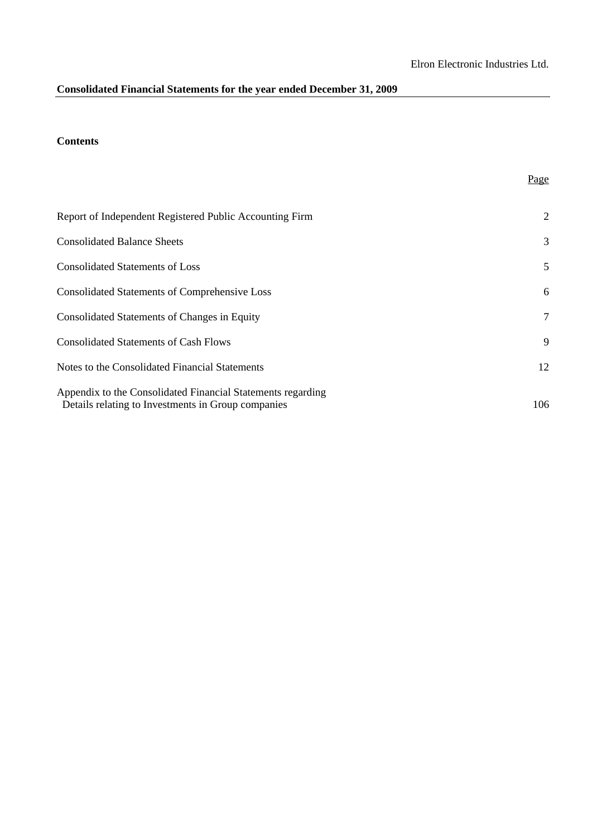# **Consolidated Financial Statements for the year ended December 31, 2009**

# **Contents**

| Report of Independent Registered Public Accounting Firm                                                           | 2   |
|-------------------------------------------------------------------------------------------------------------------|-----|
| <b>Consolidated Balance Sheets</b>                                                                                | 3   |
| <b>Consolidated Statements of Loss</b>                                                                            | 5   |
| <b>Consolidated Statements of Comprehensive Loss</b>                                                              | 6   |
| Consolidated Statements of Changes in Equity                                                                      | 7   |
| <b>Consolidated Statements of Cash Flows</b>                                                                      | 9   |
| Notes to the Consolidated Financial Statements                                                                    | 12  |
| Appendix to the Consolidated Financial Statements regarding<br>Details relating to Investments in Group companies | 106 |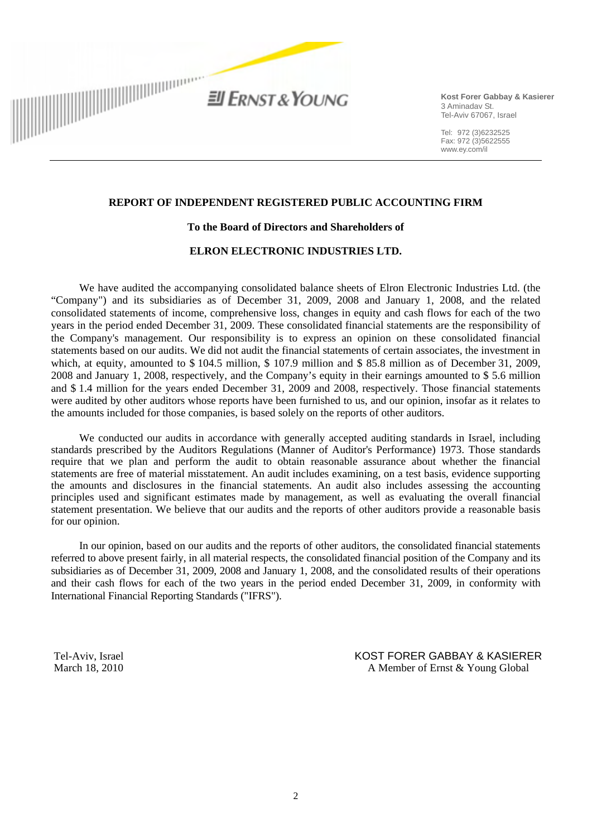

**Kost Forer Gabbay & Kasierer** 3 Aminadav St. Tel-Aviv 67067, Israel

Tel: 972 (3)6232525 Fax: 972 (3)5622555 www.ey.com/il

#### **REPORT OF INDEPENDENT REGISTERED PUBLIC ACCOUNTING FIRM**

#### **To the Board of Directors and Shareholders of**

#### **ELRON ELECTRONIC INDUSTRIES LTD.**

We have audited the accompanying consolidated balance sheets of Elron Electronic Industries Ltd. (the "Company") and its subsidiaries as of December 31, 2009, 2008 and January 1, 2008, and the related consolidated statements of income, comprehensive loss, changes in equity and cash flows for each of the two years in the period ended December 31, 2009. These consolidated financial statements are the responsibility of the Company's management. Our responsibility is to express an opinion on these consolidated financial statements based on our audits. We did not audit the financial statements of certain associates, the investment in which, at equity, amounted to \$104.5 million, \$107.9 million and \$85.8 million as of December 31, 2009, 2008 and January 1, 2008, respectively, and the Company's equity in their earnings amounted to \$ 5.6 million and \$ 1.4 million for the years ended December 31, 2009 and 2008, respectively. Those financial statements were audited by other auditors whose reports have been furnished to us, and our opinion, insofar as it relates to the amounts included for those companies, is based solely on the reports of other auditors.

We conducted our audits in accordance with generally accepted auditing standards in Israel, including standards prescribed by the Auditors Regulations (Manner of Auditor's Performance) 1973. Those standards require that we plan and perform the audit to obtain reasonable assurance about whether the financial statements are free of material misstatement. An audit includes examining, on a test basis, evidence supporting the amounts and disclosures in the financial statements. An audit also includes assessing the accounting principles used and significant estimates made by management, as well as evaluating the overall financial statement presentation. We believe that our audits and the reports of other auditors provide a reasonable basis for our opinion.

In our opinion, based on our audits and the reports of other auditors, the consolidated financial statements referred to above present fairly, in all material respects, the consolidated financial position of the Company and its subsidiaries as of December 31, 2009, 2008 and January 1, 2008, and the consolidated results of their operations and their cash flows for each of the two years in the period ended December 31, 2009, in conformity with International Financial Reporting Standards ("IFRS").

Tel-Aviv, Israel **Tel-Aviv, Israel KOST FORER GABBAY & KASIERER**<br>March 18, 2010 **A Member of Ernst & Young Global** A Member of Ernst & Young Global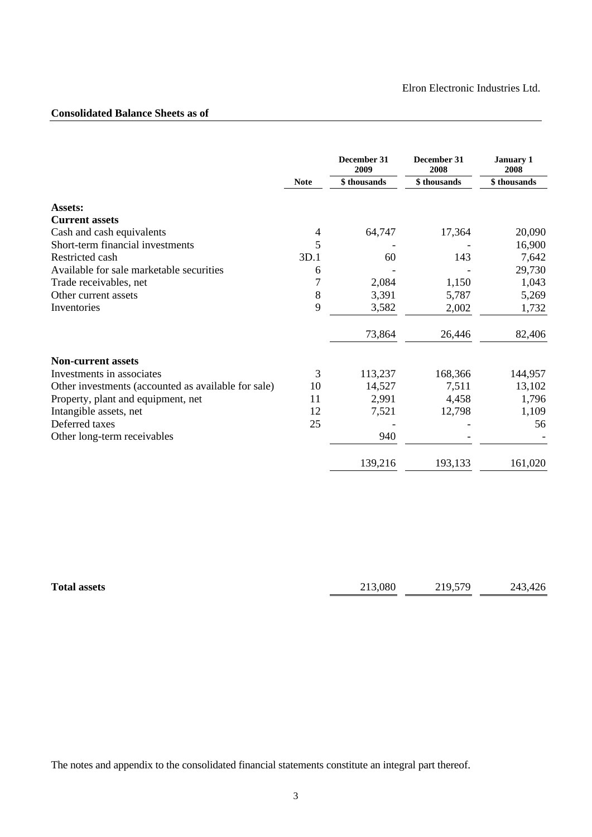### **Consolidated Balance Sheets as of**

|                                                     |                | December 31<br>2009 | December 31<br>2008 | January 1<br>2008 |
|-----------------------------------------------------|----------------|---------------------|---------------------|-------------------|
|                                                     | <b>Note</b>    | \$ thousands        | \$thousands         | \$ thousands      |
| Assets:                                             |                |                     |                     |                   |
| <b>Current assets</b>                               |                |                     |                     |                   |
| Cash and cash equivalents                           | $\overline{4}$ | 64,747              | 17,364              | 20,090            |
| Short-term financial investments                    | 5              |                     |                     | 16,900            |
| Restricted cash                                     | 3D.1           | 60                  | 143                 | 7,642             |
| Available for sale marketable securities            | 6              |                     |                     | 29,730            |
| Trade receivables, net                              | $\overline{7}$ | 2,084               | 1,150               | 1,043             |
| Other current assets                                | $8\,$          | 3,391               | 5,787               | 5,269             |
| Inventories                                         | 9              | 3,582               | 2,002               | 1,732             |
|                                                     |                | 73,864              | 26,446              | 82,406            |
| <b>Non-current assets</b>                           |                |                     |                     |                   |
| Investments in associates                           | 3              | 113,237             | 168,366             | 144,957           |
| Other investments (accounted as available for sale) | 10             | 14,527              | 7,511               | 13,102            |
| Property, plant and equipment, net                  | 11             | 2,991               | 4,458               | 1,796             |
| Intangible assets, net                              | 12             | 7,521               | 12,798              | 1,109             |
| Deferred taxes                                      | 25             |                     |                     | 56                |
| Other long-term receivables                         |                | 940                 |                     |                   |
|                                                     |                | 139,216             | 193,133             | 161,020           |

| <b>Total assets</b> | 13.080 | 219,579 | 243,426 |
|---------------------|--------|---------|---------|
|                     |        |         |         |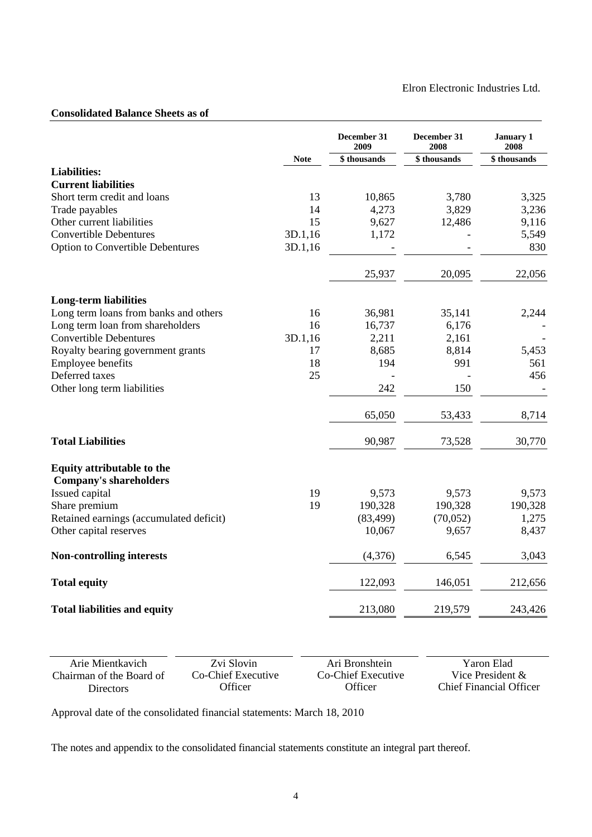### **Consolidated Balance Sheets as of**

|                                                                    | December 31<br>2009 | December 31<br>2008 | <b>January 1</b><br>2008 |
|--------------------------------------------------------------------|---------------------|---------------------|--------------------------|
| <b>Note</b>                                                        | \$thousands         | \$thousands         | \$thousands              |
| <b>Liabilities:</b>                                                |                     |                     |                          |
| <b>Current liabilities</b>                                         |                     |                     |                          |
| Short term credit and loans<br>13<br>14                            | 10,865<br>4,273     | 3,780<br>3,829      | 3,325                    |
| Trade payables<br>Other current liabilities<br>15                  | 9,627               | 12,486              | 3,236<br>9,116           |
| <b>Convertible Debentures</b><br>3D.1,16                           | 1,172               |                     | 5,549                    |
| 3D.1,16<br><b>Option to Convertible Debentures</b>                 |                     |                     | 830                      |
|                                                                    |                     |                     |                          |
|                                                                    | 25,937              | 20,095              | 22,056                   |
| <b>Long-term liabilities</b>                                       |                     |                     |                          |
| Long term loans from banks and others<br>16                        | 36,981              | 35,141              | 2,244                    |
| Long term loan from shareholders<br>16                             | 16,737              | 6,176               |                          |
| <b>Convertible Debentures</b><br>3D.1,16                           | 2,211               | 2,161               |                          |
| Royalty bearing government grants<br>17                            | 8,685               | 8,814               | 5,453                    |
| Employee benefits<br>18                                            | 194                 | 991                 | 561                      |
| 25<br>Deferred taxes                                               |                     |                     | 456                      |
| Other long term liabilities                                        | 242                 | 150                 |                          |
|                                                                    | 65,050              | 53,433              | 8,714                    |
| <b>Total Liabilities</b>                                           | 90,987              | 73,528              | 30,770                   |
| <b>Equity attributable to the</b><br><b>Company's shareholders</b> |                     |                     |                          |
| Issued capital<br>19                                               | 9,573               | 9,573               | 9,573                    |
| Share premium<br>19                                                | 190,328             | 190,328             | 190,328                  |
| Retained earnings (accumulated deficit)                            | (83, 499)           | (70,052)            | 1,275                    |
| Other capital reserves                                             | 10,067              | 9,657               | 8,437                    |
| <b>Non-controlling interests</b>                                   | (4,376)             | 6,545               | 3,043                    |
| <b>Total equity</b>                                                | 122,093             | 146,051             | 212,656                  |
| <b>Total liabilities and equity</b>                                | 213,080             | 219,579             | 243,426                  |

| Arie Mientkavich         | Zvi Slovin         | Ari Bronshtein     | Yaron Elad              |
|--------------------------|--------------------|--------------------|-------------------------|
| Chairman of the Board of | Co-Chief Executive | Co-Chief Executive | Vice President $\&$     |
| <b>Directors</b>         | Officer            | Officer            | Chief Financial Officer |

Approval date of the consolidated financial statements: March 18, 2010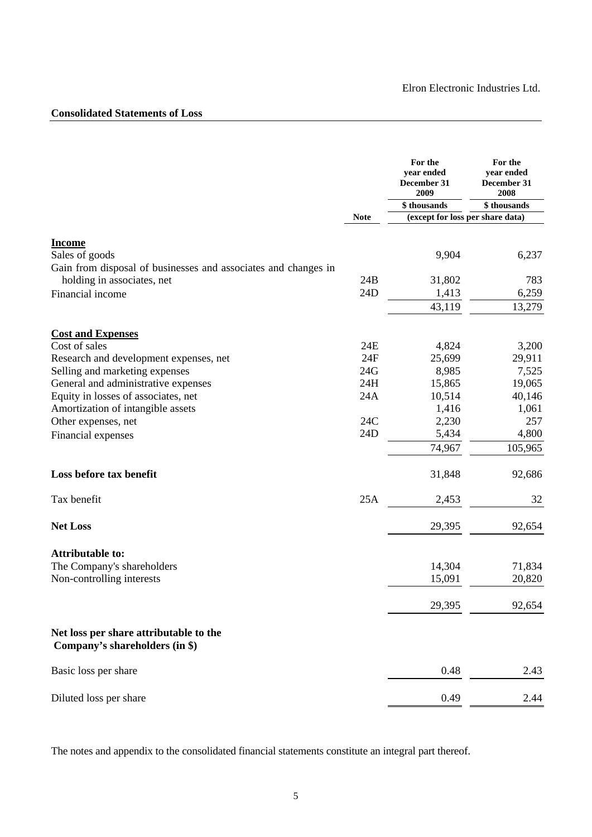### **Consolidated Statements of Loss**

|                                                                          |             | For the<br>year ended<br>December 31<br>2009 | For the<br>year ended<br>December 31<br>2008 |
|--------------------------------------------------------------------------|-------------|----------------------------------------------|----------------------------------------------|
|                                                                          |             | \$thousands                                  | \$thousands                                  |
|                                                                          | <b>Note</b> | (except for loss per share data)             |                                              |
| <b>Income</b>                                                            |             |                                              |                                              |
| Sales of goods                                                           |             | 9,904                                        | 6,237                                        |
| Gain from disposal of businesses and associates and changes in           |             |                                              |                                              |
| holding in associates, net                                               | 24B         | 31,802                                       | 783                                          |
| Financial income                                                         | 24D         | 1,413                                        | 6,259                                        |
|                                                                          |             | 43,119                                       | 13,279                                       |
| <b>Cost and Expenses</b>                                                 |             |                                              |                                              |
| Cost of sales                                                            | 24E         | 4,824                                        | 3,200                                        |
| Research and development expenses, net                                   | 24F         | 25,699                                       | 29,911                                       |
| Selling and marketing expenses                                           | 24G         | 8,985                                        | 7,525                                        |
| General and administrative expenses                                      | 24H         | 15,865                                       | 19,065                                       |
| Equity in losses of associates, net                                      | 24A         | 10,514                                       | 40,146                                       |
| Amortization of intangible assets                                        |             | 1,416                                        | 1,061                                        |
| Other expenses, net                                                      | 24C         | 2,230                                        | 257                                          |
| Financial expenses                                                       | 24D         | 5,434                                        | 4,800                                        |
|                                                                          |             | 74,967                                       | 105,965                                      |
| Loss before tax benefit                                                  |             | 31,848                                       | 92,686                                       |
| Tax benefit                                                              | 25A         | 2,453                                        | 32                                           |
| <b>Net Loss</b>                                                          |             | 29,395                                       | 92,654                                       |
| <b>Attributable to:</b>                                                  |             |                                              |                                              |
| The Company's shareholders                                               |             | 14,304                                       | 71,834                                       |
| Non-controlling interests                                                |             | 15,091                                       | 20,820                                       |
|                                                                          |             | 29,395                                       | 92,654                                       |
| Net loss per share attributable to the<br>Company's shareholders (in \$) |             |                                              |                                              |
| Basic loss per share                                                     |             | 0.48                                         | 2.43                                         |
| Diluted loss per share                                                   |             | 0.49                                         | 2.44                                         |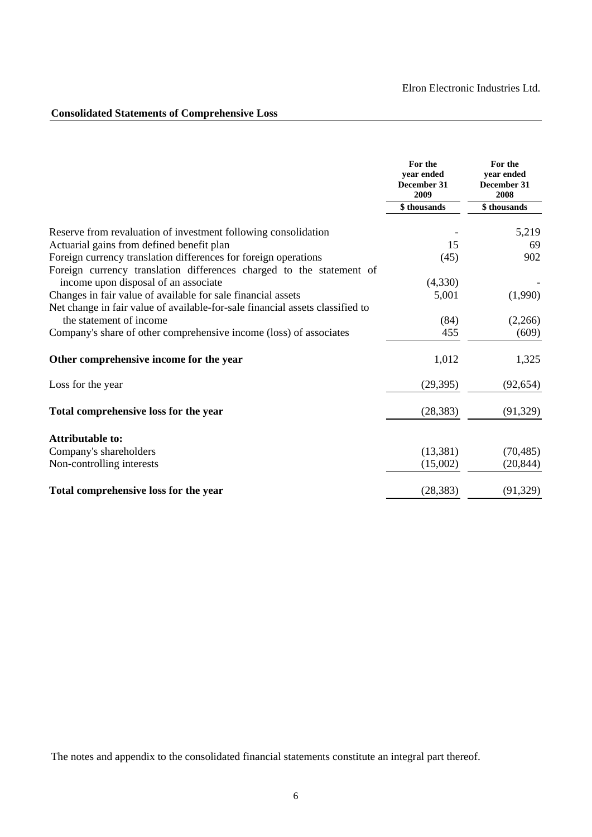# **Consolidated Statements of Comprehensive Loss**

|                                                                                                                                         | For the<br>year ended<br>December 31<br>2009 | For the<br>year ended<br>December 31<br>2008 |
|-----------------------------------------------------------------------------------------------------------------------------------------|----------------------------------------------|----------------------------------------------|
|                                                                                                                                         | \$thousands                                  | \$thousands                                  |
| Reserve from revaluation of investment following consolidation                                                                          |                                              | 5,219                                        |
| Actuarial gains from defined benefit plan                                                                                               | 15                                           | 69                                           |
| Foreign currency translation differences for foreign operations<br>Foreign currency translation differences charged to the statement of | (45)                                         | 902                                          |
| income upon disposal of an associate                                                                                                    | (4,330)                                      |                                              |
| Changes in fair value of available for sale financial assets                                                                            | 5,001                                        | (1,990)                                      |
| Net change in fair value of available-for-sale financial assets classified to                                                           |                                              |                                              |
| the statement of income                                                                                                                 | (84)                                         | (2,266)                                      |
| Company's share of other comprehensive income (loss) of associates                                                                      | 455                                          | (609)                                        |
| Other comprehensive income for the year                                                                                                 | 1,012                                        | 1,325                                        |
| Loss for the year                                                                                                                       | (29, 395)                                    | (92, 654)                                    |
| Total comprehensive loss for the year                                                                                                   | (28, 383)                                    | (91, 329)                                    |
| <b>Attributable to:</b>                                                                                                                 |                                              |                                              |
| Company's shareholders                                                                                                                  | (13, 381)                                    | (70, 485)                                    |
| Non-controlling interests                                                                                                               | (15,002)                                     | (20, 844)                                    |
| Total comprehensive loss for the year                                                                                                   | (28, 383)                                    | (91, 329)                                    |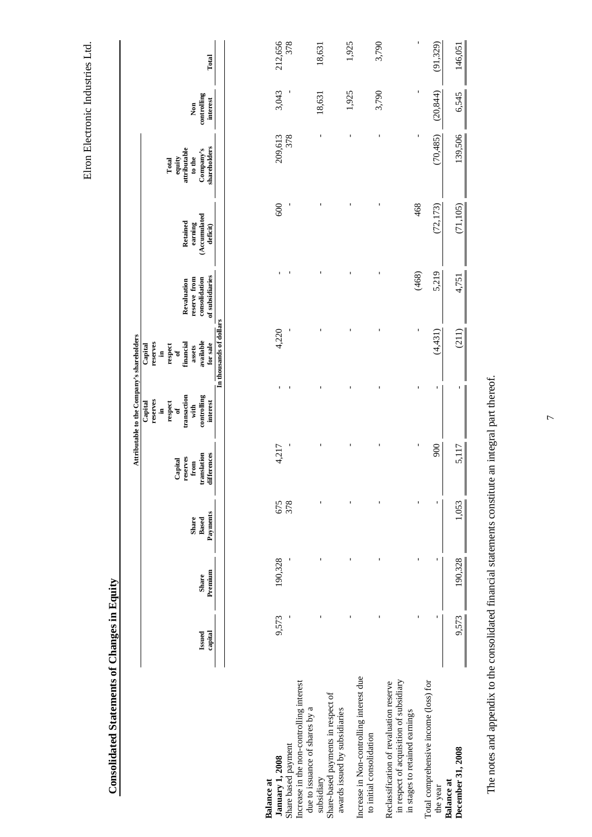Elron Electronic Industries Ltd. Elron Electronic Industries Ltd.

> **Consolidated Statements of Changes in Equity Consolidated Statements of Changes in Equity**

|                                                                                                                                |                          |                  |                                   |                                                           | Attributable to the Company's shareholders                                                              |                                                                                                                       |                                                                 |                                                 |                                                                        |                                |                |
|--------------------------------------------------------------------------------------------------------------------------------|--------------------------|------------------|-----------------------------------|-----------------------------------------------------------|---------------------------------------------------------------------------------------------------------|-----------------------------------------------------------------------------------------------------------------------|-----------------------------------------------------------------|-------------------------------------------------|------------------------------------------------------------------------|--------------------------------|----------------|
|                                                                                                                                | capital<br><b>Issued</b> | Premium<br>Share | Payments<br>Share<br><b>Based</b> | translation<br>differences<br>reserves<br>Capital<br>from | transaction<br>controlling<br>reserves<br>Capital<br>respect<br>interest<br>with<br>$\overline{a}$<br>ă | In thousands of dollars<br>available<br>reserves<br>financial<br>for sale<br>Capital<br>respect<br>assets<br>9.<br>ិ៍ | of subsidiaries<br>consolidation<br>reserve from<br>Revaluation | (Accumulated<br>Retained<br>earning<br>deficit) | shareholders<br>attributable<br>Company's<br>to the<br>equity<br>Total | controlling<br>interest<br>Non | Total          |
|                                                                                                                                |                          |                  |                                   |                                                           |                                                                                                         |                                                                                                                       |                                                                 |                                                 |                                                                        |                                |                |
| Share based payment<br>January 1, 2008<br><b>Balance</b> at                                                                    | 9,573                    | 190,328          | 675<br>378                        | ı<br>4,217                                                | I                                                                                                       | I<br>4,220                                                                                                            | Ţ<br>ı                                                          | ľ<br>600                                        | 209,613<br>378                                                         | I<br>3,043                     | 212,656<br>378 |
| Increase in the non-controlling interest<br>Share-based payments in respect of<br>due to issuance of shares by a<br>subsidiary |                          |                  |                                   | ı                                                         |                                                                                                         | ı                                                                                                                     | ı                                                               | f,                                              | ı                                                                      | 18,631                         | 18,631         |
| Increase in Non-controlling interest due<br>awards issued by subsidiaries                                                      |                          |                  |                                   | ı                                                         | ı                                                                                                       | ı                                                                                                                     | ı                                                               | ı                                               | ï                                                                      | 1,925                          | 1,925          |
| Reclassification of revaluation reserve<br>to initial consolidation                                                            |                          |                  |                                   | ı                                                         | ı                                                                                                       | ı                                                                                                                     | ı                                                               | I                                               | ı                                                                      | 3,790                          | 3,790          |
| in respect of acquisition of subsidiary<br>in stages to retained earnings                                                      |                          |                  |                                   | I                                                         | ı                                                                                                       | J.                                                                                                                    | (468)                                                           | 468                                             | ı                                                                      | ı                              | ı              |
| Total comprehensive income (loss) for<br>the year                                                                              | ı                        | ı                |                                   | 900                                                       | $\blacksquare$                                                                                          | (4,431)                                                                                                               | 5,219                                                           | (72, 173)                                       | (70, 485)                                                              | (20, 844)                      | (91,329)       |
| December 31, 2008<br><b>Balance</b> at                                                                                         | 9,573                    | 190,328          | 1,053                             | 5,117                                                     |                                                                                                         | (211)                                                                                                                 | 4,751                                                           | (71, 105)                                       | 139,506                                                                | 6,545                          | 146,051        |

The notes and appendix to the consolidated financial statements constitute an integral part thereof. The notes and appendix to the consolidated financial statements constitute an integral part thereof.

 $\overline{r}$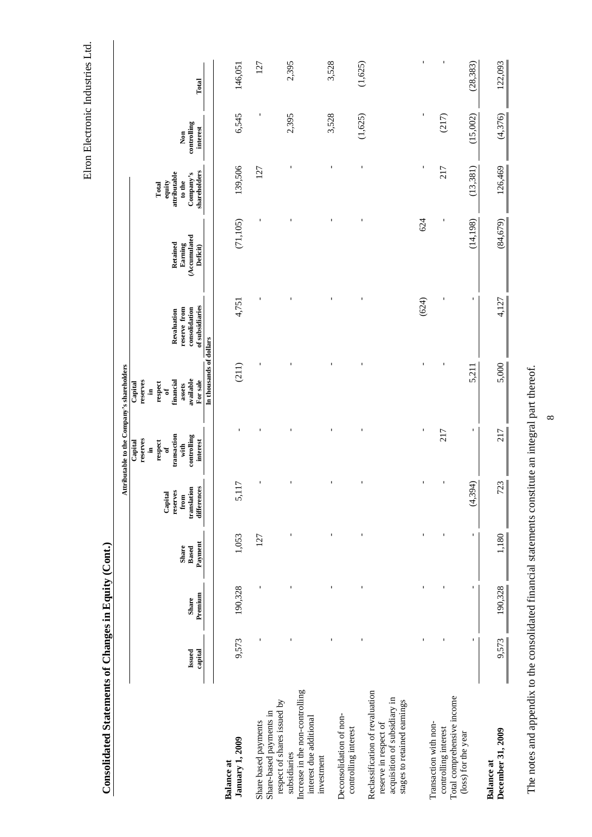Elron Electronic Industries Ltd. Elron Electronic Industries Ltd.

> Consolidated Statements of Changes in Equity (Cont.) **Consolidated Statements of Changes in Equity (Cont.)**

|                                                                                                                         |                   |                  |                                  |                                                           | Attributable to the Company's shareholders                                                  |                                                                                                                      |                                                                 |                                                         |                                                                        |                                |           |
|-------------------------------------------------------------------------------------------------------------------------|-------------------|------------------|----------------------------------|-----------------------------------------------------------|---------------------------------------------------------------------------------------------|----------------------------------------------------------------------------------------------------------------------|-----------------------------------------------------------------|---------------------------------------------------------|------------------------------------------------------------------------|--------------------------------|-----------|
|                                                                                                                         | capital<br>Issued | Premium<br>Share | Payment<br>Share<br><b>Based</b> | differences<br>translation<br>reserves<br>Capital<br>from | transaction<br>controlling<br>reserves<br>interest<br>respect<br>Capital<br>with<br>9.<br>đ | In thousands of dollars<br>available<br>reserves<br>financial<br>For sale<br>respect<br>Capital<br>assets<br>9.<br>ð | of subsidiaries<br>reserve from<br>consolidation<br>Revaluation | (Accumulated<br>Retained<br>Earning<br><b>Deficit</b> ) | shareholders<br>attributable<br>Company's<br>to the<br>equity<br>Total | controlling<br>interest<br>Non | Total     |
| January 1, 2009<br><b>Balance</b> at                                                                                    | 9,573             | 190,328          | 1,053                            | 117<br>n                                                  |                                                                                             | (211)                                                                                                                | 4,751                                                           | (71, 105)                                               | 139,506                                                                | 6,545                          | 146,051   |
| Share-based payments in<br>Share based payments                                                                         |                   | ı                | 127                              | ï                                                         |                                                                                             |                                                                                                                      | I                                                               | I                                                       | 127                                                                    | ı                              | 127       |
| Increase in the non-controlling<br>respect of shares issued by<br>interest due additional<br>subsidiaries<br>investment |                   |                  | ı                                | f,                                                        | f,                                                                                          | f,                                                                                                                   | f,                                                              | f,                                                      | ı                                                                      | 2,395                          | 2,395     |
| Deconsolidation of non-<br>controlling interest                                                                         |                   | ı                |                                  | ı                                                         | ı                                                                                           | ı                                                                                                                    | ı                                                               |                                                         | ı                                                                      | 3,528                          | 3,528     |
| Reclassification of revaluation<br>acquisition of subsidiary in<br>stages to retained earnings<br>reserve in respect of |                   |                  |                                  | ı                                                         | ı                                                                                           | ı                                                                                                                    | ı                                                               | ı                                                       | ı                                                                      | (1,625)                        | (1,625)   |
|                                                                                                                         |                   |                  |                                  | ï                                                         | ı                                                                                           |                                                                                                                      | (624)                                                           | 624                                                     | ı                                                                      | ı                              | I,        |
| Total comprehensive income<br>Transaction with non-<br>controlling interest                                             |                   |                  |                                  | I                                                         | 217                                                                                         | ı                                                                                                                    | ı                                                               | ı                                                       | 217                                                                    | (217)                          | I         |
| (loss) for the year                                                                                                     | ı                 |                  | ı                                | 394)<br>नुं                                               | ı                                                                                           | 5,211                                                                                                                | ı                                                               | (14, 198)                                               | (13, 381)                                                              | (15,002)                       | (28, 383) |
| December 31, 2009<br><b>Balance</b> at                                                                                  | 9,573             | 190,328          | 1,180                            | 723                                                       | 217                                                                                         | 5,000                                                                                                                | 4,127                                                           | (84, 679)                                               | 126,469                                                                | (4,376)                        | 122,093   |

The notes and appendix to the consolidated financial statements constitute an integral part thereof. The notes and appendix to the consolidated financial statements constitute an integral part thereof.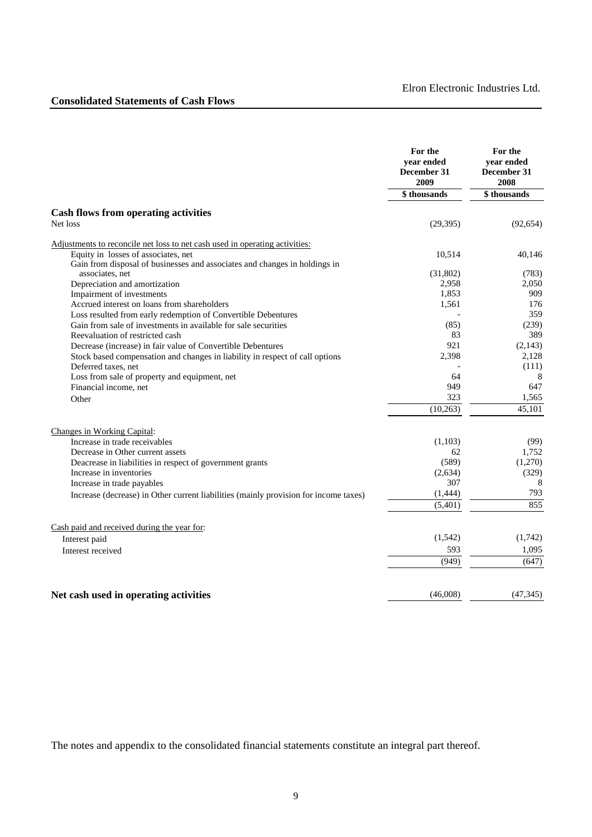# **Consolidated Statements of Cash Flows**

|                                                                                      | For the<br>year ended<br>December 31<br>2009 | For the<br>year ended<br>December 31<br>2008 |
|--------------------------------------------------------------------------------------|----------------------------------------------|----------------------------------------------|
|                                                                                      | \$thousands                                  | \$thousands                                  |
| <b>Cash flows from operating activities</b>                                          |                                              |                                              |
| Net loss                                                                             | (29, 395)                                    | (92, 654)                                    |
| Adjustments to reconcile net loss to net cash used in operating activities:          |                                              |                                              |
| Equity in losses of associates, net                                                  | 10,514                                       | 40,146                                       |
| Gain from disposal of businesses and associates and changes in holdings in           |                                              |                                              |
| associates, net                                                                      | (31,802)                                     | (783)                                        |
| Depreciation and amortization                                                        | 2,958                                        | 2,050                                        |
| Impairment of investments                                                            | 1,853                                        | 909                                          |
| Accrued interest on loans from shareholders                                          | 1,561                                        | 176                                          |
| Loss resulted from early redemption of Convertible Debentures                        |                                              | 359                                          |
| Gain from sale of investments in available for sale securities                       | (85)                                         | (239)                                        |
| Reevaluation of restricted cash                                                      | 83                                           | 389                                          |
| Decrease (increase) in fair value of Convertible Debentures                          | 921                                          | (2,143)                                      |
| Stock based compensation and changes in liability in respect of call options         | 2,398                                        | 2,128                                        |
| Deferred taxes, net                                                                  |                                              | (111)                                        |
| Loss from sale of property and equipment, net                                        | 64                                           | 8                                            |
| Financial income, net                                                                | 949                                          | 647                                          |
| Other                                                                                | 323                                          | 1,565                                        |
|                                                                                      | (10, 263)                                    | 45,101                                       |
| Changes in Working Capital:                                                          |                                              |                                              |
| Increase in trade receivables                                                        | (1,103)                                      | (99)                                         |
| Decrease in Other current assets                                                     | 62                                           | 1,752                                        |
| Deacrease in liabilities in respect of government grants                             | (589)                                        | (1,270)                                      |
| Increase in inventories                                                              | (2,634)                                      | (329)                                        |
| Increase in trade payables                                                           | 307                                          | 8                                            |
| Increase (decrease) in Other current liabilities (mainly provision for income taxes) | (1,444)                                      | 793                                          |
|                                                                                      | (5,401)                                      | 855                                          |
| Cash paid and received during the year for:                                          |                                              |                                              |
| Interest paid                                                                        | (1, 542)                                     | (1,742)                                      |
| Interest received                                                                    | 593                                          | 1,095                                        |
|                                                                                      | (949)                                        | (647)                                        |
|                                                                                      |                                              |                                              |
| Net cash used in operating activities                                                | (46,008)                                     | (47, 345)                                    |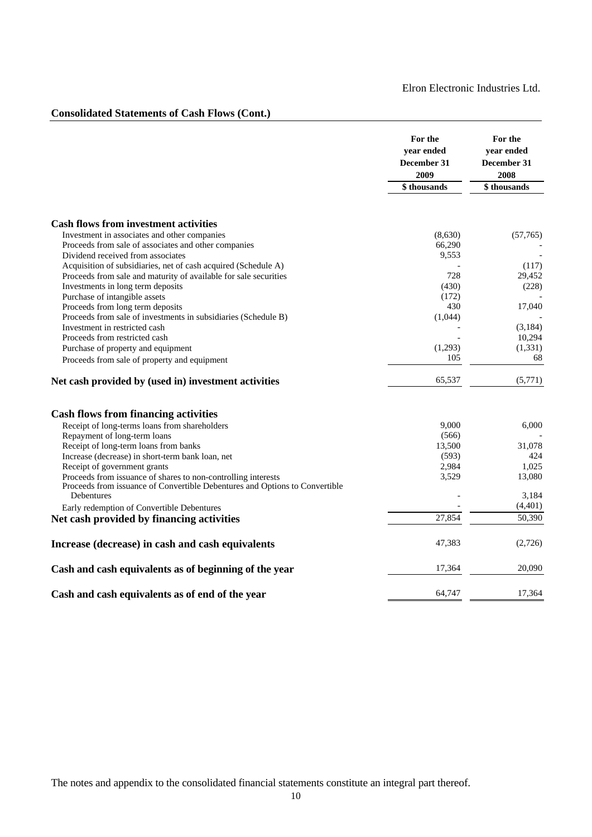## **Consolidated Statements of Cash Flows (Cont.)**

|                                                                                                                                                            | For the<br>year ended<br>December 31<br>2009 | For the<br>year ended<br>December 31<br>2008 |
|------------------------------------------------------------------------------------------------------------------------------------------------------------|----------------------------------------------|----------------------------------------------|
|                                                                                                                                                            | \$thousands                                  | \$thousands                                  |
| <b>Cash flows from investment activities</b>                                                                                                               |                                              |                                              |
| Investment in associates and other companies                                                                                                               | (8,630)                                      | (57,765)                                     |
| Proceeds from sale of associates and other companies                                                                                                       | 66,290                                       |                                              |
| Dividend received from associates                                                                                                                          | 9,553                                        |                                              |
| Acquisition of subsidiaries, net of cash acquired (Schedule A)                                                                                             |                                              | (117)                                        |
| Proceeds from sale and maturity of available for sale securities                                                                                           | 728                                          | 29,452                                       |
| Investments in long term deposits                                                                                                                          | (430)                                        | (228)                                        |
| Purchase of intangible assets                                                                                                                              | (172)                                        |                                              |
| Proceeds from long term deposits                                                                                                                           | 430                                          | 17,040                                       |
| Proceeds from sale of investments in subsidiaries (Schedule B)                                                                                             | (1,044)                                      |                                              |
| Investment in restricted cash                                                                                                                              |                                              | (3,184)                                      |
| Proceeds from restricted cash                                                                                                                              |                                              | 10,294                                       |
| Purchase of property and equipment                                                                                                                         | (1,293)                                      | (1, 331)                                     |
| Proceeds from sale of property and equipment                                                                                                               | 105                                          | 68                                           |
| Net cash provided by (used in) investment activities                                                                                                       | 65,537                                       | (5,771)                                      |
| <b>Cash flows from financing activities</b>                                                                                                                |                                              |                                              |
| Receipt of long-terms loans from shareholders                                                                                                              | 9,000                                        | 6,000                                        |
| Repayment of long-term loans                                                                                                                               | (566)                                        |                                              |
| Receipt of long-term loans from banks                                                                                                                      | 13,500                                       | 31,078                                       |
| Increase (decrease) in short-term bank loan, net                                                                                                           | (593)                                        | 424                                          |
| Receipt of government grants                                                                                                                               | 2,984                                        | 1,025                                        |
| Proceeds from issuance of shares to non-controlling interests<br>Proceeds from issuance of Convertible Debentures and Options to Convertible<br>Debentures | 3,529                                        | 13,080<br>3,184                              |
|                                                                                                                                                            |                                              | (4,401)                                      |
| Early redemption of Convertible Debentures                                                                                                                 |                                              |                                              |
| Net cash provided by financing activities                                                                                                                  | 27,854                                       | 50,390                                       |
| Increase (decrease) in cash and cash equivalents                                                                                                           | 47,383                                       | (2,726)                                      |
| Cash and cash equivalents as of beginning of the year                                                                                                      | 17,364                                       | 20,090                                       |
| Cash and cash equivalents as of end of the year                                                                                                            | 64,747                                       | 17,364                                       |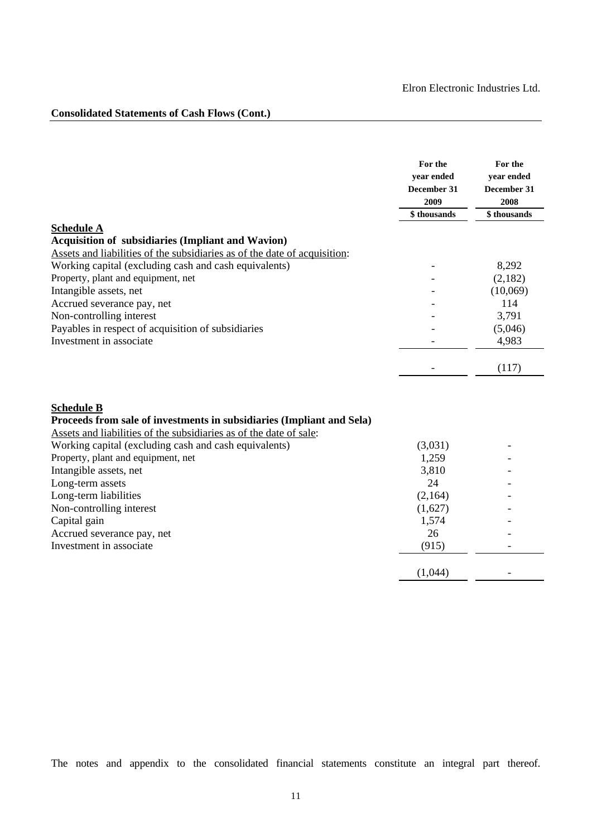## **Consolidated Statements of Cash Flows (Cont.)**

|                                                                                            | For the<br>year ended<br>December 31<br>2009<br>\$thousands | For the<br>year ended<br>December 31<br>2008<br>\$thousands |
|--------------------------------------------------------------------------------------------|-------------------------------------------------------------|-------------------------------------------------------------|
| <b>Schedule A</b>                                                                          |                                                             |                                                             |
| <b>Acquisition of subsidiaries (Impliant and Wavion)</b>                                   |                                                             |                                                             |
| Assets and liabilities of the subsidiaries as of the date of acquisition:                  |                                                             |                                                             |
| Working capital (excluding cash and cash equivalents)                                      |                                                             | 8,292                                                       |
| Property, plant and equipment, net                                                         |                                                             | (2,182)                                                     |
| Intangible assets, net                                                                     |                                                             | (10,069)                                                    |
| Accrued severance pay, net                                                                 |                                                             | 114                                                         |
| Non-controlling interest                                                                   |                                                             | 3,791                                                       |
| Payables in respect of acquisition of subsidiaries                                         |                                                             | (5,046)                                                     |
| Investment in associate                                                                    |                                                             | 4,983                                                       |
|                                                                                            |                                                             | (117)                                                       |
| <b>Schedule B</b><br>Proceeds from sale of investments in subsidiaries (Impliant and Sela) |                                                             |                                                             |
| Assets and liabilities of the subsidiaries as of the date of sale:                         |                                                             |                                                             |
| Working capital (excluding cash and cash equivalents)                                      | (3,031)                                                     |                                                             |
| Property, plant and equipment, net                                                         | 1,259                                                       |                                                             |
| Intangible assets, net                                                                     | 3,810                                                       |                                                             |
| Long-term assets                                                                           | 24                                                          |                                                             |
| Long-term liabilities                                                                      | (2,164)                                                     |                                                             |
| Non-controlling interest                                                                   | (1,627)                                                     |                                                             |
| Capital gain                                                                               | 1,574                                                       |                                                             |
| Accrued severance pay, net                                                                 | 26                                                          |                                                             |
| Investment in associate                                                                    | (915)                                                       |                                                             |
|                                                                                            | (1,044)                                                     |                                                             |
|                                                                                            |                                                             |                                                             |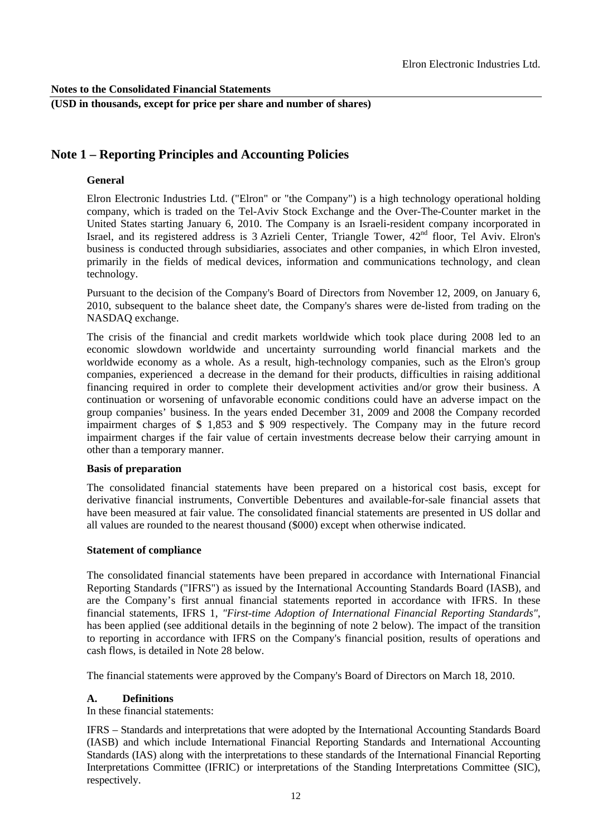**(USD in thousands, except for price per share and number of shares)**

# **Note 1 – Reporting Principles and Accounting Policies**

### **General**

Elron Electronic Industries Ltd. ("Elron" or "the Company") is a high technology operational holding company, which is traded on the Tel-Aviv Stock Exchange and the Over-The-Counter market in the United States starting January 6, 2010. The Company is an Israeli-resident company incorporated in Israel, and its registered address is 3 Azrieli Center, Triangle Tower, 42nd floor, Tel Aviv. Elron's business is conducted through subsidiaries, associates and other companies, in which Elron invested, primarily in the fields of medical devices, information and communications technology, and clean technology.

Pursuant to the decision of the Company's Board of Directors from November 12, 2009, on January 6, 2010, subsequent to the balance sheet date, the Company's shares were de-listed from trading on the NASDAQ exchange.

The crisis of the financial and credit markets worldwide which took place during 2008 led to an economic slowdown worldwide and uncertainty surrounding world financial markets and the worldwide economy as a whole. As a result, high-technology companies, such as the Elron's group companies, experienced a decrease in the demand for their products, difficulties in raising additional financing required in order to complete their development activities and/or grow their business. A continuation or worsening of unfavorable economic conditions could have an adverse impact on the group companies' business. In the years ended December 31, 2009 and 2008 the Company recorded impairment charges of \$ 1,853 and \$ 909 respectively. The Company may in the future record impairment charges if the fair value of certain investments decrease below their carrying amount in other than a temporary manner.

#### **Basis of preparation**

The consolidated financial statements have been prepared on a historical cost basis, except for derivative financial instruments, Convertible Debentures and available-for-sale financial assets that have been measured at fair value. The consolidated financial statements are presented in US dollar and all values are rounded to the nearest thousand (\$000) except when otherwise indicated.

#### **Statement of compliance**

The consolidated financial statements have been prepared in accordance with International Financial Reporting Standards ("IFRS") as issued by the International Accounting Standards Board (IASB), and are the Company's first annual financial statements reported in accordance with IFRS. In these financial statements, IFRS 1, *"First-time Adoption of International Financial Reporting Standards"*, has been applied (see additional details in the beginning of note 2 below). The impact of the transition to reporting in accordance with IFRS on the Company's financial position, results of operations and cash flows, is detailed in Note 28 below.

The financial statements were approved by the Company's Board of Directors on March 18, 2010.

#### **A. Definitions**

#### In these financial statements:

IFRS – Standards and interpretations that were adopted by the International Accounting Standards Board (IASB) and which include International Financial Reporting Standards and International Accounting Standards (IAS) along with the interpretations to these standards of the International Financial Reporting Interpretations Committee (IFRIC) or interpretations of the Standing Interpretations Committee (SIC), respectively.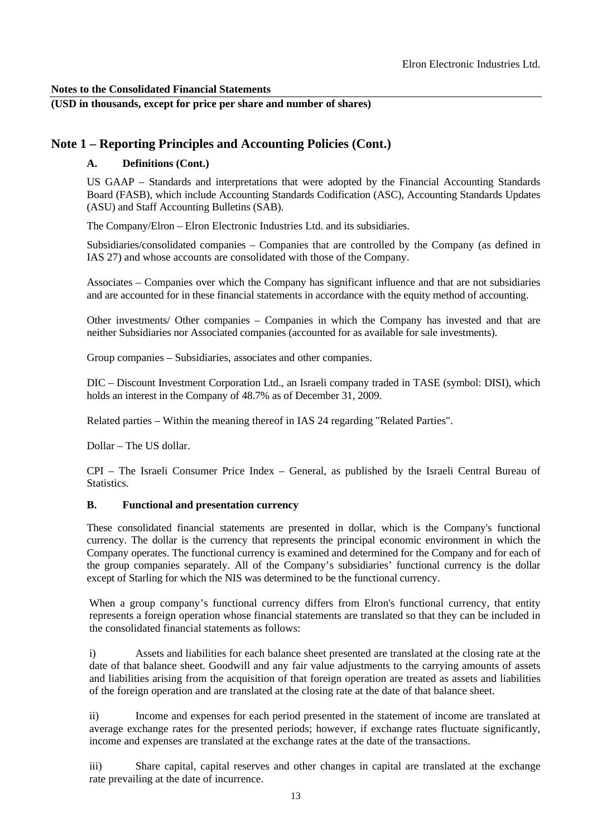#### **(USD in thousands, except for price per share and number of shares)**

# **Note 1 – Reporting Principles and Accounting Policies (Cont.)**

### **A. Definitions (Cont.)**

US GAAP – Standards and interpretations that were adopted by the Financial Accounting Standards Board (FASB), which include Accounting Standards Codification (ASC), Accounting Standards Updates (ASU) and Staff Accounting Bulletins (SAB).

The Company/Elron – Elron Electronic Industries Ltd. and its subsidiaries.

Subsidiaries/consolidated companies – Companies that are controlled by the Company (as defined in IAS 27) and whose accounts are consolidated with those of the Company.

Associates – Companies over which the Company has significant influence and that are not subsidiaries and are accounted for in these financial statements in accordance with the equity method of accounting.

Other investments/ Other companies – Companies in which the Company has invested and that are neither Subsidiaries nor Associated companies (accounted for as available for sale investments).

Group companies – Subsidiaries, associates and other companies.

DIC – Discount Investment Corporation Ltd., an Israeli company traded in TASE (symbol: DISI), which holds an interest in the Company of 48.7% as of December 31, 2009.

Related parties – Within the meaning thereof in IAS 24 regarding "Related Parties".

Dollar – The US dollar.

CPI – The Israeli Consumer Price Index – General, as published by the Israeli Central Bureau of Statistics.

#### **B. Functional and presentation currency**

These consolidated financial statements are presented in dollar, which is the Company's functional currency. The dollar is the currency that represents the principal economic environment in which the Company operates. The functional currency is examined and determined for the Company and for each of the group companies separately. All of the Company's subsidiaries' functional currency is the dollar except of Starling for which the NIS was determined to be the functional currency.

When a group company's functional currency differs from Elron's functional currency, that entity represents a foreign operation whose financial statements are translated so that they can be included in the consolidated financial statements as follows:

i) Assets and liabilities for each balance sheet presented are translated at the closing rate at the date of that balance sheet. Goodwill and any fair value adjustments to the carrying amounts of assets and liabilities arising from the acquisition of that foreign operation are treated as assets and liabilities of the foreign operation and are translated at the closing rate at the date of that balance sheet.

ii) Income and expenses for each period presented in the statement of income are translated at average exchange rates for the presented periods; however, if exchange rates fluctuate significantly, income and expenses are translated at the exchange rates at the date of the transactions.

iii) Share capital, capital reserves and other changes in capital are translated at the exchange rate prevailing at the date of incurrence.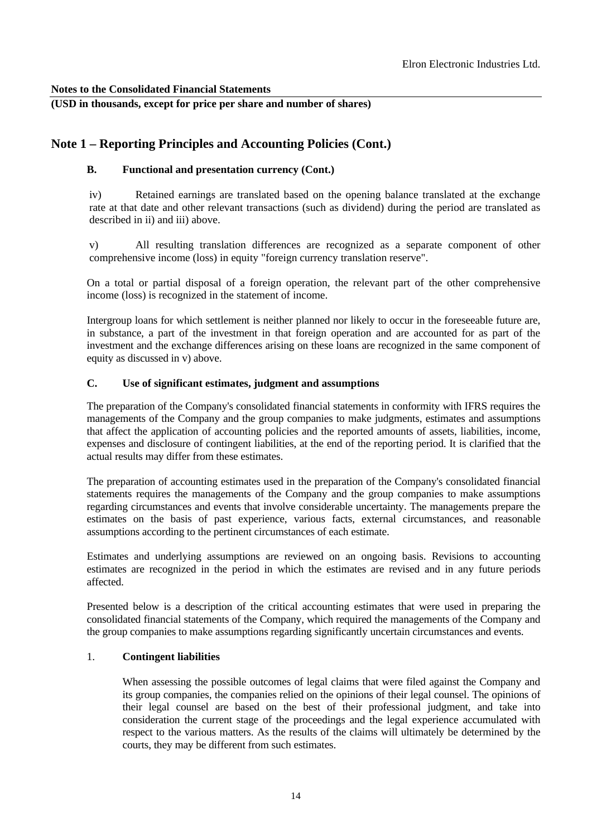#### **(USD in thousands, except for price per share and number of shares)**

# **Note 1 – Reporting Principles and Accounting Policies (Cont.)**

### **B. Functional and presentation currency (Cont.)**

iv) Retained earnings are translated based on the opening balance translated at the exchange rate at that date and other relevant transactions (such as dividend) during the period are translated as described in ii) and iii) above.

v) All resulting translation differences are recognized as a separate component of other comprehensive income (loss) in equity "foreign currency translation reserve".

On a total or partial disposal of a foreign operation, the relevant part of the other comprehensive income (loss) is recognized in the statement of income.

Intergroup loans for which settlement is neither planned nor likely to occur in the foreseeable future are, in substance, a part of the investment in that foreign operation and are accounted for as part of the investment and the exchange differences arising on these loans are recognized in the same component of equity as discussed in v) above.

#### **C. Use of significant estimates, judgment and assumptions**

The preparation of the Company's consolidated financial statements in conformity with IFRS requires the managements of the Company and the group companies to make judgments, estimates and assumptions that affect the application of accounting policies and the reported amounts of assets, liabilities, income, expenses and disclosure of contingent liabilities, at the end of the reporting period. It is clarified that the actual results may differ from these estimates.

The preparation of accounting estimates used in the preparation of the Company's consolidated financial statements requires the managements of the Company and the group companies to make assumptions regarding circumstances and events that involve considerable uncertainty. The managements prepare the estimates on the basis of past experience, various facts, external circumstances, and reasonable assumptions according to the pertinent circumstances of each estimate.

Estimates and underlying assumptions are reviewed on an ongoing basis. Revisions to accounting estimates are recognized in the period in which the estimates are revised and in any future periods affected.

Presented below is a description of the critical accounting estimates that were used in preparing the consolidated financial statements of the Company, which required the managements of the Company and the group companies to make assumptions regarding significantly uncertain circumstances and events.

#### 1. **Contingent liabilities**

 When assessing the possible outcomes of legal claims that were filed against the Company and its group companies, the companies relied on the opinions of their legal counsel. The opinions of their legal counsel are based on the best of their professional judgment, and take into consideration the current stage of the proceedings and the legal experience accumulated with respect to the various matters. As the results of the claims will ultimately be determined by the courts, they may be different from such estimates.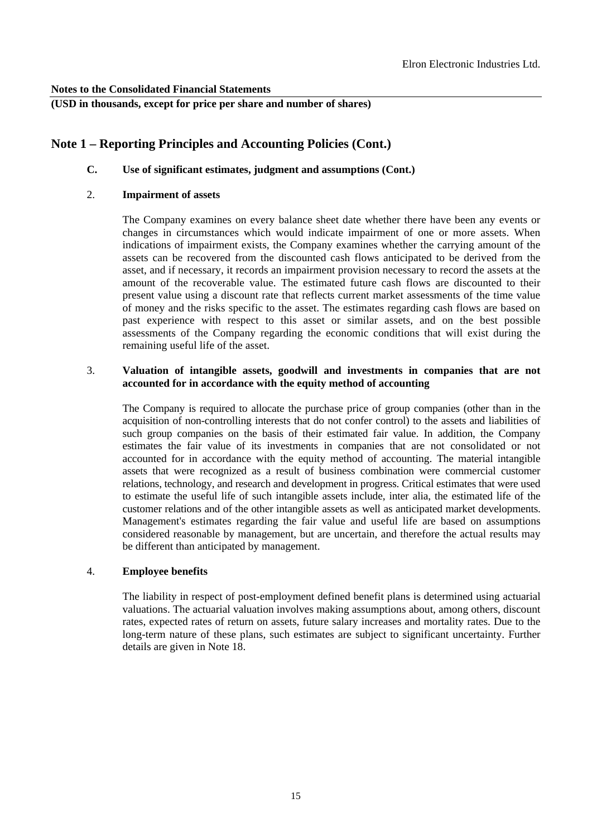**(USD in thousands, except for price per share and number of shares)**

# **Note 1 – Reporting Principles and Accounting Policies (Cont.)**

### **C. Use of significant estimates, judgment and assumptions (Cont.)**

### 2. **Impairment of assets**

 The Company examines on every balance sheet date whether there have been any events or changes in circumstances which would indicate impairment of one or more assets. When indications of impairment exists, the Company examines whether the carrying amount of the assets can be recovered from the discounted cash flows anticipated to be derived from the asset, and if necessary, it records an impairment provision necessary to record the assets at the amount of the recoverable value. The estimated future cash flows are discounted to their present value using a discount rate that reflects current market assessments of the time value of money and the risks specific to the asset. The estimates regarding cash flows are based on past experience with respect to this asset or similar assets, and on the best possible assessments of the Company regarding the economic conditions that will exist during the remaining useful life of the asset.

#### 3. **Valuation of intangible assets, goodwill and investments in companies that are not accounted for in accordance with the equity method of accounting**

 The Company is required to allocate the purchase price of group companies (other than in the acquisition of non-controlling interests that do not confer control) to the assets and liabilities of such group companies on the basis of their estimated fair value. In addition, the Company estimates the fair value of its investments in companies that are not consolidated or not accounted for in accordance with the equity method of accounting. The material intangible assets that were recognized as a result of business combination were commercial customer relations, technology, and research and development in progress. Critical estimates that were used to estimate the useful life of such intangible assets include, inter alia, the estimated life of the customer relations and of the other intangible assets as well as anticipated market developments. Management's estimates regarding the fair value and useful life are based on assumptions considered reasonable by management, but are uncertain, and therefore the actual results may be different than anticipated by management.

#### 4. **Employee benefits**

 The liability in respect of post-employment defined benefit plans is determined using actuarial valuations. The actuarial valuation involves making assumptions about, among others, discount rates, expected rates of return on assets, future salary increases and mortality rates. Due to the long-term nature of these plans, such estimates are subject to significant uncertainty. Further details are given in Note 18.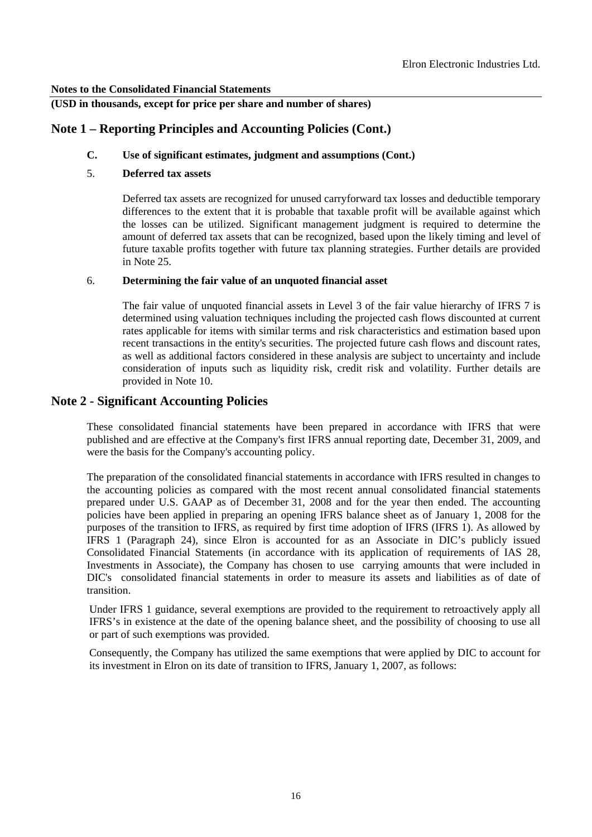**(USD in thousands, except for price per share and number of shares)**

# **Note 1 – Reporting Principles and Accounting Policies (Cont.)**

#### **C. Use of significant estimates, judgment and assumptions (Cont.)**

### 5. **Deferred tax assets**

 Deferred tax assets are recognized for unused carryforward tax losses and deductible temporary differences to the extent that it is probable that taxable profit will be available against which the losses can be utilized. Significant management judgment is required to determine the amount of deferred tax assets that can be recognized, based upon the likely timing and level of future taxable profits together with future tax planning strategies. Further details are provided in Note 25.

#### 6. **Determining the fair value of an unquoted financial asset**

 The fair value of unquoted financial assets in Level 3 of the fair value hierarchy of IFRS 7 is determined using valuation techniques including the projected cash flows discounted at current rates applicable for items with similar terms and risk characteristics and estimation based upon recent transactions in the entity's securities. The projected future cash flows and discount rates, as well as additional factors considered in these analysis are subject to uncertainty and include consideration of inputs such as liquidity risk, credit risk and volatility. Further details are provided in Note 10.

### **Note 2 - Significant Accounting Policies**

These consolidated financial statements have been prepared in accordance with IFRS that were published and are effective at the Company's first IFRS annual reporting date, December 31, 2009, and were the basis for the Company's accounting policy.

The preparation of the consolidated financial statements in accordance with IFRS resulted in changes to the accounting policies as compared with the most recent annual consolidated financial statements prepared under U.S. GAAP as of December 31, 2008 and for the year then ended. The accounting policies have been applied in preparing an opening IFRS balance sheet as of January 1, 2008 for the purposes of the transition to IFRS, as required by first time adoption of IFRS (IFRS 1). As allowed by IFRS 1 (Paragraph 24), since Elron is accounted for as an Associate in DIC's publicly issued Consolidated Financial Statements (in accordance with its application of requirements of IAS 28, Investments in Associate), the Company has chosen to use carrying amounts that were included in DIC's consolidated financial statements in order to measure its assets and liabilities as of date of transition.

Under IFRS 1 guidance, several exemptions are provided to the requirement to retroactively apply all IFRS's in existence at the date of the opening balance sheet, and the possibility of choosing to use all or part of such exemptions was provided.

Consequently, the Company has utilized the same exemptions that were applied by DIC to account for its investment in Elron on its date of transition to IFRS, January 1, 2007, as follows: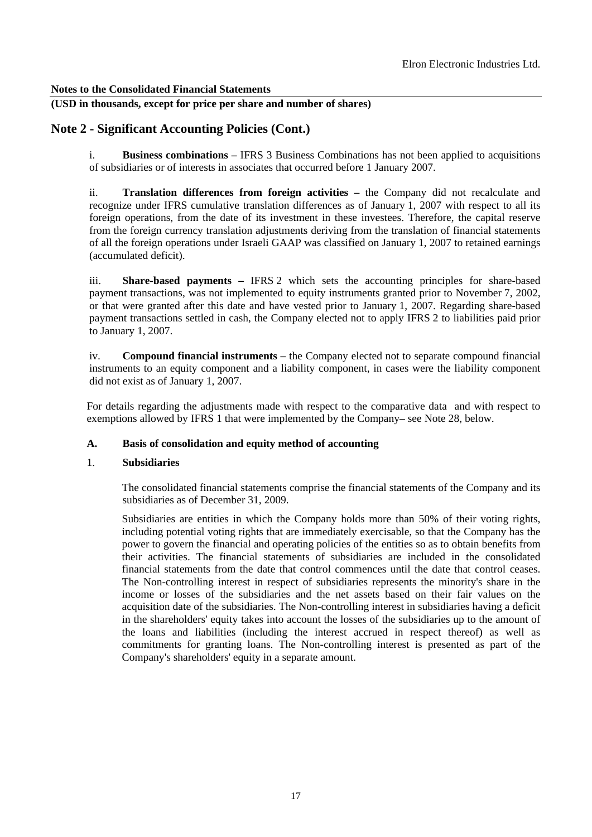**(USD in thousands, except for price per share and number of shares)**

# **Note 2 - Significant Accounting Policies (Cont.)**

i. **Business combinations –** IFRS 3 Business Combinations has not been applied to acquisitions of subsidiaries or of interests in associates that occurred before 1 January 2007.

ii. **Translation differences from foreign activities –** the Company did not recalculate and recognize under IFRS cumulative translation differences as of January 1, 2007 with respect to all its foreign operations, from the date of its investment in these investees. Therefore, the capital reserve from the foreign currency translation adjustments deriving from the translation of financial statements of all the foreign operations under Israeli GAAP was classified on January 1, 2007 to retained earnings (accumulated deficit).

iii. **Share-based payments –** IFRS 2 which sets the accounting principles for share-based payment transactions, was not implemented to equity instruments granted prior to November 7, 2002, or that were granted after this date and have vested prior to January 1, 2007. Regarding share-based payment transactions settled in cash, the Company elected not to apply IFRS 2 to liabilities paid prior to January 1, 2007.

iv. **Compound financial instruments –** the Company elected not to separate compound financial instruments to an equity component and a liability component, in cases were the liability component did not exist as of January 1, 2007.

For details regarding the adjustments made with respect to the comparative data and with respect to exemptions allowed by IFRS 1 that were implemented by the Company– see Note 28, below.

#### **A. Basis of consolidation and equity method of accounting**

#### 1. **Subsidiaries**

The consolidated financial statements comprise the financial statements of the Company and its subsidiaries as of December 31, 2009.

Subsidiaries are entities in which the Company holds more than 50% of their voting rights, including potential voting rights that are immediately exercisable, so that the Company has the power to govern the financial and operating policies of the entities so as to obtain benefits from their activities. The financial statements of subsidiaries are included in the consolidated financial statements from the date that control commences until the date that control ceases. The Non-controlling interest in respect of subsidiaries represents the minority's share in the income or losses of the subsidiaries and the net assets based on their fair values on the acquisition date of the subsidiaries. The Non-controlling interest in subsidiaries having a deficit in the shareholders' equity takes into account the losses of the subsidiaries up to the amount of the loans and liabilities (including the interest accrued in respect thereof) as well as commitments for granting loans. The Non-controlling interest is presented as part of the Company's shareholders' equity in a separate amount.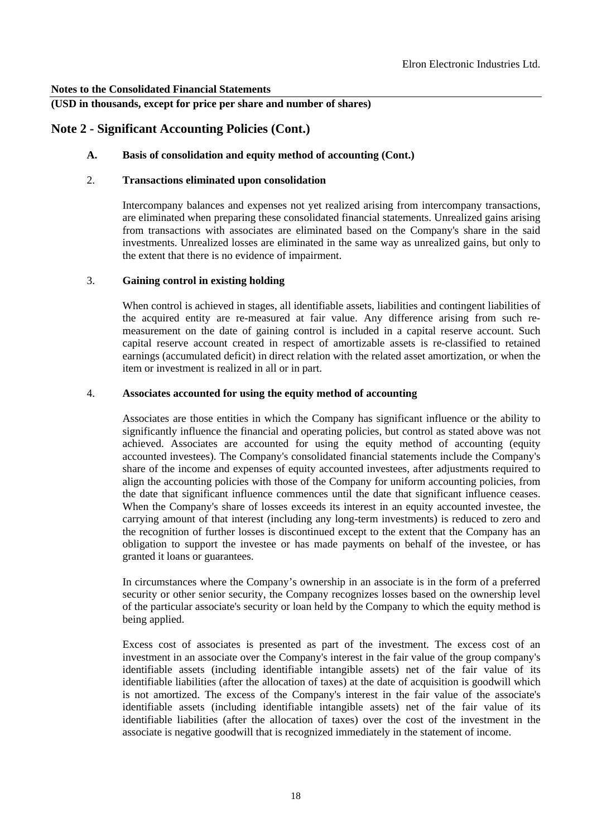### **(USD in thousands, except for price per share and number of shares)**

### **Note 2 - Significant Accounting Policies (Cont.)**

#### **A. Basis of consolidation and equity method of accounting (Cont.)**

### 2. **Transactions eliminated upon consolidation**

 Intercompany balances and expenses not yet realized arising from intercompany transactions, are eliminated when preparing these consolidated financial statements. Unrealized gains arising from transactions with associates are eliminated based on the Company's share in the said investments. Unrealized losses are eliminated in the same way as unrealized gains, but only to the extent that there is no evidence of impairment.

#### 3. **Gaining control in existing holding**

 When control is achieved in stages, all identifiable assets, liabilities and contingent liabilities of the acquired entity are re-measured at fair value. Any difference arising from such remeasurement on the date of gaining control is included in a capital reserve account. Such capital reserve account created in respect of amortizable assets is re-classified to retained earnings (accumulated deficit) in direct relation with the related asset amortization, or when the item or investment is realized in all or in part.

#### 4. **Associates accounted for using the equity method of accounting**

 Associates are those entities in which the Company has significant influence or the ability to significantly influence the financial and operating policies, but control as stated above was not achieved. Associates are accounted for using the equity method of accounting (equity accounted investees). The Company's consolidated financial statements include the Company's share of the income and expenses of equity accounted investees, after adjustments required to align the accounting policies with those of the Company for uniform accounting policies, from the date that significant influence commences until the date that significant influence ceases. When the Company's share of losses exceeds its interest in an equity accounted investee, the carrying amount of that interest (including any long-term investments) is reduced to zero and the recognition of further losses is discontinued except to the extent that the Company has an obligation to support the investee or has made payments on behalf of the investee, or has granted it loans or guarantees.

 In circumstances where the Company's ownership in an associate is in the form of a preferred security or other senior security, the Company recognizes losses based on the ownership level of the particular associate's security or loan held by the Company to which the equity method is being applied.

 Excess cost of associates is presented as part of the investment. The excess cost of an investment in an associate over the Company's interest in the fair value of the group company's identifiable assets (including identifiable intangible assets) net of the fair value of its identifiable liabilities (after the allocation of taxes) at the date of acquisition is goodwill which is not amortized. The excess of the Company's interest in the fair value of the associate's identifiable assets (including identifiable intangible assets) net of the fair value of its identifiable liabilities (after the allocation of taxes) over the cost of the investment in the associate is negative goodwill that is recognized immediately in the statement of income.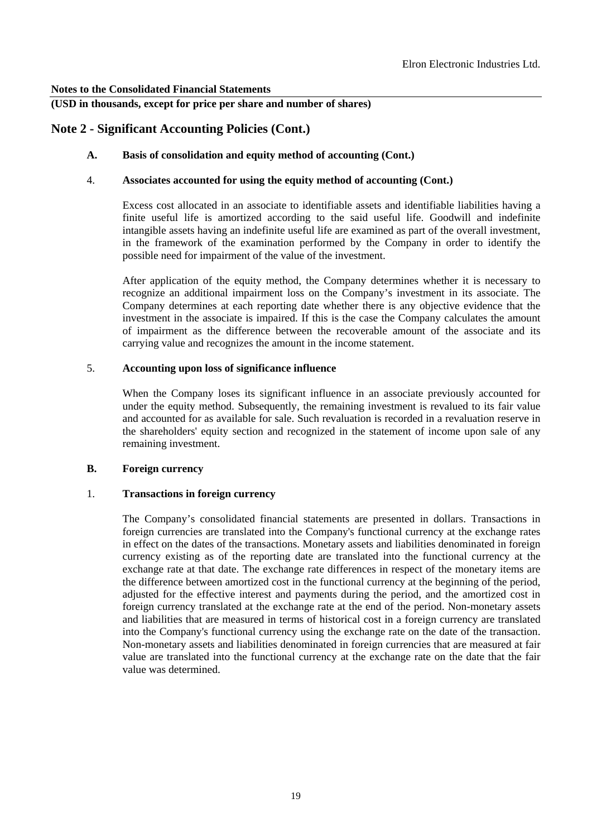**(USD in thousands, except for price per share and number of shares)**

## **Note 2 - Significant Accounting Policies (Cont.)**

### **A. Basis of consolidation and equity method of accounting (Cont.)**

#### 4. **Associates accounted for using the equity method of accounting (Cont.)**

Excess cost allocated in an associate to identifiable assets and identifiable liabilities having a finite useful life is amortized according to the said useful life. Goodwill and indefinite intangible assets having an indefinite useful life are examined as part of the overall investment, in the framework of the examination performed by the Company in order to identify the possible need for impairment of the value of the investment.

After application of the equity method, the Company determines whether it is necessary to recognize an additional impairment loss on the Company's investment in its associate. The Company determines at each reporting date whether there is any objective evidence that the investment in the associate is impaired. If this is the case the Company calculates the amount of impairment as the difference between the recoverable amount of the associate and its carrying value and recognizes the amount in the income statement.

#### 5. **Accounting upon loss of significance influence**

 When the Company loses its significant influence in an associate previously accounted for under the equity method. Subsequently, the remaining investment is revalued to its fair value and accounted for as available for sale. Such revaluation is recorded in a revaluation reserve in the shareholders' equity section and recognized in the statement of income upon sale of any remaining investment.

#### **B. Foreign currency**

#### 1. **Transactions in foreign currency**

 The Company's consolidated financial statements are presented in dollars. Transactions in foreign currencies are translated into the Company's functional currency at the exchange rates in effect on the dates of the transactions. Monetary assets and liabilities denominated in foreign currency existing as of the reporting date are translated into the functional currency at the exchange rate at that date. The exchange rate differences in respect of the monetary items are the difference between amortized cost in the functional currency at the beginning of the period, adjusted for the effective interest and payments during the period, and the amortized cost in foreign currency translated at the exchange rate at the end of the period. Non-monetary assets and liabilities that are measured in terms of historical cost in a foreign currency are translated into the Company's functional currency using the exchange rate on the date of the transaction. Non-monetary assets and liabilities denominated in foreign currencies that are measured at fair value are translated into the functional currency at the exchange rate on the date that the fair value was determined.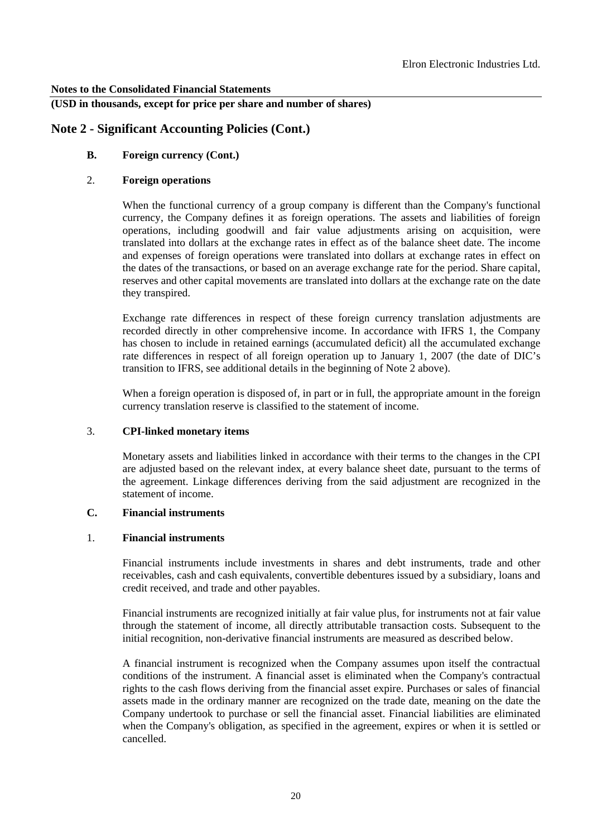**(USD in thousands, except for price per share and number of shares)**

## **Note 2 - Significant Accounting Policies (Cont.)**

### **B. Foreign currency (Cont.)**

### 2. **Foreign operations**

 When the functional currency of a group company is different than the Company's functional currency, the Company defines it as foreign operations. The assets and liabilities of foreign operations, including goodwill and fair value adjustments arising on acquisition, were translated into dollars at the exchange rates in effect as of the balance sheet date. The income and expenses of foreign operations were translated into dollars at exchange rates in effect on the dates of the transactions, or based on an average exchange rate for the period. Share capital, reserves and other capital movements are translated into dollars at the exchange rate on the date they transpired.

Exchange rate differences in respect of these foreign currency translation adjustments are recorded directly in other comprehensive income. In accordance with IFRS 1, the Company has chosen to include in retained earnings (accumulated deficit) all the accumulated exchange rate differences in respect of all foreign operation up to January 1, 2007 (the date of DIC's transition to IFRS, see additional details in the beginning of Note 2 above).

 When a foreign operation is disposed of, in part or in full, the appropriate amount in the foreign currency translation reserve is classified to the statement of income.

#### 3. **CPI-linked monetary items**

 Monetary assets and liabilities linked in accordance with their terms to the changes in the CPI are adjusted based on the relevant index, at every balance sheet date, pursuant to the terms of the agreement. Linkage differences deriving from the said adjustment are recognized in the statement of income.

#### **C. Financial instruments**

#### 1. **Financial instruments**

 Financial instruments include investments in shares and debt instruments, trade and other receivables, cash and cash equivalents, convertible debentures issued by a subsidiary, loans and credit received, and trade and other payables.

 Financial instruments are recognized initially at fair value plus, for instruments not at fair value through the statement of income, all directly attributable transaction costs. Subsequent to the initial recognition, non-derivative financial instruments are measured as described below.

 A financial instrument is recognized when the Company assumes upon itself the contractual conditions of the instrument. A financial asset is eliminated when the Company's contractual rights to the cash flows deriving from the financial asset expire. Purchases or sales of financial assets made in the ordinary manner are recognized on the trade date, meaning on the date the Company undertook to purchase or sell the financial asset. Financial liabilities are eliminated when the Company's obligation, as specified in the agreement, expires or when it is settled or cancelled.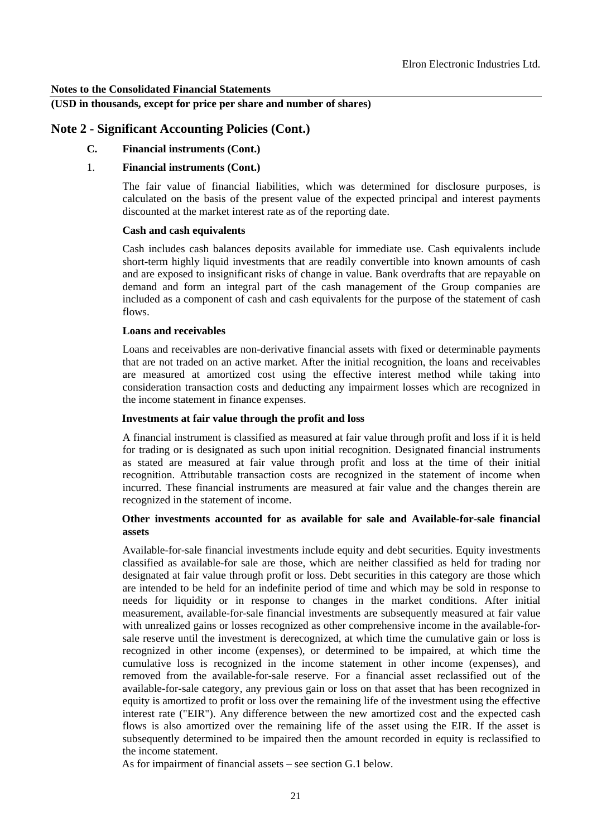**(USD in thousands, except for price per share and number of shares)**

### **Note 2 - Significant Accounting Policies (Cont.)**

#### **C. Financial instruments (Cont.)**

### 1. **Financial instruments (Cont.)**

The fair value of financial liabilities, which was determined for disclosure purposes, is calculated on the basis of the present value of the expected principal and interest payments discounted at the market interest rate as of the reporting date.

#### **Cash and cash equivalents**

 Cash includes cash balances deposits available for immediate use. Cash equivalents include short-term highly liquid investments that are readily convertible into known amounts of cash and are exposed to insignificant risks of change in value. Bank overdrafts that are repayable on demand and form an integral part of the cash management of the Group companies are included as a component of cash and cash equivalents for the purpose of the statement of cash flows.

### **Loans and receivables**

 Loans and receivables are non-derivative financial assets with fixed or determinable payments that are not traded on an active market. After the initial recognition, the loans and receivables are measured at amortized cost using the effective interest method while taking into consideration transaction costs and deducting any impairment losses which are recognized in the income statement in finance expenses.

#### **Investments at fair value through the profit and loss**

 A financial instrument is classified as measured at fair value through profit and loss if it is held for trading or is designated as such upon initial recognition. Designated financial instruments as stated are measured at fair value through profit and loss at the time of their initial recognition. Attributable transaction costs are recognized in the statement of income when incurred. These financial instruments are measured at fair value and the changes therein are recognized in the statement of income.

#### **Other investments accounted for as available for sale and Available-for-sale financial assets**

 Available-for-sale financial investments include equity and debt securities. Equity investments classified as available-for sale are those, which are neither classified as held for trading nor designated at fair value through profit or loss. Debt securities in this category are those which are intended to be held for an indefinite period of time and which may be sold in response to needs for liquidity or in response to changes in the market conditions. After initial measurement, available-for-sale financial investments are subsequently measured at fair value with unrealized gains or losses recognized as other comprehensive income in the available-forsale reserve until the investment is derecognized, at which time the cumulative gain or loss is recognized in other income (expenses), or determined to be impaired, at which time the cumulative loss is recognized in the income statement in other income (expenses), and removed from the available-for-sale reserve. For a financial asset reclassified out of the available-for-sale category, any previous gain or loss on that asset that has been recognized in equity is amortized to profit or loss over the remaining life of the investment using the effective interest rate ("EIR"). Any difference between the new amortized cost and the expected cash flows is also amortized over the remaining life of the asset using the EIR. If the asset is subsequently determined to be impaired then the amount recorded in equity is reclassified to the income statement.

As for impairment of financial assets – see section G.1 below.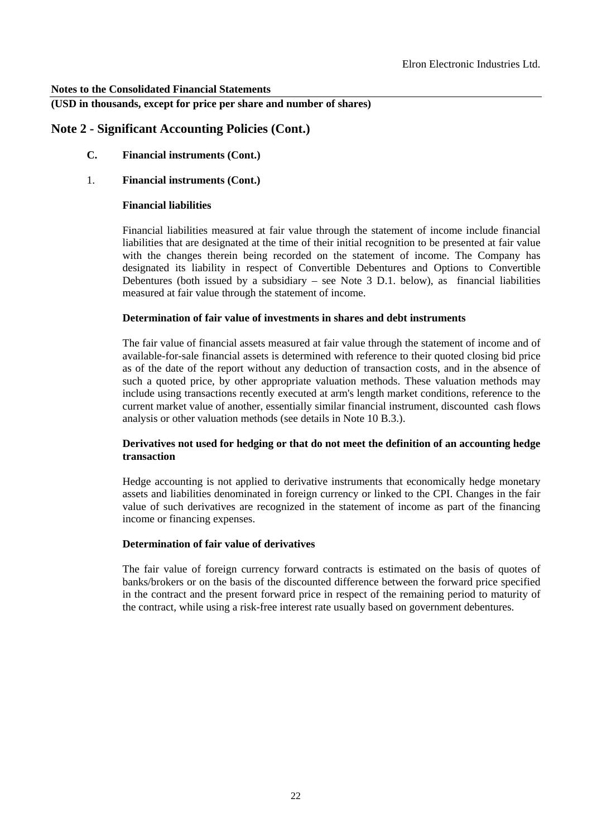**(USD in thousands, except for price per share and number of shares)**

### **Note 2 - Significant Accounting Policies (Cont.)**

- **C. Financial instruments (Cont.)**
- 1. **Financial instruments (Cont.)**

#### **Financial liabilities**

 Financial liabilities measured at fair value through the statement of income include financial liabilities that are designated at the time of their initial recognition to be presented at fair value with the changes therein being recorded on the statement of income. The Company has designated its liability in respect of Convertible Debentures and Options to Convertible Debentures (both issued by a subsidiary – see Note 3 D.1. below), as financial liabilities measured at fair value through the statement of income.

#### **Determination of fair value of investments in shares and debt instruments**

 The fair value of financial assets measured at fair value through the statement of income and of available-for-sale financial assets is determined with reference to their quoted closing bid price as of the date of the report without any deduction of transaction costs, and in the absence of such a quoted price, by other appropriate valuation methods. These valuation methods may include using transactions recently executed at arm's length market conditions, reference to the current market value of another, essentially similar financial instrument, discounted cash flows analysis or other valuation methods (see details in Note 10 B.3.).

### **Derivatives not used for hedging or that do not meet the definition of an accounting hedge transaction**

 Hedge accounting is not applied to derivative instruments that economically hedge monetary assets and liabilities denominated in foreign currency or linked to the CPI. Changes in the fair value of such derivatives are recognized in the statement of income as part of the financing income or financing expenses.

#### **Determination of fair value of derivatives**

 The fair value of foreign currency forward contracts is estimated on the basis of quotes of banks/brokers or on the basis of the discounted difference between the forward price specified in the contract and the present forward price in respect of the remaining period to maturity of the contract, while using a risk-free interest rate usually based on government debentures.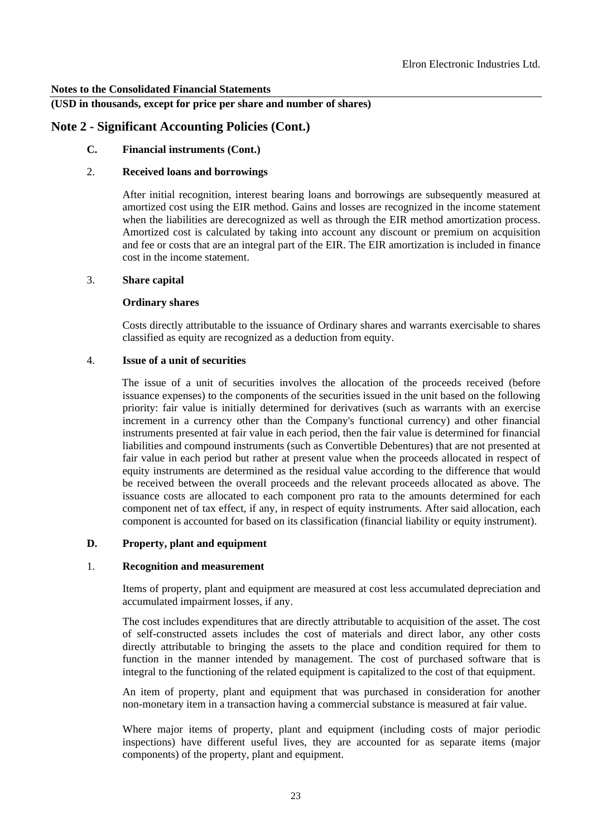**(USD in thousands, except for price per share and number of shares)**

## **Note 2 - Significant Accounting Policies (Cont.)**

#### **C. Financial instruments (Cont.)**

### 2. **Received loans and borrowings**

 After initial recognition, interest bearing loans and borrowings are subsequently measured at amortized cost using the EIR method. Gains and losses are recognized in the income statement when the liabilities are derecognized as well as through the EIR method amortization process. Amortized cost is calculated by taking into account any discount or premium on acquisition and fee or costs that are an integral part of the EIR. The EIR amortization is included in finance cost in the income statement.

#### 3. **Share capital**

#### **Ordinary shares**

 Costs directly attributable to the issuance of Ordinary shares and warrants exercisable to shares classified as equity are recognized as a deduction from equity.

#### 4. **Issue of a unit of securities**

The issue of a unit of securities involves the allocation of the proceeds received (before issuance expenses) to the components of the securities issued in the unit based on the following priority: fair value is initially determined for derivatives (such as warrants with an exercise increment in a currency other than the Company's functional currency) and other financial instruments presented at fair value in each period, then the fair value is determined for financial liabilities and compound instruments (such as Convertible Debentures) that are not presented at fair value in each period but rather at present value when the proceeds allocated in respect of equity instruments are determined as the residual value according to the difference that would be received between the overall proceeds and the relevant proceeds allocated as above. The issuance costs are allocated to each component pro rata to the amounts determined for each component net of tax effect, if any, in respect of equity instruments. After said allocation, each component is accounted for based on its classification (financial liability or equity instrument).

#### **D. Property, plant and equipment**

#### 1. **Recognition and measurement**

 Items of property, plant and equipment are measured at cost less accumulated depreciation and accumulated impairment losses, if any.

 The cost includes expenditures that are directly attributable to acquisition of the asset. The cost of self-constructed assets includes the cost of materials and direct labor, any other costs directly attributable to bringing the assets to the place and condition required for them to function in the manner intended by management. The cost of purchased software that is integral to the functioning of the related equipment is capitalized to the cost of that equipment.

 An item of property, plant and equipment that was purchased in consideration for another non-monetary item in a transaction having a commercial substance is measured at fair value.

 Where major items of property, plant and equipment (including costs of major periodic inspections) have different useful lives, they are accounted for as separate items (major components) of the property, plant and equipment.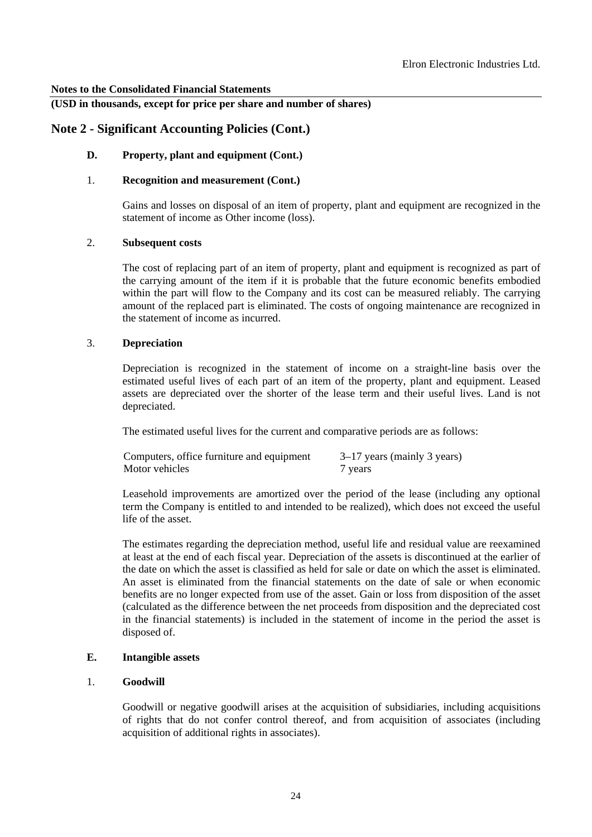# **(USD in thousands, except for price per share and number of shares)**

### **Note 2 - Significant Accounting Policies (Cont.)**

### **D. Property, plant and equipment (Cont.)**

#### 1. **Recognition and measurement (Cont.)**

 Gains and losses on disposal of an item of property, plant and equipment are recognized in the statement of income as Other income (loss).

#### 2. **Subsequent costs**

 The cost of replacing part of an item of property, plant and equipment is recognized as part of the carrying amount of the item if it is probable that the future economic benefits embodied within the part will flow to the Company and its cost can be measured reliably. The carrying amount of the replaced part is eliminated. The costs of ongoing maintenance are recognized in the statement of income as incurred.

### 3. **Depreciation**

 Depreciation is recognized in the statement of income on a straight-line basis over the estimated useful lives of each part of an item of the property, plant and equipment. Leased assets are depreciated over the shorter of the lease term and their useful lives. Land is not depreciated.

The estimated useful lives for the current and comparative periods are as follows:

| Computers, office furniture and equipment | $3-17$ years (mainly 3 years) |
|-------------------------------------------|-------------------------------|
| Motor vehicles                            | 7 years                       |

 Leasehold improvements are amortized over the period of the lease (including any optional term the Company is entitled to and intended to be realized), which does not exceed the useful life of the asset.

 The estimates regarding the depreciation method, useful life and residual value are reexamined at least at the end of each fiscal year. Depreciation of the assets is discontinued at the earlier of the date on which the asset is classified as held for sale or date on which the asset is eliminated. An asset is eliminated from the financial statements on the date of sale or when economic benefits are no longer expected from use of the asset. Gain or loss from disposition of the asset (calculated as the difference between the net proceeds from disposition and the depreciated cost in the financial statements) is included in the statement of income in the period the asset is disposed of.

#### **E. Intangible assets**

### 1. **Goodwill**

 Goodwill or negative goodwill arises at the acquisition of subsidiaries, including acquisitions of rights that do not confer control thereof, and from acquisition of associates (including acquisition of additional rights in associates).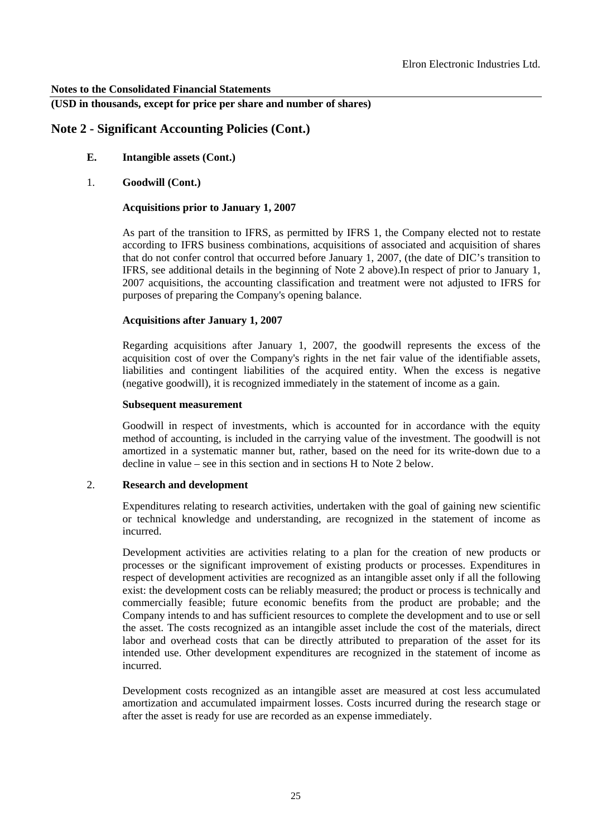**(USD in thousands, except for price per share and number of shares)**

### **Note 2 - Significant Accounting Policies (Cont.)**

- **E. Intangible assets (Cont.)**
- 1. **Goodwill (Cont.)**

#### **Acquisitions prior to January 1, 2007**

 As part of the transition to IFRS, as permitted by IFRS 1, the Company elected not to restate according to IFRS business combinations, acquisitions of associated and acquisition of shares that do not confer control that occurred before January 1, 2007, (the date of DIC's transition to IFRS, see additional details in the beginning of Note 2 above).In respect of prior to January 1, 2007 acquisitions, the accounting classification and treatment were not adjusted to IFRS for purposes of preparing the Company's opening balance.

#### **Acquisitions after January 1, 2007**

 Regarding acquisitions after January 1, 2007, the goodwill represents the excess of the acquisition cost of over the Company's rights in the net fair value of the identifiable assets, liabilities and contingent liabilities of the acquired entity. When the excess is negative (negative goodwill), it is recognized immediately in the statement of income as a gain.

#### **Subsequent measurement**

 Goodwill in respect of investments, which is accounted for in accordance with the equity method of accounting, is included in the carrying value of the investment. The goodwill is not amortized in a systematic manner but, rather, based on the need for its write-down due to a decline in value – see in this section and in sections H to Note 2 below.

### 2. **Research and development**

 Expenditures relating to research activities, undertaken with the goal of gaining new scientific or technical knowledge and understanding, are recognized in the statement of income as incurred.

 Development activities are activities relating to a plan for the creation of new products or processes or the significant improvement of existing products or processes. Expenditures in respect of development activities are recognized as an intangible asset only if all the following exist: the development costs can be reliably measured; the product or process is technically and commercially feasible; future economic benefits from the product are probable; and the Company intends to and has sufficient resources to complete the development and to use or sell the asset. The costs recognized as an intangible asset include the cost of the materials, direct labor and overhead costs that can be directly attributed to preparation of the asset for its intended use. Other development expenditures are recognized in the statement of income as incurred.

 Development costs recognized as an intangible asset are measured at cost less accumulated amortization and accumulated impairment losses. Costs incurred during the research stage or after the asset is ready for use are recorded as an expense immediately.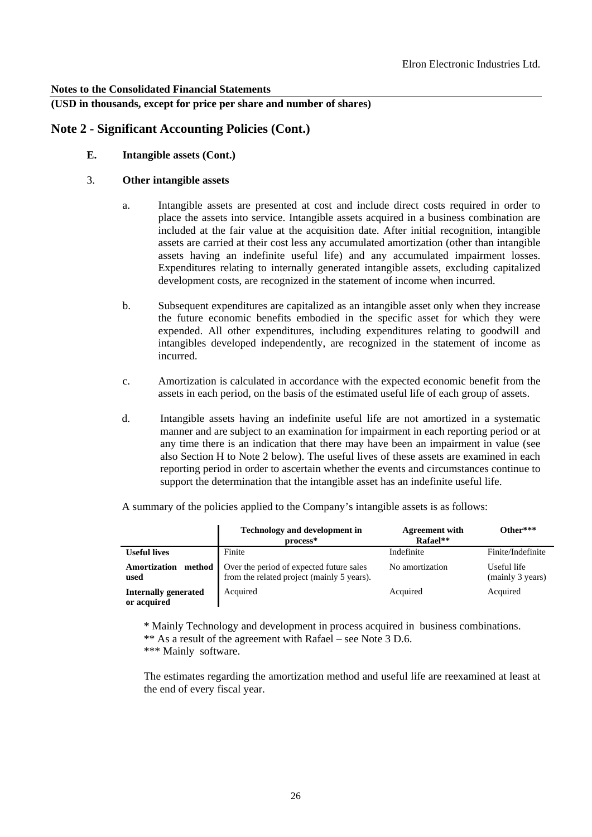**(USD in thousands, except for price per share and number of shares)**

# **Note 2 - Significant Accounting Policies (Cont.)**

### **E. Intangible assets (Cont.)**

### 3. **Other intangible assets**

- a. Intangible assets are presented at cost and include direct costs required in order to place the assets into service. Intangible assets acquired in a business combination are included at the fair value at the acquisition date. After initial recognition, intangible assets are carried at their cost less any accumulated amortization (other than intangible assets having an indefinite useful life) and any accumulated impairment losses. Expenditures relating to internally generated intangible assets, excluding capitalized development costs, are recognized in the statement of income when incurred.
- b. Subsequent expenditures are capitalized as an intangible asset only when they increase the future economic benefits embodied in the specific asset for which they were expended. All other expenditures, including expenditures relating to goodwill and intangibles developed independently, are recognized in the statement of income as incurred.
- c. Amortization is calculated in accordance with the expected economic benefit from the assets in each period, on the basis of the estimated useful life of each group of assets.
- d. Intangible assets having an indefinite useful life are not amortized in a systematic manner and are subject to an examination for impairment in each reporting period or at any time there is an indication that there may have been an impairment in value (see also Section H to Note 2 below). The useful lives of these assets are examined in each reporting period in order to ascertain whether the events and circumstances continue to support the determination that the intangible asset has an indefinite useful life.

A summary of the policies applied to the Company's intangible assets is as follows:

|                                            | <b>Technology and development in</b><br>process*                                                     | <b>Agreement with</b><br>Rafael** | Other***                        |
|--------------------------------------------|------------------------------------------------------------------------------------------------------|-----------------------------------|---------------------------------|
| <b>Useful lives</b>                        | Finite                                                                                               | Indefinite                        | Finite/Indefinite               |
| Amortization<br>used                       | <b>method</b> Over the period of expected future sales<br>from the related project (mainly 5 years). | No amortization                   | Useful life<br>(mainly 3 years) |
| <b>Internally generated</b><br>or acquired | Acquired                                                                                             | Acquired                          | Acquired                        |

\* Mainly Technology and development in process acquired in business combinations.

\*\* As a result of the agreement with Rafael – see Note 3 D.6.

\*\*\* Mainly software.

The estimates regarding the amortization method and useful life are reexamined at least at the end of every fiscal year.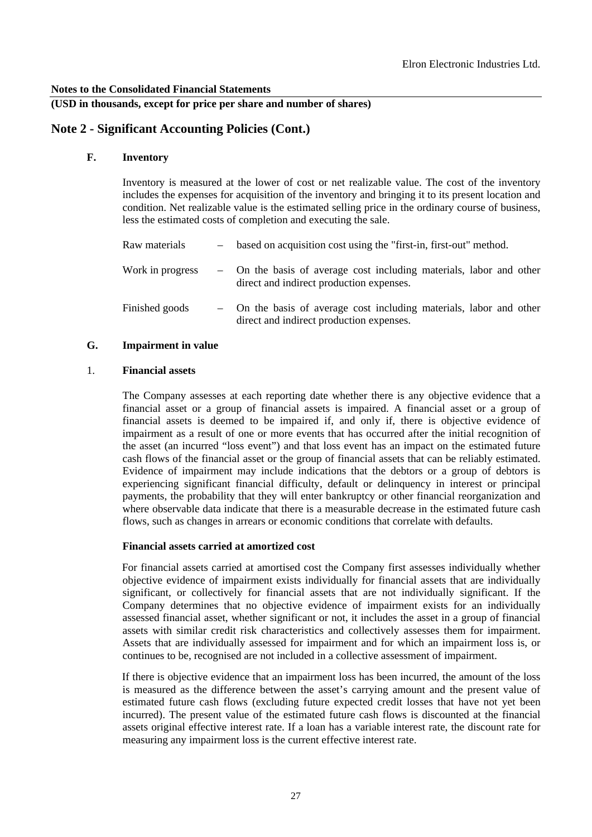**(USD in thousands, except for price per share and number of shares)**

# **Note 2 - Significant Accounting Policies (Cont.)**

#### **F. Inventory**

 Inventory is measured at the lower of cost or net realizable value. The cost of the inventory includes the expenses for acquisition of the inventory and bringing it to its present location and condition. Net realizable value is the estimated selling price in the ordinary course of business, less the estimated costs of completion and executing the sale.

| Raw materials    | - based on acquisition cost using the "first-in, first-out" method.                                             |
|------------------|-----------------------------------------------------------------------------------------------------------------|
| Work in progress | - On the basis of average cost including materials, labor and other<br>direct and indirect production expenses. |
| Finished goods   | - On the basis of average cost including materials, labor and other<br>direct and indirect production expenses. |

### **G. Impairment in value**

#### 1. **Financial assets**

 The Company assesses at each reporting date whether there is any objective evidence that a financial asset or a group of financial assets is impaired. A financial asset or a group of financial assets is deemed to be impaired if, and only if, there is objective evidence of impairment as a result of one or more events that has occurred after the initial recognition of the asset (an incurred "loss event") and that loss event has an impact on the estimated future cash flows of the financial asset or the group of financial assets that can be reliably estimated. Evidence of impairment may include indications that the debtors or a group of debtors is experiencing significant financial difficulty, default or delinquency in interest or principal payments, the probability that they will enter bankruptcy or other financial reorganization and where observable data indicate that there is a measurable decrease in the estimated future cash flows, such as changes in arrears or economic conditions that correlate with defaults.

#### **Financial assets carried at amortized cost**

For financial assets carried at amortised cost the Company first assesses individually whether objective evidence of impairment exists individually for financial assets that are individually significant, or collectively for financial assets that are not individually significant. If the Company determines that no objective evidence of impairment exists for an individually assessed financial asset, whether significant or not, it includes the asset in a group of financial assets with similar credit risk characteristics and collectively assesses them for impairment. Assets that are individually assessed for impairment and for which an impairment loss is, or continues to be, recognised are not included in a collective assessment of impairment.

If there is objective evidence that an impairment loss has been incurred, the amount of the loss is measured as the difference between the asset's carrying amount and the present value of estimated future cash flows (excluding future expected credit losses that have not yet been incurred). The present value of the estimated future cash flows is discounted at the financial assets original effective interest rate. If a loan has a variable interest rate, the discount rate for measuring any impairment loss is the current effective interest rate.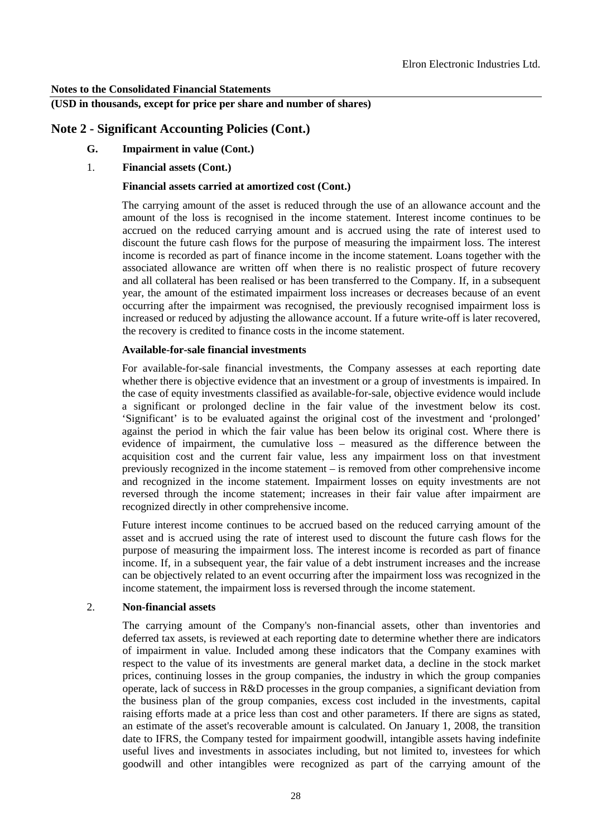**(USD in thousands, except for price per share and number of shares)**

# **Note 2 - Significant Accounting Policies (Cont.)**

- **G. Impairment in value (Cont.)**
- 1. **Financial assets (Cont.)**

### **Financial assets carried at amortized cost (Cont.)**

The carrying amount of the asset is reduced through the use of an allowance account and the amount of the loss is recognised in the income statement. Interest income continues to be accrued on the reduced carrying amount and is accrued using the rate of interest used to discount the future cash flows for the purpose of measuring the impairment loss. The interest income is recorded as part of finance income in the income statement. Loans together with the associated allowance are written off when there is no realistic prospect of future recovery and all collateral has been realised or has been transferred to the Company. If, in a subsequent year, the amount of the estimated impairment loss increases or decreases because of an event occurring after the impairment was recognised, the previously recognised impairment loss is increased or reduced by adjusting the allowance account. If a future write-off is later recovered, the recovery is credited to finance costs in the income statement.

#### **Available-for-sale financial investments**

For available-for-sale financial investments, the Company assesses at each reporting date whether there is objective evidence that an investment or a group of investments is impaired. In the case of equity investments classified as available-for-sale, objective evidence would include a significant or prolonged decline in the fair value of the investment below its cost. 'Significant' is to be evaluated against the original cost of the investment and 'prolonged' against the period in which the fair value has been below its original cost. Where there is evidence of impairment, the cumulative loss – measured as the difference between the acquisition cost and the current fair value, less any impairment loss on that investment previously recognized in the income statement – is removed from other comprehensive income and recognized in the income statement. Impairment losses on equity investments are not reversed through the income statement; increases in their fair value after impairment are recognized directly in other comprehensive income.

Future interest income continues to be accrued based on the reduced carrying amount of the asset and is accrued using the rate of interest used to discount the future cash flows for the purpose of measuring the impairment loss. The interest income is recorded as part of finance income. If, in a subsequent year, the fair value of a debt instrument increases and the increase can be objectively related to an event occurring after the impairment loss was recognized in the income statement, the impairment loss is reversed through the income statement.

#### 2. **Non-financial assets**

 The carrying amount of the Company's non-financial assets, other than inventories and deferred tax assets, is reviewed at each reporting date to determine whether there are indicators of impairment in value. Included among these indicators that the Company examines with respect to the value of its investments are general market data, a decline in the stock market prices, continuing losses in the group companies, the industry in which the group companies operate, lack of success in R&D processes in the group companies, a significant deviation from the business plan of the group companies, excess cost included in the investments, capital raising efforts made at a price less than cost and other parameters. If there are signs as stated, an estimate of the asset's recoverable amount is calculated. On January 1, 2008, the transition date to IFRS, the Company tested for impairment goodwill, intangible assets having indefinite useful lives and investments in associates including, but not limited to, investees for which goodwill and other intangibles were recognized as part of the carrying amount of the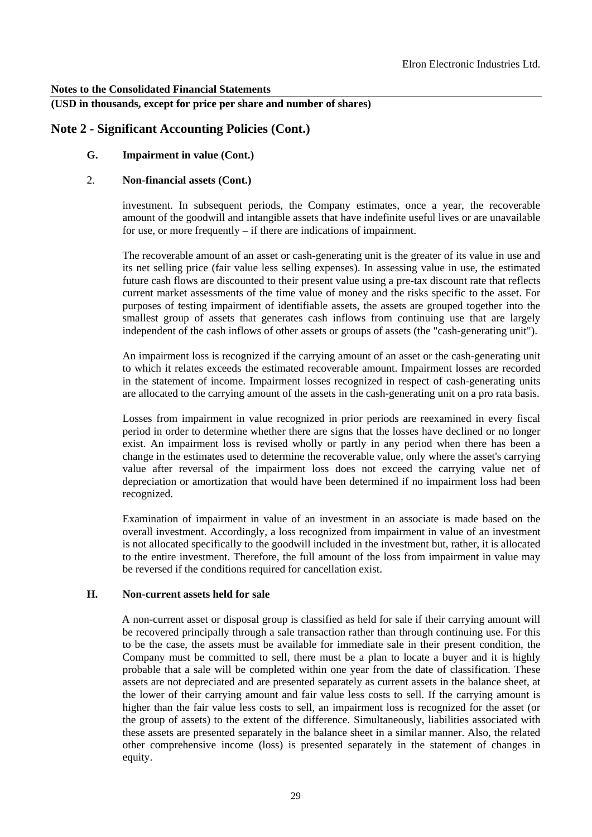**(USD in thousands, except for price per share and number of shares)**

## **Note 2 - Significant Accounting Policies (Cont.)**

#### **G. Impairment in value (Cont.)**

### 2. **Non-financial assets (Cont.)**

investment. In subsequent periods, the Company estimates, once a year, the recoverable amount of the goodwill and intangible assets that have indefinite useful lives or are unavailable for use, or more frequently – if there are indications of impairment.

 The recoverable amount of an asset or cash-generating unit is the greater of its value in use and its net selling price (fair value less selling expenses). In assessing value in use, the estimated future cash flows are discounted to their present value using a pre-tax discount rate that reflects current market assessments of the time value of money and the risks specific to the asset. For purposes of testing impairment of identifiable assets, the assets are grouped together into the smallest group of assets that generates cash inflows from continuing use that are largely independent of the cash inflows of other assets or groups of assets (the "cash-generating unit").

 An impairment loss is recognized if the carrying amount of an asset or the cash-generating unit to which it relates exceeds the estimated recoverable amount. Impairment losses are recorded in the statement of income. Impairment losses recognized in respect of cash-generating units are allocated to the carrying amount of the assets in the cash-generating unit on a pro rata basis.

 Losses from impairment in value recognized in prior periods are reexamined in every fiscal period in order to determine whether there are signs that the losses have declined or no longer exist. An impairment loss is revised wholly or partly in any period when there has been a change in the estimates used to determine the recoverable value, only where the asset's carrying value after reversal of the impairment loss does not exceed the carrying value net of depreciation or amortization that would have been determined if no impairment loss had been recognized.

 Examination of impairment in value of an investment in an associate is made based on the overall investment. Accordingly, a loss recognized from impairment in value of an investment is not allocated specifically to the goodwill included in the investment but, rather, it is allocated to the entire investment. Therefore, the full amount of the loss from impairment in value may be reversed if the conditions required for cancellation exist.

#### **H. Non-current assets held for sale**

A non-current asset or disposal group is classified as held for sale if their carrying amount will be recovered principally through a sale transaction rather than through continuing use. For this to be the case, the assets must be available for immediate sale in their present condition, the Company must be committed to sell, there must be a plan to locate a buyer and it is highly probable that a sale will be completed within one year from the date of classification. These assets are not depreciated and are presented separately as current assets in the balance sheet, at the lower of their carrying amount and fair value less costs to sell. If the carrying amount is higher than the fair value less costs to sell, an impairment loss is recognized for the asset (or the group of assets) to the extent of the difference. Simultaneously, liabilities associated with these assets are presented separately in the balance sheet in a similar manner. Also, the related other comprehensive income (loss) is presented separately in the statement of changes in equity.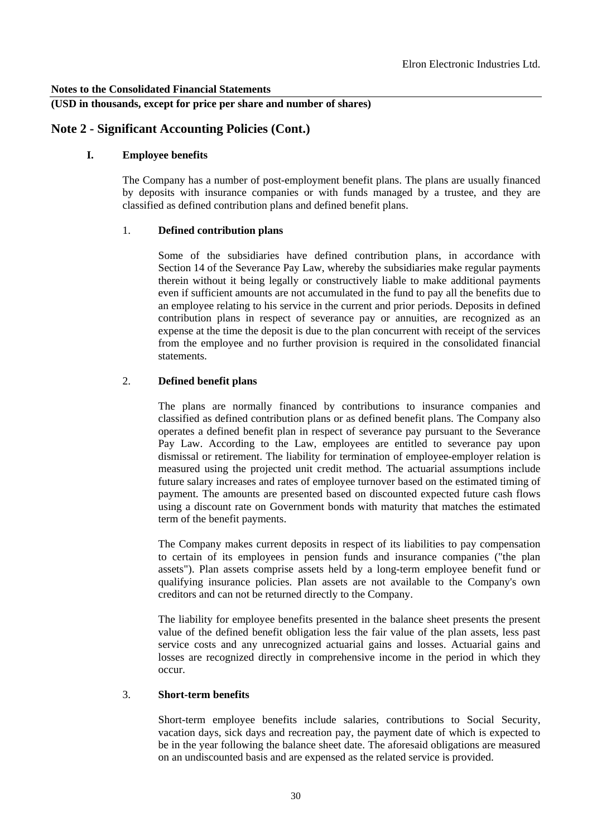**(USD in thousands, except for price per share and number of shares)**

### **Note 2 - Significant Accounting Policies (Cont.)**

#### **I. Employee benefits**

 The Company has a number of post-employment benefit plans. The plans are usually financed by deposits with insurance companies or with funds managed by a trustee, and they are classified as defined contribution plans and defined benefit plans.

#### 1. **Defined contribution plans**

 Some of the subsidiaries have defined contribution plans, in accordance with Section 14 of the Severance Pay Law, whereby the subsidiaries make regular payments therein without it being legally or constructively liable to make additional payments even if sufficient amounts are not accumulated in the fund to pay all the benefits due to an employee relating to his service in the current and prior periods. Deposits in defined contribution plans in respect of severance pay or annuities, are recognized as an expense at the time the deposit is due to the plan concurrent with receipt of the services from the employee and no further provision is required in the consolidated financial statements.

#### 2. **Defined benefit plans**

The plans are normally financed by contributions to insurance companies and classified as defined contribution plans or as defined benefit plans. The Company also operates a defined benefit plan in respect of severance pay pursuant to the Severance Pay Law. According to the Law, employees are entitled to severance pay upon dismissal or retirement. The liability for termination of employee-employer relation is measured using the projected unit credit method. The actuarial assumptions include future salary increases and rates of employee turnover based on the estimated timing of payment. The amounts are presented based on discounted expected future cash flows using a discount rate on Government bonds with maturity that matches the estimated term of the benefit payments.

The Company makes current deposits in respect of its liabilities to pay compensation to certain of its employees in pension funds and insurance companies ("the plan assets"). Plan assets comprise assets held by a long-term employee benefit fund or qualifying insurance policies. Plan assets are not available to the Company's own creditors and can not be returned directly to the Company.

The liability for employee benefits presented in the balance sheet presents the present value of the defined benefit obligation less the fair value of the plan assets, less past service costs and any unrecognized actuarial gains and losses. Actuarial gains and losses are recognized directly in comprehensive income in the period in which they occur.

#### 3. **Short-term benefits**

 Short-term employee benefits include salaries, contributions to Social Security, vacation days, sick days and recreation pay, the payment date of which is expected to be in the year following the balance sheet date. The aforesaid obligations are measured on an undiscounted basis and are expensed as the related service is provided.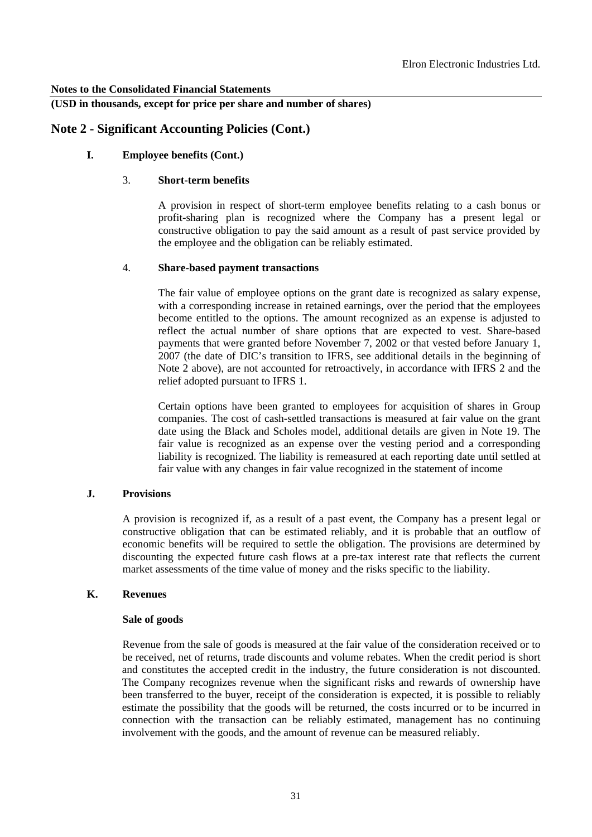**(USD in thousands, except for price per share and number of shares)**

# **Note 2 - Significant Accounting Policies (Cont.)**

### **I. Employee benefits (Cont.)**

#### 3. **Short-term benefits**

A provision in respect of short-term employee benefits relating to a cash bonus or profit-sharing plan is recognized where the Company has a present legal or constructive obligation to pay the said amount as a result of past service provided by the employee and the obligation can be reliably estimated.

### 4. **Share-based payment transactions**

 The fair value of employee options on the grant date is recognized as salary expense, with a corresponding increase in retained earnings, over the period that the employees become entitled to the options. The amount recognized as an expense is adjusted to reflect the actual number of share options that are expected to vest. Share-based payments that were granted before November 7, 2002 or that vested before January 1, 2007 (the date of DIC's transition to IFRS, see additional details in the beginning of Note 2 above), are not accounted for retroactively, in accordance with IFRS 2 and the relief adopted pursuant to IFRS 1.

 Certain options have been granted to employees for acquisition of shares in Group companies. The cost of cash-settled transactions is measured at fair value on the grant date using the Black and Scholes model, additional details are given in Note 19. The fair value is recognized as an expense over the vesting period and a corresponding liability is recognized. The liability is remeasured at each reporting date until settled at fair value with any changes in fair value recognized in the statement of income

#### **J. Provisions**

 A provision is recognized if, as a result of a past event, the Company has a present legal or constructive obligation that can be estimated reliably, and it is probable that an outflow of economic benefits will be required to settle the obligation. The provisions are determined by discounting the expected future cash flows at a pre-tax interest rate that reflects the current market assessments of the time value of money and the risks specific to the liability.

#### **K. Revenues**

#### **Sale of goods**

Revenue from the sale of goods is measured at the fair value of the consideration received or to be received, net of returns, trade discounts and volume rebates. When the credit period is short and constitutes the accepted credit in the industry, the future consideration is not discounted. The Company recognizes revenue when the significant risks and rewards of ownership have been transferred to the buyer, receipt of the consideration is expected, it is possible to reliably estimate the possibility that the goods will be returned, the costs incurred or to be incurred in connection with the transaction can be reliably estimated, management has no continuing involvement with the goods, and the amount of revenue can be measured reliably.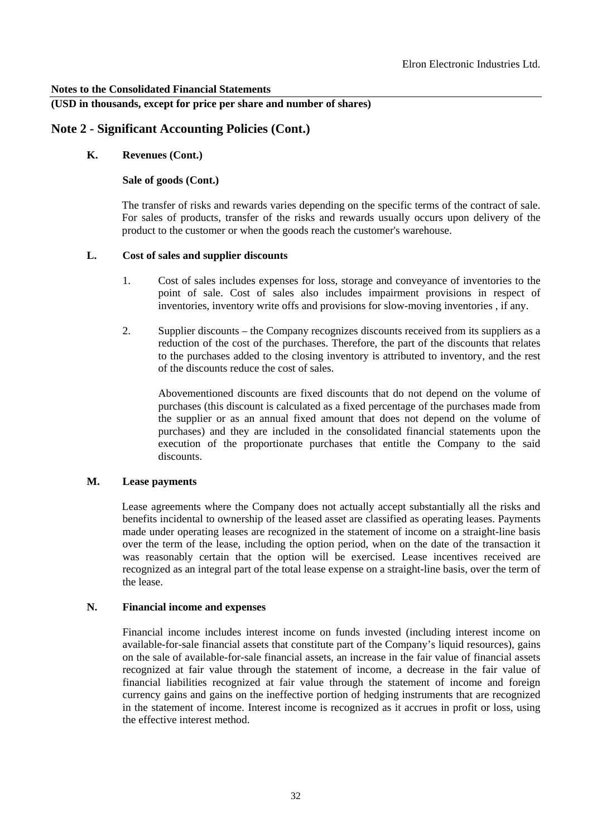**(USD in thousands, except for price per share and number of shares)**

## **Note 2 - Significant Accounting Policies (Cont.)**

#### **K. Revenues (Cont.)**

#### **Sale of goods (Cont.)**

The transfer of risks and rewards varies depending on the specific terms of the contract of sale. For sales of products, transfer of the risks and rewards usually occurs upon delivery of the product to the customer or when the goods reach the customer's warehouse.

### **L. Cost of sales and supplier discounts**

- 1. Cost of sales includes expenses for loss, storage and conveyance of inventories to the point of sale. Cost of sales also includes impairment provisions in respect of inventories, inventory write offs and provisions for slow-moving inventories , if any.
- 2. Supplier discounts the Company recognizes discounts received from its suppliers as a reduction of the cost of the purchases. Therefore, the part of the discounts that relates to the purchases added to the closing inventory is attributed to inventory, and the rest of the discounts reduce the cost of sales.

 Abovementioned discounts are fixed discounts that do not depend on the volume of purchases (this discount is calculated as a fixed percentage of the purchases made from the supplier or as an annual fixed amount that does not depend on the volume of purchases) and they are included in the consolidated financial statements upon the execution of the proportionate purchases that entitle the Company to the said discounts.

#### **M. Lease payments**

Lease agreements where the Company does not actually accept substantially all the risks and benefits incidental to ownership of the leased asset are classified as operating leases. Payments made under operating leases are recognized in the statement of income on a straight-line basis over the term of the lease, including the option period, when on the date of the transaction it was reasonably certain that the option will be exercised. Lease incentives received are recognized as an integral part of the total lease expense on a straight-line basis, over the term of the lease.

#### **N. Financial income and expenses**

 Financial income includes interest income on funds invested (including interest income on available-for-sale financial assets that constitute part of the Company's liquid resources), gains on the sale of available-for-sale financial assets, an increase in the fair value of financial assets recognized at fair value through the statement of income, a decrease in the fair value of financial liabilities recognized at fair value through the statement of income and foreign currency gains and gains on the ineffective portion of hedging instruments that are recognized in the statement of income. Interest income is recognized as it accrues in profit or loss, using the effective interest method.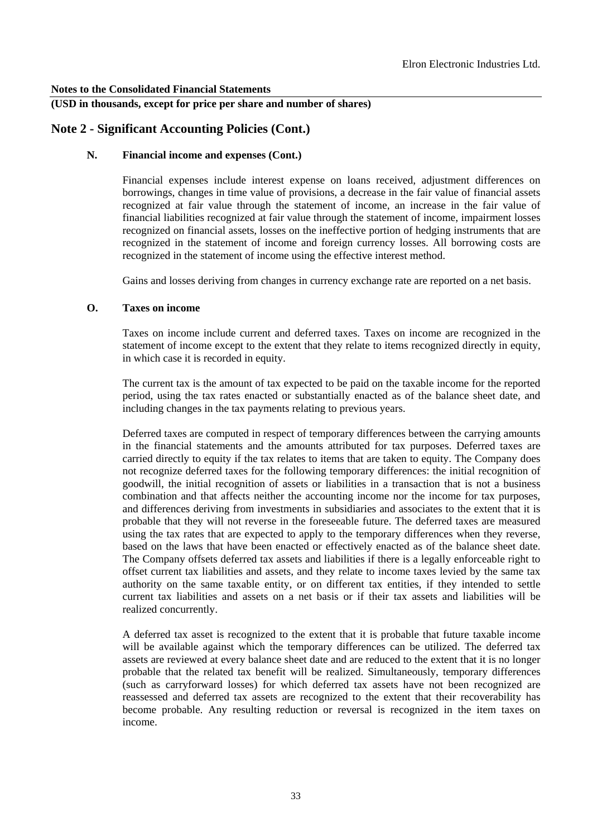**(USD in thousands, except for price per share and number of shares)**

## **Note 2 - Significant Accounting Policies (Cont.)**

#### **N. Financial income and expenses (Cont.)**

Financial expenses include interest expense on loans received, adjustment differences on borrowings, changes in time value of provisions, a decrease in the fair value of financial assets recognized at fair value through the statement of income, an increase in the fair value of financial liabilities recognized at fair value through the statement of income, impairment losses recognized on financial assets, losses on the ineffective portion of hedging instruments that are recognized in the statement of income and foreign currency losses. All borrowing costs are recognized in the statement of income using the effective interest method.

Gains and losses deriving from changes in currency exchange rate are reported on a net basis.

### **O. Taxes on income**

 Taxes on income include current and deferred taxes. Taxes on income are recognized in the statement of income except to the extent that they relate to items recognized directly in equity, in which case it is recorded in equity.

 The current tax is the amount of tax expected to be paid on the taxable income for the reported period, using the tax rates enacted or substantially enacted as of the balance sheet date, and including changes in the tax payments relating to previous years.

 Deferred taxes are computed in respect of temporary differences between the carrying amounts in the financial statements and the amounts attributed for tax purposes. Deferred taxes are carried directly to equity if the tax relates to items that are taken to equity. The Company does not recognize deferred taxes for the following temporary differences: the initial recognition of goodwill, the initial recognition of assets or liabilities in a transaction that is not a business combination and that affects neither the accounting income nor the income for tax purposes, and differences deriving from investments in subsidiaries and associates to the extent that it is probable that they will not reverse in the foreseeable future. The deferred taxes are measured using the tax rates that are expected to apply to the temporary differences when they reverse, based on the laws that have been enacted or effectively enacted as of the balance sheet date. The Company offsets deferred tax assets and liabilities if there is a legally enforceable right to offset current tax liabilities and assets, and they relate to income taxes levied by the same tax authority on the same taxable entity, or on different tax entities, if they intended to settle current tax liabilities and assets on a net basis or if their tax assets and liabilities will be realized concurrently.

 A deferred tax asset is recognized to the extent that it is probable that future taxable income will be available against which the temporary differences can be utilized. The deferred tax assets are reviewed at every balance sheet date and are reduced to the extent that it is no longer probable that the related tax benefit will be realized. Simultaneously, temporary differences (such as carryforward losses) for which deferred tax assets have not been recognized are reassessed and deferred tax assets are recognized to the extent that their recoverability has become probable. Any resulting reduction or reversal is recognized in the item taxes on income.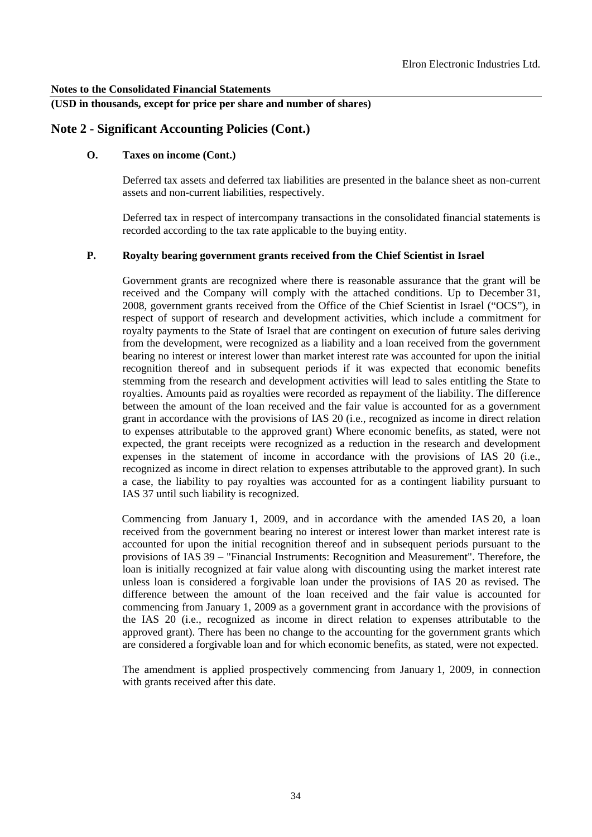**(USD in thousands, except for price per share and number of shares)**

### **Note 2 - Significant Accounting Policies (Cont.)**

### **O. Taxes on income (Cont.)**

Deferred tax assets and deferred tax liabilities are presented in the balance sheet as non-current assets and non-current liabilities, respectively.

 Deferred tax in respect of intercompany transactions in the consolidated financial statements is recorded according to the tax rate applicable to the buying entity.

### **P. Royalty bearing government grants received from the Chief Scientist in Israel**

 Government grants are recognized where there is reasonable assurance that the grant will be received and the Company will comply with the attached conditions. Up to December 31, 2008, government grants received from the Office of the Chief Scientist in Israel ("OCS"), in respect of support of research and development activities, which include a commitment for royalty payments to the State of Israel that are contingent on execution of future sales deriving from the development, were recognized as a liability and a loan received from the government bearing no interest or interest lower than market interest rate was accounted for upon the initial recognition thereof and in subsequent periods if it was expected that economic benefits stemming from the research and development activities will lead to sales entitling the State to royalties. Amounts paid as royalties were recorded as repayment of the liability. The difference between the amount of the loan received and the fair value is accounted for as a government grant in accordance with the provisions of IAS 20 (i.e., recognized as income in direct relation to expenses attributable to the approved grant) Where economic benefits, as stated, were not expected, the grant receipts were recognized as a reduction in the research and development expenses in the statement of income in accordance with the provisions of IAS 20 (i.e., recognized as income in direct relation to expenses attributable to the approved grant). In such a case, the liability to pay royalties was accounted for as a contingent liability pursuant to IAS 37 until such liability is recognized.

Commencing from January 1, 2009, and in accordance with the amended IAS 20, a loan received from the government bearing no interest or interest lower than market interest rate is accounted for upon the initial recognition thereof and in subsequent periods pursuant to the provisions of IAS 39 – "Financial Instruments: Recognition and Measurement". Therefore, the loan is initially recognized at fair value along with discounting using the market interest rate unless loan is considered a forgivable loan under the provisions of IAS 20 as revised. The difference between the amount of the loan received and the fair value is accounted for commencing from January 1, 2009 as a government grant in accordance with the provisions of the IAS 20 (i.e., recognized as income in direct relation to expenses attributable to the approved grant). There has been no change to the accounting for the government grants which are considered a forgivable loan and for which economic benefits, as stated, were not expected.

 The amendment is applied prospectively commencing from January 1, 2009, in connection with grants received after this date.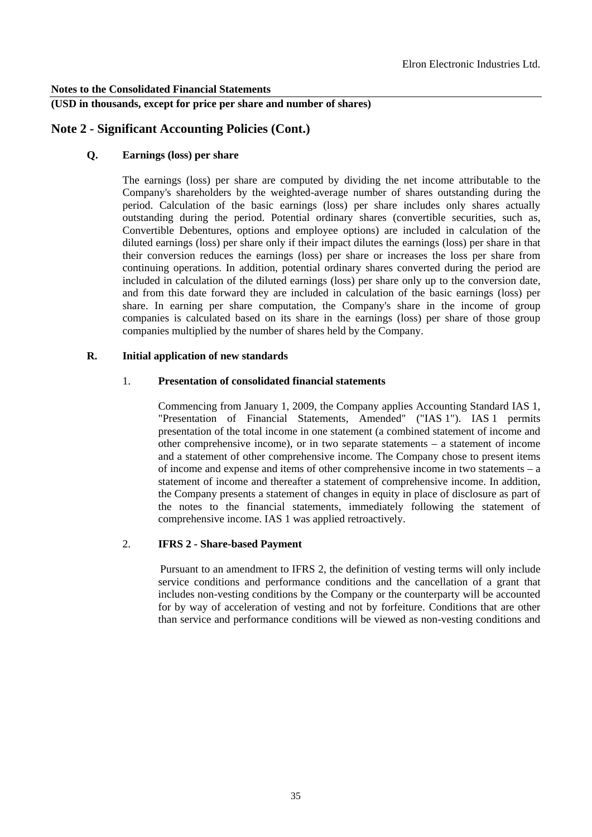**(USD in thousands, except for price per share and number of shares)**

# **Note 2 - Significant Accounting Policies (Cont.)**

### **Q. Earnings (loss) per share**

 The earnings (loss) per share are computed by dividing the net income attributable to the Company's shareholders by the weighted-average number of shares outstanding during the period. Calculation of the basic earnings (loss) per share includes only shares actually outstanding during the period. Potential ordinary shares (convertible securities, such as, Convertible Debentures, options and employee options) are included in calculation of the diluted earnings (loss) per share only if their impact dilutes the earnings (loss) per share in that their conversion reduces the earnings (loss) per share or increases the loss per share from continuing operations. In addition, potential ordinary shares converted during the period are included in calculation of the diluted earnings (loss) per share only up to the conversion date, and from this date forward they are included in calculation of the basic earnings (loss) per share. In earning per share computation, the Company's share in the income of group companies is calculated based on its share in the earnings (loss) per share of those group companies multiplied by the number of shares held by the Company.

#### **R. Initial application of new standards**

### 1. **Presentation of consolidated financial statements**

 Commencing from January 1, 2009, the Company applies Accounting Standard IAS 1, "Presentation of Financial Statements, Amended" ("IAS 1"). IAS 1 permits presentation of the total income in one statement (a combined statement of income and other comprehensive income), or in two separate statements – a statement of income and a statement of other comprehensive income. The Company chose to present items of income and expense and items of other comprehensive income in two statements – a statement of income and thereafter a statement of comprehensive income. In addition, the Company presents a statement of changes in equity in place of disclosure as part of the notes to the financial statements, immediately following the statement of comprehensive income. IAS 1 was applied retroactively.

#### 2. **IFRS 2 - Share-based Payment**

Pursuant to an amendment to IFRS 2, the definition of vesting terms will only include service conditions and performance conditions and the cancellation of a grant that includes non-vesting conditions by the Company or the counterparty will be accounted for by way of acceleration of vesting and not by forfeiture. Conditions that are other than service and performance conditions will be viewed as non-vesting conditions and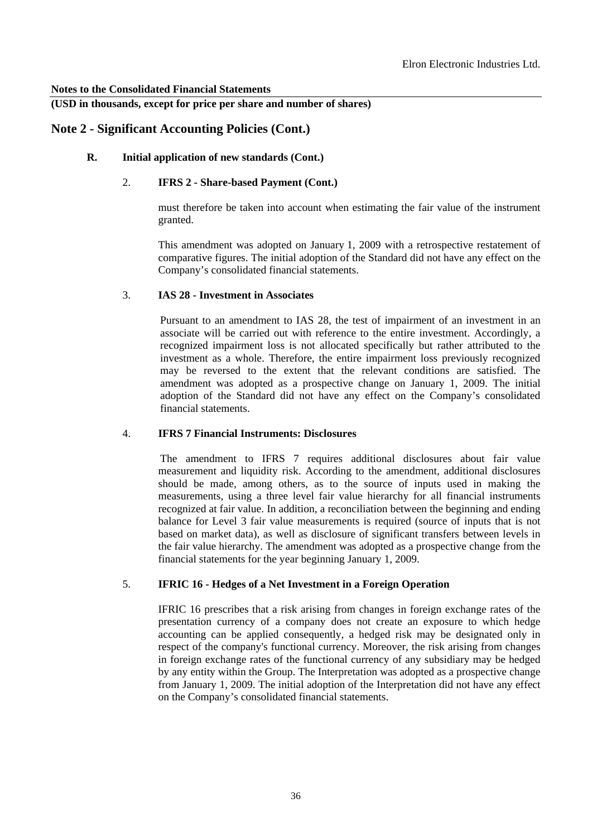**(USD in thousands, except for price per share and number of shares)**

# **Note 2 - Significant Accounting Policies (Cont.)**

#### **R. Initial application of new standards (Cont.)**

#### 2. **IFRS 2 - Share-based Payment (Cont.)**

must therefore be taken into account when estimating the fair value of the instrument granted.

This amendment was adopted on January 1, 2009 with a retrospective restatement of comparative figures. The initial adoption of the Standard did not have any effect on the Company's consolidated financial statements.

#### 3. **IAS 28 - Investment in Associates**

Pursuant to an amendment to IAS 28, the test of impairment of an investment in an associate will be carried out with reference to the entire investment. Accordingly, a recognized impairment loss is not allocated specifically but rather attributed to the investment as a whole. Therefore, the entire impairment loss previously recognized may be reversed to the extent that the relevant conditions are satisfied. The amendment was adopted as a prospective change on January 1, 2009. The initial adoption of the Standard did not have any effect on the Company's consolidated financial statements.

#### 4. **IFRS 7 Financial Instruments: Disclosures**

The amendment to IFRS 7 requires additional disclosures about fair value measurement and liquidity risk. According to the amendment, additional disclosures should be made, among others, as to the source of inputs used in making the measurements, using a three level fair value hierarchy for all financial instruments recognized at fair value. In addition, a reconciliation between the beginning and ending balance for Level 3 fair value measurements is required (source of inputs that is not based on market data), as well as disclosure of significant transfers between levels in the fair value hierarchy. The amendment was adopted as a prospective change from the financial statements for the year beginning January 1, 2009.

# 5. **IFRIC 16 - Hedges of a Net Investment in a Foreign Operation**

IFRIC 16 prescribes that a risk arising from changes in foreign exchange rates of the presentation currency of a company does not create an exposure to which hedge accounting can be applied consequently, a hedged risk may be designated only in respect of the company's functional currency. Moreover, the risk arising from changes in foreign exchange rates of the functional currency of any subsidiary may be hedged by any entity within the Group. The Interpretation was adopted as a prospective change from January 1, 2009. The initial adoption of the Interpretation did not have any effect on the Company's consolidated financial statements.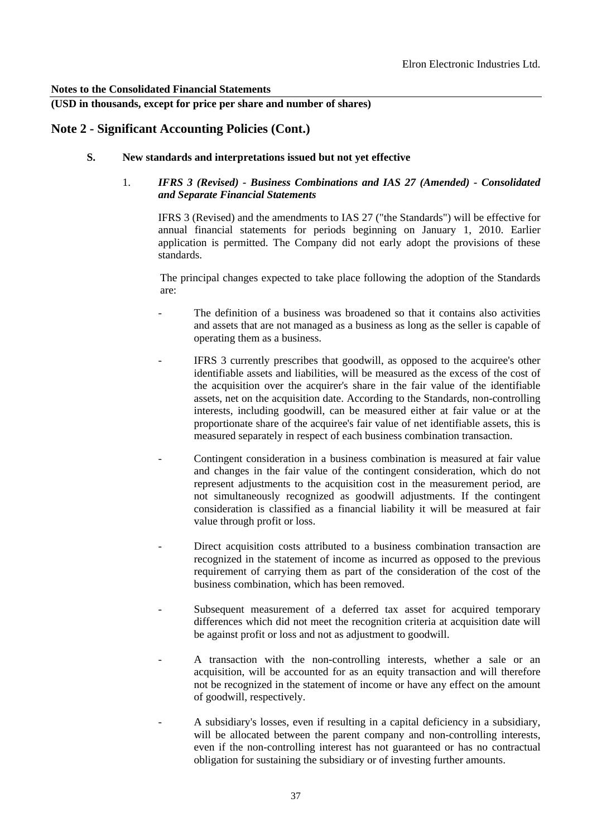**(USD in thousands, except for price per share and number of shares)**

# **Note 2 - Significant Accounting Policies (Cont.)**

#### **S. New standards and interpretations issued but not yet effective**

#### 1. *IFRS 3 (Revised) - Business Combinations and IAS 27 (Amended) - Consolidated and Separate Financial Statements*

 IFRS 3 (Revised) and the amendments to IAS 27 ("the Standards") will be effective for annual financial statements for periods beginning on January 1, 2010. Earlier application is permitted. The Company did not early adopt the provisions of these standards.

The principal changes expected to take place following the adoption of the Standards are:

- The definition of a business was broadened so that it contains also activities and assets that are not managed as a business as long as the seller is capable of operating them as a business.
- IFRS 3 currently prescribes that goodwill, as opposed to the acquiree's other identifiable assets and liabilities, will be measured as the excess of the cost of the acquisition over the acquirer's share in the fair value of the identifiable assets, net on the acquisition date. According to the Standards, non-controlling interests, including goodwill, can be measured either at fair value or at the proportionate share of the acquiree's fair value of net identifiable assets, this is measured separately in respect of each business combination transaction.
- Contingent consideration in a business combination is measured at fair value and changes in the fair value of the contingent consideration, which do not represent adjustments to the acquisition cost in the measurement period, are not simultaneously recognized as goodwill adjustments. If the contingent consideration is classified as a financial liability it will be measured at fair value through profit or loss.
- Direct acquisition costs attributed to a business combination transaction are recognized in the statement of income as incurred as opposed to the previous requirement of carrying them as part of the consideration of the cost of the business combination, which has been removed.
- Subsequent measurement of a deferred tax asset for acquired temporary differences which did not meet the recognition criteria at acquisition date will be against profit or loss and not as adjustment to goodwill.
- A transaction with the non-controlling interests, whether a sale or an acquisition, will be accounted for as an equity transaction and will therefore not be recognized in the statement of income or have any effect on the amount of goodwill, respectively.
- A subsidiary's losses, even if resulting in a capital deficiency in a subsidiary, will be allocated between the parent company and non-controlling interests, even if the non-controlling interest has not guaranteed or has no contractual obligation for sustaining the subsidiary or of investing further amounts.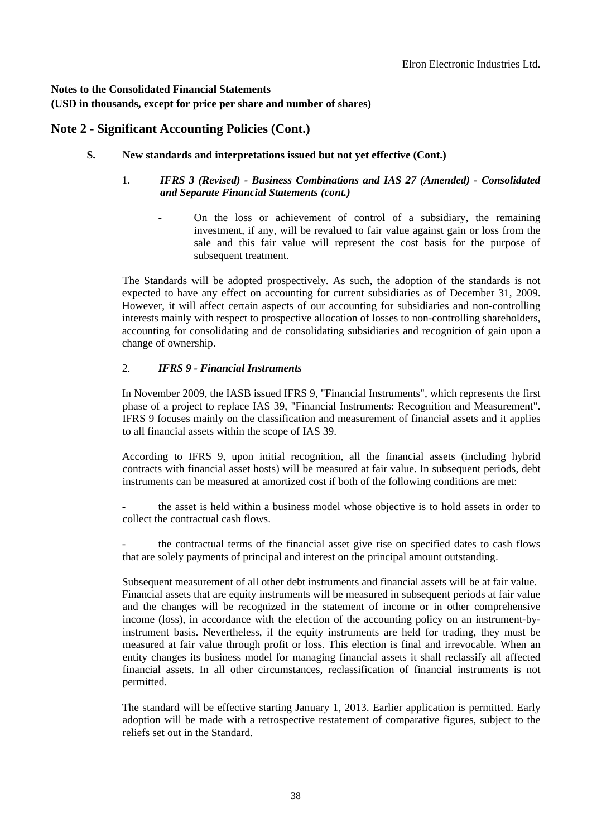**(USD in thousands, except for price per share and number of shares)**

# **Note 2 - Significant Accounting Policies (Cont.)**

#### **S. New standards and interpretations issued but not yet effective (Cont.)**

#### 1. *IFRS 3 (Revised) - Business Combinations and IAS 27 (Amended) - Consolidated and Separate Financial Statements (cont.)*

- On the loss or achievement of control of a subsidiary, the remaining investment, if any, will be revalued to fair value against gain or loss from the sale and this fair value will represent the cost basis for the purpose of subsequent treatment.

The Standards will be adopted prospectively. As such, the adoption of the standards is not expected to have any effect on accounting for current subsidiaries as of December 31, 2009. However, it will affect certain aspects of our accounting for subsidiaries and non-controlling interests mainly with respect to prospective allocation of losses to non-controlling shareholders, accounting for consolidating and de consolidating subsidiaries and recognition of gain upon a change of ownership.

#### 2. *IFRS 9 - Financial Instruments*

In November 2009, the IASB issued IFRS 9, "Financial Instruments", which represents the first phase of a project to replace IAS 39, "Financial Instruments: Recognition and Measurement". IFRS 9 focuses mainly on the classification and measurement of financial assets and it applies to all financial assets within the scope of IAS 39.

According to IFRS 9, upon initial recognition, all the financial assets (including hybrid contracts with financial asset hosts) will be measured at fair value. In subsequent periods, debt instruments can be measured at amortized cost if both of the following conditions are met:

- the asset is held within a business model whose objective is to hold assets in order to collect the contractual cash flows.

the contractual terms of the financial asset give rise on specified dates to cash flows that are solely payments of principal and interest on the principal amount outstanding.

Subsequent measurement of all other debt instruments and financial assets will be at fair value. Financial assets that are equity instruments will be measured in subsequent periods at fair value and the changes will be recognized in the statement of income or in other comprehensive income (loss), in accordance with the election of the accounting policy on an instrument-byinstrument basis. Nevertheless, if the equity instruments are held for trading, they must be measured at fair value through profit or loss. This election is final and irrevocable. When an entity changes its business model for managing financial assets it shall reclassify all affected financial assets. In all other circumstances, reclassification of financial instruments is not permitted.

The standard will be effective starting January 1, 2013. Earlier application is permitted. Early adoption will be made with a retrospective restatement of comparative figures, subject to the reliefs set out in the Standard.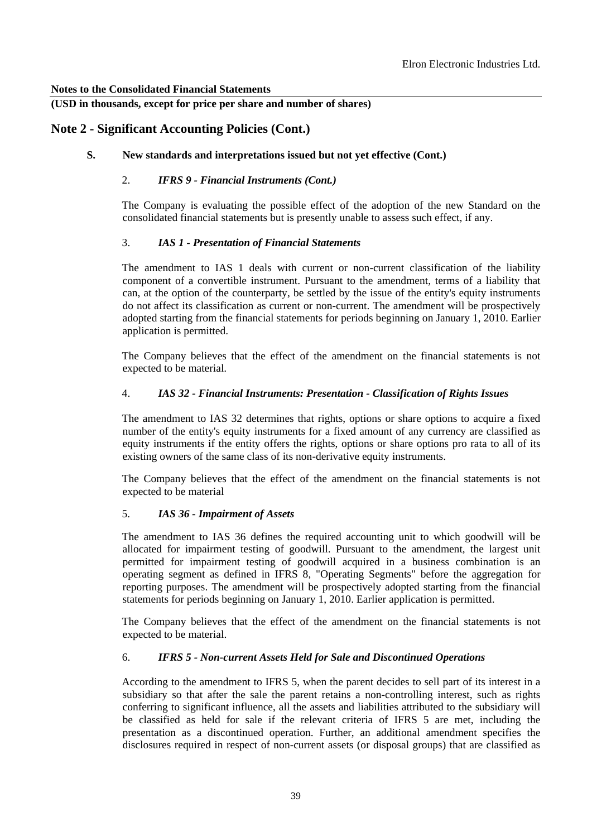**(USD in thousands, except for price per share and number of shares)**

# **Note 2 - Significant Accounting Policies (Cont.)**

#### **S. New standards and interpretations issued but not yet effective (Cont.)**

#### 2. *IFRS 9 - Financial Instruments (Cont.)*

The Company is evaluating the possible effect of the adoption of the new Standard on the consolidated financial statements but is presently unable to assess such effect, if any.

#### 3. *IAS 1 - Presentation of Financial Statements*

The amendment to IAS 1 deals with current or non-current classification of the liability component of a convertible instrument. Pursuant to the amendment, terms of a liability that can, at the option of the counterparty, be settled by the issue of the entity's equity instruments do not affect its classification as current or non-current. The amendment will be prospectively adopted starting from the financial statements for periods beginning on January 1, 2010. Earlier application is permitted.

The Company believes that the effect of the amendment on the financial statements is not expected to be material.

#### 4. *IAS 32 - Financial Instruments: Presentation - Classification of Rights Issues*

The amendment to IAS 32 determines that rights, options or share options to acquire a fixed number of the entity's equity instruments for a fixed amount of any currency are classified as equity instruments if the entity offers the rights, options or share options pro rata to all of its existing owners of the same class of its non-derivative equity instruments.

The Company believes that the effect of the amendment on the financial statements is not expected to be material

#### 5. *IAS 36 - Impairment of Assets*

The amendment to IAS 36 defines the required accounting unit to which goodwill will be allocated for impairment testing of goodwill. Pursuant to the amendment, the largest unit permitted for impairment testing of goodwill acquired in a business combination is an operating segment as defined in IFRS 8, "Operating Segments" before the aggregation for reporting purposes. The amendment will be prospectively adopted starting from the financial statements for periods beginning on January 1, 2010. Earlier application is permitted.

The Company believes that the effect of the amendment on the financial statements is not expected to be material.

#### 6. *IFRS 5 - Non-current Assets Held for Sale and Discontinued Operations*

According to the amendment to IFRS 5, when the parent decides to sell part of its interest in a subsidiary so that after the sale the parent retains a non-controlling interest, such as rights conferring to significant influence, all the assets and liabilities attributed to the subsidiary will be classified as held for sale if the relevant criteria of IFRS 5 are met, including the presentation as a discontinued operation. Further, an additional amendment specifies the disclosures required in respect of non-current assets (or disposal groups) that are classified as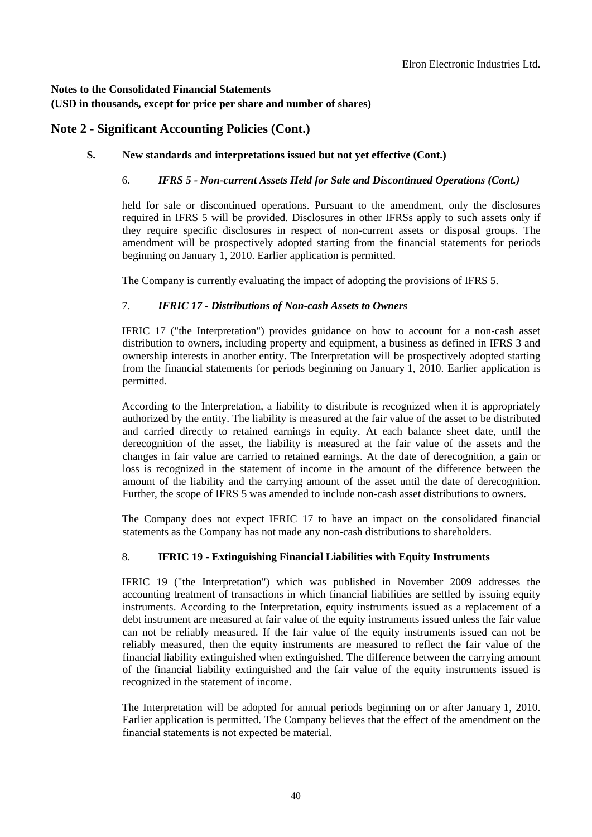**(USD in thousands, except for price per share and number of shares)**

# **Note 2 - Significant Accounting Policies (Cont.)**

#### **S. New standards and interpretations issued but not yet effective (Cont.)**

#### 6. *IFRS 5 - Non-current Assets Held for Sale and Discontinued Operations (Cont.)*

held for sale or discontinued operations. Pursuant to the amendment, only the disclosures required in IFRS 5 will be provided. Disclosures in other IFRSs apply to such assets only if they require specific disclosures in respect of non-current assets or disposal groups. The amendment will be prospectively adopted starting from the financial statements for periods beginning on January 1, 2010. Earlier application is permitted.

The Company is currently evaluating the impact of adopting the provisions of IFRS 5.

#### 7. *IFRIC 17 - Distributions of Non-cash Assets to Owners*

IFRIC 17 ("the Interpretation") provides guidance on how to account for a non-cash asset distribution to owners, including property and equipment, a business as defined in IFRS 3 and ownership interests in another entity. The Interpretation will be prospectively adopted starting from the financial statements for periods beginning on January 1, 2010. Earlier application is permitted.

According to the Interpretation, a liability to distribute is recognized when it is appropriately authorized by the entity. The liability is measured at the fair value of the asset to be distributed and carried directly to retained earnings in equity. At each balance sheet date, until the derecognition of the asset, the liability is measured at the fair value of the assets and the changes in fair value are carried to retained earnings. At the date of derecognition, a gain or loss is recognized in the statement of income in the amount of the difference between the amount of the liability and the carrying amount of the asset until the date of derecognition. Further, the scope of IFRS 5 was amended to include non-cash asset distributions to owners.

The Company does not expect IFRIC 17 to have an impact on the consolidated financial statements as the Company has not made any non-cash distributions to shareholders.

#### 8. **IFRIC 19 - Extinguishing Financial Liabilities with Equity Instruments**

IFRIC 19 ("the Interpretation") which was published in November 2009 addresses the accounting treatment of transactions in which financial liabilities are settled by issuing equity instruments. According to the Interpretation, equity instruments issued as a replacement of a debt instrument are measured at fair value of the equity instruments issued unless the fair value can not be reliably measured. If the fair value of the equity instruments issued can not be reliably measured, then the equity instruments are measured to reflect the fair value of the financial liability extinguished when extinguished. The difference between the carrying amount of the financial liability extinguished and the fair value of the equity instruments issued is recognized in the statement of income.

The Interpretation will be adopted for annual periods beginning on or after January 1, 2010. Earlier application is permitted. The Company believes that the effect of the amendment on the financial statements is not expected be material.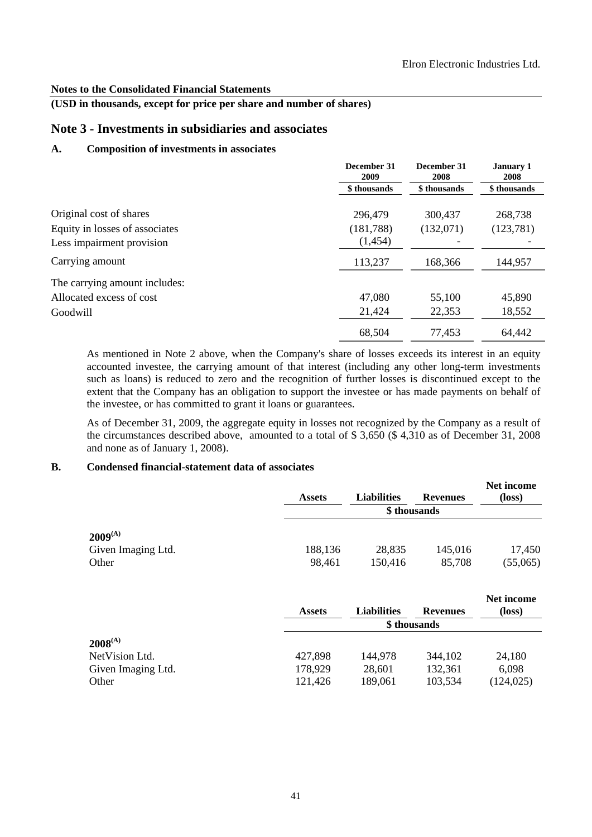# **(USD in thousands, except for price per share and number of shares)**

# **Note 3 - Investments in subsidiaries and associates**

#### **A. Composition of investments in associates**

|                                | December 31<br>2009 | December 31<br>2008 | January 1<br>2008 |
|--------------------------------|---------------------|---------------------|-------------------|
|                                | \$thousands         | \$ thousands        | \$thousands       |
| Original cost of shares        | 296,479             | 300,437             | 268,738           |
| Equity in losses of associates | (181, 788)          | (132,071)           | (123, 781)        |
| Less impairment provision      | (1,454)             |                     |                   |
| Carrying amount                | 113,237             | 168,366             | 144,957           |
| The carrying amount includes:  |                     |                     |                   |
| Allocated excess of cost       | 47,080              | 55,100              | 45,890            |
| Goodwill                       | 21,424              | 22,353              | 18,552            |
|                                | 68,504              | 77,453              | 64,442            |

As mentioned in Note 2 above, when the Company's share of losses exceeds its interest in an equity accounted investee, the carrying amount of that interest (including any other long-term investments such as loans) is reduced to zero and the recognition of further losses is discontinued except to the extent that the Company has an obligation to support the investee or has made payments on behalf of the investee, or has committed to grant it loans or guarantees.

As of December 31, 2009, the aggregate equity in losses not recognized by the Company as a result of the circumstances described above, amounted to a total of \$ 3,650 (\$ 4,310 as of December 31, 2008 and none as of January 1, 2008).

#### **B. Condensed financial-statement data of associates**

|                    | <b>Assets</b> | <b>Liabilities</b> | <b>Revenues</b> | Net income<br>$(\text{loss})$ |
|--------------------|---------------|--------------------|-----------------|-------------------------------|
|                    |               | \$thousands        |                 |                               |
| $2009^{(A)}$       |               |                    |                 |                               |
| Given Imaging Ltd. | 188,136       | 28,835             | 145,016         | 17,450                        |
| Other              | 98,461        | 150,416            | 85,708          | (55,065)                      |
|                    | <b>Assets</b> | <b>Liabilities</b> | <b>Revenues</b> | Net income<br>$(\text{loss})$ |
|                    |               |                    | \$thousands     |                               |
| $2008^{(A)}$       |               |                    |                 |                               |
| NetVision Ltd.     | 427,898       | 144,978            | 344,102         | 24,180                        |
| Given Imaging Ltd. | 178,929       | 28,601             | 132,361         | 6,098                         |
| Other              | 121,426       | 189,061            | 103,534         | (124, 025)                    |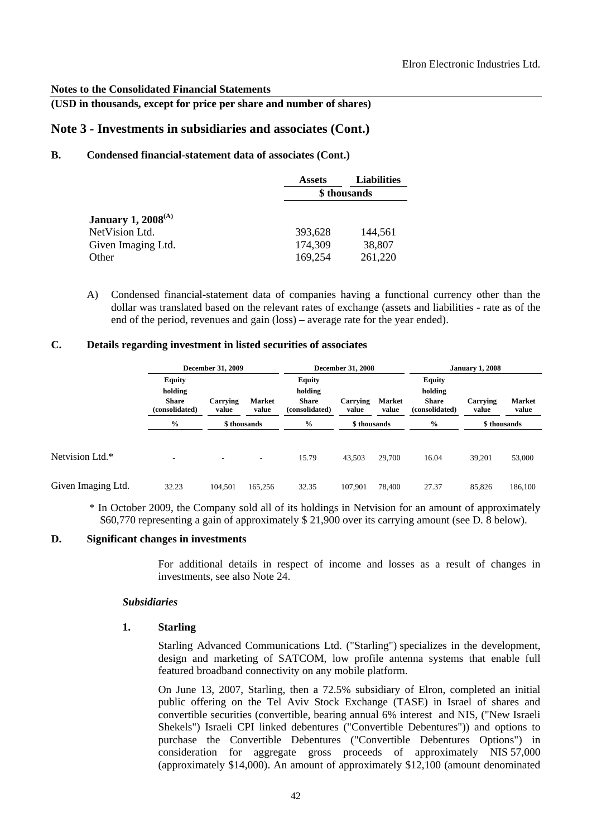# **(USD in thousands, except for price per share and number of shares)**

#### **Note 3 - Investments in subsidiaries and associates (Cont.)**

#### **B. Condensed financial-statement data of associates (Cont.)**

|                         | <b>Assets</b> | <b>Liabilities</b> |
|-------------------------|---------------|--------------------|
|                         | \$thousands   |                    |
| January 1, $2008^{(A)}$ |               |                    |
| NetVision Ltd.          | 393,628       | 144,561            |
| Given Imaging Ltd.      | 174,309       | 38,807             |
| Other                   | 169,254       | 261,220            |

A) Condensed financial-statement data of companies having a functional currency other than the dollar was translated based on the relevant rates of exchange (assets and liabilities - rate as of the end of the period, revenues and gain (loss) – average rate for the year ended).

## **C. Details regarding investment in listed securities of associates**

|                    |                                                            | <b>December 31, 2009</b> |                        | <b>December 31, 2008</b>                                   |                   |                        | <b>January 1, 2008</b>                                     |                   |                        |
|--------------------|------------------------------------------------------------|--------------------------|------------------------|------------------------------------------------------------|-------------------|------------------------|------------------------------------------------------------|-------------------|------------------------|
|                    | <b>Equity</b><br>holding<br><b>Share</b><br>(consolidated) | Carrying<br>value        | <b>Market</b><br>value | <b>Equity</b><br>holding<br><b>Share</b><br>(consolidated) | Carrying<br>value | <b>Market</b><br>value | <b>Equity</b><br>holding<br><b>Share</b><br>(consolidated) | Carrying<br>value | <b>Market</b><br>value |
|                    | $\frac{0}{0}$                                              | \$ thousands             |                        | $\%$                                                       | \$ thousands      |                        | $\frac{0}{0}$                                              | \$ thousands      |                        |
| Netvision Ltd.*    | ٠                                                          | $\overline{\phantom{a}}$ | ۰                      | 15.79                                                      | 43,503            | 29,700                 | 16.04                                                      | 39.201            | 53,000                 |
| Given Imaging Ltd. | 32.23                                                      | 104,501                  | 165,256                | 32.35                                                      | 107,901           | 78.400                 | 27.37                                                      | 85,826            | 186,100                |

\* In October 2009, the Company sold all of its holdings in Netvision for an amount of approximately \$60,770 representing a gain of approximately \$ 21,900 over its carrying amount (see D. 8 below).

#### **D. Significant changes in investments**

For additional details in respect of income and losses as a result of changes in investments, see also Note 24.

#### *Subsidiaries*

#### **1. Starling**

 Starling Advanced Communications Ltd. ("Starling") specializes in the development, design and marketing of SATCOM, low profile antenna systems that enable full featured broadband connectivity on any mobile platform.

 On June 13, 2007, Starling, then a 72.5% subsidiary of Elron, completed an initial public offering on the Tel Aviv Stock Exchange (TASE) in Israel of shares and convertible securities (convertible, bearing annual 6% interest and NIS, ("New Israeli Shekels") Israeli CPI linked debentures ("Convertible Debentures")) and options to purchase the Convertible Debentures ("Convertible Debentures Options") in consideration for aggregate gross proceeds of approximately NIS 57,000 (approximately \$14,000). An amount of approximately \$12,100 (amount denominated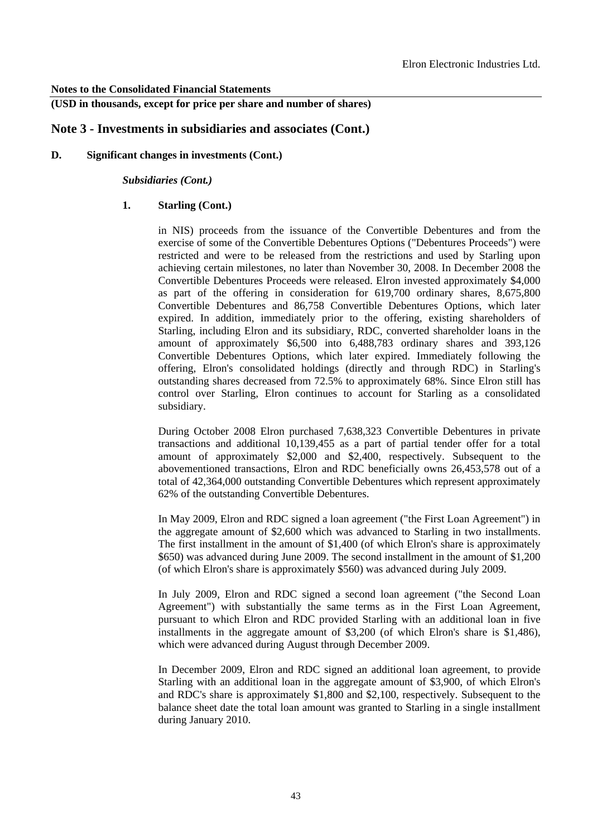**(USD in thousands, except for price per share and number of shares)**

# **Note 3 - Investments in subsidiaries and associates (Cont.)**

#### **D. Significant changes in investments (Cont.)**

#### *Subsidiaries (Cont.)*

#### **1. Starling (Cont.)**

in NIS) proceeds from the issuance of the Convertible Debentures and from the exercise of some of the Convertible Debentures Options ("Debentures Proceeds") were restricted and were to be released from the restrictions and used by Starling upon achieving certain milestones, no later than November 30, 2008. In December 2008 the Convertible Debentures Proceeds were released. Elron invested approximately \$4,000 as part of the offering in consideration for 619,700 ordinary shares, 8,675,800 Convertible Debentures and 86,758 Convertible Debentures Options, which later expired. In addition, immediately prior to the offering, existing shareholders of Starling, including Elron and its subsidiary, RDC, converted shareholder loans in the amount of approximately \$6,500 into 6,488,783 ordinary shares and 393,126 Convertible Debentures Options, which later expired. Immediately following the offering, Elron's consolidated holdings (directly and through RDC) in Starling's outstanding shares decreased from 72.5% to approximately 68%. Since Elron still has control over Starling, Elron continues to account for Starling as a consolidated subsidiary.

During October 2008 Elron purchased 7,638,323 Convertible Debentures in private transactions and additional 10,139,455 as a part of partial tender offer for a total amount of approximately \$2,000 and \$2,400, respectively. Subsequent to the abovementioned transactions, Elron and RDC beneficially owns 26,453,578 out of a total of 42,364,000 outstanding Convertible Debentures which represent approximately 62% of the outstanding Convertible Debentures.

In May 2009, Elron and RDC signed a loan agreement ("the First Loan Agreement") in the aggregate amount of \$2,600 which was advanced to Starling in two installments. The first installment in the amount of \$1,400 (of which Elron's share is approximately \$650) was advanced during June 2009. The second installment in the amount of \$1,200 (of which Elron's share is approximately \$560) was advanced during July 2009.

 In July 2009, Elron and RDC signed a second loan agreement ("the Second Loan Agreement") with substantially the same terms as in the First Loan Agreement, pursuant to which Elron and RDC provided Starling with an additional loan in five installments in the aggregate amount of \$3,200 (of which Elron's share is \$1,486), which were advanced during August through December 2009.

In December 2009, Elron and RDC signed an additional loan agreement, to provide Starling with an additional loan in the aggregate amount of \$3,900, of which Elron's and RDC's share is approximately \$1,800 and \$2,100, respectively. Subsequent to the balance sheet date the total loan amount was granted to Starling in a single installment during January 2010.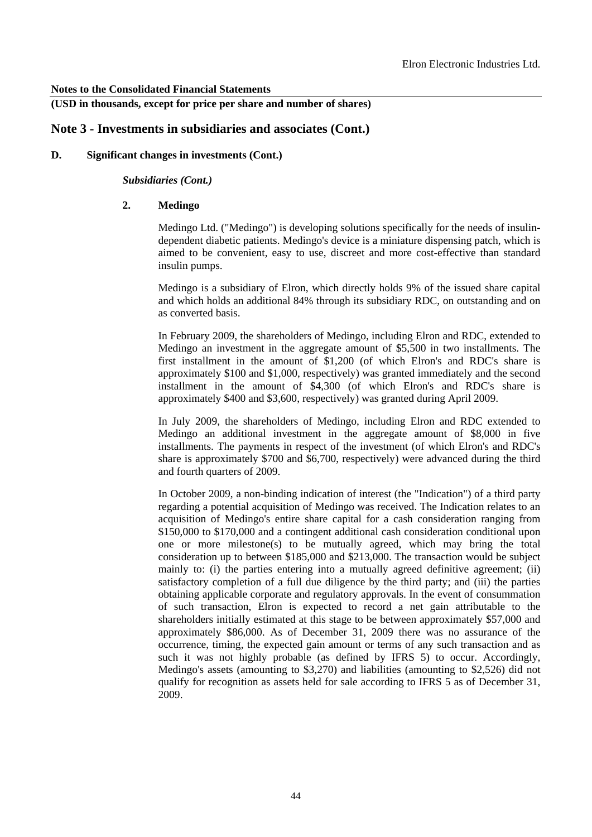**(USD in thousands, except for price per share and number of shares)**

# **Note 3 - Investments in subsidiaries and associates (Cont.)**

#### **D. Significant changes in investments (Cont.)**

#### *Subsidiaries (Cont.)*

#### **2. Medingo**

 Medingo Ltd. ("Medingo") is developing solutions specifically for the needs of insulindependent diabetic patients. Medingo's device is a miniature dispensing patch, which is aimed to be convenient, easy to use, discreet and more cost-effective than standard insulin pumps.

 Medingo is a subsidiary of Elron, which directly holds 9% of the issued share capital and which holds an additional 84% through its subsidiary RDC, on outstanding and on as converted basis.

 In February 2009, the shareholders of Medingo, including Elron and RDC, extended to Medingo an investment in the aggregate amount of \$5,500 in two installments. The first installment in the amount of \$1,200 (of which Elron's and RDC's share is approximately \$100 and \$1,000, respectively) was granted immediately and the second installment in the amount of \$4,300 (of which Elron's and RDC's share is approximately \$400 and \$3,600, respectively) was granted during April 2009.

In July 2009, the shareholders of Medingo, including Elron and RDC extended to Medingo an additional investment in the aggregate amount of \$8,000 in five installments. The payments in respect of the investment (of which Elron's and RDC's share is approximately \$700 and \$6,700, respectively) were advanced during the third and fourth quarters of 2009.

In October 2009, a non-binding indication of interest (the "Indication") of a third party regarding a potential acquisition of Medingo was received. The Indication relates to an acquisition of Medingo's entire share capital for a cash consideration ranging from \$150,000 to \$170,000 and a contingent additional cash consideration conditional upon one or more milestone(s) to be mutually agreed, which may bring the total consideration up to between \$185,000 and \$213,000. The transaction would be subject mainly to: (i) the parties entering into a mutually agreed definitive agreement; (ii) satisfactory completion of a full due diligence by the third party; and (iii) the parties obtaining applicable corporate and regulatory approvals. In the event of consummation of such transaction, Elron is expected to record a net gain attributable to the shareholders initially estimated at this stage to be between approximately \$57,000 and approximately \$86,000. As of December 31, 2009 there was no assurance of the occurrence, timing, the expected gain amount or terms of any such transaction and as such it was not highly probable (as defined by IFRS 5) to occur. Accordingly, Medingo's assets (amounting to \$3,270) and liabilities (amounting to \$2,526) did not qualify for recognition as assets held for sale according to IFRS 5 as of December 31, 2009.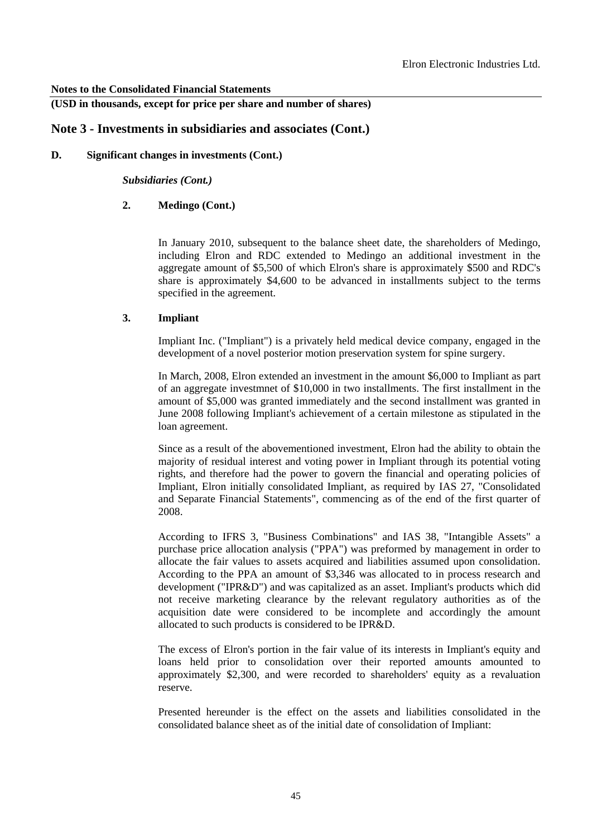#### **(USD in thousands, except for price per share and number of shares)**

# **Note 3 - Investments in subsidiaries and associates (Cont.)**

#### **D. Significant changes in investments (Cont.)**

#### *Subsidiaries (Cont.)*

# **2. Medingo (Cont.)**

In January 2010, subsequent to the balance sheet date, the shareholders of Medingo, including Elron and RDC extended to Medingo an additional investment in the aggregate amount of \$5,500 of which Elron's share is approximately \$500 and RDC's share is approximately \$4,600 to be advanced in installments subject to the terms specified in the agreement.

#### **3. Impliant**

 Impliant Inc. ("Impliant") is a privately held medical device company, engaged in the development of a novel posterior motion preservation system for spine surgery.

 In March, 2008, Elron extended an investment in the amount \$6,000 to Impliant as part of an aggregate investmnet of \$10,000 in two installments. The first installment in the amount of \$5,000 was granted immediately and the second installment was granted in June 2008 following Impliant's achievement of a certain milestone as stipulated in the loan agreement.

Since as a result of the abovementioned investment, Elron had the ability to obtain the majority of residual interest and voting power in Impliant through its potential voting rights, and therefore had the power to govern the financial and operating policies of Impliant, Elron initially consolidated Impliant, as required by IAS 27, "Consolidated and Separate Financial Statements", commencing as of the end of the first quarter of 2008.

According to IFRS 3, "Business Combinations" and IAS 38, "Intangible Assets" a purchase price allocation analysis ("PPA") was preformed by management in order to allocate the fair values to assets acquired and liabilities assumed upon consolidation. According to the PPA an amount of \$3,346 was allocated to in process research and development ("IPR&D") and was capitalized as an asset. Impliant's products which did not receive marketing clearance by the relevant regulatory authorities as of the acquisition date were considered to be incomplete and accordingly the amount allocated to such products is considered to be IPR&D.

The excess of Elron's portion in the fair value of its interests in Impliant's equity and loans held prior to consolidation over their reported amounts amounted to approximately \$2,300, and were recorded to shareholders' equity as a revaluation reserve.

Presented hereunder is the effect on the assets and liabilities consolidated in the consolidated balance sheet as of the initial date of consolidation of Impliant: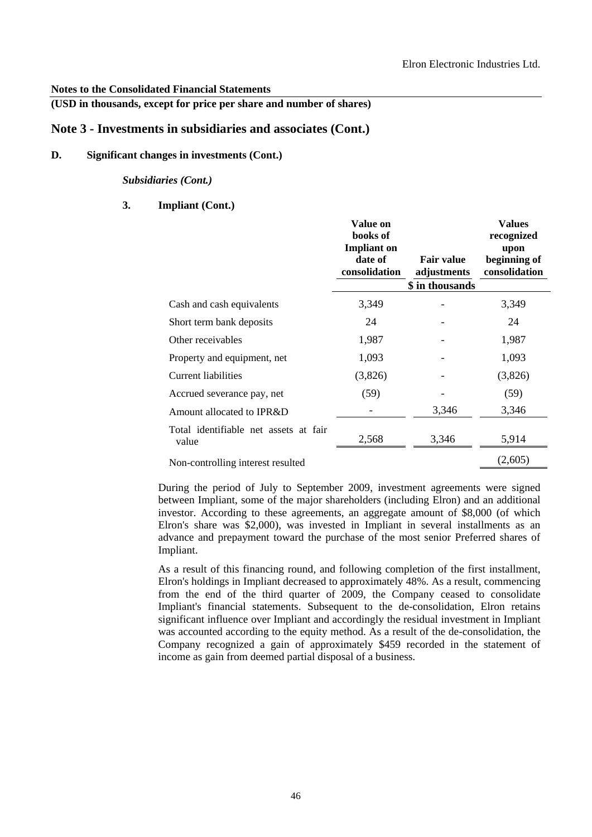# **(USD in thousands, except for price per share and number of shares)**

## **Note 3 - Investments in subsidiaries and associates (Cont.)**

#### **D. Significant changes in investments (Cont.)**

#### *Subsidiaries (Cont.)*

## **3. Impliant (Cont.)**

|                                                | Value on<br>books of<br><b>Impliant</b> on<br>date of<br>consolidation | <b>Fair value</b><br>adjustments<br>\$ in thousands | <b>Values</b><br>recognized<br>upon<br>beginning of<br>consolidation |
|------------------------------------------------|------------------------------------------------------------------------|-----------------------------------------------------|----------------------------------------------------------------------|
| Cash and cash equivalents                      | 3,349                                                                  |                                                     | 3,349                                                                |
| Short term bank deposits                       | 24                                                                     |                                                     | 24                                                                   |
| Other receivables                              | 1,987                                                                  |                                                     | 1,987                                                                |
| Property and equipment, net                    | 1,093                                                                  |                                                     | 1,093                                                                |
| <b>Current liabilities</b>                     | (3,826)                                                                |                                                     | (3,826)                                                              |
| Accrued severance pay, net                     | (59)                                                                   |                                                     | (59)                                                                 |
| Amount allocated to IPR&D                      |                                                                        | 3,346                                               | 3,346                                                                |
| Total identifiable net assets at fair<br>value | 2,568                                                                  | 3,346                                               | 5,914                                                                |
| Non-controlling interest resulted              |                                                                        |                                                     | (2,605)                                                              |

During the period of July to September 2009, investment agreements were signed between Impliant, some of the major shareholders (including Elron) and an additional investor. According to these agreements, an aggregate amount of \$8,000 (of which Elron's share was \$2,000), was invested in Impliant in several installments as an advance and prepayment toward the purchase of the most senior Preferred shares of Impliant.

As a result of this financing round, and following completion of the first installment, Elron's holdings in Impliant decreased to approximately 48%. As a result, commencing from the end of the third quarter of 2009, the Company ceased to consolidate Impliant's financial statements. Subsequent to the de-consolidation, Elron retains significant influence over Impliant and accordingly the residual investment in Impliant was accounted according to the equity method. As a result of the de-consolidation, the Company recognized a gain of approximately \$459 recorded in the statement of income as gain from deemed partial disposal of a business.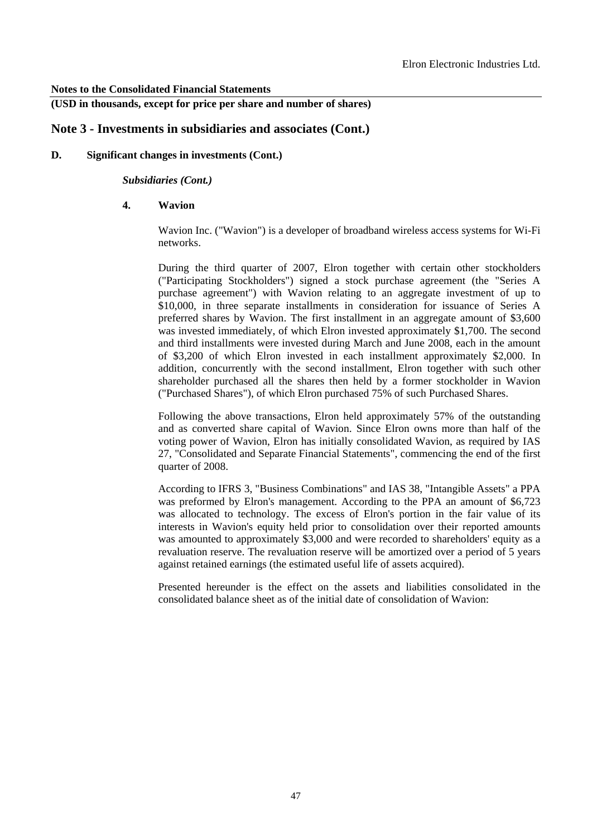**(USD in thousands, except for price per share and number of shares)**

# **Note 3 - Investments in subsidiaries and associates (Cont.)**

#### **D. Significant changes in investments (Cont.)**

#### *Subsidiaries (Cont.)*

#### **4. Wavion**

 Wavion Inc. ("Wavion") is a developer of broadband wireless access systems for Wi-Fi networks.

During the third quarter of 2007, Elron together with certain other stockholders ("Participating Stockholders") signed a stock purchase agreement (the "Series A purchase agreement") with Wavion relating to an aggregate investment of up to \$10,000, in three separate installments in consideration for issuance of Series A preferred shares by Wavion. The first installment in an aggregate amount of \$3,600 was invested immediately, of which Elron invested approximately \$1,700. The second and third installments were invested during March and June 2008, each in the amount of \$3,200 of which Elron invested in each installment approximately \$2,000. In addition, concurrently with the second installment, Elron together with such other shareholder purchased all the shares then held by a former stockholder in Wavion ("Purchased Shares"), of which Elron purchased 75% of such Purchased Shares.

Following the above transactions, Elron held approximately 57% of the outstanding and as converted share capital of Wavion. Since Elron owns more than half of the voting power of Wavion, Elron has initially consolidated Wavion, as required by IAS 27, "Consolidated and Separate Financial Statements", commencing the end of the first quarter of 2008.

According to IFRS 3, "Business Combinations" and IAS 38, "Intangible Assets" a PPA was preformed by Elron's management. According to the PPA an amount of \$6,723 was allocated to technology. The excess of Elron's portion in the fair value of its interests in Wavion's equity held prior to consolidation over their reported amounts was amounted to approximately \$3,000 and were recorded to shareholders' equity as a revaluation reserve. The revaluation reserve will be amortized over a period of 5 years against retained earnings (the estimated useful life of assets acquired).

Presented hereunder is the effect on the assets and liabilities consolidated in the consolidated balance sheet as of the initial date of consolidation of Wavion: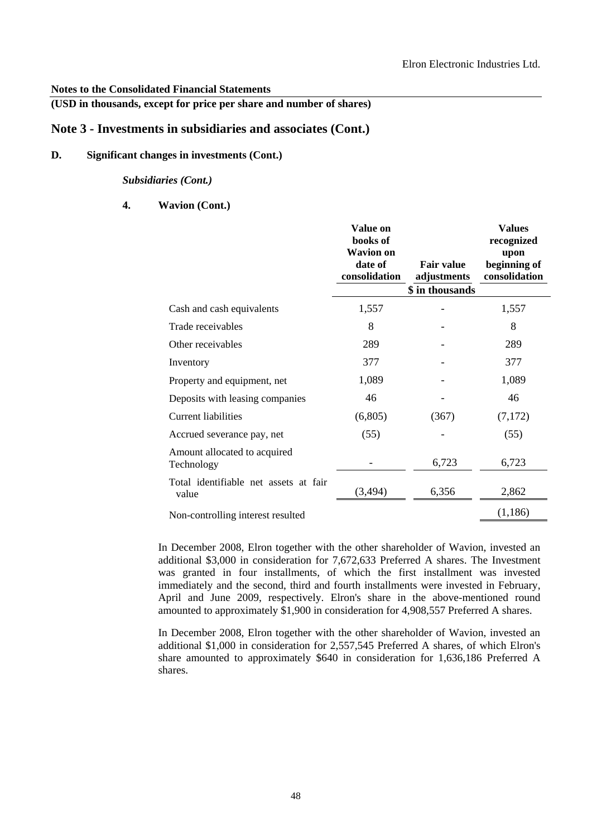**(USD in thousands, except for price per share and number of shares)**

#### **Note 3 - Investments in subsidiaries and associates (Cont.)**

#### **D. Significant changes in investments (Cont.)**

#### *Subsidiaries (Cont.)*

#### **4. Wavion (Cont.)**

|                                                | <b>Value on</b><br>books of<br><b>Wavion on</b><br>date of<br>consolidation | <b>Fair value</b><br>adjustments<br>\$ in thousands | <b>Values</b><br>recognized<br>upon<br>beginning of<br>consolidation |
|------------------------------------------------|-----------------------------------------------------------------------------|-----------------------------------------------------|----------------------------------------------------------------------|
| Cash and cash equivalents                      | 1,557                                                                       |                                                     | 1,557                                                                |
| Trade receivables                              | 8                                                                           |                                                     | 8                                                                    |
| Other receivables                              | 289                                                                         |                                                     | 289                                                                  |
| Inventory                                      | 377                                                                         |                                                     | 377                                                                  |
| Property and equipment, net                    | 1,089                                                                       |                                                     | 1,089                                                                |
| Deposits with leasing companies                | 46                                                                          |                                                     | 46                                                                   |
| <b>Current liabilities</b>                     | (6,805)                                                                     | (367)                                               | (7,172)                                                              |
| Accrued severance pay, net                     | (55)                                                                        |                                                     | (55)                                                                 |
| Amount allocated to acquired<br>Technology     |                                                                             | 6,723                                               | 6,723                                                                |
| Total identifiable net assets at fair<br>value | (3, 494)                                                                    | 6,356                                               | 2,862                                                                |
| Non-controlling interest resulted              |                                                                             |                                                     | (1, 186)                                                             |

In December 2008, Elron together with the other shareholder of Wavion, invested an additional \$3,000 in consideration for 7,672,633 Preferred A shares. The Investment was granted in four installments, of which the first installment was invested immediately and the second, third and fourth installments were invested in February, April and June 2009, respectively. Elron's share in the above-mentioned round amounted to approximately \$1,900 in consideration for 4,908,557 Preferred A shares.

In December 2008, Elron together with the other shareholder of Wavion, invested an additional \$1,000 in consideration for 2,557,545 Preferred A shares, of which Elron's share amounted to approximately \$640 in consideration for 1,636,186 Preferred A shares.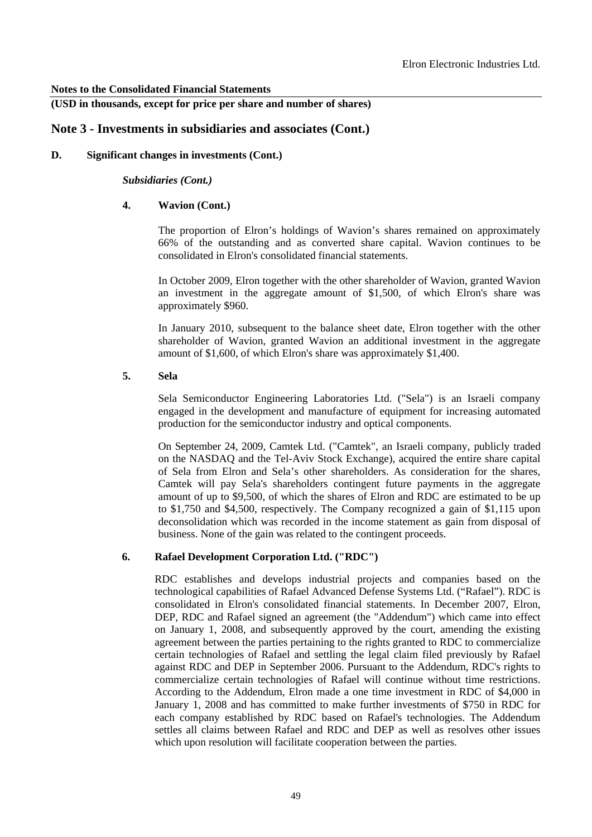## **(USD in thousands, except for price per share and number of shares)**

# **Note 3 - Investments in subsidiaries and associates (Cont.)**

#### **D. Significant changes in investments (Cont.)**

#### *Subsidiaries (Cont.)*

#### **4. Wavion (Cont.)**

The proportion of Elron's holdings of Wavion's shares remained on approximately 66% of the outstanding and as converted share capital. Wavion continues to be consolidated in Elron's consolidated financial statements.

In October 2009, Elron together with the other shareholder of Wavion, granted Wavion an investment in the aggregate amount of \$1,500, of which Elron's share was approximately \$960.

In January 2010, subsequent to the balance sheet date, Elron together with the other shareholder of Wavion, granted Wavion an additional investment in the aggregate amount of \$1,600, of which Elron's share was approximately \$1,400.

#### **5. Sela**

 Sela Semiconductor Engineering Laboratories Ltd. ("Sela") is an Israeli company engaged in the development and manufacture of equipment for increasing automated production for the semiconductor industry and optical components.

On September 24, 2009, Camtek Ltd. ("Camtek", an Israeli company, publicly traded on the NASDAQ and the Tel-Aviv Stock Exchange), acquired the entire share capital of Sela from Elron and Sela's other shareholders. As consideration for the shares, Camtek will pay Sela's shareholders contingent future payments in the aggregate amount of up to \$9,500, of which the shares of Elron and RDC are estimated to be up to \$1,750 and \$4,500, respectively. The Company recognized a gain of \$1,115 upon deconsolidation which was recorded in the income statement as gain from disposal of business. None of the gain was related to the contingent proceeds.

#### **6. Rafael Development Corporation Ltd. ("RDC")**

 RDC establishes and develops industrial projects and companies based on the technological capabilities of Rafael Advanced Defense Systems Ltd. ("Rafael"). RDC is consolidated in Elron's consolidated financial statements. In December 2007, Elron, DEP, RDC and Rafael signed an agreement (the "Addendum") which came into effect on January 1, 2008, and subsequently approved by the court, amending the existing agreement between the parties pertaining to the rights granted to RDC to commercialize certain technologies of Rafael and settling the legal claim filed previously by Rafael against RDC and DEP in September 2006. Pursuant to the Addendum, RDC's rights to commercialize certain technologies of Rafael will continue without time restrictions. According to the Addendum, Elron made a one time investment in RDC of \$4,000 in January 1, 2008 and has committed to make further investments of \$750 in RDC for each company established by RDC based on Rafael's technologies. The Addendum settles all claims between Rafael and RDC and DEP as well as resolves other issues which upon resolution will facilitate cooperation between the parties.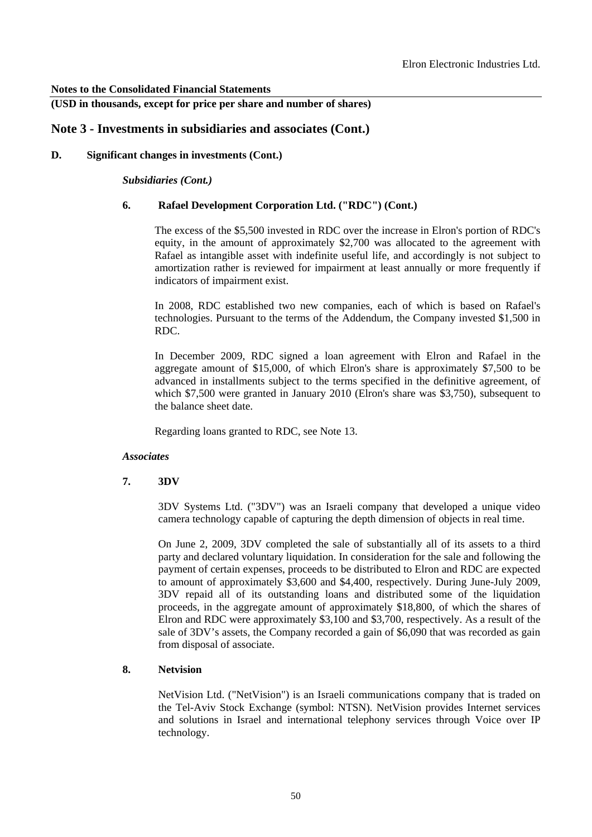**(USD in thousands, except for price per share and number of shares)**

# **Note 3 - Investments in subsidiaries and associates (Cont.)**

#### **D. Significant changes in investments (Cont.)**

#### *Subsidiaries (Cont.)*

#### **6. Rafael Development Corporation Ltd. ("RDC") (Cont.)**

 The excess of the \$5,500 invested in RDC over the increase in Elron's portion of RDC's equity, in the amount of approximately \$2,700 was allocated to the agreement with Rafael as intangible asset with indefinite useful life, and accordingly is not subject to amortization rather is reviewed for impairment at least annually or more frequently if indicators of impairment exist.

In 2008, RDC established two new companies, each of which is based on Rafael's technologies. Pursuant to the terms of the Addendum, the Company invested \$1,500 in RDC.

In December 2009, RDC signed a loan agreement with Elron and Rafael in the aggregate amount of \$15,000, of which Elron's share is approximately \$7,500 to be advanced in installments subject to the terms specified in the definitive agreement, of which \$7,500 were granted in January 2010 (Elron's share was \$3,750), subsequent to the balance sheet date.

Regarding loans granted to RDC, see Note 13.

#### *Associates*

**7. 3DV** 

 3DV Systems Ltd. ("3DV") was an Israeli company that developed a unique video camera technology capable of capturing the depth dimension of objects in real time.

 On June 2, 2009, 3DV completed the sale of substantially all of its assets to a third party and declared voluntary liquidation. In consideration for the sale and following the payment of certain expenses, proceeds to be distributed to Elron and RDC are expected to amount of approximately \$3,600 and \$4,400, respectively. During June-July 2009, 3DV repaid all of its outstanding loans and distributed some of the liquidation proceeds, in the aggregate amount of approximately \$18,800, of which the shares of Elron and RDC were approximately \$3,100 and \$3,700, respectively. As a result of the sale of 3DV's assets, the Company recorded a gain of \$6,090 that was recorded as gain from disposal of associate.

#### **8. Netvision**

NetVision Ltd. ("NetVision") is an Israeli communications company that is traded on the Tel-Aviv Stock Exchange (symbol: NTSN). NetVision provides Internet services and solutions in Israel and international telephony services through Voice over IP technology.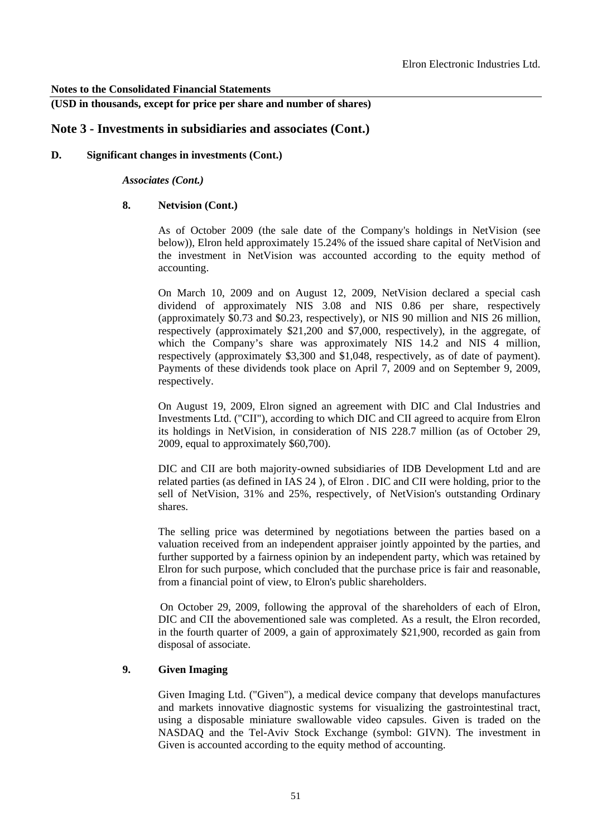**(USD in thousands, except for price per share and number of shares)**

# **Note 3 - Investments in subsidiaries and associates (Cont.)**

#### **D. Significant changes in investments (Cont.)**

#### *Associates (Cont.)*

#### **8. Netvision (Cont.)**

As of October 2009 (the sale date of the Company's holdings in NetVision (see below)), Elron held approximately 15.24% of the issued share capital of NetVision and the investment in NetVision was accounted according to the equity method of accounting.

 On March 10, 2009 and on August 12, 2009, NetVision declared a special cash dividend of approximately NIS 3.08 and NIS 0.86 per share, respectively (approximately \$0.73 and \$0.23, respectively), or NIS 90 million and NIS 26 million, respectively (approximately \$21,200 and \$7,000, respectively), in the aggregate, of which the Company's share was approximately NIS 14.2 and NIS 4 million, respectively (approximately \$3,300 and \$1,048, respectively, as of date of payment). Payments of these dividends took place on April 7, 2009 and on September 9, 2009, respectively.

On August 19, 2009, Elron signed an agreement with DIC and Clal Industries and Investments Ltd. ("CII"), according to which DIC and CII agreed to acquire from Elron its holdings in NetVision, in consideration of NIS 228.7 million (as of October 29, 2009, equal to approximately \$60,700).

DIC and CII are both majority-owned subsidiaries of IDB Development Ltd and are related parties (as defined in IAS 24 ), of Elron . DIC and CII were holding, prior to the sell of NetVision, 31% and 25%, respectively, of NetVision's outstanding Ordinary shares.

 The selling price was determined by negotiations between the parties based on a valuation received from an independent appraiser jointly appointed by the parties, and further supported by a fairness opinion by an independent party, which was retained by Elron for such purpose, which concluded that the purchase price is fair and reasonable, from a financial point of view, to Elron's public shareholders.

On October 29, 2009, following the approval of the shareholders of each of Elron, DIC and CII the abovementioned sale was completed. As a result, the Elron recorded, in the fourth quarter of 2009, a gain of approximately \$21,900, recorded as gain from disposal of associate.

# **9. Given Imaging**

 Given Imaging Ltd. ("Given"), a medical device company that develops manufactures and markets innovative diagnostic systems for visualizing the gastrointestinal tract, using a disposable miniature swallowable video capsules. Given is traded on the NASDAQ and the Tel-Aviv Stock Exchange (symbol: GIVN). The investment in Given is accounted according to the equity method of accounting.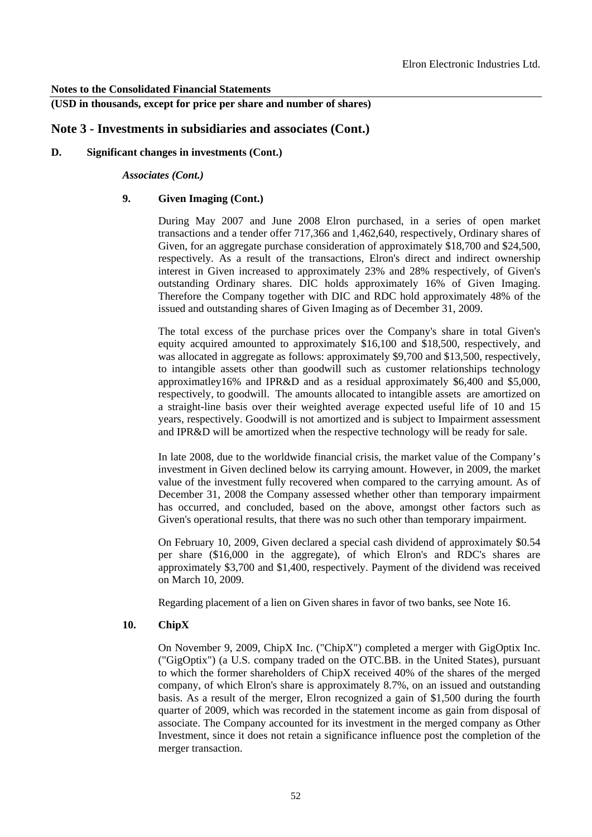**(USD in thousands, except for price per share and number of shares)**

# **Note 3 - Investments in subsidiaries and associates (Cont.)**

#### **D. Significant changes in investments (Cont.)**

#### *Associates (Cont.)*

#### **9. Given Imaging (Cont.)**

During May 2007 and June 2008 Elron purchased, in a series of open market transactions and a tender offer 717,366 and 1,462,640, respectively, Ordinary shares of Given, for an aggregate purchase consideration of approximately \$18,700 and \$24,500, respectively. As a result of the transactions, Elron's direct and indirect ownership interest in Given increased to approximately 23% and 28% respectively, of Given's outstanding Ordinary shares. DIC holds approximately 16% of Given Imaging. Therefore the Company together with DIC and RDC hold approximately 48% of the issued and outstanding shares of Given Imaging as of December 31, 2009.

The total excess of the purchase prices over the Company's share in total Given's equity acquired amounted to approximately \$16,100 and \$18,500, respectively, and was allocated in aggregate as follows: approximately \$9,700 and \$13,500, respectively, to intangible assets other than goodwill such as customer relationships technology approximatley16% and IPR&D and as a residual approximately \$6,400 and \$5,000, respectively, to goodwill. The amounts allocated to intangible assets are amortized on a straight-line basis over their weighted average expected useful life of 10 and 15 years, respectively. Goodwill is not amortized and is subject to Impairment assessment and IPR&D will be amortized when the respective technology will be ready for sale.

In late 2008, due to the worldwide financial crisis, the market value of the Company's investment in Given declined below its carrying amount. However, in 2009, the market value of the investment fully recovered when compared to the carrying amount. As of December 31, 2008 the Company assessed whether other than temporary impairment has occurred, and concluded, based on the above, amongst other factors such as Given's operational results, that there was no such other than temporary impairment.

On February 10, 2009, Given declared a special cash dividend of approximately \$0.54 per share (\$16,000 in the aggregate), of which Elron's and RDC's shares are approximately \$3,700 and \$1,400, respectively. Payment of the dividend was received on March 10, 2009.

Regarding placement of a lien on Given shares in favor of two banks, see Note 16.

#### **10. ChipX**

 On November 9, 2009, ChipX Inc. ("ChipX") completed a merger with GigOptix Inc. ("GigOptix") (a U.S. company traded on the OTC.BB. in the United States), pursuant to which the former shareholders of ChipX received 40% of the shares of the merged company, of which Elron's share is approximately 8.7%, on an issued and outstanding basis. As a result of the merger, Elron recognized a gain of \$1,500 during the fourth quarter of 2009, which was recorded in the statement income as gain from disposal of associate. The Company accounted for its investment in the merged company as Other Investment, since it does not retain a significance influence post the completion of the merger transaction.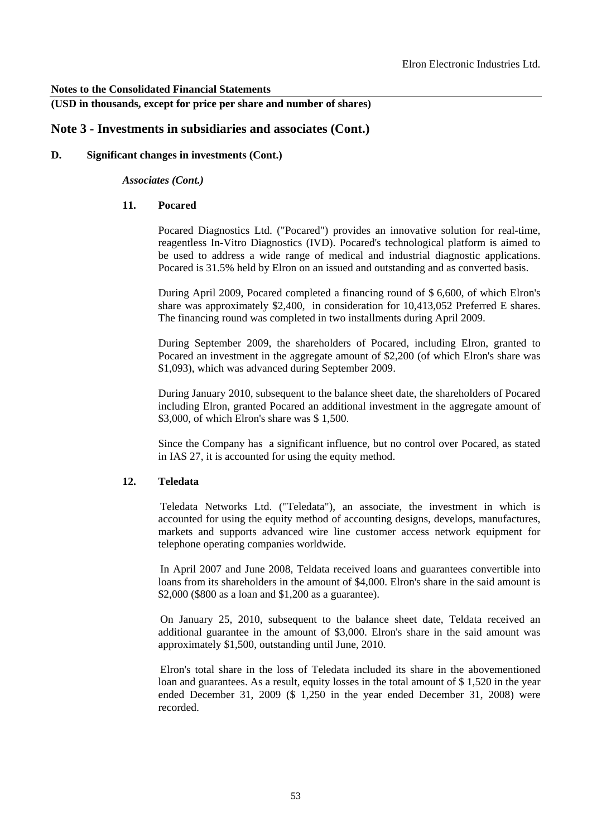#### **(USD in thousands, except for price per share and number of shares)**

# **Note 3 - Investments in subsidiaries and associates (Cont.)**

#### **D. Significant changes in investments (Cont.)**

#### *Associates (Cont.)*

#### **11. Pocared**

 Pocared Diagnostics Ltd. ("Pocared") provides an innovative solution for real-time, reagentless In-Vitro Diagnostics (IVD). Pocared's technological platform is aimed to be used to address a wide range of medical and industrial diagnostic applications. Pocared is 31.5% held by Elron on an issued and outstanding and as converted basis.

 During April 2009, Pocared completed a financing round of \$ 6,600, of which Elron's share was approximately \$2,400, in consideration for 10,413,052 Preferred E shares. The financing round was completed in two installments during April 2009.

During September 2009, the shareholders of Pocared, including Elron, granted to Pocared an investment in the aggregate amount of \$2,200 (of which Elron's share was \$1,093), which was advanced during September 2009.

 During January 2010, subsequent to the balance sheet date, the shareholders of Pocared including Elron, granted Pocared an additional investment in the aggregate amount of \$3,000, of which Elron's share was \$ 1,500.

Since the Company has a significant influence, but no control over Pocared, as stated in IAS 27, it is accounted for using the equity method.

#### **12. Teledata**

Teledata Networks Ltd. ("Teledata"), an associate, the investment in which is accounted for using the equity method of accounting designs, develops, manufactures, markets and supports advanced wire line customer access network equipment for telephone operating companies worldwide.

In April 2007 and June 2008, Teldata received loans and guarantees convertible into loans from its shareholders in the amount of \$4,000. Elron's share in the said amount is \$2,000 (\$800 as a loan and \$1,200 as a guarantee).

On January 25, 2010, subsequent to the balance sheet date, Teldata received an additional guarantee in the amount of \$3,000. Elron's share in the said amount was approximately \$1,500, outstanding until June, 2010.

Elron's total share in the loss of Teledata included its share in the abovementioned loan and guarantees. As a result, equity losses in the total amount of \$1,520 in the year ended December 31, 2009 (\$ 1,250 in the year ended December 31, 2008) were recorded.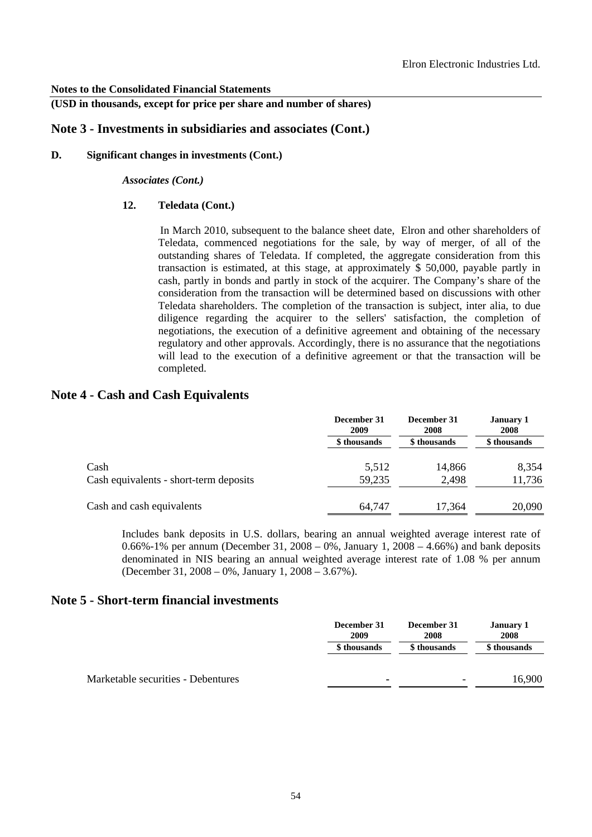# **(USD in thousands, except for price per share and number of shares)**

#### **Note 3 - Investments in subsidiaries and associates (Cont.)**

#### **D. Significant changes in investments (Cont.)**

#### *Associates (Cont.)*

#### **12. Teledata (Cont.)**

In March 2010, subsequent to the balance sheet date, Elron and other shareholders of Teledata, commenced negotiations for the sale, by way of merger, of all of the outstanding shares of Teledata. If completed, the aggregate consideration from this transaction is estimated, at this stage, at approximately \$ 50,000, payable partly in cash, partly in bonds and partly in stock of the acquirer. The Company's share of the consideration from the transaction will be determined based on discussions with other Teledata shareholders. The completion of the transaction is subject, inter alia, to due diligence regarding the acquirer to the sellers' satisfaction, the completion of negotiations, the execution of a definitive agreement and obtaining of the necessary regulatory and other approvals. Accordingly, there is no assurance that the negotiations will lead to the execution of a definitive agreement or that the transaction will be completed.

## **Note 4 - Cash and Cash Equivalents**

|                                        | December 31<br>2009 | December 31<br>2008 | <b>January 1</b><br>2008 |
|----------------------------------------|---------------------|---------------------|--------------------------|
|                                        | \$ thousands        | \$ thousands        | \$ thousands             |
| Cash                                   | 5,512               | 14,866              | 8,354                    |
| Cash equivalents - short-term deposits | 59,235              | 2,498               | 11,736                   |
| Cash and cash equivalents              | 64,747              | 17,364              | 20,090                   |

Includes bank deposits in U.S. dollars, bearing an annual weighted average interest rate of 0.66%-1% per annum (December 31, 2008 – 0%, January 1, 2008 – 4.66%) and bank deposits denominated in NIS bearing an annual weighted average interest rate of 1.08 % per annum (December 31, 2008 – 0%, January 1, 2008 – 3.67%).

#### **Note 5 - Short-term financial investments**

|                                    | December 31<br>2009 | December 31<br>2008      | January 1<br>2008 |
|------------------------------------|---------------------|--------------------------|-------------------|
|                                    | \$ thousands        | \$ thousands             | \$ thousands      |
| Marketable securities - Debentures |                     | $\overline{\phantom{a}}$ | 16,900            |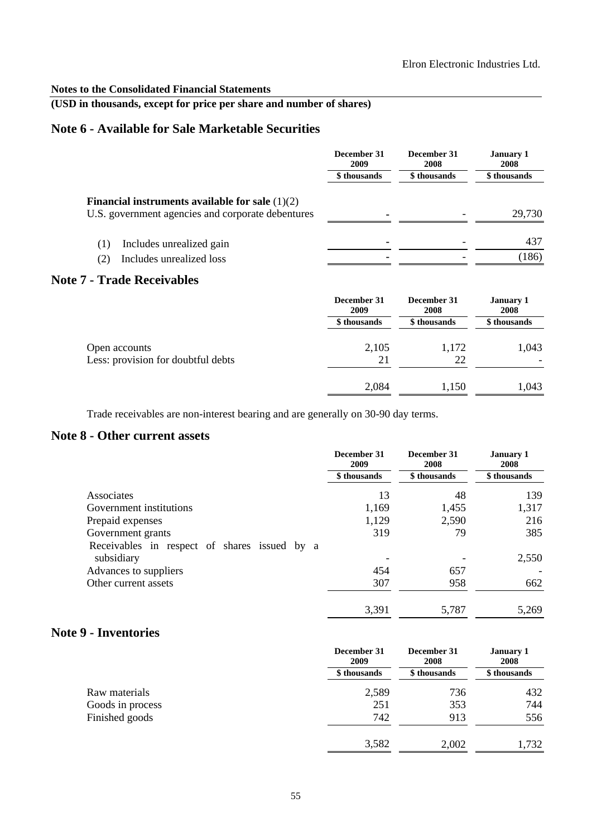# **(USD in thousands, except for price per share and number of shares)**

# **Note 6 - Available for Sale Marketable Securities**

|                                                                                                        | December 31<br>2009 | December 31<br>2008 | January 1<br>2008 |
|--------------------------------------------------------------------------------------------------------|---------------------|---------------------|-------------------|
|                                                                                                        | \$ thousands        | \$ thousands        | \$ thousands      |
| Financial instruments available for sale $(1)(2)$<br>U.S. government agencies and corporate debentures |                     |                     | 29,730            |
| Includes unrealized gain<br>(1)                                                                        | -                   |                     | 437               |
| Includes unrealized loss<br>(2)                                                                        | -                   |                     | (186)             |
| <b>Note 7 - Trade Receivables</b>                                                                      |                     |                     |                   |

|                                    | December 31<br>2009 | December 31<br>2008 | <b>January 1</b><br>2008 |
|------------------------------------|---------------------|---------------------|--------------------------|
|                                    | \$ thousands        | \$ thousands        | \$ thousands             |
| Open accounts                      | 2,105               | 1,172               | 1,043                    |
| Less: provision for doubtful debts | 21                  | 22                  |                          |
|                                    | 2,084               | 1,150               | 1,043                    |

Trade receivables are non-interest bearing and are generally on 30-90 day terms.

# **Note 8 - Other current assets**

|                                                            | December 31<br>2009 | December 31<br>2008 | January 1<br>2008 |
|------------------------------------------------------------|---------------------|---------------------|-------------------|
|                                                            | \$ thousands        | \$ thousands        | \$ thousands      |
| Associates                                                 | 13                  | 48                  | 139               |
| Government institutions                                    | 1,169               | 1,455               | 1,317             |
| Prepaid expenses                                           | 1,129               | 2,590               | 216               |
| Government grants                                          | 319                 | 79                  | 385               |
| Receivables in respect of shares issued by a<br>subsidiary |                     |                     | 2,550             |
| Advances to suppliers                                      | 454                 | 657                 |                   |
| Other current assets                                       | 307                 | 958                 | 662               |
|                                                            | 3,391               | 5,787               | 5,269             |

# **Note 9 - Inventories**

|                  | December 31<br>2009 | December 31<br>2008 | <b>January 1</b><br>2008 |
|------------------|---------------------|---------------------|--------------------------|
|                  | \$ thousands        | \$ thousands        | \$ thousands             |
| Raw materials    | 2,589               | 736                 | 432                      |
| Goods in process | 251                 | 353                 | 744                      |
| Finished goods   | 742                 | 913                 | 556                      |
|                  | 3,582               | 2,002               | 1,732                    |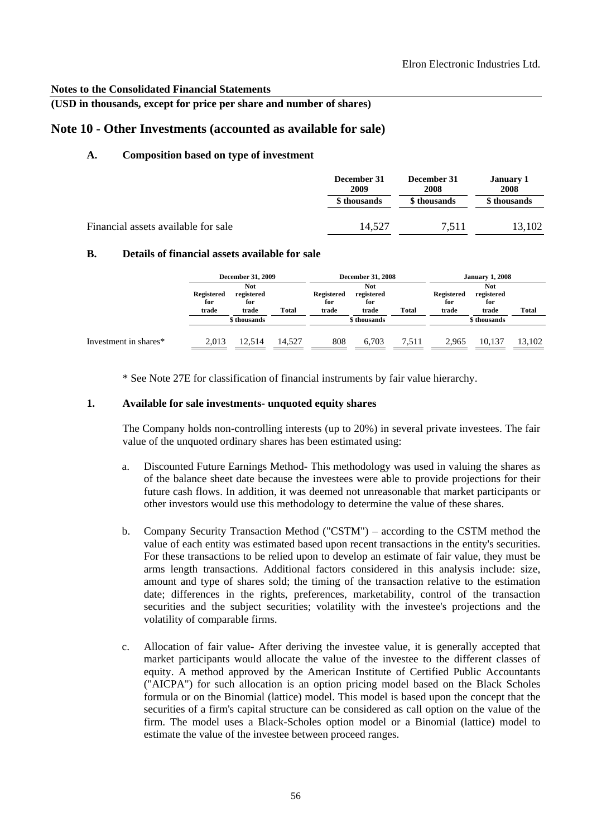# **(USD in thousands, except for price per share and number of shares)**

## **Note 10 - Other Investments (accounted as available for sale)**

#### **A. Composition based on type of investment**

|                                     | December 31<br>2009 | December 31<br>2008 | <b>January 1</b><br>2008 |
|-------------------------------------|---------------------|---------------------|--------------------------|
|                                     | \$ thousands        | \$ thousands        | \$ thousands             |
| Financial assets available for sale | 14.527              | 7,511               | 13.102                   |

#### **B. Details of financial assets available for sale**

|                       |                                   | <b>December 31, 2009</b>          |              |                            | <b>December 31, 2008</b>                 |              |                                   | <b>January 1, 2008</b>                   |              |
|-----------------------|-----------------------------------|-----------------------------------|--------------|----------------------------|------------------------------------------|--------------|-----------------------------------|------------------------------------------|--------------|
|                       | <b>Registered</b><br>for<br>trade | Not<br>registered<br>for<br>trade | <b>Total</b> | Registered<br>for<br>trade | <b>Not</b><br>registered<br>for<br>trade | <b>Total</b> | <b>Registered</b><br>for<br>trade | <b>Not</b><br>registered<br>for<br>trade | <b>Total</b> |
|                       |                                   | \$ thousands                      |              |                            | \$ thousands                             |              |                                   | \$ thousands                             |              |
| Investment in shares* | 2.013                             | 12.514                            | 14.527       | 808                        | 6.703                                    | 7.511        | 2.965                             | 10.137                                   | 13,102       |

\* See Note 27E for classification of financial instruments by fair value hierarchy.

#### **1. Available for sale investments- unquoted equity shares**

The Company holds non-controlling interests (up to 20%) in several private investees. The fair value of the unquoted ordinary shares has been estimated using:

- a. Discounted Future Earnings Method- This methodology was used in valuing the shares as of the balance sheet date because the investees were able to provide projections for their future cash flows. In addition, it was deemed not unreasonable that market participants or other investors would use this methodology to determine the value of these shares.
- b. Company Security Transaction Method ("CSTM") according to the CSTM method the value of each entity was estimated based upon recent transactions in the entity's securities. For these transactions to be relied upon to develop an estimate of fair value, they must be arms length transactions. Additional factors considered in this analysis include: size, amount and type of shares sold; the timing of the transaction relative to the estimation date; differences in the rights, preferences, marketability, control of the transaction securities and the subject securities; volatility with the investee's projections and the volatility of comparable firms.
- c. Allocation of fair value- After deriving the investee value, it is generally accepted that market participants would allocate the value of the investee to the different classes of equity. A method approved by the American Institute of Certified Public Accountants ("AICPA") for such allocation is an option pricing model based on the Black Scholes formula or on the Binomial (lattice) model. This model is based upon the concept that the securities of a firm's capital structure can be considered as call option on the value of the firm. The model uses a Black-Scholes option model or a Binomial (lattice) model to estimate the value of the investee between proceed ranges.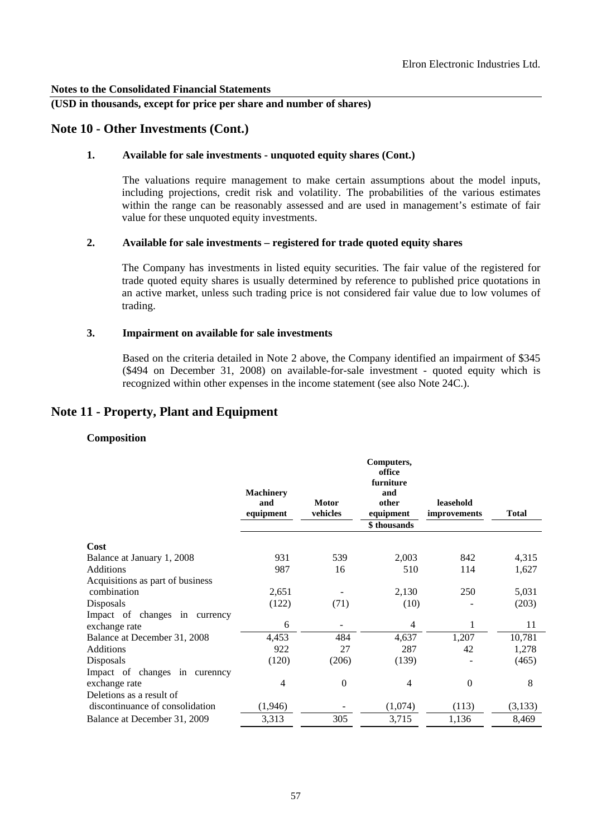**(USD in thousands, except for price per share and number of shares)**

## **Note 10 - Other Investments (Cont.)**

#### **1. Available for sale investments - unquoted equity shares (Cont.)**

 The valuations require management to make certain assumptions about the model inputs, including projections, credit risk and volatility. The probabilities of the various estimates within the range can be reasonably assessed and are used in management's estimate of fair value for these unquoted equity investments.

#### **2. Available for sale investments – registered for trade quoted equity shares**

The Company has investments in listed equity securities. The fair value of the registered for trade quoted equity shares is usually determined by reference to published price quotations in an active market, unless such trading price is not considered fair value due to low volumes of trading.

#### **3. Impairment on available for sale investments**

Based on the criteria detailed in Note 2 above, the Company identified an impairment of \$345 (\$494 on December 31, 2008) on available-for-sale investment - quoted equity which is recognized within other expenses in the income statement (see also Note 24C.).

# **Note 11 - Property, Plant and Equipment**

#### **Composition**

|                                  | <b>Machinery</b><br>and<br>equipment | <b>Motor</b><br>vehicles | Computers,<br>office<br>furniture<br>and<br>other<br>equipment | leasehold<br>improvements | <b>Total</b> |
|----------------------------------|--------------------------------------|--------------------------|----------------------------------------------------------------|---------------------------|--------------|
|                                  |                                      |                          | \$thousands                                                    |                           |              |
| Cost                             |                                      |                          |                                                                |                           |              |
| Balance at January 1, 2008       | 931                                  | 539                      | 2,003                                                          | 842                       | 4,315        |
| <b>Additions</b>                 | 987                                  | 16                       | 510                                                            | 114                       | 1,627        |
| Acquisitions as part of business |                                      |                          |                                                                |                           |              |
| combination                      | 2,651                                |                          | 2,130                                                          | 250                       | 5,031        |
| Disposals                        | (122)                                | (71)                     | (10)                                                           |                           | (203)        |
| Impact of changes in currency    |                                      |                          |                                                                |                           |              |
| exchange rate                    | 6                                    |                          | 4                                                              | 1                         | 11           |
| Balance at December 31, 2008     | 4,453                                | 484                      | 4,637                                                          | 1,207                     | 10,781       |
| Additions                        | 922                                  | 27                       | 287                                                            | 42                        | 1,278        |
| Disposals                        | (120)                                | (206)                    | (139)                                                          |                           | (465)        |
| Impact of changes in curenncy    |                                      |                          |                                                                |                           |              |
| exchange rate                    | 4                                    | $\theta$                 | $\overline{4}$                                                 | $\theta$                  | 8            |
| Deletions as a result of         |                                      |                          |                                                                |                           |              |
| discontinuance of consolidation  | (1,946)                              |                          | (1,074)                                                        | (113)                     | (3, 133)     |
| Balance at December 31, 2009     | 3,313                                | 305                      | 3,715                                                          | 1,136                     | 8,469        |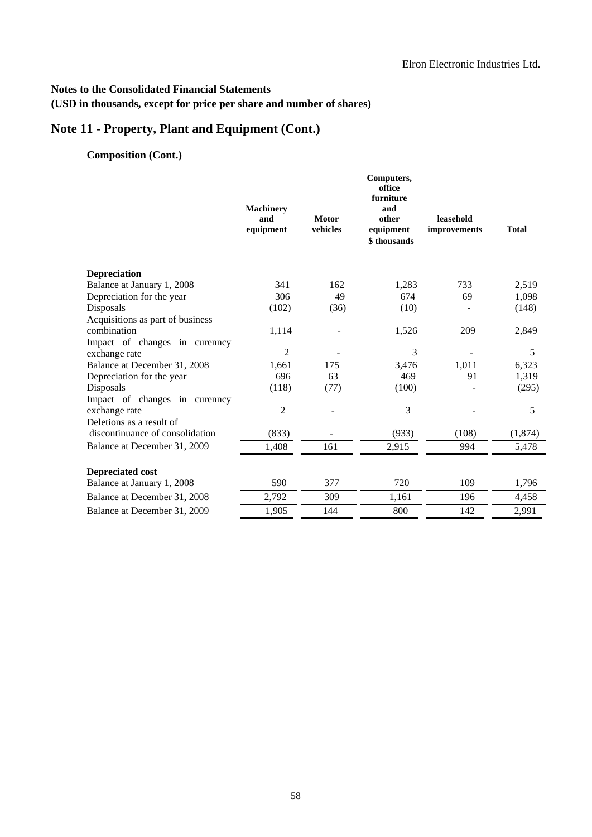**(USD in thousands, except for price per share and number of shares)**

# **Note 11 - Property, Plant and Equipment (Cont.)**

# **Composition (Cont.)**

|                                  | <b>Machinery</b><br>and<br>equipment | Motor<br>vehicles | Computers,<br>office<br>furniture<br>and<br>other<br>equipment | leasehold<br>improvements | <b>Total</b> |
|----------------------------------|--------------------------------------|-------------------|----------------------------------------------------------------|---------------------------|--------------|
|                                  |                                      |                   | \$ thousands                                                   |                           |              |
|                                  |                                      |                   |                                                                |                           |              |
| <b>Depreciation</b>              |                                      |                   |                                                                |                           |              |
| Balance at January 1, 2008       | 341                                  | 162               | 1,283                                                          | 733                       | 2,519        |
| Depreciation for the year        | 306                                  | 49                | 674                                                            | 69                        | 1,098        |
| Disposals                        | (102)                                | (36)              | (10)                                                           |                           | (148)        |
| Acquisitions as part of business |                                      |                   |                                                                |                           |              |
| combination                      | 1,114                                |                   | 1,526                                                          | 209                       | 2,849        |
| Impact of changes in curenncy    |                                      |                   |                                                                |                           |              |
| exchange rate                    | 2                                    |                   | 3                                                              |                           | 5            |
| Balance at December 31, 2008     | 1,661                                | 175               | 3,476                                                          | 1,011                     | 6,323        |
| Depreciation for the year        | 696                                  | 63                | 469                                                            | 91                        | 1,319        |
| Disposals                        | (118)                                | (77)              | (100)                                                          |                           | (295)        |
| Impact of changes in curenncy    |                                      |                   |                                                                |                           |              |
| exchange rate                    | $\overline{2}$                       |                   | 3                                                              |                           | 5            |
| Deletions as a result of         |                                      |                   |                                                                |                           |              |
| discontinuance of consolidation  | (833)                                |                   | (933)                                                          | (108)                     | (1,874)      |
| Balance at December 31, 2009     | 1,408                                | 161               | 2,915                                                          | 994                       | 5,478        |
| <b>Depreciated cost</b>          |                                      |                   |                                                                |                           |              |
| Balance at January 1, 2008       | 590                                  | 377               | 720                                                            | 109                       | 1,796        |
| Balance at December 31, 2008     | 2,792                                | 309               | 1,161                                                          | 196                       | 4,458        |
| Balance at December 31, 2009     | 1,905                                | 144               | 800                                                            | 142                       | 2,991        |
|                                  |                                      |                   |                                                                |                           |              |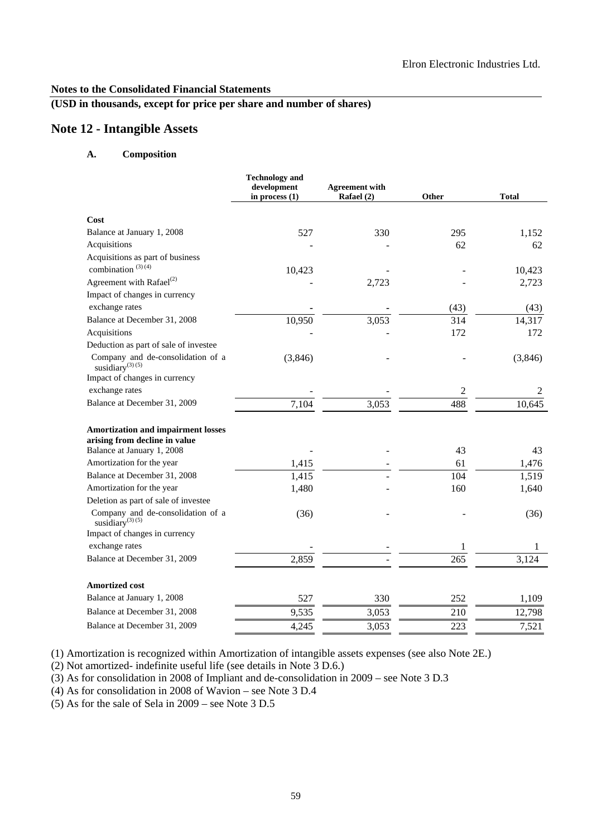**(USD in thousands, except for price per share and number of shares)**

## **Note 12 - Intangible Assets**

#### **A. Composition**

|                                                                                                          | <b>Technology and</b><br>development<br>in process $(1)$ | <b>Agreement with</b><br>Rafael (2) | Other | <b>Total</b> |
|----------------------------------------------------------------------------------------------------------|----------------------------------------------------------|-------------------------------------|-------|--------------|
|                                                                                                          |                                                          |                                     |       |              |
| Cost                                                                                                     |                                                          |                                     |       |              |
| Balance at January 1, 2008                                                                               | 527                                                      | 330                                 | 295   | 1,152        |
| Acquisitions                                                                                             |                                                          |                                     | 62    | 62           |
| Acquisitions as part of business                                                                         |                                                          |                                     |       |              |
| combination $(3)$ (4)                                                                                    | 10,423                                                   |                                     |       | 10,423       |
| Agreement with Rafael <sup>(2)</sup>                                                                     |                                                          | 2,723                               |       | 2,723        |
| Impact of changes in currency                                                                            |                                                          |                                     |       |              |
| exchange rates                                                                                           |                                                          |                                     | (43)  | (43)         |
| Balance at December 31, 2008                                                                             | 10,950                                                   | 3,053                               | 314   | 14,317       |
| Acquisitions                                                                                             |                                                          |                                     | 172   | 172          |
| Deduction as part of sale of investee                                                                    |                                                          |                                     |       |              |
| Company and de-consolidation of a<br>susidiary <sup>(3)(5)</sup>                                         | (3,846)                                                  |                                     |       | (3,846)      |
| Impact of changes in currency                                                                            |                                                          |                                     |       |              |
| exchange rates                                                                                           |                                                          |                                     | 2     |              |
| Balance at December 31, 2009                                                                             | 7,104                                                    | 3,053                               | 488   | 10,645       |
| <b>Amortization and impairment losses</b><br>arising from decline in value<br>Balance at January 1, 2008 |                                                          |                                     | 43    | 43           |
| Amortization for the year                                                                                | 1,415                                                    |                                     | 61    | 1,476        |
| Balance at December 31, 2008                                                                             | 1,415                                                    |                                     | 104   | 1,519        |
| Amortization for the year                                                                                | 1,480                                                    |                                     | 160   | 1,640        |
| Deletion as part of sale of investee                                                                     |                                                          |                                     |       |              |
| Company and de-consolidation of a<br>susidiary <sup>(3)(5)</sup>                                         | (36)                                                     |                                     |       | (36)         |
| Impact of changes in currency                                                                            |                                                          |                                     |       |              |
| exchange rates                                                                                           |                                                          |                                     | 1     | 1            |
| Balance at December 31, 2009                                                                             | 2,859                                                    |                                     | 265   | 3,124        |
| <b>Amortized cost</b>                                                                                    |                                                          |                                     |       |              |
| Balance at January 1, 2008                                                                               | 527                                                      | 330                                 | 252   | 1,109        |
| Balance at December 31, 2008                                                                             | 9,535                                                    | 3,053                               | 210   | 12,798       |
| Balance at December 31, 2009                                                                             | 4,245                                                    | 3,053                               | 223   | 7,521        |

(1) Amortization is recognized within Amortization of intangible assets expenses (see also Note 2E.)

(2) Not amortized- indefinite useful life (see details in Note 3 D.6.)

(3) As for consolidation in 2008 of Impliant and de-consolidation in 2009 – see Note 3 D.3

(4) As for consolidation in 2008 of Wavion – see Note 3 D.4

(5) As for the sale of Sela in 2009 – see Note 3 D.5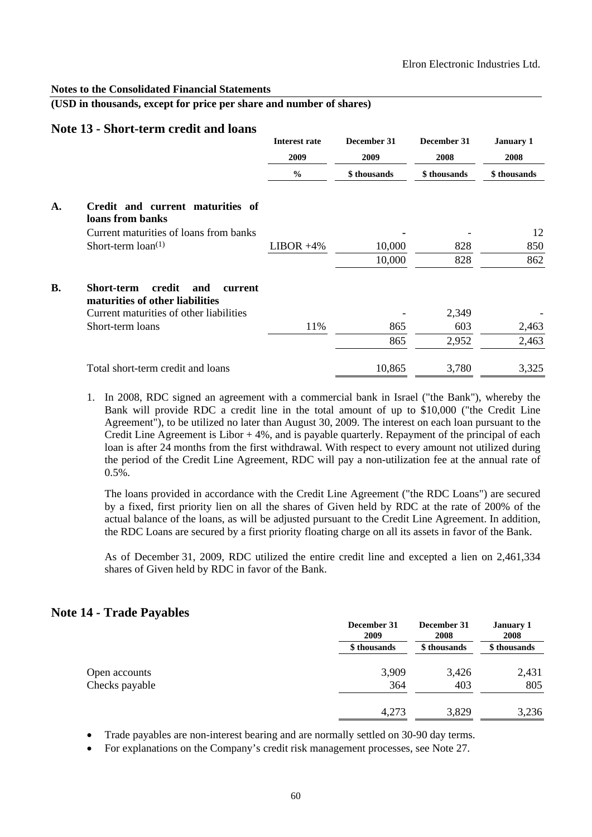**(USD in thousands, except for price per share and number of shares)**

# **Note 13 - Short-term credit and loans**

|    |                                                                                  | <b>Interest rate</b><br>2009 | December 31<br>2009 | December 31<br>2008 | <b>January 1</b><br>2008 |
|----|----------------------------------------------------------------------------------|------------------------------|---------------------|---------------------|--------------------------|
|    |                                                                                  | $\frac{0}{0}$                | \$ thousands        | \$ thousands        | \$thousands              |
| A. | Credit and current maturities of<br>loans from banks                             |                              |                     |                     |                          |
|    | Current maturities of loans from banks                                           |                              |                     |                     | 12                       |
|    | Short-term $\text{loan}^{(1)}$                                                   | $LIBOR +4\%$                 | 10,000              | 828                 | 850                      |
|    |                                                                                  |                              | 10,000              | 828                 | 862                      |
| В. | <b>Short-term</b><br>credit<br>and<br>current<br>maturities of other liabilities |                              |                     |                     |                          |
|    | Current maturities of other liabilities                                          |                              |                     | 2,349               |                          |
|    | Short-term loans                                                                 | 11%                          | 865                 | 603                 | 2,463                    |
|    |                                                                                  |                              | 865                 | 2,952               | 2,463                    |
|    | Total short-term credit and loans                                                |                              | 10,865              | 3,780               | 3,325                    |

1. In 2008, RDC signed an agreement with a commercial bank in Israel ("the Bank"), whereby the Bank will provide RDC a credit line in the total amount of up to \$10,000 ("the Credit Line Agreement"), to be utilized no later than August 30, 2009. The interest on each loan pursuant to the Credit Line Agreement is Libor  $+4\%$ , and is payable quarterly. Repayment of the principal of each loan is after 24 months from the first withdrawal. With respect to every amount not utilized during the period of the Credit Line Agreement, RDC will pay a non-utilization fee at the annual rate of  $0.5\%$ .

 The loans provided in accordance with the Credit Line Agreement ("the RDC Loans") are secured by a fixed, first priority lien on all the shares of Given held by RDC at the rate of 200% of the actual balance of the loans, as will be adjusted pursuant to the Credit Line Agreement. In addition, the RDC Loans are secured by a first priority floating charge on all its assets in favor of the Bank.

 As of December 31, 2009, RDC utilized the entire credit line and excepted a lien on 2,461,334 shares of Given held by RDC in favor of the Bank.

# **Note 14 - Trade Payables**

|                | December 31<br>2009 | December 31<br>2008 | <b>January 1</b><br>2008 |
|----------------|---------------------|---------------------|--------------------------|
|                | \$ thousands        | \$ thousands        | \$ thousands             |
| Open accounts  | 3,909               | 3,426               | 2,431                    |
| Checks payable | 364                 | 403                 | 805                      |
|                | 4,273               | 3,829               | 3,236                    |

Trade payables are non-interest bearing and are normally settled on 30-90 day terms.

• For explanations on the Company's credit risk management processes, see Note 27.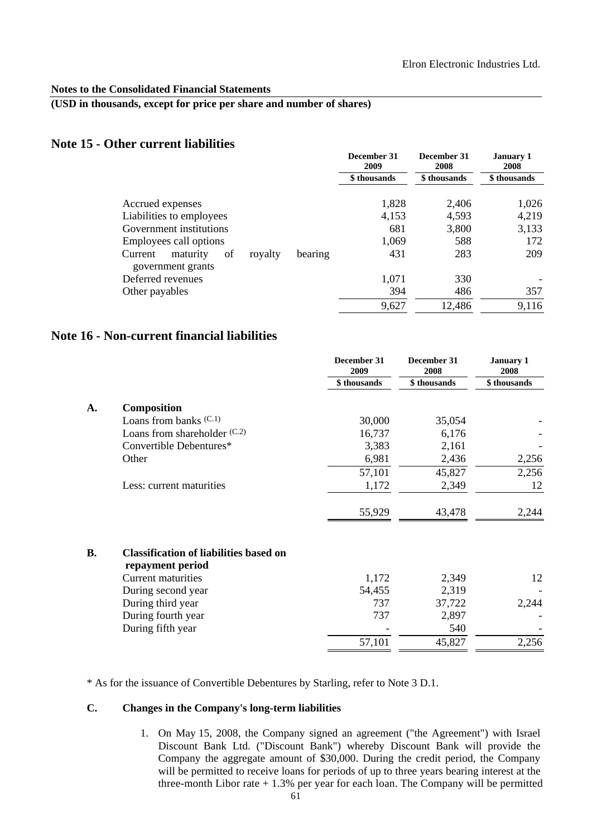**(USD in thousands, except for price per share and number of shares)**

# **Note 15 - Other current liabilities**

|                                                                      | December 31<br>2009 | December 31<br>2008 | <b>January 1</b><br>2008 |
|----------------------------------------------------------------------|---------------------|---------------------|--------------------------|
|                                                                      | \$ thousands        | \$ thousands        | \$ thousands             |
| Accrued expenses                                                     | 1,828               | 2,406               | 1,026                    |
| Liabilities to employees                                             | 4,153               | 4,593               | 4,219                    |
| Government institutions                                              | 681                 | 3,800               | 3,133                    |
| Employees call options                                               | 1,069               | 588                 | 172                      |
| bearing<br>maturity<br>Current<br>royalty<br>οf<br>government grants | 431                 | 283                 | 209                      |
| Deferred revenues                                                    | 1,071               | 330                 |                          |
| Other payables                                                       | 394                 | 486                 | 357                      |
|                                                                      | 9,627               | 12,486              | 9,116                    |

# **Note 16 - Non-current financial liabilities**

|           |                                                                   | December 31<br>2009 | December 31<br>2008 | January 1<br>2008 |
|-----------|-------------------------------------------------------------------|---------------------|---------------------|-------------------|
|           |                                                                   | \$thousands         | \$ thousands        | \$thousands       |
| A.        | Composition                                                       |                     |                     |                   |
|           | Loans from banks (C.1)                                            | 30,000              | 35,054              |                   |
|           | Loans from shareholder $(C.2)$                                    | 16,737              | 6,176               |                   |
|           | Convertible Debentures*                                           | 3,383               | 2,161               |                   |
|           | Other                                                             | 6,981               | 2,436               | 2,256             |
|           |                                                                   | 57,101              | 45,827              | 2,256             |
|           | Less: current maturities                                          | 1,172               | 2,349               | 12                |
|           |                                                                   | 55,929              | 43,478              | 2,244             |
| <b>B.</b> | <b>Classification of liabilities based on</b><br>repayment period |                     |                     |                   |
|           | Current maturities                                                | 1,172               | 2,349               | 12                |
|           | During second year                                                | 54,455              | 2,319               |                   |
|           | During third year                                                 | 737                 | 37,722              | 2,244             |
|           | During fourth year                                                | 737                 | 2,897               |                   |
|           | During fifth year                                                 |                     | 540                 |                   |
|           |                                                                   | 57,101              | 45,827              | 2,256             |

\* As for the issuance of Convertible Debentures by Starling, refer to Note 3 D.1.

#### **C. Changes in the Company's long-term liabilities**

1. On May 15, 2008, the Company signed an agreement ("the Agreement") with Israel Discount Bank Ltd. ("Discount Bank") whereby Discount Bank will provide the Company the aggregate amount of \$30,000. During the credit period, the Company will be permitted to receive loans for periods of up to three years bearing interest at the three-month Libor rate  $+1.3\%$  per year for each loan. The Company will be permitted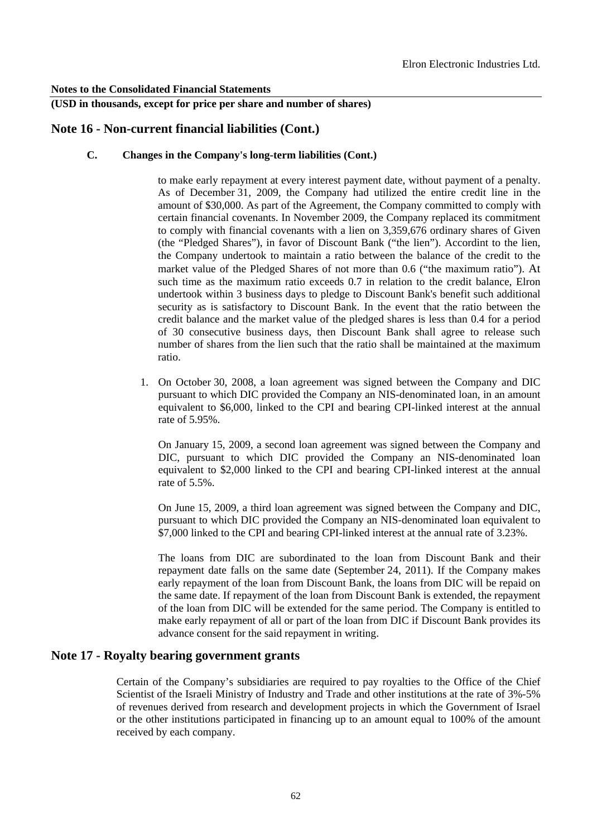**(USD in thousands, except for price per share and number of shares)**

# **Note 16 - Non-current financial liabilities (Cont.)**

#### **C. Changes in the Company's long-term liabilities (Cont.)**

to make early repayment at every interest payment date, without payment of a penalty. As of December 31, 2009, the Company had utilized the entire credit line in the amount of \$30,000. As part of the Agreement, the Company committed to comply with certain financial covenants. In November 2009, the Company replaced its commitment to comply with financial covenants with a lien on 3,359,676 ordinary shares of Given (the "Pledged Shares"), in favor of Discount Bank ("the lien"). Accordint to the lien, the Company undertook to maintain a ratio between the balance of the credit to the market value of the Pledged Shares of not more than 0.6 ("the maximum ratio"). At such time as the maximum ratio exceeds 0.7 in relation to the credit balance, Elron undertook within 3 business days to pledge to Discount Bank's benefit such additional security as is satisfactory to Discount Bank. In the event that the ratio between the credit balance and the market value of the pledged shares is less than 0.4 for a period of 30 consecutive business days, then Discount Bank shall agree to release such number of shares from the lien such that the ratio shall be maintained at the maximum ratio.

1. On October 30, 2008, a loan agreement was signed between the Company and DIC pursuant to which DIC provided the Company an NIS-denominated loan, in an amount equivalent to \$6,000, linked to the CPI and bearing CPI-linked interest at the annual rate of 5.95%.

 On January 15, 2009, a second loan agreement was signed between the Company and DIC, pursuant to which DIC provided the Company an NIS-denominated loan equivalent to \$2,000 linked to the CPI and bearing CPI-linked interest at the annual rate of 5.5%.

 On June 15, 2009, a third loan agreement was signed between the Company and DIC, pursuant to which DIC provided the Company an NIS-denominated loan equivalent to \$7,000 linked to the CPI and bearing CPI-linked interest at the annual rate of 3.23%.

 The loans from DIC are subordinated to the loan from Discount Bank and their repayment date falls on the same date (September 24, 2011). If the Company makes early repayment of the loan from Discount Bank, the loans from DIC will be repaid on the same date. If repayment of the loan from Discount Bank is extended, the repayment of the loan from DIC will be extended for the same period. The Company is entitled to make early repayment of all or part of the loan from DIC if Discount Bank provides its advance consent for the said repayment in writing.

# **Note 17 - Royalty bearing government grants**

Certain of the Company's subsidiaries are required to pay royalties to the Office of the Chief Scientist of the Israeli Ministry of Industry and Trade and other institutions at the rate of 3%-5% of revenues derived from research and development projects in which the Government of Israel or the other institutions participated in financing up to an amount equal to 100% of the amount received by each company.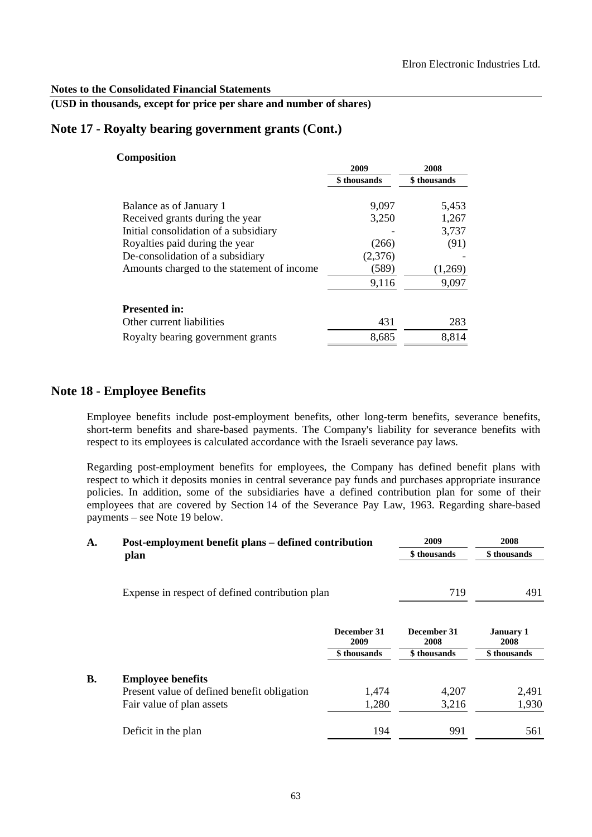**(USD in thousands, except for price per share and number of shares)**

# **Note 17 - Royalty bearing government grants (Cont.)**

#### **Composition**

|              | 2008                                               |  |
|--------------|----------------------------------------------------|--|
| \$ thousands | \$ thousands                                       |  |
| 9,097        | 5,453                                              |  |
| 3,250        | 1,267                                              |  |
|              | 3,737                                              |  |
| (266)        | (91)                                               |  |
| (2,376)      |                                                    |  |
| (589)        | (1,269)                                            |  |
| 9,116        | 9,097                                              |  |
|              |                                                    |  |
| 431          | 283                                                |  |
| 8,685        | 8,814                                              |  |
|              | 2009<br>Amounts charged to the statement of income |  |

# **Note 18 - Employee Benefits**

Employee benefits include post-employment benefits, other long-term benefits, severance benefits, short-term benefits and share-based payments. The Company's liability for severance benefits with respect to its employees is calculated accordance with the Israeli severance pay laws.

Regarding post-employment benefits for employees, the Company has defined benefit plans with respect to which it deposits monies in central severance pay funds and purchases appropriate insurance policies. In addition, some of the subsidiaries have a defined contribution plan for some of their employees that are covered by Section 14 of the Severance Pay Law, 1963. Regarding share-based payments – see Note 19 below.

| A.        | Post-employment benefit plans – defined contribution<br>plan                                         |                                    | 2009<br>\$ thousands                | 2008<br>\$ thousands                     |
|-----------|------------------------------------------------------------------------------------------------------|------------------------------------|-------------------------------------|------------------------------------------|
|           | Expense in respect of defined contribution plan                                                      |                                    | 719                                 | 491                                      |
|           |                                                                                                      | December 31<br>2009<br>\$thousands | December 31<br>2008<br>\$ thousands | <b>January 1</b><br>2008<br>\$ thousands |
| <b>B.</b> | <b>Employee benefits</b><br>Present value of defined benefit obligation<br>Fair value of plan assets | 1,474<br>1,280                     | 4,207<br>3,216                      | 2,491<br>1,930                           |
|           | Deficit in the plan                                                                                  | 194                                | 991                                 | 561                                      |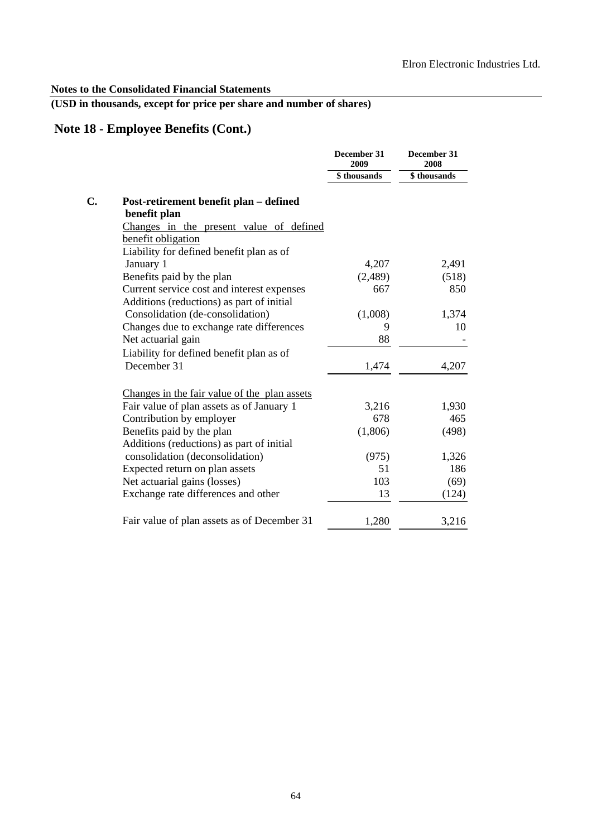**(USD in thousands, except for price per share and number of shares)**

# **Note 18 - Employee Benefits (Cont.)**

|                                                        | December 31<br>2009<br>\$thousands | December 31<br>2008<br>\$thousands |
|--------------------------------------------------------|------------------------------------|------------------------------------|
| C.                                                     |                                    |                                    |
| Post-retirement benefit plan - defined<br>benefit plan |                                    |                                    |
| Changes in the present value of defined                |                                    |                                    |
| benefit obligation                                     |                                    |                                    |
| Liability for defined benefit plan as of               |                                    |                                    |
| January 1                                              | 4,207                              | 2,491                              |
| Benefits paid by the plan                              | (2,489)                            | (518)                              |
| Current service cost and interest expenses             | 667                                | 850                                |
| Additions (reductions) as part of initial              |                                    |                                    |
| Consolidation (de-consolidation)                       |                                    | 1,374                              |
|                                                        | (1,008)<br>9                       | 10                                 |
| Changes due to exchange rate differences               | 88                                 |                                    |
| Net actuarial gain                                     |                                    |                                    |
| Liability for defined benefit plan as of               |                                    |                                    |
| December 31                                            | 1,474                              | 4,207                              |
| Changes in the fair value of the plan assets           |                                    |                                    |
| Fair value of plan assets as of January 1              | 3,216                              | 1,930                              |
| Contribution by employer                               | 678                                | 465                                |
| Benefits paid by the plan                              | (1,806)                            | (498)                              |
| Additions (reductions) as part of initial              |                                    |                                    |
| consolidation (deconsolidation)                        | (975)                              | 1,326                              |
| Expected return on plan assets                         | 51                                 | 186                                |
| Net actuarial gains (losses)                           | 103                                | (69)                               |
| Exchange rate differences and other                    | 13                                 | (124)                              |
| Fair value of plan assets as of December 31            | 1,280                              | 3,216                              |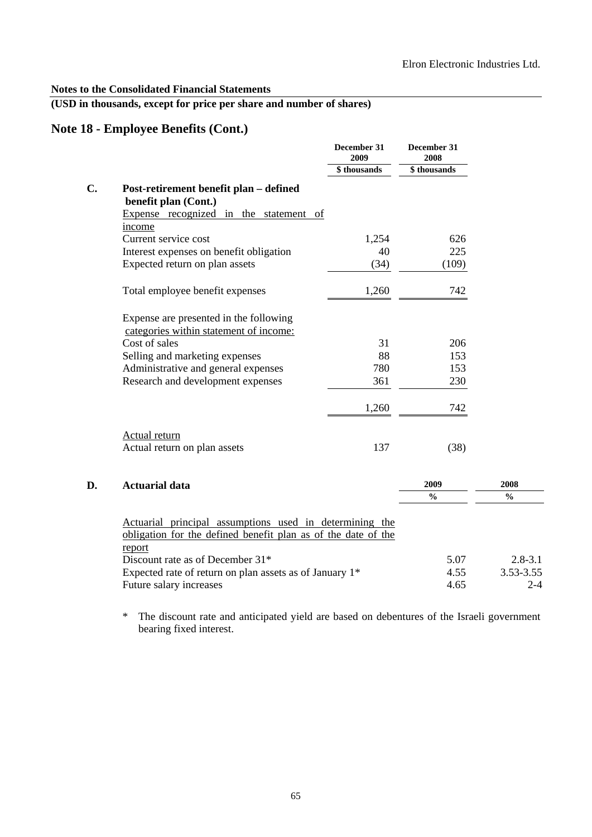**(USD in thousands, except for price per share and number of shares)**

# **Note 18 - Employee Benefits (Cont.)**

|    |                                                                                                                                    | December 31<br>2009 | December 31<br>2008 |               |
|----|------------------------------------------------------------------------------------------------------------------------------------|---------------------|---------------------|---------------|
|    |                                                                                                                                    | \$ thousands        | \$ thousands        |               |
| C. | Post-retirement benefit plan - defined<br>benefit plan (Cont.)                                                                     |                     |                     |               |
|    | Expense recognized in the statement of<br>income                                                                                   |                     |                     |               |
|    | Current service cost                                                                                                               | 1,254               | 626                 |               |
|    | Interest expenses on benefit obligation                                                                                            | 40                  | 225                 |               |
|    | Expected return on plan assets                                                                                                     | (34)                | (109)               |               |
|    | Total employee benefit expenses                                                                                                    | 1,260               | 742                 |               |
|    | Expense are presented in the following<br>categories within statement of income:                                                   |                     |                     |               |
|    | Cost of sales                                                                                                                      | 31                  | 206                 |               |
|    | Selling and marketing expenses                                                                                                     | 88                  | 153                 |               |
|    | Administrative and general expenses                                                                                                | 780                 | 153                 |               |
|    | Research and development expenses                                                                                                  | 361                 | 230                 |               |
|    |                                                                                                                                    | 1,260               | 742                 |               |
|    | Actual return<br>Actual return on plan assets                                                                                      | 137                 | (38)                |               |
| D. | <b>Actuarial data</b>                                                                                                              |                     | 2009                | 2008          |
|    |                                                                                                                                    |                     | $\frac{0}{0}$       | $\frac{0}{0}$ |
|    | Actuarial principal assumptions used in determining the<br>obligation for the defined benefit plan as of the date of the<br>report |                     |                     |               |
|    | Discount rate as of December 31*                                                                                                   |                     | 5.07                | $2.8 - 3.1$   |
|    | Expected rate of return on plan assets as of January 1*                                                                            |                     | 4.55                | 3.53-3.55     |
|    | Future salary increases                                                                                                            |                     | 4.65                | $2 - 4$       |

\* The discount rate and anticipated yield are based on debentures of the Israeli government bearing fixed interest.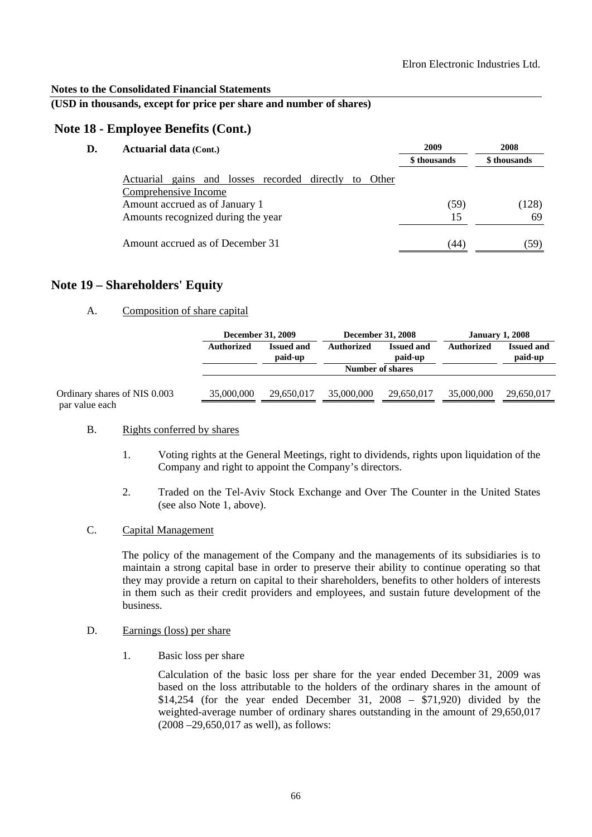**(USD in thousands, except for price per share and number of shares)**

# **Note 18 - Employee Benefits (Cont.)**

| D. | <b>Actuarial data (Cont.)</b>                                                       | 2009         | 2008         |
|----|-------------------------------------------------------------------------------------|--------------|--------------|
|    |                                                                                     | \$ thousands | \$ thousands |
|    | Actuarial gains and losses recorded directly<br>Other<br>to<br>Comprehensive Income |              |              |
|    | Amount accrued as of January 1<br>Amounts recognized during the year                | (59)<br>15   | (128)<br>69  |
|    | Amount accrued as of December 31                                                    | (44)         | (59)         |

# **Note 19 – Shareholders' Equity**

## A. Composition of share capital

|                                                | <b>December 31, 2009</b> |                              | <b>December 31, 2008</b> |                              | <b>January 1, 2008</b> |                              |
|------------------------------------------------|--------------------------|------------------------------|--------------------------|------------------------------|------------------------|------------------------------|
|                                                | Authorized               | <b>Issued and</b><br>paid-up | <b>Authorized</b>        | <b>Issued and</b><br>paid-up | <b>Authorized</b>      | <b>Issued and</b><br>paid-up |
|                                                |                          |                              | <b>Number of shares</b>  |                              |                        |                              |
| Ordinary shares of NIS 0.003<br>par value each | 35,000,000               | 29.650.017                   | 35,000,000               | 29,650,017                   | 35,000,000             | 29,650,017                   |

#### B. Rights conferred by shares

- 1. Voting rights at the General Meetings, right to dividends, rights upon liquidation of the Company and right to appoint the Company's directors.
- 2. Traded on the Tel-Aviv Stock Exchange and Over The Counter in the United States (see also Note 1, above).

# C. Capital Management

The policy of the management of the Company and the managements of its subsidiaries is to maintain a strong capital base in order to preserve their ability to continue operating so that they may provide a return on capital to their shareholders, benefits to other holders of interests in them such as their credit providers and employees, and sustain future development of the business.

- D. Earnings (loss) per share
	- 1. Basic loss per share

 Calculation of the basic loss per share for the year ended December 31, 2009 was based on the loss attributable to the holders of the ordinary shares in the amount of \$14,254 (for the year ended December 31, 2008 – \$71,920) divided by the weighted-average number of ordinary shares outstanding in the amount of 29,650,017 (2008 –29,650,017 as well), as follows: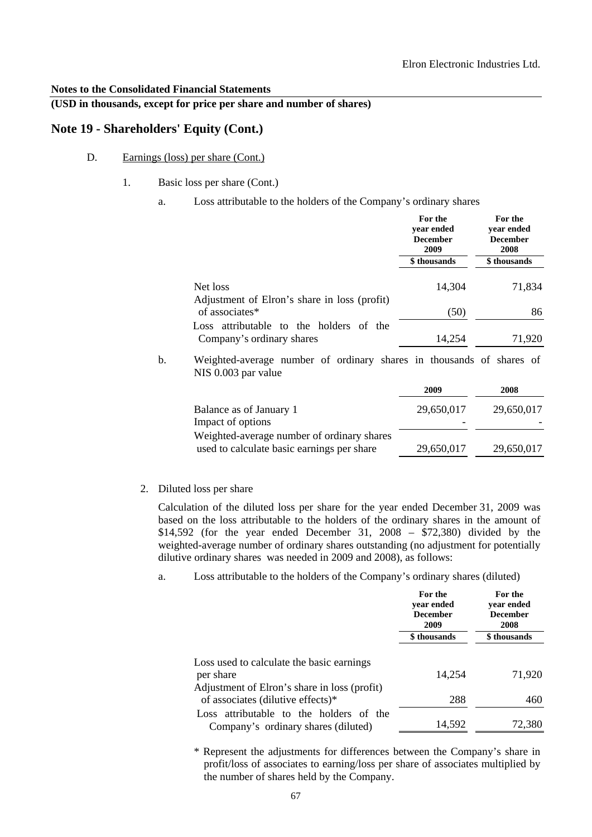**(USD in thousands, except for price per share and number of shares)**

# **Note 19 - Shareholders' Equity (Cont.)**

#### D. Earnings (loss) per share (Cont.)

- 1. Basic loss per share (Cont.)
	- a. Loss attributable to the holders of the Company's ordinary shares

|                                                                      | For the<br>year ended<br><b>December</b><br>2009 | For the<br>year ended<br><b>December</b><br>2008 |
|----------------------------------------------------------------------|--------------------------------------------------|--------------------------------------------------|
|                                                                      | \$thousands                                      | \$ thousands                                     |
| Net loss<br>Adjustment of Elron's share in loss (profit)             | 14,304                                           | 71,834                                           |
| of associates*                                                       | (50)                                             | 86                                               |
| Loss attributable to the holders of the<br>Company's ordinary shares | 14,254                                           | 71,920                                           |

b. Weighted-average number of ordinary shares in thousands of shares of NIS 0.003 par value

|                                            | 2009       | 2008       |
|--------------------------------------------|------------|------------|
| Balance as of January 1                    | 29,650,017 | 29,650,017 |
| Impact of options                          |            |            |
| Weighted-average number of ordinary shares |            |            |
| used to calculate basic earnings per share | 29,650,017 | 29,650,017 |

2. Diluted loss per share

 Calculation of the diluted loss per share for the year ended December 31, 2009 was based on the loss attributable to the holders of the ordinary shares in the amount of \$14,592 (for the year ended December 31, 2008 –  $$72,380$ ) divided by the weighted-average number of ordinary shares outstanding (no adjustment for potentially dilutive ordinary shares was needed in 2009 and 2008), as follows:

#### a. Loss attributable to the holders of the Company's ordinary shares (diluted)

|                                                                              | For the<br>vear ended<br><b>December</b><br>2009 | For the<br>vear ended<br><b>December</b><br>2008 |
|------------------------------------------------------------------------------|--------------------------------------------------|--------------------------------------------------|
|                                                                              | \$thousands                                      | \$ thousands                                     |
| Loss used to calculate the basic earnings<br>per share                       | 14.254                                           | 71,920                                           |
| Adjustment of Elron's share in loss (profit)                                 |                                                  |                                                  |
| of associates (dilutive effects)*<br>Loss attributable to the holders of the | 288                                              | 460                                              |
| Company's ordinary shares (diluted)                                          | 14,592                                           | 72,380                                           |

\* Represent the adjustments for differences between the Company's share in profit/loss of associates to earning/loss per share of associates multiplied by the number of shares held by the Company.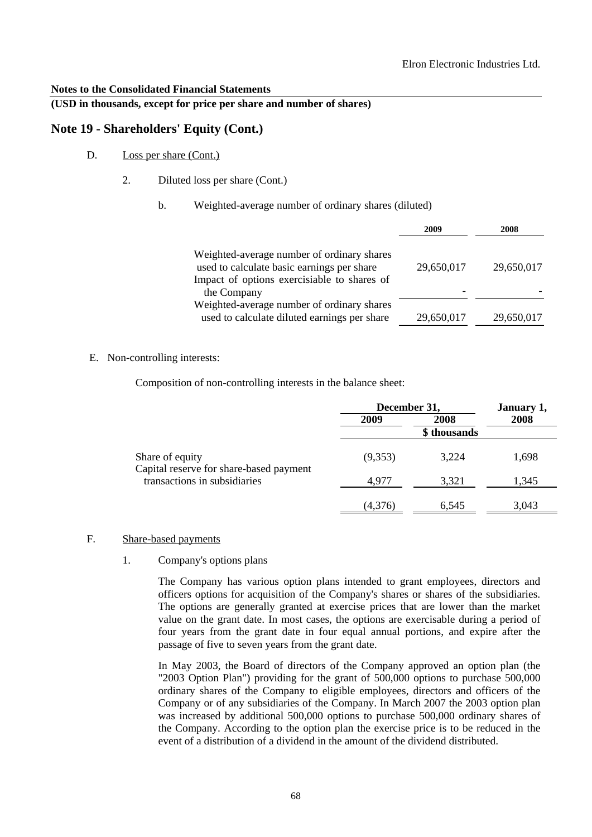**(USD in thousands, except for price per share and number of shares)**

# **Note 19 - Shareholders' Equity (Cont.)**

- D. Loss per share (Cont.)
	- 2. Diluted loss per share (Cont.)

#### b. Weighted-average number of ordinary shares (diluted)

|                                                                                                                                                        | 2009       | 2008       |
|--------------------------------------------------------------------------------------------------------------------------------------------------------|------------|------------|
| Weighted-average number of ordinary shares<br>used to calculate basic earnings per share<br>Impact of options exercisiable to shares of<br>the Company | 29,650,017 | 29,650,017 |
| Weighted-average number of ordinary shares                                                                                                             |            |            |
| used to calculate diluted earnings per share                                                                                                           | 29,650,017 | 29,650,017 |

#### E. Non-controlling interests:

Composition of non-controlling interests in the balance sheet:

|                                                            |         | December 31, |       |  |
|------------------------------------------------------------|---------|--------------|-------|--|
|                                                            | 2009    | 2008         |       |  |
|                                                            |         | \$thousands  |       |  |
| Share of equity<br>Capital reserve for share-based payment | (9,353) | 3,224        | 1,698 |  |
| transactions in subsidiaries                               | 4.977   | 3,321        | 1,345 |  |
|                                                            | (4,376) | 6.545        | 3,043 |  |

#### F. Share-based payments

#### 1. Company's options plans

 The Company has various option plans intended to grant employees, directors and officers options for acquisition of the Company's shares or shares of the subsidiaries. The options are generally granted at exercise prices that are lower than the market value on the grant date. In most cases, the options are exercisable during a period of four years from the grant date in four equal annual portions, and expire after the passage of five to seven years from the grant date.

 In May 2003, the Board of directors of the Company approved an option plan (the "2003 Option Plan") providing for the grant of 500,000 options to purchase 500,000 ordinary shares of the Company to eligible employees, directors and officers of the Company or of any subsidiaries of the Company. In March 2007 the 2003 option plan was increased by additional 500,000 options to purchase 500,000 ordinary shares of the Company. According to the option plan the exercise price is to be reduced in the event of a distribution of a dividend in the amount of the dividend distributed.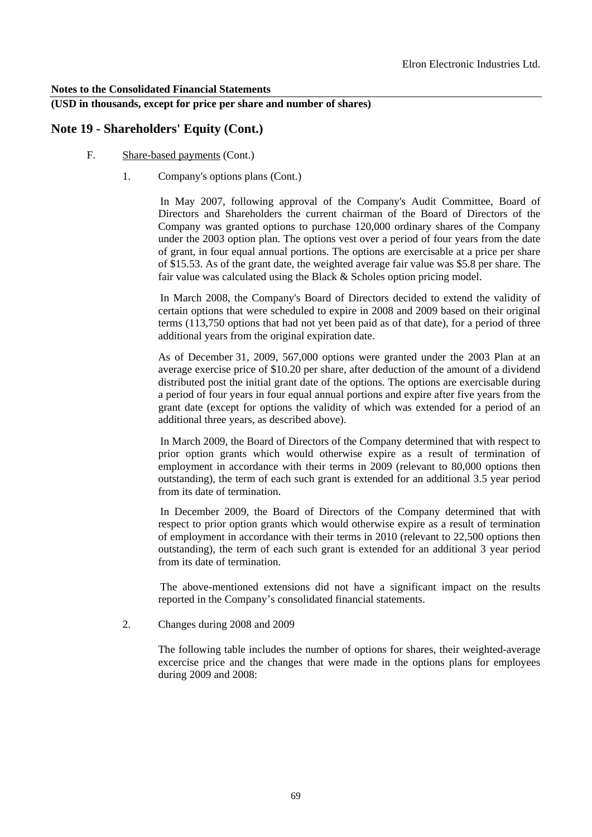**(USD in thousands, except for price per share and number of shares)**

# **Note 19 - Shareholders' Equity (Cont.)**

- F. Share-based payments (Cont.)
	- 1. Company's options plans (Cont.)

In May 2007, following approval of the Company's Audit Committee, Board of Directors and Shareholders the current chairman of the Board of Directors of the Company was granted options to purchase 120,000 ordinary shares of the Company under the 2003 option plan. The options vest over a period of four years from the date of grant, in four equal annual portions. The options are exercisable at a price per share of \$15.53. As of the grant date, the weighted average fair value was \$5.8 per share. The fair value was calculated using the Black & Scholes option pricing model.

In March 2008, the Company's Board of Directors decided to extend the validity of certain options that were scheduled to expire in 2008 and 2009 based on their original terms (113,750 options that had not yet been paid as of that date), for a period of three additional years from the original expiration date.

 As of December 31, 2009, 567,000 options were granted under the 2003 Plan at an average exercise price of \$10.20 per share, after deduction of the amount of a dividend distributed post the initial grant date of the options. The options are exercisable during a period of four years in four equal annual portions and expire after five years from the grant date (except for options the validity of which was extended for a period of an additional three years, as described above).

In March 2009, the Board of Directors of the Company determined that with respect to prior option grants which would otherwise expire as a result of termination of employment in accordance with their terms in 2009 (relevant to 80,000 options then outstanding), the term of each such grant is extended for an additional 3.5 year period from its date of termination.

In December 2009, the Board of Directors of the Company determined that with respect to prior option grants which would otherwise expire as a result of termination of employment in accordance with their terms in 2010 (relevant to 22,500 options then outstanding), the term of each such grant is extended for an additional 3 year period from its date of termination.

The above-mentioned extensions did not have a significant impact on the results reported in the Company's consolidated financial statements.

2. Changes during 2008 and 2009

 The following table includes the number of options for shares, their weighted-average excercise price and the changes that were made in the options plans for employees during 2009 and 2008: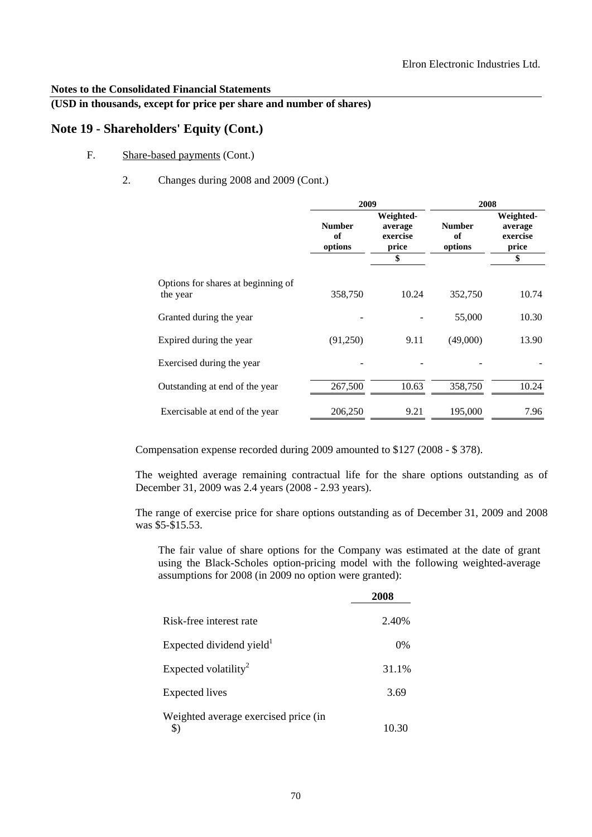**(USD in thousands, except for price per share and number of shares)**

# **Note 19 - Shareholders' Equity (Cont.)**

F. Share-based payments (Cont.)

#### 2. Changes during 2008 and 2009 (Cont.)

|                                                | 2009                           |                                                 | 2008                           |                                                 |
|------------------------------------------------|--------------------------------|-------------------------------------------------|--------------------------------|-------------------------------------------------|
|                                                | <b>Number</b><br>of<br>options | Weighted-<br>average<br>exercise<br>price<br>\$ | <b>Number</b><br>of<br>options | Weighted-<br>average<br>exercise<br>price<br>\$ |
| Options for shares at beginning of<br>the year | 358,750                        | 10.24                                           | 352,750                        | 10.74                                           |
| Granted during the year                        |                                |                                                 | 55,000                         | 10.30                                           |
| Expired during the year                        | (91,250)                       | 9.11                                            | (49,000)                       | 13.90                                           |
| Exercised during the year                      |                                |                                                 |                                |                                                 |
| Outstanding at end of the year                 | 267,500                        | 10.63                                           | 358,750                        | 10.24                                           |
| Exercisable at end of the year                 | 206,250                        | 9.21                                            | 195,000                        | 7.96                                            |

Compensation expense recorded during 2009 amounted to \$127 (2008 - \$ 378).

The weighted average remaining contractual life for the share options outstanding as of December 31, 2009 was 2.4 years (2008 - 2.93 years).

The range of exercise price for share options outstanding as of December 31, 2009 and 2008 was \$5-\$15.53.

 The fair value of share options for the Company was estimated at the date of grant using the Black-Scholes option-pricing model with the following weighted-average assumptions for 2008 (in 2009 no option were granted):

|                                                       | 2008  |
|-------------------------------------------------------|-------|
| Risk-free interest rate                               | 2.40% |
| Expected dividend yield <sup>1</sup>                  | 0%    |
| Expected volatility <sup>2</sup>                      | 31.1% |
| <b>Expected lives</b>                                 | 3.69  |
| Weighted average exercised price (in<br>$\mathcal{S}$ | 10.30 |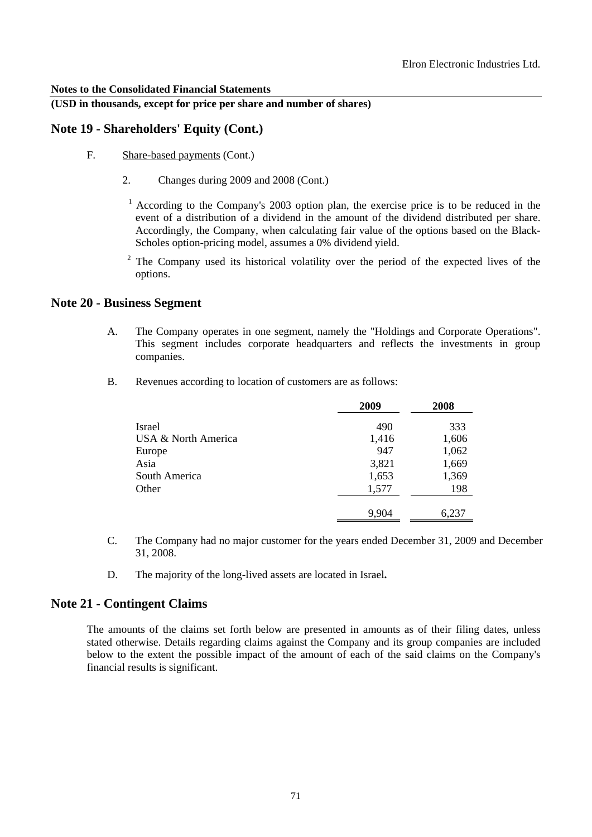**(USD in thousands, except for price per share and number of shares)**

# **Note 19 - Shareholders' Equity (Cont.)**

- F. Share-based payments (Cont.)
	- 2. Changes during 2009 and 2008 (Cont.)

<sup>1</sup> According to the Company's 2003 option plan, the exercise price is to be reduced in the event of a distribution of a dividend in the amount of the dividend distributed per share. Accordingly, the Company, when calculating fair value of the options based on the Black-Scholes option-pricing model, assumes a 0% dividend yield.

 $2$  The Company used its historical volatility over the period of the expected lives of the options.

# **Note 20 - Business Segment**

A. The Company operates in one segment, namely the "Holdings and Corporate Operations". This segment includes corporate headquarters and reflects the investments in group companies.

|                     | 2009  | 2008  |
|---------------------|-------|-------|
| <b>Israel</b>       | 490   | 333   |
| USA & North America | 1,416 | 1,606 |
| Europe              | 947   | 1,062 |
| Asia                | 3,821 | 1,669 |
| South America       | 1,653 | 1,369 |
| Other               | 1,577 | 198   |
|                     | 9,904 | 6,237 |

B. Revenues according to location of customers are as follows:

- C. The Company had no major customer for the years ended December 31, 2009 and December 31, 2008.
- D. The majority of the long-lived assets are located in Israel**.**

# **Note 21 - Contingent Claims**

The amounts of the claims set forth below are presented in amounts as of their filing dates, unless stated otherwise. Details regarding claims against the Company and its group companies are included below to the extent the possible impact of the amount of each of the said claims on the Company's financial results is significant.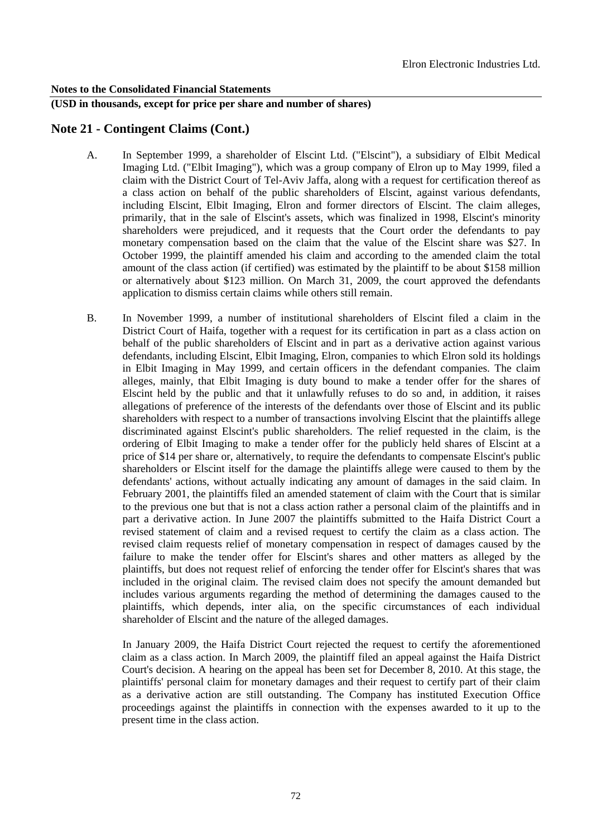**(USD in thousands, except for price per share and number of shares)**

## **Note 21 - Contingent Claims (Cont.)**

- A. In September 1999, a shareholder of Elscint Ltd. ("Elscint"), a subsidiary of Elbit Medical Imaging Ltd. ("Elbit Imaging"), which was a group company of Elron up to May 1999, filed a claim with the District Court of Tel-Aviv Jaffa, along with a request for certification thereof as a class action on behalf of the public shareholders of Elscint, against various defendants, including Elscint, Elbit Imaging, Elron and former directors of Elscint. The claim alleges, primarily, that in the sale of Elscint's assets, which was finalized in 1998, Elscint's minority shareholders were prejudiced, and it requests that the Court order the defendants to pay monetary compensation based on the claim that the value of the Elscint share was \$27. In October 1999, the plaintiff amended his claim and according to the amended claim the total amount of the class action (if certified) was estimated by the plaintiff to be about \$158 million or alternatively about \$123 million. On March 31, 2009, the court approved the defendants application to dismiss certain claims while others still remain.
- B. In November 1999, a number of institutional shareholders of Elscint filed a claim in the District Court of Haifa, together with a request for its certification in part as a class action on behalf of the public shareholders of Elscint and in part as a derivative action against various defendants, including Elscint, Elbit Imaging, Elron, companies to which Elron sold its holdings in Elbit Imaging in May 1999, and certain officers in the defendant companies. The claim alleges, mainly, that Elbit Imaging is duty bound to make a tender offer for the shares of Elscint held by the public and that it unlawfully refuses to do so and, in addition, it raises allegations of preference of the interests of the defendants over those of Elscint and its public shareholders with respect to a number of transactions involving Elscint that the plaintiffs allege discriminated against Elscint's public shareholders. The relief requested in the claim, is the ordering of Elbit Imaging to make a tender offer for the publicly held shares of Elscint at a price of \$14 per share or, alternatively, to require the defendants to compensate Elscint's public shareholders or Elscint itself for the damage the plaintiffs allege were caused to them by the defendants' actions, without actually indicating any amount of damages in the said claim. In February 2001, the plaintiffs filed an amended statement of claim with the Court that is similar to the previous one but that is not a class action rather a personal claim of the plaintiffs and in part a derivative action. In June 2007 the plaintiffs submitted to the Haifa District Court a revised statement of claim and a revised request to certify the claim as a class action. The revised claim requests relief of monetary compensation in respect of damages caused by the failure to make the tender offer for Elscint's shares and other matters as alleged by the plaintiffs, but does not request relief of enforcing the tender offer for Elscint's shares that was included in the original claim. The revised claim does not specify the amount demanded but includes various arguments regarding the method of determining the damages caused to the plaintiffs, which depends, inter alia, on the specific circumstances of each individual shareholder of Elscint and the nature of the alleged damages.

In January 2009, the Haifa District Court rejected the request to certify the aforementioned claim as a class action. In March 2009, the plaintiff filed an appeal against the Haifa District Court's decision. A hearing on the appeal has been set for December 8, 2010. At this stage, the plaintiffs' personal claim for monetary damages and their request to certify part of their claim as a derivative action are still outstanding. The Company has instituted Execution Office proceedings against the plaintiffs in connection with the expenses awarded to it up to the present time in the class action.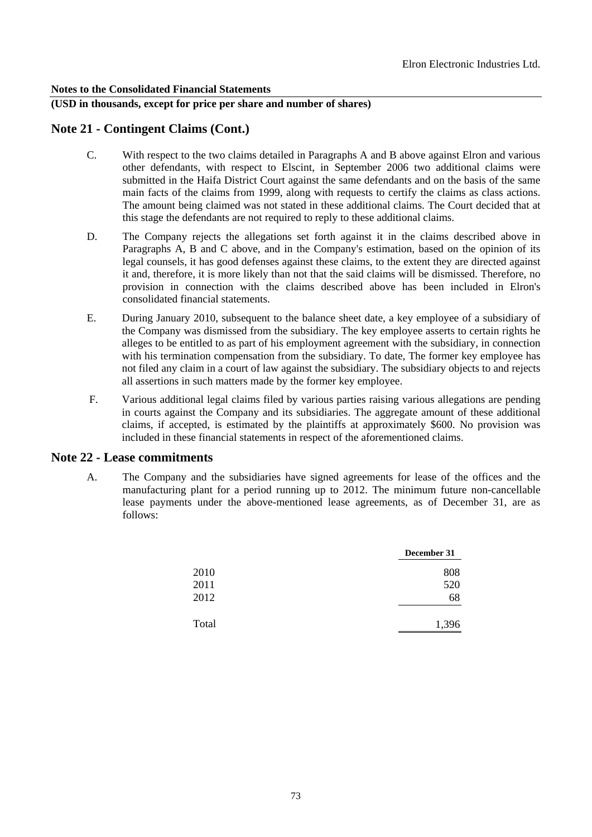**(USD in thousands, except for price per share and number of shares)**

## **Note 21 - Contingent Claims (Cont.)**

- C. With respect to the two claims detailed in Paragraphs A and B above against Elron and various other defendants, with respect to Elscint, in September 2006 two additional claims were submitted in the Haifa District Court against the same defendants and on the basis of the same main facts of the claims from 1999, along with requests to certify the claims as class actions. The amount being claimed was not stated in these additional claims. The Court decided that at this stage the defendants are not required to reply to these additional claims.
- D. The Company rejects the allegations set forth against it in the claims described above in Paragraphs A, B and C above, and in the Company's estimation, based on the opinion of its legal counsels, it has good defenses against these claims, to the extent they are directed against it and, therefore, it is more likely than not that the said claims will be dismissed. Therefore, no provision in connection with the claims described above has been included in Elron's consolidated financial statements.
- E. During January 2010, subsequent to the balance sheet date, a key employee of a subsidiary of the Company was dismissed from the subsidiary. The key employee asserts to certain rights he alleges to be entitled to as part of his employment agreement with the subsidiary, in connection with his termination compensation from the subsidiary. To date, The former key employee has not filed any claim in a court of law against the subsidiary. The subsidiary objects to and rejects all assertions in such matters made by the former key employee.
- F. Various additional legal claims filed by various parties raising various allegations are pending in courts against the Company and its subsidiaries. The aggregate amount of these additional claims, if accepted, is estimated by the plaintiffs at approximately \$600. No provision was included in these financial statements in respect of the aforementioned claims.

## **Note 22 - Lease commitments**

A. The Company and the subsidiaries have signed agreements for lease of the offices and the manufacturing plant for a period running up to 2012. The minimum future non-cancellable lease payments under the above-mentioned lease agreements, as of December 31, are as follows:

|       | December 31 |
|-------|-------------|
| 2010  | 808         |
| 2011  | 520         |
| 2012  | 68          |
| Total | 1,396       |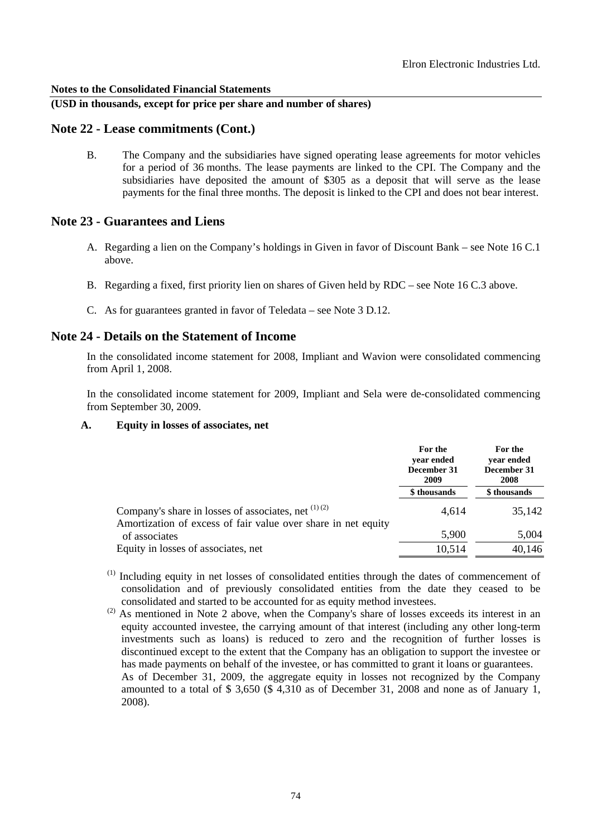## **(USD in thousands, except for price per share and number of shares)**

### **Note 22 - Lease commitments (Cont.)**

B. The Company and the subsidiaries have signed operating lease agreements for motor vehicles for a period of 36 months. The lease payments are linked to the CPI. The Company and the subsidiaries have deposited the amount of \$305 as a deposit that will serve as the lease payments for the final three months. The deposit is linked to the CPI and does not bear interest.

### **Note 23 - Guarantees and Liens**

- A. Regarding a lien on the Company's holdings in Given in favor of Discount Bank see Note 16 C.1 above.
- B. Regarding a fixed, first priority lien on shares of Given held by RDC see Note 16 C.3 above.
- C. As for guarantees granted in favor of Teledata see Note 3 D.12.

## **Note 24 - Details on the Statement of Income**

In the consolidated income statement for 2008, Impliant and Wavion were consolidated commencing from April 1, 2008.

In the consolidated income statement for 2009, Impliant and Sela were de-consolidated commencing from September 30, 2009.

#### **A. Equity in losses of associates, net**

|                                                                                | For the<br>vear ended<br>December 31<br>2009 | For the<br>vear ended<br>December 31<br>2008 |
|--------------------------------------------------------------------------------|----------------------------------------------|----------------------------------------------|
|                                                                                | \$ thousands                                 | \$ thousands                                 |
| Company's share in losses of associates, net $(1)(2)$                          | 4.614                                        | 35,142                                       |
| Amortization of excess of fair value over share in net equity<br>of associates | 5,900                                        | 5,004                                        |
| Equity in losses of associates, net                                            | 10,514                                       | 40,146                                       |

(1) Including equity in net losses of consolidated entities through the dates of commencement of consolidation and of previously consolidated entities from the date they ceased to be consolidated and started to be accounted for as equity method investees.

 $(2)$  As mentioned in Note 2 above, when the Company's share of losses exceeds its interest in an equity accounted investee, the carrying amount of that interest (including any other long-term investments such as loans) is reduced to zero and the recognition of further losses is discontinued except to the extent that the Company has an obligation to support the investee or has made payments on behalf of the investee, or has committed to grant it loans or guarantees.

As of December 31, 2009, the aggregate equity in losses not recognized by the Company amounted to a total of \$ 3,650 (\$ 4,310 as of December 31, 2008 and none as of January 1, 2008).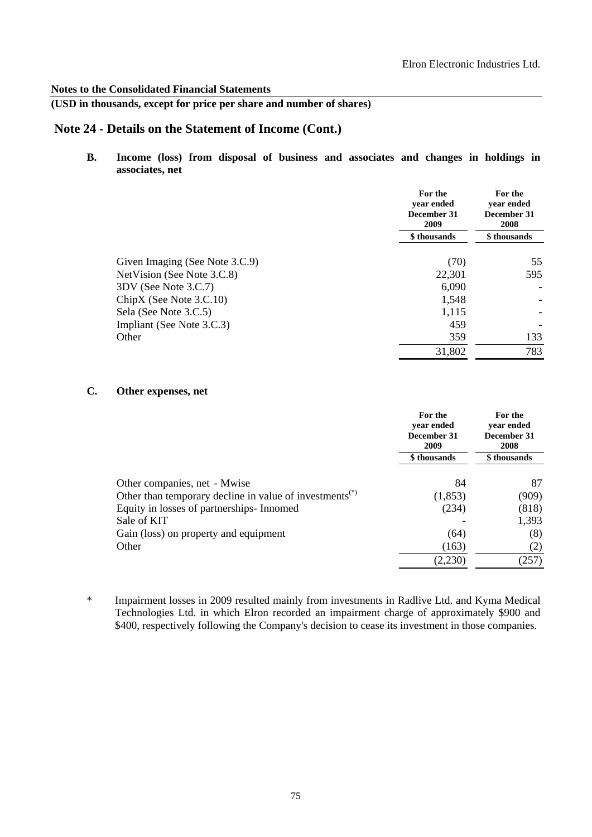**(USD in thousands, except for price per share and number of shares)**

## **Note 24 - Details on the Statement of Income (Cont.)**

**B. Income (loss) from disposal of business and associates and changes in holdings in associates, net**

|                                | For the<br>year ended<br>December 31<br>2009 | For the<br>year ended<br>December 31<br>2008 |
|--------------------------------|----------------------------------------------|----------------------------------------------|
|                                | \$ thousands                                 | \$ thousands                                 |
| Given Imaging (See Note 3.C.9) | (70)                                         | 55                                           |
| NetVision (See Note 3.C.8)     | 22,301                                       | 595                                          |
| 3DV (See Note 3.C.7)           | 6,090                                        |                                              |
| ChipX (See Note 3.C.10)        | 1,548                                        |                                              |
| Sela (See Note 3.C.5)          | 1,115                                        |                                              |
| Impliant (See Note 3.C.3)      | 459                                          |                                              |
| Other                          | 359                                          | 133                                          |
|                                | 31,802                                       | 783                                          |

### **C. Other expenses, net**

|                                                                     | For the<br>vear ended<br>December 31<br>2009<br>\$ thousands | For the<br>vear ended<br>December 31<br>2008 |
|---------------------------------------------------------------------|--------------------------------------------------------------|----------------------------------------------|
|                                                                     |                                                              | \$ thousands                                 |
| Other companies, net - Mwise                                        | 84                                                           | 87                                           |
| Other than temporary decline in value of investments <sup>(*)</sup> | (1,853)                                                      | (909)                                        |
| Equity in losses of partnerships- Innomed                           | (234)                                                        | (818)                                        |
| Sale of KIT                                                         |                                                              | 1,393                                        |
| Gain (loss) on property and equipment                               | (64)                                                         | (8)                                          |
| Other                                                               | (163)                                                        | (2)                                          |
|                                                                     | (2,230)                                                      | (257)                                        |

\* Impairment losses in 2009 resulted mainly from investments in Radlive Ltd. and Kyma Medical Technologies Ltd. in which Elron recorded an impairment charge of approximately \$900 and \$400, respectively following the Company's decision to cease its investment in those companies.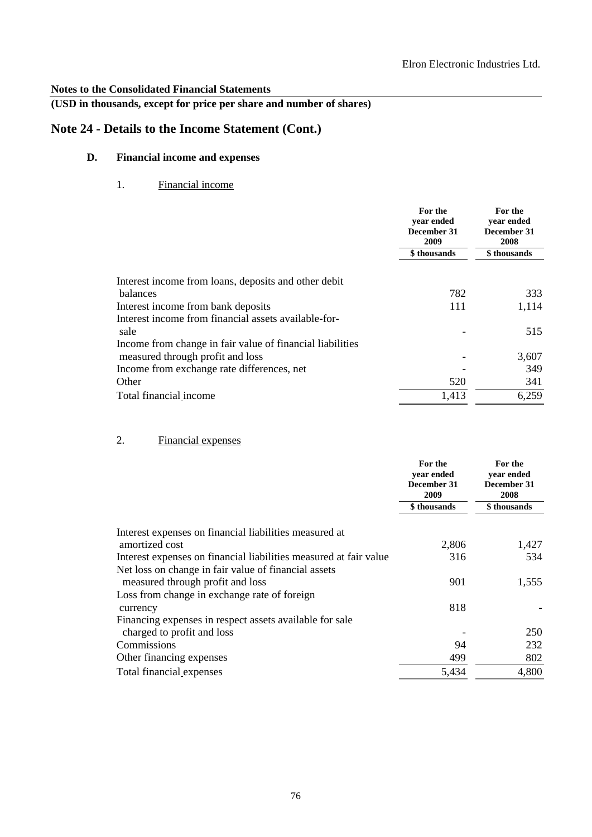**(USD in thousands, except for price per share and number of shares)**

# **Note 24 - Details to the Income Statement (Cont.)**

## **D. Financial income and expenses**

1. Financial income

|                                                           | For the<br>year ended<br>December 31<br>2009 | For the<br>year ended<br>December 31<br>2008 |
|-----------------------------------------------------------|----------------------------------------------|----------------------------------------------|
|                                                           | \$ thousands                                 | \$ thousands                                 |
| Interest income from loans, deposits and other debit      |                                              |                                              |
| balances                                                  | 782                                          | 333                                          |
| Interest income from bank deposits                        | 111                                          | 1,114                                        |
| Interest income from financial assets available-for-      |                                              |                                              |
| sale                                                      |                                              | 515                                          |
| Income from change in fair value of financial liabilities |                                              |                                              |
| measured through profit and loss                          |                                              | 3,607                                        |
| Income from exchange rate differences, net                |                                              | 349                                          |
| Other                                                     | 520                                          | 341                                          |
| Total financial income                                    | 1,413                                        | 6,259                                        |

## 2. Financial expenses

|                                                                   | For the<br>year ended<br>December 31<br>2009 | For the<br>year ended<br>December 31<br>2008 |
|-------------------------------------------------------------------|----------------------------------------------|----------------------------------------------|
|                                                                   | \$ thousands                                 | \$thousands                                  |
| Interest expenses on financial liabilities measured at            |                                              |                                              |
| amortized cost                                                    | 2,806                                        | 1,427                                        |
| Interest expenses on financial liabilities measured at fair value | 316                                          | 534                                          |
| Net loss on change in fair value of financial assets              |                                              |                                              |
| measured through profit and loss                                  | 901                                          | 1,555                                        |
| Loss from change in exchange rate of foreign                      |                                              |                                              |
| currency                                                          | 818                                          |                                              |
| Financing expenses in respect assets available for sale           |                                              |                                              |
| charged to profit and loss                                        |                                              | 250                                          |
| Commissions                                                       | 94                                           | 232                                          |
| Other financing expenses                                          | 499                                          | 802                                          |
| Total financial expenses                                          | 5,434                                        | 4,800                                        |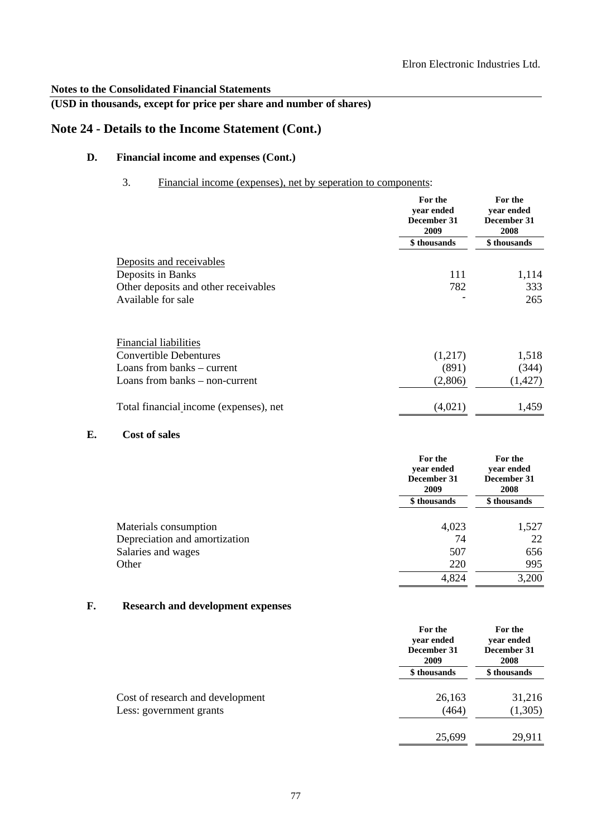**(USD in thousands, except for price per share and number of shares)**

# **Note 24 - Details to the Income Statement (Cont.)**

### **D. Financial income and expenses (Cont.)**

## 3. Financial income (expenses), net by seperation to components:

|                                        | For the<br>year ended<br>December 31<br>2009 | For the<br>year ended<br>December 31<br>2008 |
|----------------------------------------|----------------------------------------------|----------------------------------------------|
|                                        | \$thousands                                  | \$ thousands                                 |
| Deposits and receivables               |                                              |                                              |
| Deposits in Banks                      | 111                                          | 1,114                                        |
| Other deposits and other receivables   | 782                                          | 333                                          |
| Available for sale                     |                                              | 265                                          |
| <b>Financial liabilities</b>           |                                              |                                              |
| <b>Convertible Debentures</b>          | (1,217)                                      | 1,518                                        |
| Loans from banks – current             | (891)                                        | (344)                                        |
| Loans from banks – non-current         | (2,806)                                      | (1, 427)                                     |
| Total financial income (expenses), net | (4,021)                                      | 1,459                                        |

## **E. Cost of sales**

|                               | For the<br>year ended<br>December 31<br><b>2009</b><br>\$ thousands | For the<br>year ended<br>December 31<br>2008 |
|-------------------------------|---------------------------------------------------------------------|----------------------------------------------|
|                               |                                                                     | \$ thousands                                 |
| Materials consumption         | 4,023                                                               | 1,527                                        |
| Depreciation and amortization | 74                                                                  | 22                                           |
| Salaries and wages            | 507                                                                 | 656                                          |
| Other                         | 220                                                                 | 995                                          |
|                               | 4,824                                                               | 3,200                                        |

## **F. Research and development expenses**

|                                  | For the<br>year ended<br>December 31<br>2009 | For the<br>year ended<br>December 31<br>2008 |
|----------------------------------|----------------------------------------------|----------------------------------------------|
|                                  | \$ thousands                                 | \$ thousands                                 |
| Cost of research and development | 26,163                                       | 31,216                                       |
| Less: government grants          | (464)                                        | (1,305)                                      |
|                                  | 25,699                                       | 29,911                                       |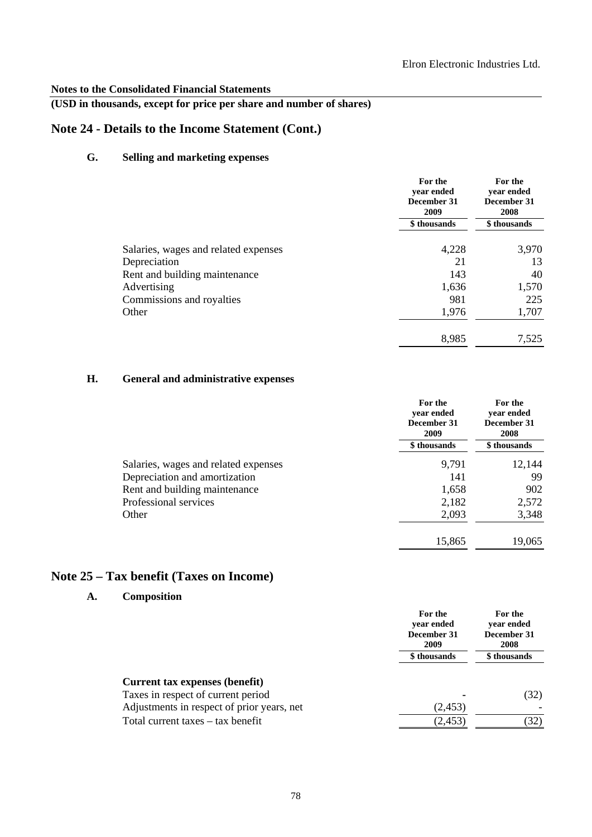# **(USD in thousands, except for price per share and number of shares)**

# **Note 24 - Details to the Income Statement (Cont.)**

## **G. Selling and marketing expenses**

|                                      | For the<br>year ended<br>December 31<br>2009 | For the<br>year ended<br>December 31<br>2008 |
|--------------------------------------|----------------------------------------------|----------------------------------------------|
|                                      | \$ thousands                                 | \$ thousands                                 |
| Salaries, wages and related expenses | 4,228                                        | 3,970                                        |
| Depreciation                         | 21                                           | 13                                           |
| Rent and building maintenance        | 143                                          | 40                                           |
| Advertising                          | 1,636                                        | 1,570                                        |
| Commissions and royalties            | 981                                          | 225                                          |
| Other                                | 1,976                                        | 1,707                                        |
|                                      | 8,985                                        | 7,525                                        |

## **H. General and administrative expenses**

|                                      | For the<br>year ended<br>December 31<br>2009 | For the<br>vear ended<br>December 31<br>2008 |
|--------------------------------------|----------------------------------------------|----------------------------------------------|
|                                      | \$thousands                                  | \$ thousands                                 |
| Salaries, wages and related expenses | 9,791                                        | 12,144                                       |
| Depreciation and amortization        | 141                                          | 99                                           |
| Rent and building maintenance        | 1,658                                        | 902                                          |
| Professional services                | 2,182                                        | 2,572                                        |
| Other                                | 2,093                                        | 3,348                                        |
|                                      | 15,865                                       | 19,065                                       |

# **Note 25 – Tax benefit (Taxes on Income)**

## **A. Composition**

|                                            | For the<br>year ended<br>December 31<br>2009<br>\$thousands | For the<br>year ended<br>December 31<br>2008<br>\$ thousands |
|--------------------------------------------|-------------------------------------------------------------|--------------------------------------------------------------|
|                                            |                                                             |                                                              |
| Current tax expenses (benefit)             |                                                             |                                                              |
| Taxes in respect of current period         |                                                             | (32)                                                         |
| Adjustments in respect of prior years, net | (2,453)                                                     |                                                              |
| Total current taxes – tax benefit          | (2, 453)                                                    | (32)                                                         |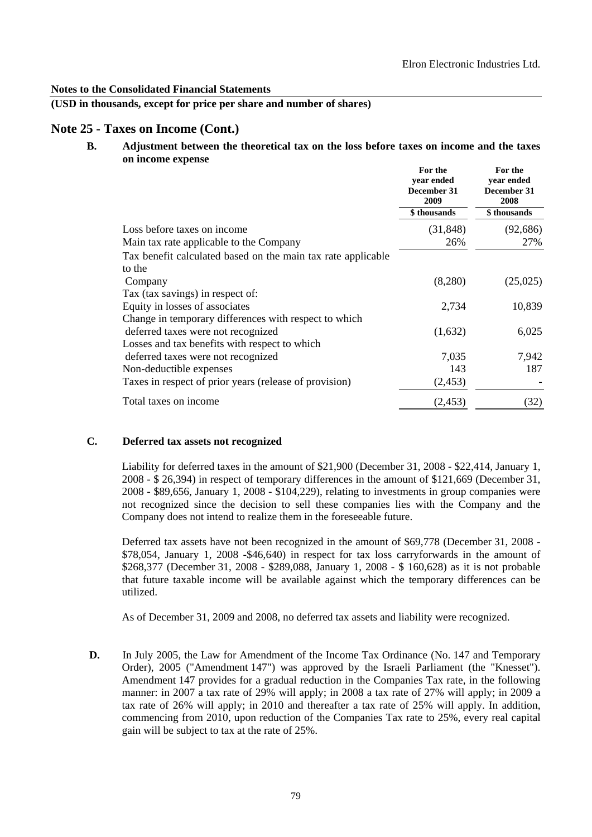**(USD in thousands, except for price per share and number of shares)**

## **Note 25 - Taxes on Income (Cont.)**

**B. Adjustment between the theoretical tax on the loss before taxes on income and the taxes on income expense** 

|                                                                        | For the<br>year ended<br>December 31<br>2009 | For the<br>year ended<br>December 31<br>2008 |
|------------------------------------------------------------------------|----------------------------------------------|----------------------------------------------|
|                                                                        | \$thousands                                  | \$thousands                                  |
| Loss before taxes on income                                            | (31, 848)                                    | (92, 686)                                    |
| Main tax rate applicable to the Company                                | 26%                                          | 27%                                          |
| Tax benefit calculated based on the main tax rate applicable<br>to the |                                              |                                              |
| Company                                                                | (8,280)                                      | (25,025)                                     |
| Tax (tax savings) in respect of:                                       |                                              |                                              |
| Equity in losses of associates                                         | 2,734                                        | 10,839                                       |
| Change in temporary differences with respect to which                  |                                              |                                              |
| deferred taxes were not recognized                                     | (1,632)                                      | 6,025                                        |
| Losses and tax benefits with respect to which                          |                                              |                                              |
| deferred taxes were not recognized                                     | 7,035                                        | 7,942                                        |
| Non-deductible expenses                                                | 143                                          | 187                                          |
| Taxes in respect of prior years (release of provision)                 | (2, 453)                                     |                                              |
| Total taxes on income                                                  | (2, 453)                                     | (32)                                         |

## **C. Deferred tax assets not recognized**

Liability for deferred taxes in the amount of \$21,900 (December 31, 2008 - \$22,414, January 1, 2008 - \$ 26,394) in respect of temporary differences in the amount of \$121,669 (December 31, 2008 - \$89,656, January 1, 2008 - \$104,229), relating to investments in group companies were not recognized since the decision to sell these companies lies with the Company and the Company does not intend to realize them in the foreseeable future.

Deferred tax assets have not been recognized in the amount of \$69,778 (December 31, 2008 - \$78,054, January 1, 2008 -\$46,640) in respect for tax loss carryforwards in the amount of \$268,377 (December 31, 2008 - \$289,088, January 1, 2008 - \$ 160,628) as it is not probable that future taxable income will be available against which the temporary differences can be utilized.

As of December 31, 2009 and 2008, no deferred tax assets and liability were recognized.

**D.** In July 2005, the Law for Amendment of the Income Tax Ordinance (No. 147 and Temporary Order), 2005 ("Amendment 147") was approved by the Israeli Parliament (the "Knesset"). Amendment 147 provides for a gradual reduction in the Companies Tax rate, in the following manner: in 2007 a tax rate of 29% will apply; in 2008 a tax rate of 27% will apply; in 2009 a tax rate of 26% will apply; in 2010 and thereafter a tax rate of 25% will apply. In addition, commencing from 2010, upon reduction of the Companies Tax rate to 25%, every real capital gain will be subject to tax at the rate of 25%.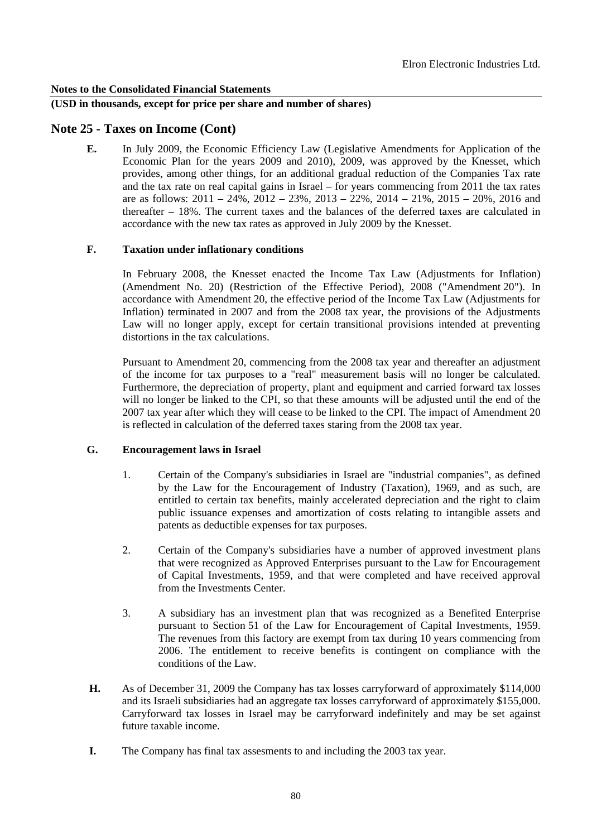**(USD in thousands, except for price per share and number of shares)**

## **Note 25 - Taxes on Income (Cont)**

**E.** In July 2009, the Economic Efficiency Law (Legislative Amendments for Application of the Economic Plan for the years 2009 and 2010), 2009, was approved by the Knesset, which provides, among other things, for an additional gradual reduction of the Companies Tax rate and the tax rate on real capital gains in Israel – for years commencing from 2011 the tax rates are as follows: 2011 – 24%, 2012 – 23%, 2013 – 22%, 2014 – 21%, 2015 – 20%, 2016 and thereafter – 18%. The current taxes and the balances of the deferred taxes are calculated in accordance with the new tax rates as approved in July 2009 by the Knesset.

### **F. Taxation under inflationary conditions**

 In February 2008, the Knesset enacted the Income Tax Law (Adjustments for Inflation) (Amendment No. 20) (Restriction of the Effective Period), 2008 ("Amendment 20"). In accordance with Amendment 20, the effective period of the Income Tax Law (Adjustments for Inflation) terminated in 2007 and from the 2008 tax year, the provisions of the Adjustments Law will no longer apply, except for certain transitional provisions intended at preventing distortions in the tax calculations.

 Pursuant to Amendment 20, commencing from the 2008 tax year and thereafter an adjustment of the income for tax purposes to a "real" measurement basis will no longer be calculated. Furthermore, the depreciation of property, plant and equipment and carried forward tax losses will no longer be linked to the CPI, so that these amounts will be adjusted until the end of the 2007 tax year after which they will cease to be linked to the CPI. The impact of Amendment 20 is reflected in calculation of the deferred taxes staring from the 2008 tax year.

#### **G. Encouragement laws in Israel**

- 1. Certain of the Company's subsidiaries in Israel are "industrial companies", as defined by the Law for the Encouragement of Industry (Taxation), 1969, and as such, are entitled to certain tax benefits, mainly accelerated depreciation and the right to claim public issuance expenses and amortization of costs relating to intangible assets and patents as deductible expenses for tax purposes.
- 2. Certain of the Company's subsidiaries have a number of approved investment plans that were recognized as Approved Enterprises pursuant to the Law for Encouragement of Capital Investments, 1959, and that were completed and have received approval from the Investments Center.
- 3. A subsidiary has an investment plan that was recognized as a Benefited Enterprise pursuant to Section 51 of the Law for Encouragement of Capital Investments, 1959. The revenues from this factory are exempt from tax during 10 years commencing from 2006. The entitlement to receive benefits is contingent on compliance with the conditions of the Law.
- **H.** As of December 31, 2009 the Company has tax losses carryforward of approximately \$114,000 and its Israeli subsidiaries had an aggregate tax losses carryforward of approximately \$155,000. Carryforward tax losses in Israel may be carryforward indefinitely and may be set against future taxable income.
- **I.** The Company has final tax assesments to and including the 2003 tax year.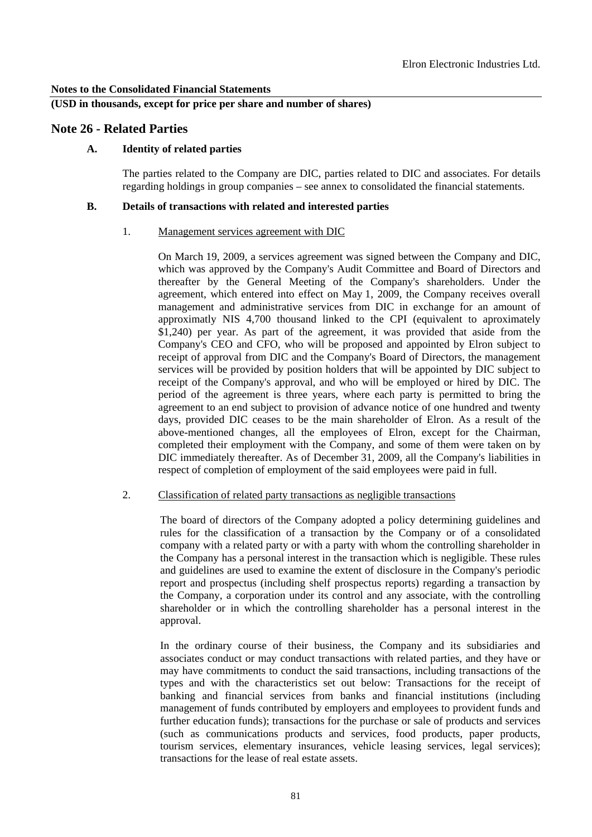**(USD in thousands, except for price per share and number of shares)**

### **Note 26 - Related Parties**

### **A. Identity of related parties**

 The parties related to the Company are DIC, parties related to DIC and associates. For details regarding holdings in group companies – see annex to consolidated the financial statements.

### **B. Details of transactions with related and interested parties**

#### 1. Management services agreement with DIC

 On March 19, 2009, a services agreement was signed between the Company and DIC, which was approved by the Company's Audit Committee and Board of Directors and thereafter by the General Meeting of the Company's shareholders. Under the agreement, which entered into effect on May 1, 2009, the Company receives overall management and administrative services from DIC in exchange for an amount of approximatly NIS 4,700 thousand linked to the CPI (equivalent to aproximately \$1,240) per year. As part of the agreement, it was provided that aside from the Company's CEO and CFO, who will be proposed and appointed by Elron subject to receipt of approval from DIC and the Company's Board of Directors, the management services will be provided by position holders that will be appointed by DIC subject to receipt of the Company's approval, and who will be employed or hired by DIC. The period of the agreement is three years, where each party is permitted to bring the agreement to an end subject to provision of advance notice of one hundred and twenty days, provided DIC ceases to be the main shareholder of Elron. As a result of the above-mentioned changes, all the employees of Elron, except for the Chairman, completed their employment with the Company, and some of them were taken on by DIC immediately thereafter. As of December 31, 2009, all the Company's liabilities in respect of completion of employment of the said employees were paid in full.

#### 2. Classification of related party transactions as negligible transactions

The board of directors of the Company adopted a policy determining guidelines and rules for the classification of a transaction by the Company or of a consolidated company with a related party or with a party with whom the controlling shareholder in the Company has a personal interest in the transaction which is negligible. These rules and guidelines are used to examine the extent of disclosure in the Company's periodic report and prospectus (including shelf prospectus reports) regarding a transaction by the Company, a corporation under its control and any associate, with the controlling shareholder or in which the controlling shareholder has a personal interest in the approval.

In the ordinary course of their business, the Company and its subsidiaries and associates conduct or may conduct transactions with related parties, and they have or may have commitments to conduct the said transactions, including transactions of the types and with the characteristics set out below: Transactions for the receipt of banking and financial services from banks and financial institutions (including management of funds contributed by employers and employees to provident funds and further education funds); transactions for the purchase or sale of products and services (such as communications products and services, food products, paper products, tourism services, elementary insurances, vehicle leasing services, legal services); transactions for the lease of real estate assets.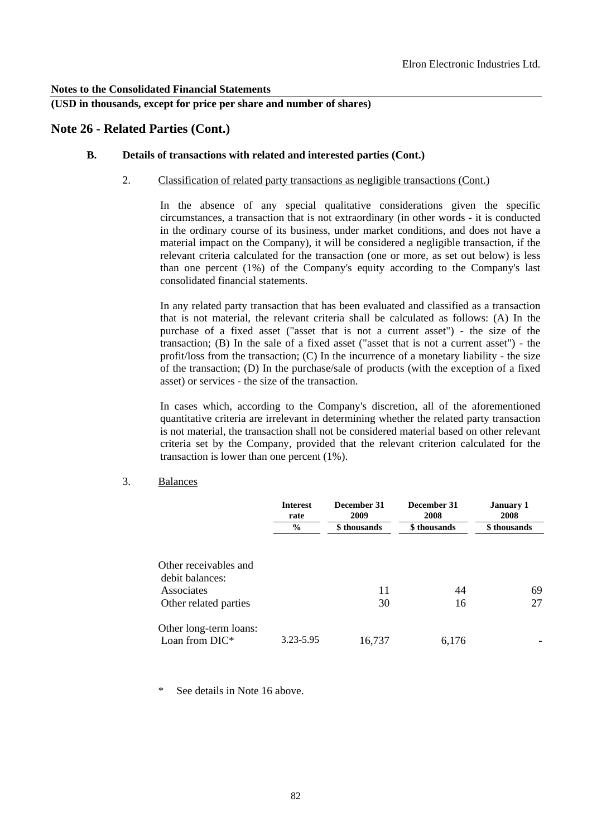**(USD in thousands, except for price per share and number of shares)**

## **Note 26 - Related Parties (Cont.)**

### **B. Details of transactions with related and interested parties (Cont.)**

### 2. Classification of related party transactions as negligible transactions (Cont.)

In the absence of any special qualitative considerations given the specific circumstances, a transaction that is not extraordinary (in other words - it is conducted in the ordinary course of its business, under market conditions, and does not have a material impact on the Company), it will be considered a negligible transaction, if the relevant criteria calculated for the transaction (one or more, as set out below) is less than one percent (1%) of the Company's equity according to the Company's last consolidated financial statements.

In any related party transaction that has been evaluated and classified as a transaction that is not material, the relevant criteria shall be calculated as follows: (A) In the purchase of a fixed asset ("asset that is not a current asset") - the size of the transaction; (B) In the sale of a fixed asset ("asset that is not a current asset") - the profit/loss from the transaction; (C) In the incurrence of a monetary liability - the size of the transaction; (D) In the purchase/sale of products (with the exception of a fixed asset) or services - the size of the transaction.

In cases which, according to the Company's discretion, all of the aforementioned quantitative criteria are irrelevant in determining whether the related party transaction is not material, the transaction shall not be considered material based on other relevant criteria set by the Company, provided that the relevant criterion calculated for the transaction is lower than one percent (1%).

3. Balances

|                               | <b>Interest</b><br>rate | December 31<br>2009 |              | <b>January 1</b><br>2008 |  |
|-------------------------------|-------------------------|---------------------|--------------|--------------------------|--|
|                               | $\frac{0}{0}$           | \$ thousands        | \$ thousands | \$ thousands             |  |
| Other receivables and         |                         |                     |              |                          |  |
| debit balances:<br>Associates |                         | 11                  | 44           | 69                       |  |
| Other related parties         |                         | 30                  | 16           | 27                       |  |
| Other long-term loans:        |                         |                     |              |                          |  |
| Loan from DIC*                | 3.23-5.95               | 16,737              | 6,176        |                          |  |

See details in Note 16 above.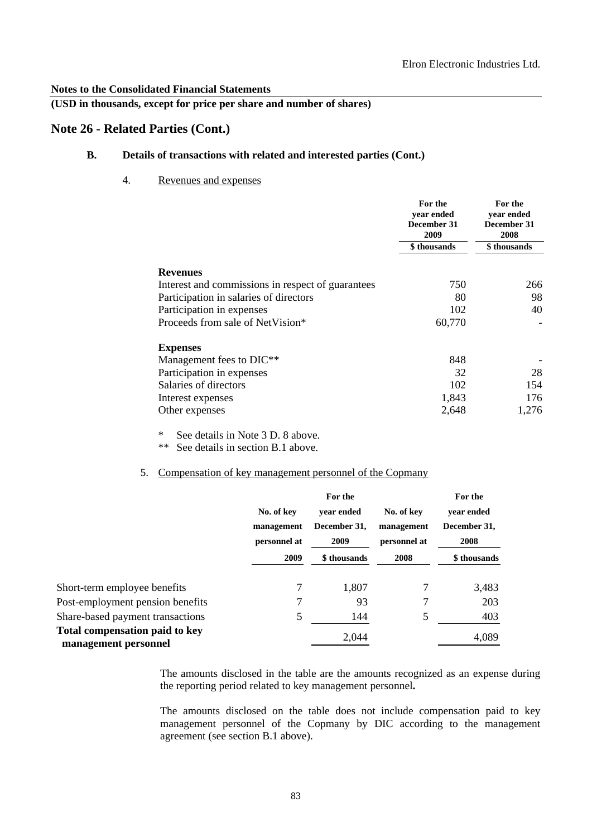**(USD in thousands, except for price per share and number of shares)**

## **Note 26 - Related Parties (Cont.)**

### **B. Details of transactions with related and interested parties (Cont.)**

### 4. Revenues and expenses

|                                                   | For the<br>year ended<br>December 31<br>2009 | For the<br>year ended<br>December 31<br>2008 |  |
|---------------------------------------------------|----------------------------------------------|----------------------------------------------|--|
|                                                   | \$thousands                                  | \$ thousands                                 |  |
| <b>Revenues</b>                                   |                                              |                                              |  |
| Interest and commissions in respect of guarantees | 750                                          | 266                                          |  |
| Participation in salaries of directors            | 80                                           | 98                                           |  |
| Participation in expenses                         | 102                                          | 40                                           |  |
| Proceeds from sale of NetVision*                  | 60,770                                       |                                              |  |
| <b>Expenses</b>                                   |                                              |                                              |  |
| Management fees to DIC**                          | 848                                          |                                              |  |
| Participation in expenses                         | 32                                           | 28                                           |  |
| Salaries of directors                             | 102                                          | 154                                          |  |
| Interest expenses                                 | 1,843                                        | 176                                          |  |
| Other expenses                                    | 2,648                                        | 1,276                                        |  |

\* See details in Note 3 D. 8 above.

\*\* See details in section B.1 above.

#### 5. Compensation of key management personnel of the Copmany

|                                                               | For the      |              |              | For the      |  |  |
|---------------------------------------------------------------|--------------|--------------|--------------|--------------|--|--|
|                                                               | No. of key   | vear ended   | No. of key   | vear ended   |  |  |
|                                                               | management   | December 31. | management   | December 31, |  |  |
|                                                               | personnel at | 2009         | personnel at | 2008         |  |  |
|                                                               | 2009         | \$ thousands | 2008         | \$ thousands |  |  |
| Short-term employee benefits                                  | 7            | 1,807        |              | 3,483        |  |  |
| Post-employment pension benefits                              |              | 93           |              | 203          |  |  |
| Share-based payment transactions                              | 5            | 144          | 5            | 403          |  |  |
| <b>Total compensation paid to key</b><br>management personnel |              | 2,044        |              | 4,089        |  |  |

The amounts disclosed in the table are the amounts recognized as an expense during the reporting period related to key management personnel**.**

The amounts disclosed on the table does not include compensation paid to key management personnel of the Copmany by DIC according to the management agreement (see section B.1 above).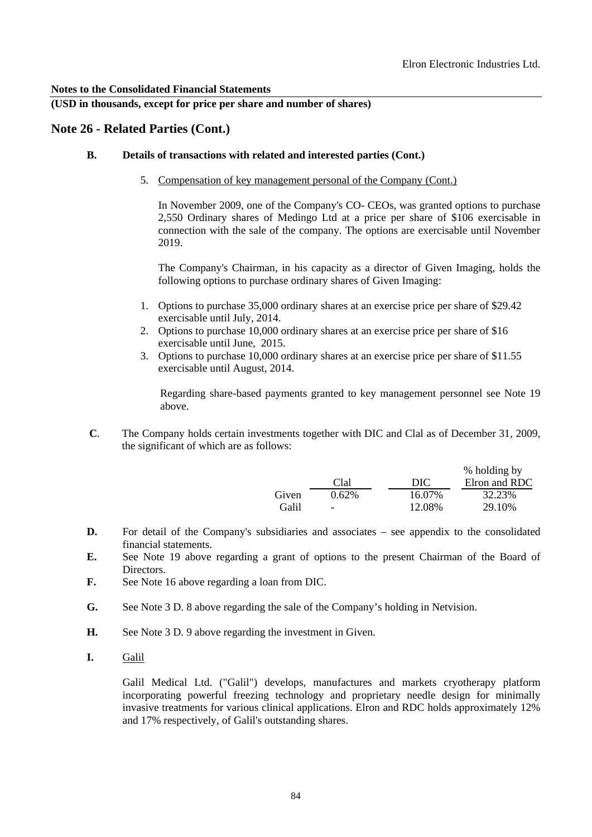**(USD in thousands, except for price per share and number of shares)**

## **Note 26 - Related Parties (Cont.)**

### **B. Details of transactions with related and interested parties (Cont.)**

5. Compensation of key management personal of the Company (Cont.)

In November 2009, one of the Company's CO- CEOs, was granted options to purchase 2,550 Ordinary shares of Medingo Ltd at a price per share of \$106 exercisable in connection with the sale of the company. The options are exercisable until November 2019.

The Company's Chairman, in his capacity as a director of Given Imaging, holds the following options to purchase ordinary shares of Given Imaging:

- 1. Options to purchase 35,000 ordinary shares at an exercise price per share of \$29.42 exercisable until July, 2014.
- 2. Options to purchase 10,000 ordinary shares at an exercise price per share of \$16 exercisable until June, 2015.
- 3. Options to purchase 10,000 ordinary shares at an exercise price per share of \$11.55 exercisable until August, 2014.

Regarding share-based payments granted to key management personnel see Note 19 above.

**C**. The Company holds certain investments together with DIC and Clal as of December 31, 2009, the significant of which are as follows:

|                          |        | % holding by  |
|--------------------------|--------|---------------|
| Clal                     | DIC    | Elron and RDC |
| $0.62\%$                 | 16.07% | 32.23%        |
| $\overline{\phantom{0}}$ | 12.08% | 29.10%        |
|                          |        |               |

- **D.** For detail of the Company's subsidiaries and associates see appendix to the consolidated financial statements.
- **E.** See Note 19 above regarding a grant of options to the present Chairman of the Board of Directors.
- **F.** See Note 16 above regarding a loan from DIC.
- **G.** See Note 3 D. 8 above regarding the sale of the Company's holding in Netvision.
- **H.** See Note 3 D. 9 above regarding the investment in Given.
- **I.** Galil

Galil Medical Ltd. ("Galil") develops, manufactures and markets cryotherapy platform incorporating powerful freezing technology and proprietary needle design for minimally invasive treatments for various clinical applications. Elron and RDC holds approximately 12% and 17% respectively, of Galil's outstanding shares.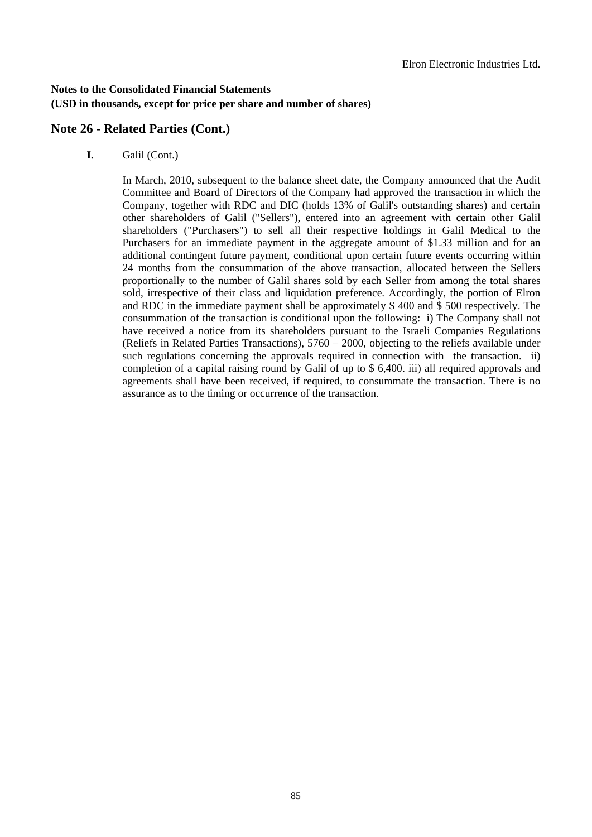**(USD in thousands, except for price per share and number of shares)**

## **Note 26 - Related Parties (Cont.)**

### **I.** Galil (Cont.)

In March, 2010, subsequent to the balance sheet date, the Company announced that the Audit Committee and Board of Directors of the Company had approved the transaction in which the Company, together with RDC and DIC (holds 13% of Galil's outstanding shares) and certain other shareholders of Galil ("Sellers"), entered into an agreement with certain other Galil shareholders ("Purchasers") to sell all their respective holdings in Galil Medical to the Purchasers for an immediate payment in the aggregate amount of \$1.33 million and for an additional contingent future payment, conditional upon certain future events occurring within 24 months from the consummation of the above transaction, allocated between the Sellers proportionally to the number of Galil shares sold by each Seller from among the total shares sold, irrespective of their class and liquidation preference. Accordingly, the portion of Elron and RDC in the immediate payment shall be approximately \$ 400 and \$ 500 respectively. The consummation of the transaction is conditional upon the following: i) The Company shall not have received a notice from its shareholders pursuant to the Israeli Companies Regulations (Reliefs in Related Parties Transactions), 5760 – 2000, objecting to the reliefs available under such regulations concerning the approvals required in connection with the transaction. ii) completion of a capital raising round by Galil of up to \$ 6,400. iii) all required approvals and agreements shall have been received, if required, to consummate the transaction. There is no assurance as to the timing or occurrence of the transaction.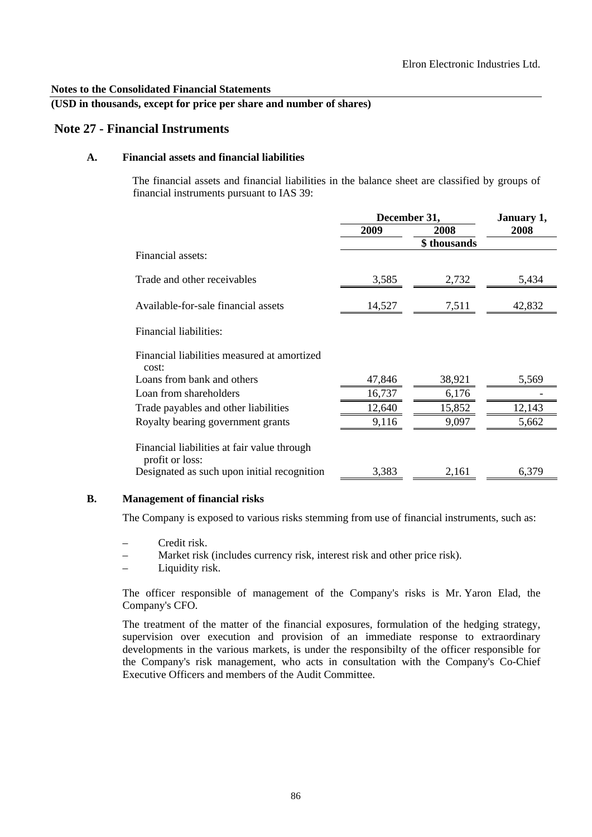**(USD in thousands, except for price per share and number of shares)**

## **Note 27 - Financial Instruments**

#### **A. Financial assets and financial liabilities**

The financial assets and financial liabilities in the balance sheet are classified by groups of financial instruments pursuant to IAS 39:

|                                                                | December 31, | January 1,  |        |
|----------------------------------------------------------------|--------------|-------------|--------|
|                                                                | 2009         | 2008        | 2008   |
|                                                                |              | \$thousands |        |
| Financial assets:                                              |              |             |        |
| Trade and other receivables                                    | 3,585        | 2,732       | 5,434  |
| Available-for-sale financial assets                            | 14,527       | 7,511       | 42,832 |
| Financial liabilities:                                         |              |             |        |
| Financial liabilities measured at amortized<br>cost:           |              |             |        |
| Loans from bank and others                                     | 47,846       | 38,921      | 5,569  |
| Loan from shareholders                                         | 16,737       | 6,176       |        |
| Trade payables and other liabilities                           | 12,640       | 15,852      | 12,143 |
| Royalty bearing government grants                              | 9,116        | 9,097       | 5,662  |
| Financial liabilities at fair value through<br>profit or loss: |              |             |        |
| Designated as such upon initial recognition                    | 3,383        | 2,161       | 6,379  |
|                                                                |              |             |        |

## **B. Management of financial risks**

The Company is exposed to various risks stemming from use of financial instruments, such as:

- Credit risk.
- Market risk (includes currency risk, interest risk and other price risk).
- Liquidity risk.

 The officer responsible of management of the Company's risks is Mr. Yaron Elad, the Company's CFO.

 The treatment of the matter of the financial exposures, formulation of the hedging strategy, supervision over execution and provision of an immediate response to extraordinary developments in the various markets, is under the responsibilty of the officer responsible for the Company's risk management, who acts in consultation with the Company's Co-Chief Executive Officers and members of the Audit Committee.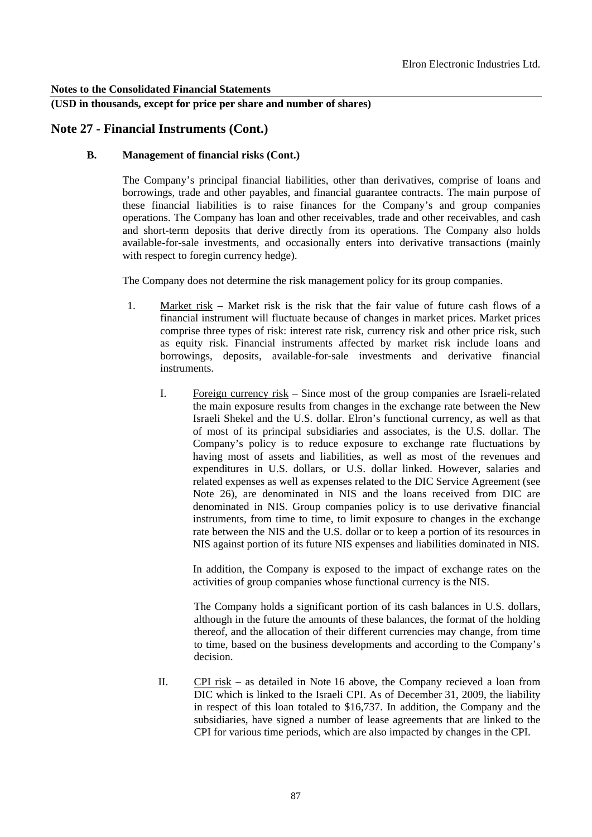**(USD in thousands, except for price per share and number of shares)**

## **Note 27 - Financial Instruments (Cont.)**

### **B. Management of financial risks (Cont.)**

 The Company's principal financial liabilities, other than derivatives, comprise of loans and borrowings, trade and other payables, and financial guarantee contracts. The main purpose of these financial liabilities is to raise finances for the Company's and group companies operations. The Company has loan and other receivables, trade and other receivables, and cash and short-term deposits that derive directly from its operations. The Company also holds available-for-sale investments, and occasionally enters into derivative transactions (mainly with respect to foregin currency hedge).

The Company does not determine the risk management policy for its group companies.

- 1. Market risk Market risk is the risk that the fair value of future cash flows of a financial instrument will fluctuate because of changes in market prices. Market prices comprise three types of risk: interest rate risk, currency risk and other price risk, such as equity risk. Financial instruments affected by market risk include loans and borrowings, deposits, available-for-sale investments and derivative financial instruments.
	- I. Foreign currency risk Since most of the group companies are Israeli-related the main exposure results from changes in the exchange rate between the New Israeli Shekel and the U.S. dollar. Elron's functional currency, as well as that of most of its principal subsidiaries and associates, is the U.S. dollar. The Company's policy is to reduce exposure to exchange rate fluctuations by having most of assets and liabilities, as well as most of the revenues and expenditures in U.S. dollars, or U.S. dollar linked. However, salaries and related expenses as well as expenses related to the DIC Service Agreement (see Note 26), are denominated in NIS and the loans received from DIC are denominated in NIS. Group companies policy is to use derivative financial instruments, from time to time, to limit exposure to changes in the exchange rate between the NIS and the U.S. dollar or to keep a portion of its resources in NIS against portion of its future NIS expenses and liabilities dominated in NIS.

 In addition, the Company is exposed to the impact of exchange rates on the activities of group companies whose functional currency is the NIS.

 The Company holds a significant portion of its cash balances in U.S. dollars, although in the future the amounts of these balances, the format of the holding thereof, and the allocation of their different currencies may change, from time to time, based on the business developments and according to the Company's decision.

II. CPI risk – as detailed in Note 16 above, the Company recieved a loan from DIC which is linked to the Israeli CPI. As of December 31, 2009, the liability in respect of this loan totaled to \$16,737. In addition, the Company and the subsidiaries, have signed a number of lease agreements that are linked to the CPI for various time periods, which are also impacted by changes in the CPI.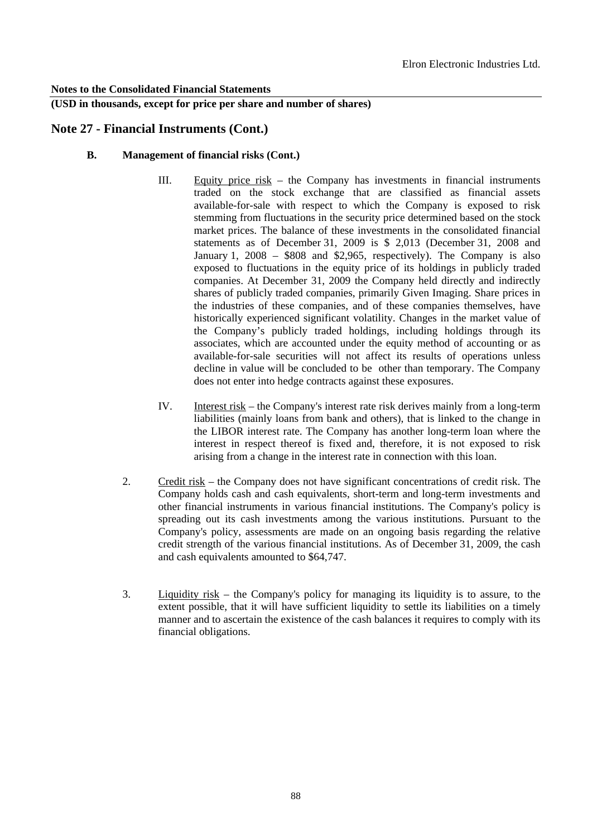**(USD in thousands, except for price per share and number of shares)**

## **Note 27 - Financial Instruments (Cont.)**

- **B. Management of financial risks (Cont.)** 
	- III. Equity price risk the Company has investments in financial instruments traded on the stock exchange that are classified as financial assets available-for-sale with respect to which the Company is exposed to risk stemming from fluctuations in the security price determined based on the stock market prices. The balance of these investments in the consolidated financial statements as of December 31, 2009 is \$ 2,013 (December 31, 2008 and January 1, 2008 – \$808 and \$2,965, respectively). The Company is also exposed to fluctuations in the equity price of its holdings in publicly traded companies. At December 31, 2009 the Company held directly and indirectly shares of publicly traded companies, primarily Given Imaging. Share prices in the industries of these companies, and of these companies themselves, have historically experienced significant volatility. Changes in the market value of the Company's publicly traded holdings, including holdings through its associates, which are accounted under the equity method of accounting or as available-for-sale securities will not affect its results of operations unless decline in value will be concluded to be other than temporary. The Company does not enter into hedge contracts against these exposures.
	- IV. Interest risk the Company's interest rate risk derives mainly from a long-term liabilities (mainly loans from bank and others), that is linked to the change in the LIBOR interest rate. The Company has another long-term loan where the interest in respect thereof is fixed and, therefore, it is not exposed to risk arising from a change in the interest rate in connection with this loan.
	- 2. Credit risk the Company does not have significant concentrations of credit risk. The Company holds cash and cash equivalents, short-term and long-term investments and other financial instruments in various financial institutions. The Company's policy is spreading out its cash investments among the various institutions. Pursuant to the Company's policy, assessments are made on an ongoing basis regarding the relative credit strength of the various financial institutions. As of December 31, 2009, the cash and cash equivalents amounted to \$64,747.
	- 3. Liquidity risk the Company's policy for managing its liquidity is to assure, to the extent possible, that it will have sufficient liquidity to settle its liabilities on a timely manner and to ascertain the existence of the cash balances it requires to comply with its financial obligations.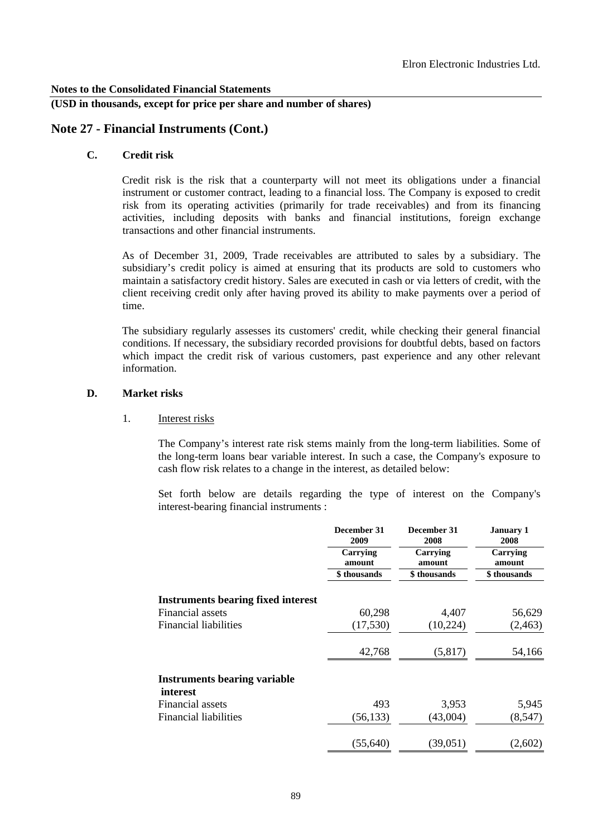**(USD in thousands, except for price per share and number of shares)**

## **Note 27 - Financial Instruments (Cont.)**

#### **C. Credit risk**

Credit risk is the risk that a counterparty will not meet its obligations under a financial instrument or customer contract, leading to a financial loss. The Company is exposed to credit risk from its operating activities (primarily for trade receivables) and from its financing activities, including deposits with banks and financial institutions, foreign exchange transactions and other financial instruments.

As of December 31, 2009, Trade receivables are attributed to sales by a subsidiary. The subsidiary's credit policy is aimed at ensuring that its products are sold to customers who maintain a satisfactory credit history. Sales are executed in cash or via letters of credit, with the client receiving credit only after having proved its ability to make payments over a period of time.

The subsidiary regularly assesses its customers' credit, while checking their general financial conditions. If necessary, the subsidiary recorded provisions for doubtful debts, based on factors which impact the credit risk of various customers, past experience and any other relevant information.

#### **D. Market risks**

#### 1. Interest risks

 The Company's interest rate risk stems mainly from the long-term liabilities. Some of the long-term loans bear variable interest. In such a case, the Company's exposure to cash flow risk relates to a change in the interest, as detailed below:

 Set forth below are details regarding the type of interest on the Company's interest-bearing financial instruments :

|                                                 | December 31<br>2009 | December 31<br>2008 |                    |  |  | <b>January 1</b><br>2008 |  |
|-------------------------------------------------|---------------------|---------------------|--------------------|--|--|--------------------------|--|
|                                                 | Carrying<br>amount  | Carrying<br>amount  | Carrying<br>amount |  |  |                          |  |
|                                                 | \$ thousands        | \$thousands         | \$thousands        |  |  |                          |  |
| <b>Instruments bearing fixed interest</b>       |                     |                     |                    |  |  |                          |  |
| Financial assets                                | 60,298              | 4,407               | 56,629             |  |  |                          |  |
| <b>Financial liabilities</b>                    | (17, 530)           | (10, 224)           | (2, 463)           |  |  |                          |  |
|                                                 | 42,768              | (5,817)             | 54,166             |  |  |                          |  |
| <b>Instruments bearing variable</b><br>interest |                     |                     |                    |  |  |                          |  |
| Financial assets                                | 493                 | 3,953               | 5,945              |  |  |                          |  |
| <b>Financial liabilities</b>                    | (56, 133)           | (43,004)            | (8, 547)           |  |  |                          |  |
|                                                 | (55, 640)           | (39,051)            | (2,602)            |  |  |                          |  |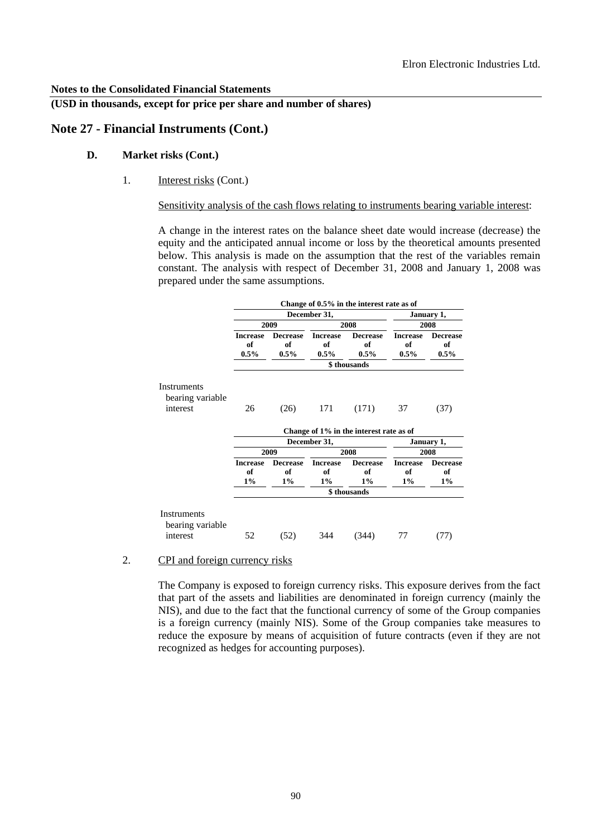**(USD in thousands, except for price per share and number of shares)**

## **Note 27 - Financial Instruments (Cont.)**

## **D. Market risks (Cont.)**

1. Interest risks (Cont.)

Sensitivity analysis of the cash flows relating to instruments bearing variable interest:

 A change in the interest rates on the balance sheet date would increase (decrease) the equity and the anticipated annual income or loss by the theoretical amounts presented below. This analysis is made on the assumption that the rest of the variables remain constant. The analysis with respect of December 31, 2008 and January 1, 2008 was prepared under the same assumptions.

|                                             |                                  |                                  |                                  |                                  |                                    | January 1,                                                                                         |
|---------------------------------------------|----------------------------------|----------------------------------|----------------------------------|----------------------------------|------------------------------------|----------------------------------------------------------------------------------------------------|
|                                             |                                  | 2009<br>2008                     |                                  |                                  | 2008                               |                                                                                                    |
|                                             | <b>Increase</b><br>of<br>$0.5\%$ | <b>Decrease</b><br>of<br>$0.5\%$ | <b>Increase</b><br>of<br>$0.5\%$ | <b>Decrease</b><br>of<br>$0.5\%$ | <b>Increase</b><br>of<br>$0.5\%$   | <b>Decrease</b><br>of<br>$0.5\%$                                                                   |
|                                             |                                  |                                  |                                  |                                  |                                    |                                                                                                    |
| Instruments<br>bearing variable<br>interest | 26                               | (26)                             | 171                              | (171)                            | 37                                 | (37)                                                                                               |
|                                             |                                  |                                  |                                  |                                  |                                    |                                                                                                    |
|                                             |                                  |                                  |                                  |                                  |                                    | 2008                                                                                               |
|                                             | <b>Increase</b><br>of<br>$1\%$   | <b>Decrease</b><br>of<br>$1\%$   | <b>Increase</b><br>of<br>$1\%$   | <b>Decrease</b><br>of<br>$1\%$   | <b>Increase</b><br>of<br>$1\%$     | <b>Decrease</b><br>of<br>$1\%$                                                                     |
|                                             |                                  |                                  |                                  |                                  |                                    |                                                                                                    |
| <b>Instruments</b><br>bearing variable      |                                  |                                  |                                  |                                  |                                    |                                                                                                    |
|                                             |                                  |                                  | 2009                             | December 31,<br>December 31,     | \$thousands<br>2008<br>\$thousands | Change of 0.5% in the interest rate as of<br>Change of 1% in the interest rate as of<br>January 1, |

#### 2. CPI and foreign currency risks

 The Company is exposed to foreign currency risks. This exposure derives from the fact that part of the assets and liabilities are denominated in foreign currency (mainly the NIS), and due to the fact that the functional currency of some of the Group companies is a foreign currency (mainly NIS). Some of the Group companies take measures to reduce the exposure by means of acquisition of future contracts (even if they are not recognized as hedges for accounting purposes).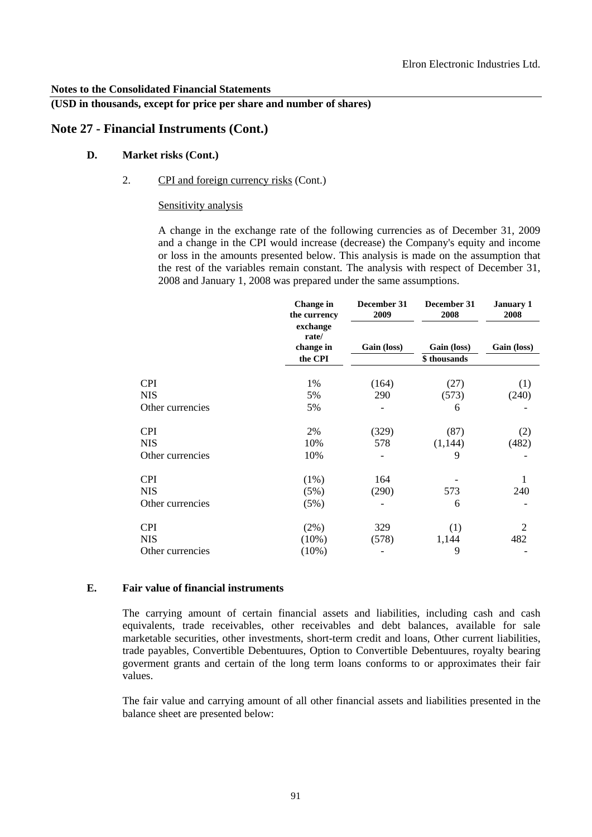**(USD in thousands, except for price per share and number of shares)**

## **Note 27 - Financial Instruments (Cont.)**

### **D. Market risks (Cont.)**

### 2. CPI and foreign currency risks (Cont.)

#### Sensitivity analysis

 A change in the exchange rate of the following currencies as of December 31, 2009 and a change in the CPI would increase (decrease) the Company's equity and income or loss in the amounts presented below. This analysis is made on the assumption that the rest of the variables remain constant. The analysis with respect of December 31, 2008 and January 1, 2008 was prepared under the same assumptions.

|                  | Change in<br>the currency                 | December 31<br>2009 | December 31<br>2008        | <b>January 1</b><br>2008 |
|------------------|-------------------------------------------|---------------------|----------------------------|--------------------------|
|                  | exchange<br>rate/<br>change in<br>the CPI | Gain (loss)         | Gain (loss)<br>\$thousands | Gain (loss)              |
| <b>CPI</b>       | 1%                                        | (164)               | (27)                       | (1)                      |
| <b>NIS</b>       | 5%                                        | 290                 | (573)                      | (240)                    |
| Other currencies | 5%                                        |                     | 6                          |                          |
| <b>CPI</b>       | 2%                                        | (329)               | (87)                       | (2)                      |
| <b>NIS</b>       | 10%                                       | 578                 | (1, 144)                   | (482)                    |
| Other currencies | 10%                                       |                     | 9                          |                          |
| <b>CPI</b>       | $(1\%)$                                   | 164                 |                            | 1                        |
| <b>NIS</b>       | (5%)                                      | (290)               | 573                        | 240                      |
| Other currencies | (5%)                                      |                     | 6                          |                          |
| <b>CPI</b>       | (2%)                                      | 329                 | (1)                        | $\overline{2}$           |
| <b>NIS</b>       | (10%)                                     | (578)               | 1,144                      | 482                      |
| Other currencies | (10%)                                     |                     | 9                          |                          |

#### **E. Fair value of financial instruments**

 The carrying amount of certain financial assets and liabilities, including cash and cash equivalents, trade receivables, other receivables and debt balances, available for sale marketable securities, other investments, short-term credit and loans, Other current liabilities, trade payables, Convertible Debentuures, Option to Convertible Debentuures, royalty bearing goverment grants and certain of the long term loans conforms to or approximates their fair values.

 The fair value and carrying amount of all other financial assets and liabilities presented in the balance sheet are presented below: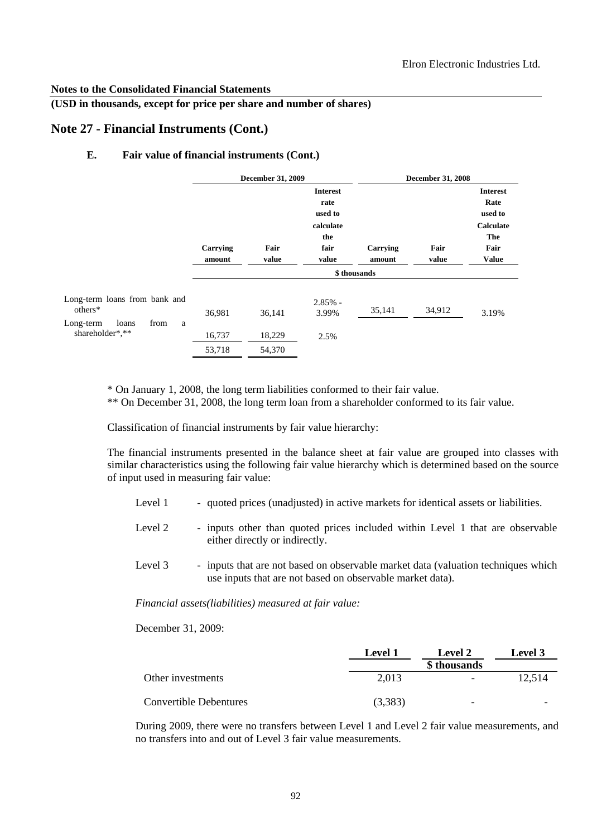**(USD in thousands, except for price per share and number of shares)**

### **Note 27 - Financial Instruments (Cont.)**

#### **E. Fair value of financial instruments (Cont.)**

|                                                    |                    | <b>December 31, 2009</b> |                                    |                    | <b>December 31, 2008</b> |                                                 |
|----------------------------------------------------|--------------------|--------------------------|------------------------------------|--------------------|--------------------------|-------------------------------------------------|
|                                                    |                    |                          | <b>Interest</b><br>rate<br>used to |                    |                          | <b>Interest</b><br>Rate<br>used to              |
|                                                    | Carrying<br>amount | Fair<br>value            | calculate<br>the<br>fair<br>value  | Carrying<br>amount | Fair<br>value            | <b>Calculate</b><br>The<br>Fair<br><b>Value</b> |
|                                                    |                    |                          |                                    | \$ thousands       |                          |                                                 |
| Long-term loans from bank and<br>others*           | 36,981             | 36,141                   | $2.85%$ -<br>3.99%                 | 35,141             | 34,912                   | 3.19%                                           |
| from<br>Long-term<br>loans<br>a<br>shareholder*,** | 16,737             | 18,229                   | 2.5%                               |                    |                          |                                                 |
|                                                    | 53,718             | 54,370                   |                                    |                    |                          |                                                 |

\* On January 1, 2008, the long term liabilities conformed to their fair value. \*\* On December 31, 2008, the long term loan from a shareholder conformed to its fair value.

Classification of financial instruments by fair value hierarchy:

The financial instruments presented in the balance sheet at fair value are grouped into classes with similar characteristics using the following fair value hierarchy which is determined based on the source of input used in measuring fair value:

- Level 1 quoted prices (unadjusted) in active markets for identical assets or liabilities.
- Level 2 inputs other than quoted prices included within Level 1 that are observable either directly or indirectly.
- Level 3 inputs that are not based on observable market data (valuation techniques which use inputs that are not based on observable market data).

*Financial assets(liabilities) measured at fair value:* 

December 31, 2009:

|                        | <b>Level 1</b> | <b>Level 2</b>           | <b>Level</b> 3           |
|------------------------|----------------|--------------------------|--------------------------|
|                        |                | \$ thousands             |                          |
| Other investments      | 2,013          | $\overline{\phantom{a}}$ | 12.514                   |
| Convertible Debentures | (3,383)        | $\overline{\phantom{0}}$ | $\overline{\phantom{0}}$ |

During 2009, there were no transfers between Level 1 and Level 2 fair value measurements, and no transfers into and out of Level 3 fair value measurements.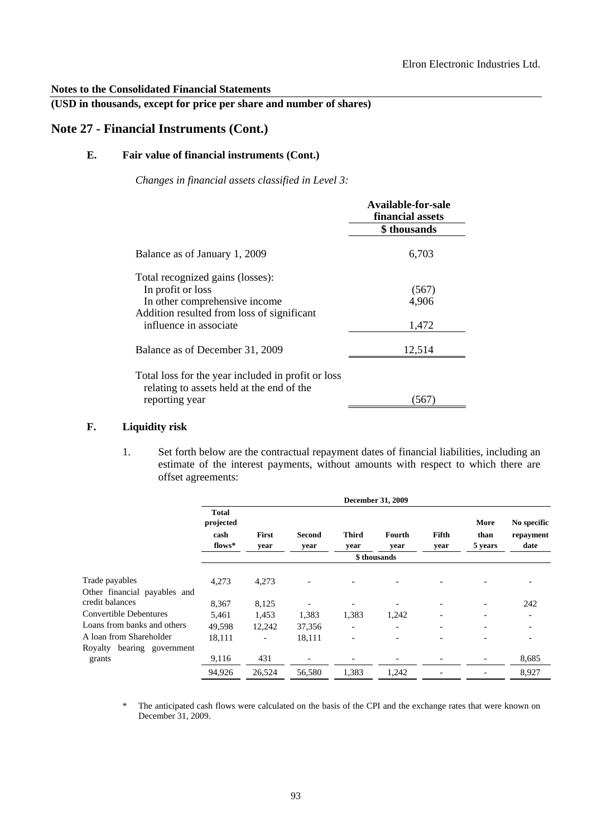**(USD in thousands, except for price per share and number of shares)**

## **Note 27 - Financial Instruments (Cont.)**

### **E. Fair value of financial instruments (Cont.)**

*Changes in financial assets classified in Level 3:* 

|                                                    | Available-for-sale<br>financial assets |
|----------------------------------------------------|----------------------------------------|
|                                                    | \$thousands                            |
| Balance as of January 1, 2009                      | 6,703                                  |
| Total recognized gains (losses):                   |                                        |
| In profit or loss                                  | (567)                                  |
| In other comprehensive income                      | 4,906                                  |
| Addition resulted from loss of significant         |                                        |
| influence in associate                             | 1,472                                  |
| Balance as of December 31, 2009                    | 12,514                                 |
|                                                    |                                        |
| Total loss for the year included in profit or loss |                                        |
| relating to assets held at the end of the          |                                        |
| reporting year                                     | 567                                    |

#### **F. Liquidity risk**

1. Set forth below are the contractual repayment dates of financial liabilities, including an estimate of the interest payments, without amounts with respect to which there are offset agreements:

|                              |                           |                          |                          |                          | <b>December 31, 2009</b> |                              |                          |             |
|------------------------------|---------------------------|--------------------------|--------------------------|--------------------------|--------------------------|------------------------------|--------------------------|-------------|
|                              | <b>Total</b><br>projected |                          |                          |                          |                          |                              | More                     | No specific |
|                              | cash                      | <b>First</b>             | Second                   | <b>Third</b>             | Fourth                   | Fifth                        | than                     | repayment   |
|                              | flows*                    | year                     | year                     | year                     | year                     | year                         | 5 years                  | date        |
|                              |                           |                          |                          |                          | \$ thousands             |                              |                          |             |
| Trade payables               | 4,273                     | 4,273                    | $\overline{\phantom{a}}$ |                          |                          |                              |                          |             |
| Other financial payables and |                           |                          |                          |                          |                          |                              |                          |             |
| credit balances              | 8,367                     | 8,125                    | $\overline{\phantom{a}}$ | $\overline{\phantom{a}}$ |                          | $\overline{\phantom{0}}$     |                          | 242         |
| Convertible Debentures       | 5,461                     | 1,453                    | 1,383                    | 1,383                    | 1,242                    | $\qquad \qquad \blacksquare$ | $\overline{\phantom{0}}$ |             |
| Loans from banks and others  | 49,598                    | 12,242                   | 37,356                   | $\overline{\phantom{a}}$ | $\overline{\phantom{0}}$ |                              |                          |             |
| A loan from Shareholder      | 18,111                    | $\overline{\phantom{a}}$ | 18,111                   | $\overline{\phantom{a}}$ |                          |                              |                          |             |
| Royalty bearing government   |                           |                          |                          |                          |                          |                              |                          |             |
| grants                       | 9,116                     | 431                      | $\overline{\phantom{a}}$ |                          |                          |                              |                          | 8,685       |
|                              | 94,926                    | 26,524                   | 56,580                   | 1,383                    | 1,242                    |                              |                          | 8,927       |

\* The anticipated cash flows were calculated on the basis of the CPI and the exchange rates that were known on December 31, 2009.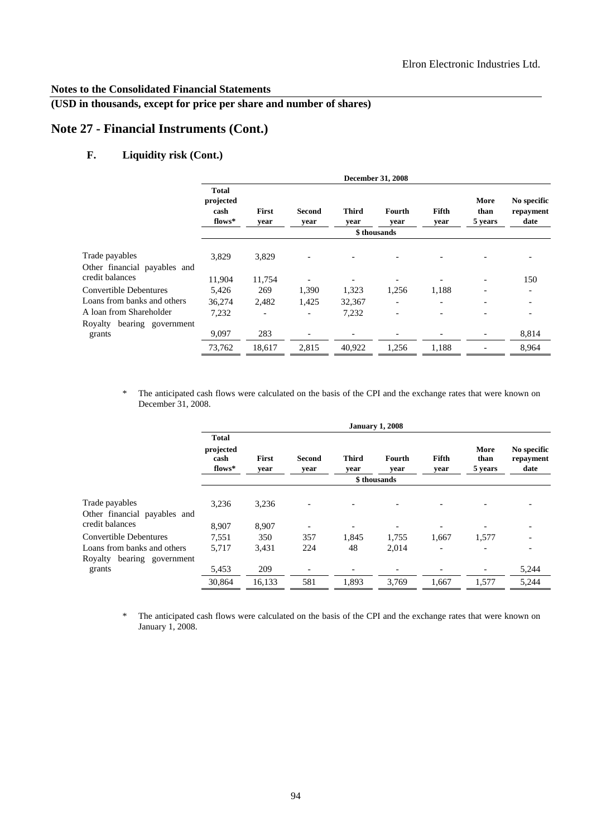**(USD in thousands, except for price per share and number of shares)**

# **Note 27 - Financial Instruments (Cont.)**

## **F. Liquidity risk (Cont.)**

|                               |                                             |                          |                          |                          | <b>December 31, 2008</b> |               |                          |                                  |
|-------------------------------|---------------------------------------------|--------------------------|--------------------------|--------------------------|--------------------------|---------------|--------------------------|----------------------------------|
|                               | <b>Total</b><br>projected<br>cash<br>flows* | <b>First</b><br>year     | <b>Second</b><br>year    | <b>Third</b><br>year     | Fourth<br>year           | Fifth<br>year | More<br>than<br>5 years  | No specific<br>repayment<br>date |
|                               |                                             |                          |                          |                          | \$ thousands             |               |                          |                                  |
| Trade payables                | 3,829                                       | 3,829                    | $\overline{\phantom{a}}$ |                          |                          |               |                          |                                  |
| Other financial payables and  |                                             |                          |                          |                          |                          |               |                          |                                  |
| credit balances               | 11,904                                      | 11,754                   | $\overline{\phantom{a}}$ | $\overline{\phantom{a}}$ | $\overline{\phantom{a}}$ |               |                          | 150                              |
| <b>Convertible Debentures</b> | 5,426                                       | 269                      | 1,390                    | 1,323                    | 1,256                    | 1,188         | $\overline{\phantom{0}}$ |                                  |
| Loans from banks and others   | 36,274                                      | 2,482                    | 1,425                    | 32,367                   | $\overline{\phantom{a}}$ | ۰             |                          |                                  |
| A loan from Shareholder       | 7,232                                       | $\overline{\phantom{a}}$ | $\overline{\phantom{a}}$ | 7,232                    |                          |               |                          |                                  |
| Royalty<br>bearing government |                                             |                          |                          |                          |                          |               |                          |                                  |
| grants                        | 9,097                                       | 283                      | $\overline{\phantom{0}}$ |                          |                          |               | $\overline{\phantom{0}}$ | 8,814                            |
|                               | 73,762                                      | 18,617                   | 2,815                    | 40,922                   | 1,256                    | 1,188         |                          | 8,964                            |

\* The anticipated cash flows were calculated on the basis of the CPI and the exchange rates that were known on December 31, 2008.

|                                                 |                                             |                      |                          |                          | <b>January 1, 2008</b>   |                          |                          |                                  |
|-------------------------------------------------|---------------------------------------------|----------------------|--------------------------|--------------------------|--------------------------|--------------------------|--------------------------|----------------------------------|
|                                                 | <b>Total</b><br>projected<br>cash<br>flows* | <b>First</b><br>vear | Second<br>year           | <b>Third</b><br>year     | Fourth<br>year           | Fifth<br>year            | More<br>than<br>5 years  | No specific<br>repayment<br>date |
|                                                 |                                             |                      |                          |                          | \$ thousands             |                          |                          |                                  |
| Trade payables                                  | 3,236                                       | 3,236                | $\overline{\phantom{a}}$ |                          |                          |                          |                          |                                  |
| Other financial payables and<br>credit balances | 8,907                                       | 8,907                | $\overline{\phantom{0}}$ | $\overline{\phantom{a}}$ | $\overline{\phantom{a}}$ | $\overline{\phantom{0}}$ |                          |                                  |
| Convertible Debentures                          | 7,551                                       | 350                  | 357                      | 1,845                    | 1,755                    | 1,667                    | 1,577                    |                                  |
| Loans from banks and others                     | 5,717                                       | 3,431                | 224                      | 48                       | 2,014                    | $\overline{\phantom{a}}$ |                          |                                  |
| Royalty bearing government                      |                                             |                      |                          |                          |                          |                          |                          |                                  |
| grants                                          | 5,453                                       | 209                  | $\overline{\phantom{a}}$ | $\overline{\phantom{0}}$ |                          | $\overline{\phantom{a}}$ | $\overline{\phantom{a}}$ | 5,244                            |
|                                                 | 30,864                                      | 16.133               | 581                      | 1,893                    | 3.769                    | 1.667                    | 1,577                    | 5,244                            |

\* The anticipated cash flows were calculated on the basis of the CPI and the exchange rates that were known on January 1, 2008.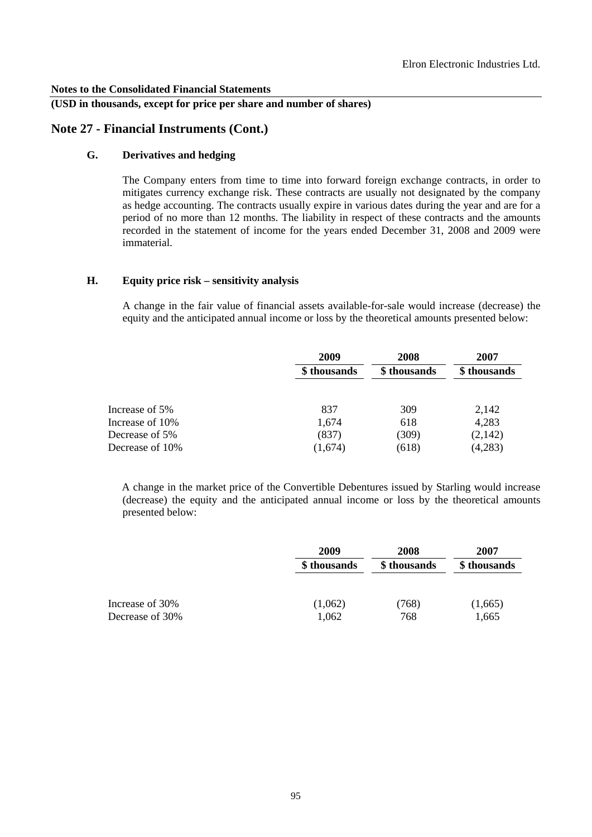**(USD in thousands, except for price per share and number of shares)**

## **Note 27 - Financial Instruments (Cont.)**

### **G. Derivatives and hedging**

The Company enters from time to time into forward foreign exchange contracts, in order to mitigates currency exchange risk. These contracts are usually not designated by the company as hedge accounting. The contracts usually expire in various dates during the year and are for a period of no more than 12 months. The liability in respect of these contracts and the amounts recorded in the statement of income for the years ended December 31, 2008 and 2009 were immaterial.

### **H. Equity price risk – sensitivity analysis**

 A change in the fair value of financial assets available-for-sale would increase (decrease) the equity and the anticipated annual income or loss by the theoretical amounts presented below:

|                 | 2009         | 2008         | 2007         |
|-----------------|--------------|--------------|--------------|
|                 | \$ thousands | \$ thousands | \$ thousands |
| Increase of 5%  | 837          | 309          | 2,142        |
| Increase of 10% | 1,674        | 618          | 4,283        |
| Decrease of 5%  | (837)        | (309)        | (2,142)      |
| Decrease of 10% | (1,674)      | (618)        | (4,283)      |

A change in the market price of the Convertible Debentures issued by Starling would increase (decrease) the equity and the anticipated annual income or loss by the theoretical amounts presented below:

|                 | 2009         | 2008         | 2007         |
|-----------------|--------------|--------------|--------------|
|                 | \$ thousands | \$ thousands | \$ thousands |
| Increase of 30% | (1,062)      | (768)        | (1,665)      |
| Decrease of 30% | 1,062        | 768          | 1,665        |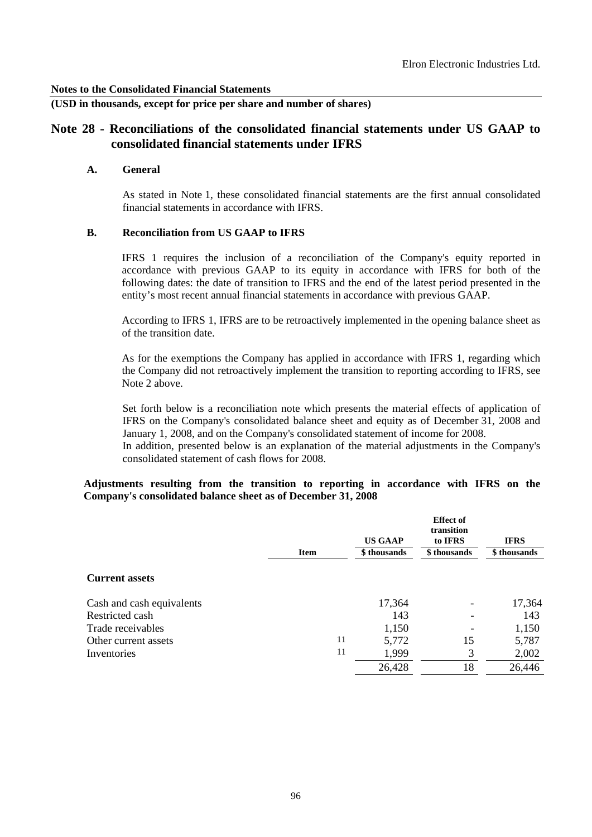**(USD in thousands, except for price per share and number of shares)**

## **Note 28 - Reconciliations of the consolidated financial statements under US GAAP to consolidated financial statements under IFRS**

#### **A. General**

 As stated in Note 1, these consolidated financial statements are the first annual consolidated financial statements in accordance with IFRS.

#### **B. Reconciliation from US GAAP to IFRS**

IFRS 1 requires the inclusion of a reconciliation of the Company's equity reported in accordance with previous GAAP to its equity in accordance with IFRS for both of the following dates: the date of transition to IFRS and the end of the latest period presented in the entity's most recent annual financial statements in accordance with previous GAAP.

According to IFRS 1, IFRS are to be retroactively implemented in the opening balance sheet as of the transition date.

As for the exemptions the Company has applied in accordance with IFRS 1, regarding which the Company did not retroactively implement the transition to reporting according to IFRS, see Note 2 above.

 Set forth below is a reconciliation note which presents the material effects of application of IFRS on the Company's consolidated balance sheet and equity as of December 31, 2008 and January 1, 2008, and on the Company's consolidated statement of income for 2008. In addition, presented below is an explanation of the material adjustments in the Company's

consolidated statement of cash flows for 2008.

#### **Adjustments resulting from the transition to reporting in accordance with IFRS on the Company's consolidated balance sheet as of December 31, 2008**

|                           | <b>Item</b> | <b>US GAAP</b><br>\$ thousands | <b>Effect</b> of<br>transition<br>to IFRS<br>\$ thousands | <b>IFRS</b><br>\$ thousands |
|---------------------------|-------------|--------------------------------|-----------------------------------------------------------|-----------------------------|
| <b>Current assets</b>     |             |                                |                                                           |                             |
| Cash and cash equivalents |             | 17,364                         |                                                           | 17,364                      |
| Restricted cash           |             | 143                            |                                                           | 143                         |
| Trade receivables         |             | 1,150                          |                                                           | 1,150                       |
| Other current assets      | 11          | 5,772                          | 15                                                        | 5,787                       |
| Inventories               | 11          | 1,999                          | 3                                                         | 2,002                       |
|                           |             | 26,428                         | 18                                                        | 26,446                      |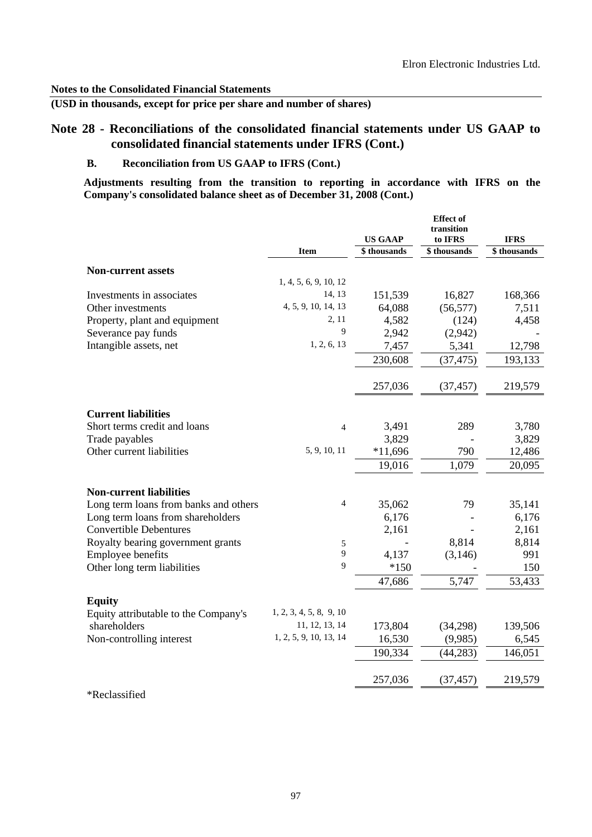**(USD in thousands, except for price per share and number of shares)**

# **Note 28 - Reconciliations of the consolidated financial statements under US GAAP to consolidated financial statements under IFRS (Cont.)**

## **B. Reconciliation from US GAAP to IFRS (Cont.)**

**Adjustments resulting from the transition to reporting in accordance with IFRS on the Company's consolidated balance sheet as of December 31, 2008 (Cont.)** 

|                                       |                         | <b>US GAAP</b>      | <b>Effect</b> of<br>transition<br>to IFRS | <b>IFRS</b>  |
|---------------------------------------|-------------------------|---------------------|-------------------------------------------|--------------|
|                                       | <b>Item</b>             | <b>\$ thousands</b> | \$thousands                               | \$ thousands |
|                                       |                         |                     |                                           |              |
| <b>Non-current assets</b>             |                         |                     |                                           |              |
|                                       | 1, 4, 5, 6, 9, 10, 12   |                     |                                           |              |
| Investments in associates             | 14, 13                  | 151,539             | 16,827                                    | 168,366      |
| Other investments                     | 4, 5, 9, 10, 14, 13     | 64,088              | (56, 577)                                 | 7,511        |
| Property, plant and equipment         | 2, 11                   | 4,582               | (124)                                     | 4,458        |
| Severance pay funds                   | 9                       | 2,942               | (2,942)                                   |              |
| Intangible assets, net                | 1, 2, 6, 13             | 7,457               | 5,341                                     | 12,798       |
|                                       |                         | 230,608             | (37, 475)                                 | 193,133      |
|                                       |                         | 257,036             | (37, 457)                                 | 219,579      |
| <b>Current liabilities</b>            |                         |                     |                                           |              |
| Short terms credit and loans          | $\overline{4}$          | 3,491               | 289                                       | 3,780        |
| Trade payables                        |                         | 3,829               |                                           | 3,829        |
| Other current liabilities             | 5, 9, 10, 11            | $*11,696$           | 790                                       | 12,486       |
|                                       |                         | 19,016              | 1,079                                     | 20,095       |
| <b>Non-current liabilities</b>        |                         |                     |                                           |              |
| Long term loans from banks and others | $\overline{4}$          | 35,062              | 79                                        | 35,141       |
| Long term loans from shareholders     |                         | 6,176               |                                           | 6,176        |
| <b>Convertible Debentures</b>         |                         | 2,161               |                                           | 2,161        |
| Royalty bearing government grants     | $\sqrt{5}$              |                     | 8,814                                     | 8,814        |
| <b>Employee benefits</b>              | 9                       | 4,137               | (3, 146)                                  | 991          |
| Other long term liabilities           | 9                       | $*150$              |                                           | 150          |
|                                       |                         | 47,686              | 5,747                                     | 53,433       |
| <b>Equity</b>                         |                         |                     |                                           |              |
| Equity attributable to the Company's  | 1, 2, 3, 4, 5, 8, 9, 10 |                     |                                           |              |
| shareholders                          | 11, 12, 13, 14          | 173,804             | (34,298)                                  | 139,506      |
| Non-controlling interest              | 1, 2, 5, 9, 10, 13, 14  | 16,530              | (9,985)                                   | 6,545        |
|                                       |                         | 190,334             | (44, 283)                                 | 146,051      |
|                                       |                         | 257,036             | (37, 457)                                 | 219,579      |
| *Reclassified                         |                         |                     |                                           |              |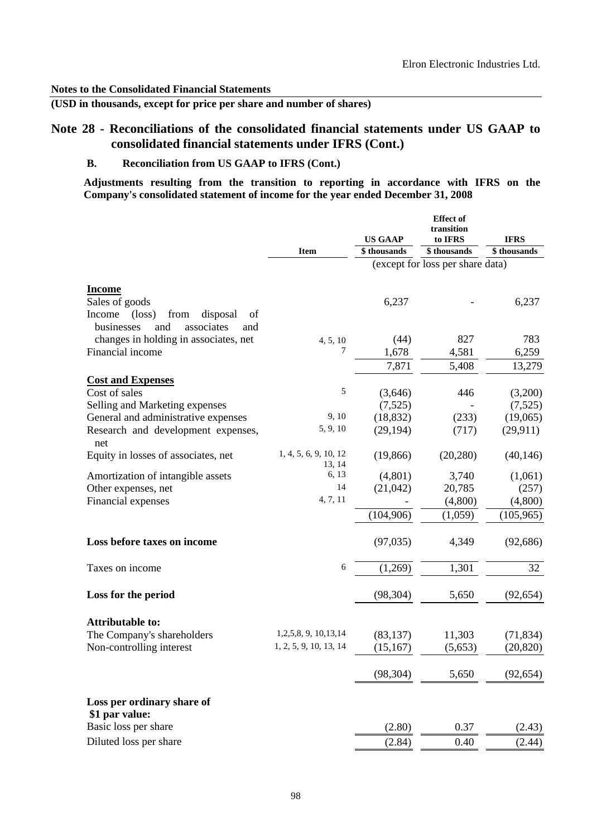**(USD in thousands, except for price per share and number of shares)**

# **Note 28 - Reconciliations of the consolidated financial statements under US GAAP to consolidated financial statements under IFRS (Cont.)**

### **B. Reconciliation from US GAAP to IFRS (Cont.)**

**Adjustments resulting from the transition to reporting in accordance with IFRS on the Company's consolidated statement of income for the year ended December 31, 2008** 

|                                                                                               |                                                | <b>US GAAP</b> | <b>Effect of</b><br>transition<br>to IFRS | <b>IFRS</b> |
|-----------------------------------------------------------------------------------------------|------------------------------------------------|----------------|-------------------------------------------|-------------|
|                                                                                               | <b>Item</b>                                    | \$thousands    | \$thousands                               | \$thousands |
|                                                                                               |                                                |                | (except for loss per share data)          |             |
| <b>Income</b>                                                                                 |                                                |                |                                           |             |
| Sales of goods                                                                                |                                                | 6,237          |                                           | 6,237       |
| Income<br>$(\text{loss})$<br>of<br>from<br>disposal<br>businesses<br>and<br>associates<br>and |                                                |                |                                           |             |
| changes in holding in associates, net                                                         | 4, 5, 10                                       | (44)           | 827                                       | 783         |
| Financial income                                                                              | 7                                              | 1,678          | 4,581                                     | 6,259       |
|                                                                                               |                                                | 7,871          | 5,408                                     | 13,279      |
| <b>Cost and Expenses</b>                                                                      |                                                |                |                                           |             |
| Cost of sales                                                                                 | 5                                              | (3,646)        | 446                                       | (3,200)     |
| Selling and Marketing expenses                                                                |                                                | (7,525)        |                                           | (7,525)     |
| General and administrative expenses                                                           | 9,10                                           | (18, 832)      | (233)                                     | (19,065)    |
| Research and development expenses,<br>net                                                     | 5, 9, 10                                       | (29, 194)      | (717)                                     | (29, 911)   |
| Equity in losses of associates, net                                                           | 1, 4, 5, 6, 9, 10, 12<br>13, 14                | (19, 866)      | (20, 280)                                 | (40, 146)   |
| Amortization of intangible assets                                                             | 6, 13                                          | (4,801)        | 3,740                                     | (1,061)     |
| Other expenses, net                                                                           | 14                                             | (21,042)       | 20,785                                    | (257)       |
| Financial expenses                                                                            | 4, 7, 11                                       |                | (4,800)                                   | (4,800)     |
|                                                                                               |                                                | (104,906)      | (1,059)                                   | (105, 965)  |
| Loss before taxes on income                                                                   |                                                | (97, 035)      | 4,349                                     | (92, 686)   |
| Taxes on income                                                                               | 6                                              | (1,269)        | 1,301                                     | 32          |
| Loss for the period                                                                           |                                                | (98, 304)      | 5,650                                     | (92, 654)   |
|                                                                                               |                                                |                |                                           |             |
| <b>Attributable to:</b>                                                                       |                                                |                |                                           |             |
| The Company's shareholders                                                                    | 1,2,5,8, 9, 10,13,14<br>1, 2, 5, 9, 10, 13, 14 | (83, 137)      | 11,303                                    | (71, 834)   |
| Non-controlling interest                                                                      |                                                | (15, 167)      | (5,653)                                   | (20, 820)   |
|                                                                                               |                                                | (98, 304)      | 5,650                                     | (92, 654)   |
| Loss per ordinary share of<br>\$1 par value:                                                  |                                                |                |                                           |             |
| Basic loss per share                                                                          |                                                | (2.80)         | 0.37                                      | (2.43)      |
| Diluted loss per share                                                                        |                                                | (2.84)         | 0.40                                      | (2.44)      |
|                                                                                               |                                                |                |                                           |             |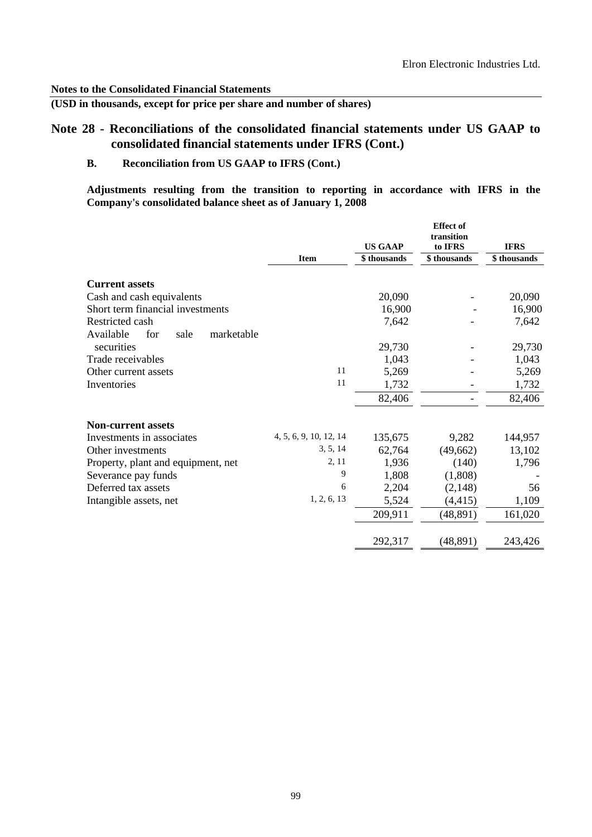**(USD in thousands, except for price per share and number of shares)**

# **Note 28 - Reconciliations of the consolidated financial statements under US GAAP to consolidated financial statements under IFRS (Cont.)**

## **B. Reconciliation from US GAAP to IFRS (Cont.)**

**Adjustments resulting from the transition to reporting in accordance with IFRS in the Company's consolidated balance sheet as of January 1, 2008** 

|                                        |                        | <b>US GAAP</b> | <b>Effect</b> of<br>transition<br>to IFRS | <b>IFRS</b>  |
|----------------------------------------|------------------------|----------------|-------------------------------------------|--------------|
|                                        | <b>Item</b>            | \$thousands    | \$thousands                               | \$ thousands |
| <b>Current assets</b>                  |                        |                |                                           |              |
| Cash and cash equivalents              |                        | 20,090         |                                           | 20,090       |
| Short term financial investments       |                        | 16,900         |                                           | 16,900       |
| Restricted cash                        |                        | 7,642          |                                           | 7,642        |
| Available<br>sale<br>for<br>marketable |                        |                |                                           |              |
| securities                             |                        | 29,730         |                                           | 29,730       |
| Trade receivables                      |                        | 1,043          |                                           | 1,043        |
| Other current assets                   | 11                     | 5,269          |                                           | 5,269        |
| Inventories                            | 11                     | 1,732          |                                           | 1,732        |
|                                        |                        | 82,406         |                                           | 82,406       |
| <b>Non-current assets</b>              |                        |                |                                           |              |
| Investments in associates              | 4, 5, 6, 9, 10, 12, 14 | 135,675        | 9,282                                     | 144,957      |
| Other investments                      | 3, 5, 14               | 62,764         | (49, 662)                                 | 13,102       |
| Property, plant and equipment, net     | 2, 11                  | 1,936          | (140)                                     | 1,796        |
| Severance pay funds                    | 9                      | 1,808          | (1,808)                                   |              |
| Deferred tax assets                    | 6                      | 2,204          | (2,148)                                   | 56           |
| Intangible assets, net                 | 1, 2, 6, 13            | 5,524          | (4, 415)                                  | 1,109        |
|                                        |                        | 209,911        | (48, 891)                                 | 161,020      |
|                                        |                        | 292,317        | (48, 891)                                 | 243,426      |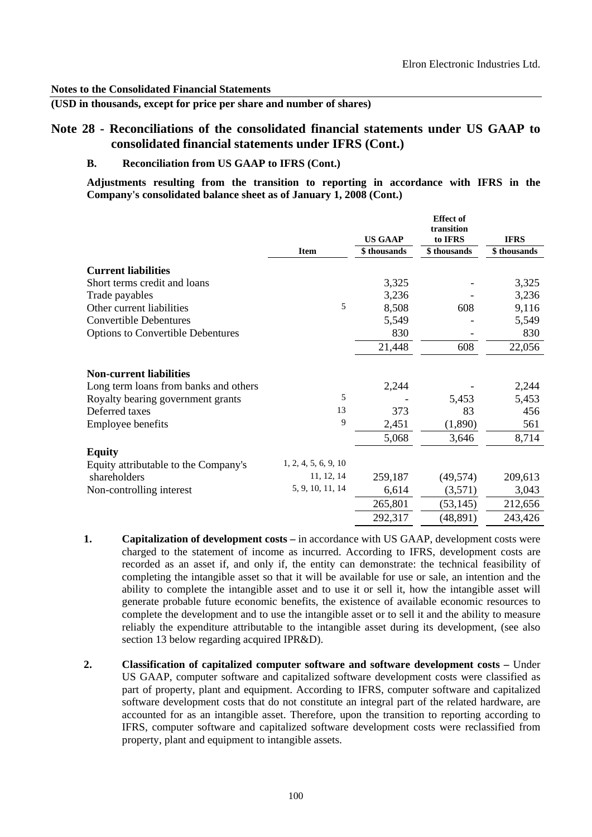**(USD in thousands, except for price per share and number of shares)**

## **Note 28 - Reconciliations of the consolidated financial statements under US GAAP to consolidated financial statements under IFRS (Cont.)**

## **B. Reconciliation from US GAAP to IFRS (Cont.)**

**Adjustments resulting from the transition to reporting in accordance with IFRS in the Company's consolidated balance sheet as of January 1, 2008 (Cont.)** 

|                                          | <b>Item</b>          | <b>US GAAP</b><br>\$thousands | <b>Effect</b> of<br>transition<br>to IFRS<br>\$thousands | <b>IFRS</b><br>\$thousands |
|------------------------------------------|----------------------|-------------------------------|----------------------------------------------------------|----------------------------|
| <b>Current liabilities</b>               |                      |                               |                                                          |                            |
| Short terms credit and loans             |                      | 3,325                         |                                                          | 3,325                      |
| Trade payables                           |                      | 3,236                         |                                                          | 3,236                      |
| Other current liabilities                | 5                    | 8,508                         | 608                                                      | 9,116                      |
| <b>Convertible Debentures</b>            |                      | 5,549                         |                                                          | 5,549                      |
| <b>Options to Convertible Debentures</b> |                      | 830                           |                                                          | 830                        |
|                                          |                      | 21,448                        | 608                                                      | 22,056                     |
| <b>Non-current liabilities</b>           |                      |                               |                                                          |                            |
| Long term loans from banks and others    |                      | 2,244                         |                                                          | 2,244                      |
| Royalty bearing government grants        | 5                    |                               | 5,453                                                    | 5,453                      |
| Deferred taxes                           | 13                   | 373                           | 83                                                       | 456                        |
| <b>Employee benefits</b>                 | 9                    | 2,451                         | (1,890)                                                  | 561                        |
|                                          |                      | 5,068                         | 3,646                                                    | 8,714                      |
| <b>Equity</b>                            |                      |                               |                                                          |                            |
| Equity attributable to the Company's     | 1, 2, 4, 5, 6, 9, 10 |                               |                                                          |                            |
| shareholders                             | 11, 12, 14           | 259,187                       | (49, 574)                                                | 209,613                    |
| Non-controlling interest                 | 5, 9, 10, 11, 14     | 6,614                         | (3,571)                                                  | 3,043                      |
|                                          |                      | 265,801                       | (53, 145)                                                | 212,656                    |
|                                          |                      | 292,317                       | (48, 891)                                                | 243,426                    |

- **1. Capitalization of development costs –** in accordance with US GAAP, development costs were charged to the statement of income as incurred. According to IFRS, development costs are recorded as an asset if, and only if, the entity can demonstrate: the technical feasibility of completing the intangible asset so that it will be available for use or sale, an intention and the ability to complete the intangible asset and to use it or sell it, how the intangible asset will generate probable future economic benefits, the existence of available economic resources to complete the development and to use the intangible asset or to sell it and the ability to measure reliably the expenditure attributable to the intangible asset during its development, (see also section 13 below regarding acquired IPR&D).
- **2. Classification of capitalized computer software and software development costs –** Under US GAAP, computer software and capitalized software development costs were classified as part of property, plant and equipment. According to IFRS, computer software and capitalized software development costs that do not constitute an integral part of the related hardware, are accounted for as an intangible asset. Therefore, upon the transition to reporting according to IFRS, computer software and capitalized software development costs were reclassified from property, plant and equipment to intangible assets.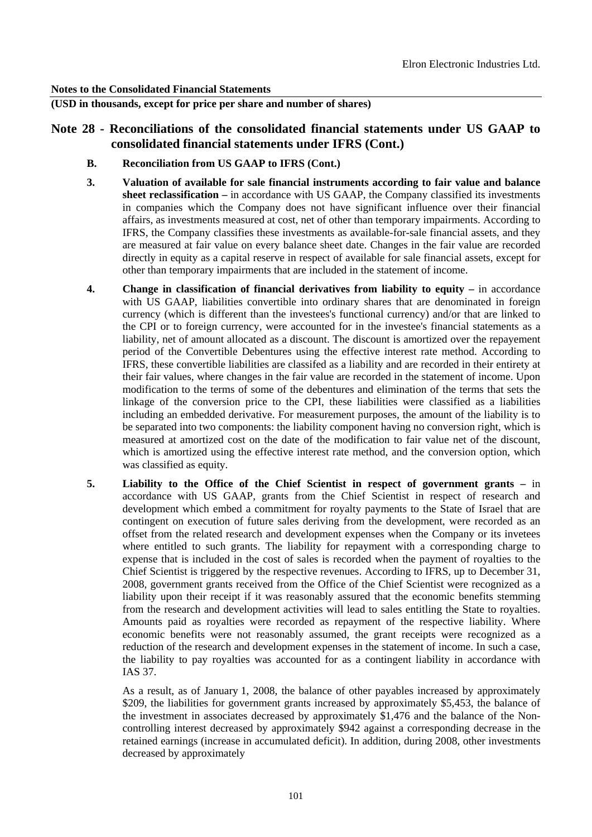**(USD in thousands, except for price per share and number of shares)**

## **Note 28 - Reconciliations of the consolidated financial statements under US GAAP to consolidated financial statements under IFRS (Cont.)**

- **B. Reconciliation from US GAAP to IFRS (Cont.)**
- **3. Valuation of available for sale financial instruments according to fair value and balance sheet reclassification –** in accordance with US GAAP, the Company classified its investments in companies which the Company does not have significant influence over their financial affairs, as investments measured at cost, net of other than temporary impairments. According to IFRS, the Company classifies these investments as available-for-sale financial assets, and they are measured at fair value on every balance sheet date. Changes in the fair value are recorded directly in equity as a capital reserve in respect of available for sale financial assets, except for other than temporary impairments that are included in the statement of income.
- **4. Change in classification of financial derivatives from liability to equity –** in accordance with US GAAP, liabilities convertible into ordinary shares that are denominated in foreign currency (which is different than the investees's functional currency) and/or that are linked to the CPI or to foreign currency, were accounted for in the investee's financial statements as a liability, net of amount allocated as a discount. The discount is amortized over the repayement period of the Convertible Debentures using the effective interest rate method. According to IFRS, these convertible liabilities are classifed as a liability and are recorded in their entirety at their fair values, where changes in the fair value are recorded in the statement of income. Upon modification to the terms of some of the debentures and elimination of the terms that sets the linkage of the conversion price to the CPI, these liabilities were classified as a liabilities including an embedded derivative. For measurement purposes, the amount of the liability is to be separated into two components: the liability component having no conversion right, which is measured at amortized cost on the date of the modification to fair value net of the discount, which is amortized using the effective interest rate method, and the conversion option, which was classified as equity.
- **5. Liability to the Office of the Chief Scientist in respect of government grants –** in accordance with US GAAP, grants from the Chief Scientist in respect of research and development which embed a commitment for royalty payments to the State of Israel that are contingent on execution of future sales deriving from the development, were recorded as an offset from the related research and development expenses when the Company or its invetees where entitled to such grants. The liability for repayment with a corresponding charge to expense that is included in the cost of sales is recorded when the payment of royalties to the Chief Scientist is triggered by the respective revenues. According to IFRS, up to December 31, 2008, government grants received from the Office of the Chief Scientist were recognized as a liability upon their receipt if it was reasonably assured that the economic benefits stemming from the research and development activities will lead to sales entitling the State to royalties. Amounts paid as royalties were recorded as repayment of the respective liability. Where economic benefits were not reasonably assumed, the grant receipts were recognized as a reduction of the research and development expenses in the statement of income. In such a case, the liability to pay royalties was accounted for as a contingent liability in accordance with IAS 37.

As a result, as of January 1, 2008, the balance of other payables increased by approximately \$209, the liabilities for government grants increased by approximately \$5,453, the balance of the investment in associates decreased by approximately \$1,476 and the balance of the Noncontrolling interest decreased by approximately \$942 against a corresponding decrease in the retained earnings (increase in accumulated deficit). In addition, during 2008, other investments decreased by approximately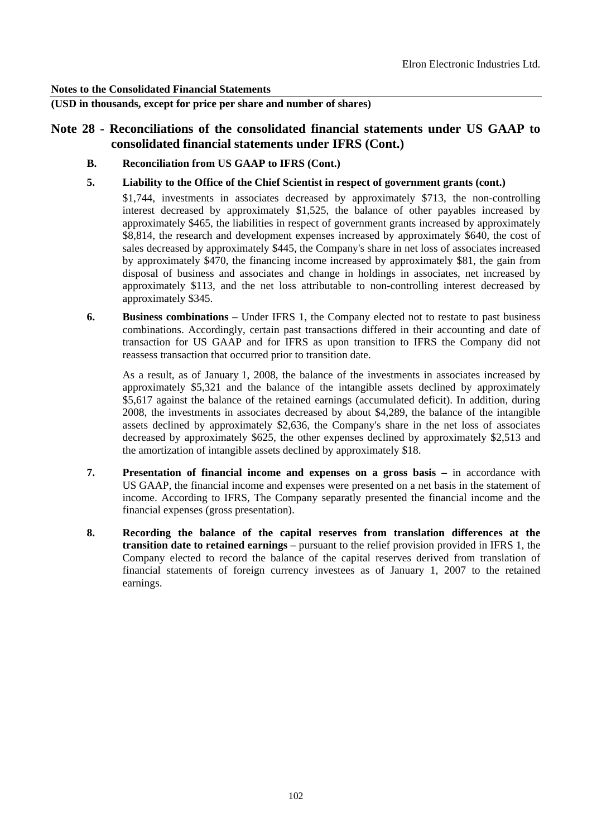**(USD in thousands, except for price per share and number of shares)**

## **Note 28 - Reconciliations of the consolidated financial statements under US GAAP to consolidated financial statements under IFRS (Cont.)**

- **B. Reconciliation from US GAAP to IFRS (Cont.)**
- **5. Liability to the Office of the Chief Scientist in respect of government grants (cont.)**

\$1,744, investments in associates decreased by approximately \$713, the non-controlling interest decreased by approximately \$1,525, the balance of other payables increased by approximately \$465, the liabilities in respect of government grants increased by approximately \$8,814, the research and development expenses increased by approximately \$640, the cost of sales decreased by approximately \$445, the Company's share in net loss of associates increased by approximately \$470, the financing income increased by approximately \$81, the gain from disposal of business and associates and change in holdings in associates, net increased by approximately \$113, and the net loss attributable to non-controlling interest decreased by approximately \$345.

**6.** Business combinations – Under IFRS 1, the Company elected not to restate to past business combinations. Accordingly, certain past transactions differed in their accounting and date of transaction for US GAAP and for IFRS as upon transition to IFRS the Company did not reassess transaction that occurred prior to transition date.

 As a result, as of January 1, 2008, the balance of the investments in associates increased by approximately \$5,321 and the balance of the intangible assets declined by approximately \$5,617 against the balance of the retained earnings (accumulated deficit). In addition, during 2008, the investments in associates decreased by about \$4,289, the balance of the intangible assets declined by approximately \$2,636, the Company's share in the net loss of associates decreased by approximately \$625, the other expenses declined by approximately \$2,513 and the amortization of intangible assets declined by approximately \$18.

- **7. Presentation of financial income and expenses on a gross basis –** in accordance with US GAAP, the financial income and expenses were presented on a net basis in the statement of income. According to IFRS, The Company separatly presented the financial income and the financial expenses (gross presentation).
- **8. Recording the balance of the capital reserves from translation differences at the transition date to retained earnings –** pursuant to the relief provision provided in IFRS 1, the Company elected to record the balance of the capital reserves derived from translation of financial statements of foreign currency investees as of January 1, 2007 to the retained earnings.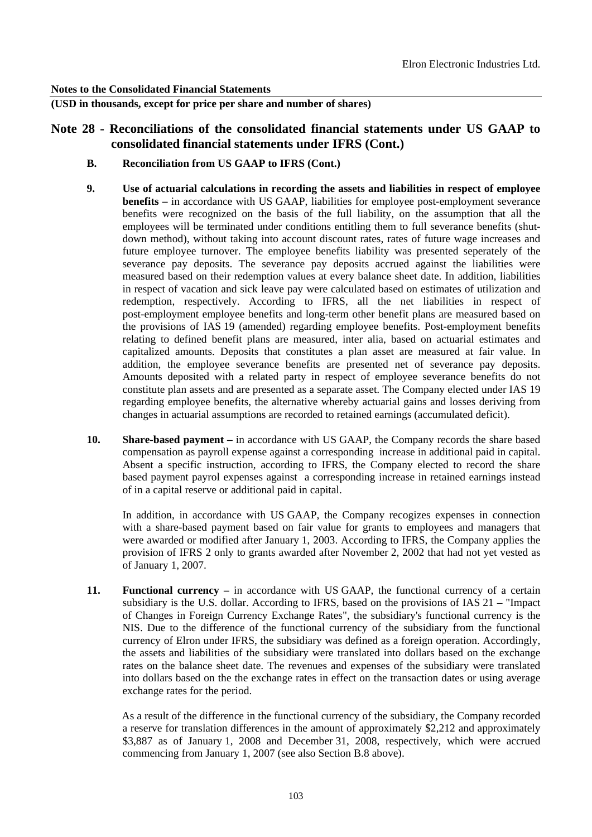**(USD in thousands, except for price per share and number of shares)**

## **Note 28 - Reconciliations of the consolidated financial statements under US GAAP to consolidated financial statements under IFRS (Cont.)**

- **B. Reconciliation from US GAAP to IFRS (Cont.)**
- **9. Use of actuarial calculations in recording the assets and liabilities in respect of employee benefits** – in accordance with US GAAP, liabilities for employee post-employment severance benefits were recognized on the basis of the full liability, on the assumption that all the employees will be terminated under conditions entitling them to full severance benefits (shutdown method), without taking into account discount rates, rates of future wage increases and future employee turnover. The employee benefits liability was presented seperately of the severance pay deposits. The severance pay deposits accrued against the liabilities were measured based on their redemption values at every balance sheet date. In addition, liabilities in respect of vacation and sick leave pay were calculated based on estimates of utilization and redemption, respectively. According to IFRS, all the net liabilities in respect of post-employment employee benefits and long-term other benefit plans are measured based on the provisions of IAS 19 (amended) regarding employee benefits. Post-employment benefits relating to defined benefit plans are measured, inter alia, based on actuarial estimates and capitalized amounts. Deposits that constitutes a plan asset are measured at fair value. In addition, the employee severance benefits are presented net of severance pay deposits. Amounts deposited with a related party in respect of employee severance benefits do not constitute plan assets and are presented as a separate asset. The Company elected under IAS 19 regarding employee benefits, the alternative whereby actuarial gains and losses deriving from changes in actuarial assumptions are recorded to retained earnings (accumulated deficit).
- **10. Share-based payment –** in accordance with US GAAP, the Company records the share based compensation as payroll expense against a corresponding increase in additional paid in capital. Absent a specific instruction, according to IFRS, the Company elected to record the share based payment payrol expenses against a corresponding increase in retained earnings instead of in a capital reserve or additional paid in capital.

In addition, in accordance with US GAAP, the Company recogizes expenses in connection with a share-based payment based on fair value for grants to employees and managers that were awarded or modified after January 1, 2003. According to IFRS, the Company applies the provision of IFRS 2 only to grants awarded after November 2, 2002 that had not yet vested as of January 1, 2007.

**11. Functional currency** – in accordance with US GAAP, the functional currency of a certain subsidiary is the U.S. dollar. According to IFRS, based on the provisions of IAS 21 – "Impact of Changes in Foreign Currency Exchange Rates", the subsidiary's functional currency is the NIS. Due to the difference of the functional currency of the subsidiary from the functional currency of Elron under IFRS, the subsidiary was defined as a foreign operation. Accordingly, the assets and liabilities of the subsidiary were translated into dollars based on the exchange rates on the balance sheet date. The revenues and expenses of the subsidiary were translated into dollars based on the the exchange rates in effect on the transaction dates or using average exchange rates for the period.

As a result of the difference in the functional currency of the subsidiary, the Company recorded a reserve for translation differences in the amount of approximately \$2,212 and approximately \$3,887 as of January 1, 2008 and December 31, 2008, respectively, which were accrued commencing from January 1, 2007 (see also Section B.8 above).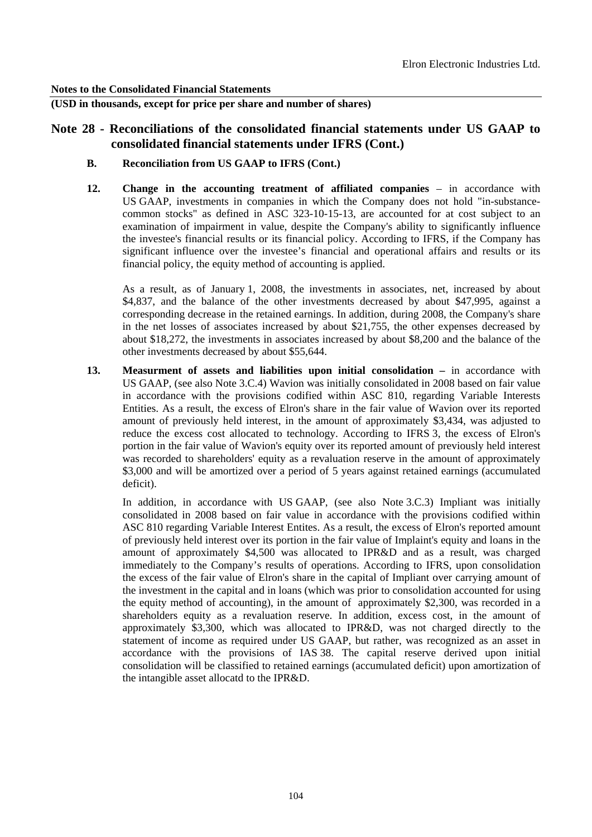**(USD in thousands, except for price per share and number of shares)**

## **Note 28 - Reconciliations of the consolidated financial statements under US GAAP to consolidated financial statements under IFRS (Cont.)**

- **B. Reconciliation from US GAAP to IFRS (Cont.)**
- **12. Change in the accounting treatment of affiliated companies**  in accordance with US GAAP, investments in companies in which the Company does not hold "in-substancecommon stocks" as defined in ASC 323-10-15-13, are accounted for at cost subject to an examination of impairment in value, despite the Company's ability to significantly influence the investee's financial results or its financial policy. According to IFRS, if the Company has significant influence over the investee's financial and operational affairs and results or its financial policy, the equity method of accounting is applied.

 As a result, as of January 1, 2008, the investments in associates, net, increased by about \$4,837, and the balance of the other investments decreased by about \$47,995, against a corresponding decrease in the retained earnings. In addition, during 2008, the Company's share in the net losses of associates increased by about \$21,755, the other expenses decreased by about \$18,272, the investments in associates increased by about \$8,200 and the balance of the other investments decreased by about \$55,644.

**13. Measurment of assets and liabilities upon initial consolidation –** in accordance with US GAAP, (see also Note 3.C.4) Wavion was initially consolidated in 2008 based on fair value in accordance with the provisions codified within ASC 810, regarding Variable Interests Entities. As a result, the excess of Elron's share in the fair value of Wavion over its reported amount of previously held interest, in the amount of approximately \$3,434, was adjusted to reduce the excess cost allocated to technology. According to IFRS 3, the excess of Elron's portion in the fair value of Wavion's equity over its reported amount of previously held interest was recorded to shareholders' equity as a revaluation reserve in the amount of approximately \$3,000 and will be amortized over a period of 5 years against retained earnings (accumulated deficit).

 In addition, in accordance with US GAAP, (see also Note 3.C.3) Impliant was initially consolidated in 2008 based on fair value in accordance with the provisions codified within ASC 810 regarding Variable Interest Entites. As a result, the excess of Elron's reported amount of previously held interest over its portion in the fair value of Implaint's equity and loans in the amount of approximately \$4,500 was allocated to IPR&D and as a result, was charged immediately to the Company's results of operations. According to IFRS, upon consolidation the excess of the fair value of Elron's share in the capital of Impliant over carrying amount of the investment in the capital and in loans (which was prior to consolidation accounted for using the equity method of accounting), in the amount of approximately \$2,300, was recorded in a shareholders equity as a revaluation reserve. In addition, excess cost, in the amount of approximately \$3,300, which was allocated to IPR&D, was not charged directly to the statement of income as required under US GAAP, but rather, was recognized as an asset in accordance with the provisions of IAS 38. The capital reserve derived upon initial consolidation will be classified to retained earnings (accumulated deficit) upon amortization of the intangible asset allocatd to the IPR&D.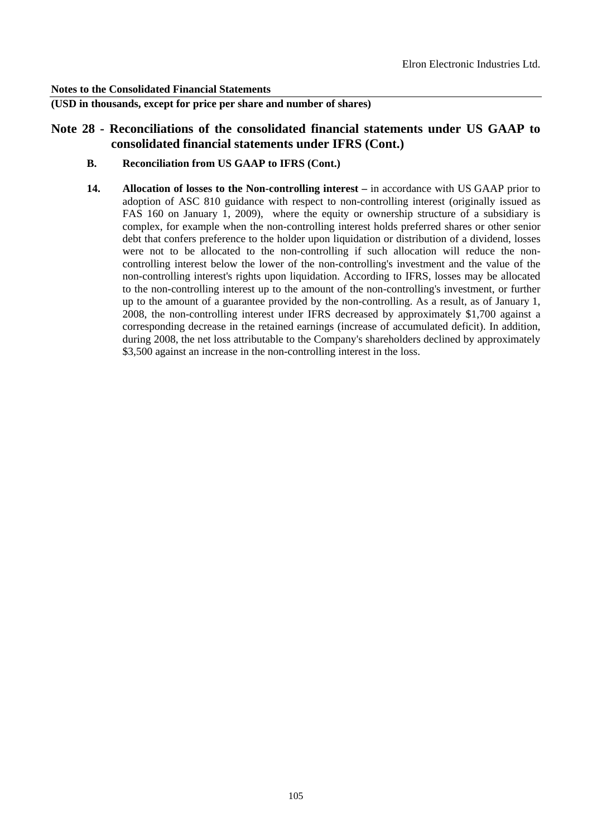**(USD in thousands, except for price per share and number of shares)**

## **Note 28 - Reconciliations of the consolidated financial statements under US GAAP to consolidated financial statements under IFRS (Cont.)**

- **B. Reconciliation from US GAAP to IFRS (Cont.)**
- **14. Allocation of losses to the Non-controlling interest –** in accordance with US GAAP prior to adoption of ASC 810 guidance with respect to non-controlling interest (originally issued as FAS 160 on January 1, 2009), where the equity or ownership structure of a subsidiary is complex, for example when the non-controlling interest holds preferred shares or other senior debt that confers preference to the holder upon liquidation or distribution of a dividend, losses were not to be allocated to the non-controlling if such allocation will reduce the noncontrolling interest below the lower of the non-controlling's investment and the value of the non-controlling interest's rights upon liquidation. According to IFRS, losses may be allocated to the non-controlling interest up to the amount of the non-controlling's investment, or further up to the amount of a guarantee provided by the non-controlling. As a result, as of January 1, 2008, the non-controlling interest under IFRS decreased by approximately \$1,700 against a corresponding decrease in the retained earnings (increase of accumulated deficit). In addition, during 2008, the net loss attributable to the Company's shareholders declined by approximately \$3,500 against an increase in the non-controlling interest in the loss.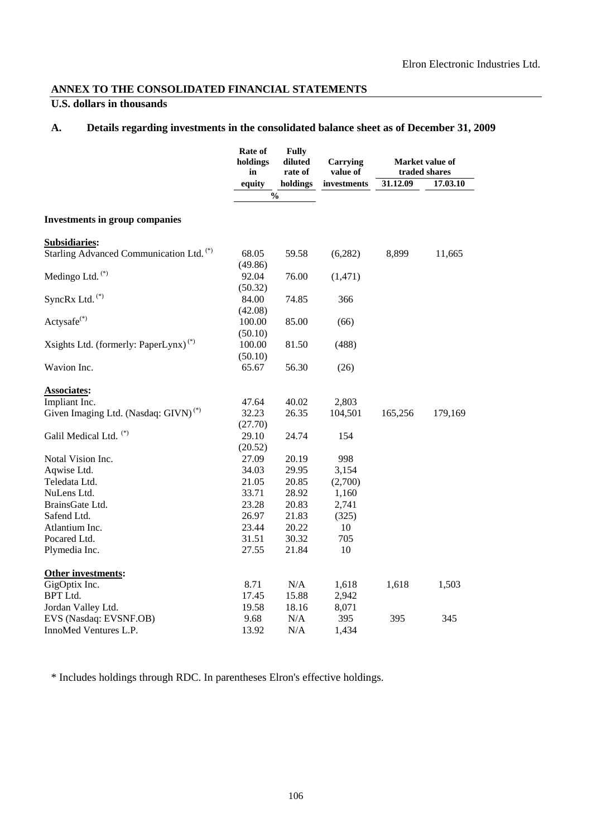## **ANNEX TO THE CONSOLIDATED FINANCIAL STATEMENTS**

# **U.S. dollars in thousands**

# **A. Details regarding investments in the consolidated balance sheet as of December 31, 2009**

|                                                     | Rate of<br>holdings<br>in | <b>Fully</b><br>diluted<br>rate of | Carrying<br>value of |          | Market value of<br>traded shares |
|-----------------------------------------------------|---------------------------|------------------------------------|----------------------|----------|----------------------------------|
|                                                     | equity                    | holdings                           | investments          | 31.12.09 | 17.03.10                         |
|                                                     |                           | $\frac{0}{0}$                      |                      |          |                                  |
| <b>Investments in group companies</b>               |                           |                                    |                      |          |                                  |
| <b>Subsidiaries:</b>                                |                           |                                    |                      |          |                                  |
| Starling Advanced Communication Ltd. <sup>(*)</sup> | 68.05<br>(49.86)          | 59.58                              | (6, 282)             | 8,899    | 11,665                           |
| Medingo Ltd. $(*)$                                  | 92.04<br>(50.32)          | 76.00                              | (1, 471)             |          |                                  |
| SyncRx Ltd. <sup>(*)</sup>                          | 84.00                     | 74.85                              | 366                  |          |                                  |
| Actysafe <sup>(*)</sup>                             | (42.08)<br>100.00         | 85.00                              | (66)                 |          |                                  |
| Xsights Ltd. (formerly: PaperLynx) <sup>(*)</sup>   | (50.10)<br>100.00         | 81.50                              | (488)                |          |                                  |
| Wavion Inc.                                         | (50.10)<br>65.67          | 56.30                              | (26)                 |          |                                  |
| <b>Associates:</b>                                  |                           |                                    |                      |          |                                  |
| Impliant Inc.                                       | 47.64                     | 40.02                              | 2,803                |          |                                  |
| Given Imaging Ltd. (Nasdaq: GIVN) <sup>(*)</sup>    | 32.23                     | 26.35                              | 104,501              | 165,256  | 179,169                          |
|                                                     | (27.70)                   |                                    |                      |          |                                  |
| Galil Medical Ltd. <sup>(*)</sup>                   | 29.10                     | 24.74                              | 154                  |          |                                  |
|                                                     | (20.52)                   |                                    |                      |          |                                  |
| Notal Vision Inc.                                   | 27.09                     | 20.19                              | 998                  |          |                                  |
| Aqwise Ltd.                                         | 34.03                     | 29.95                              | 3,154                |          |                                  |
| Teledata Ltd.                                       | 21.05                     | 20.85                              | (2,700)              |          |                                  |
| NuLens Ltd.                                         | 33.71                     | 28.92                              | 1,160                |          |                                  |
| BrainsGate Ltd.                                     | 23.28                     | 20.83                              | 2,741                |          |                                  |
| Safend Ltd.                                         | 26.97                     | 21.83                              | (325)                |          |                                  |
| Atlantium Inc.                                      | 23.44                     | 20.22                              | 10                   |          |                                  |
| Pocared Ltd.                                        | 31.51                     | 30.32                              | 705                  |          |                                  |
| Plymedia Inc.                                       | 27.55                     | 21.84                              | 10                   |          |                                  |
| Other investments:                                  |                           |                                    |                      |          |                                  |
| GigOptix Inc.                                       | 8.71                      | N/A                                | 1,618                | 1,618    | 1,503                            |
| <b>BPT Ltd.</b>                                     | 17.45                     | 15.88                              | 2,942                |          |                                  |
| Jordan Valley Ltd.                                  | 19.58                     | 18.16                              | 8,071                |          |                                  |
| EVS (Nasdaq: EVSNF.OB)                              | 9.68                      | N/A                                | 395                  | 395      | 345                              |
| InnoMed Ventures L.P.                               | 13.92                     | N/A                                | 1,434                |          |                                  |

\* Includes holdings through RDC. In parentheses Elron's effective holdings.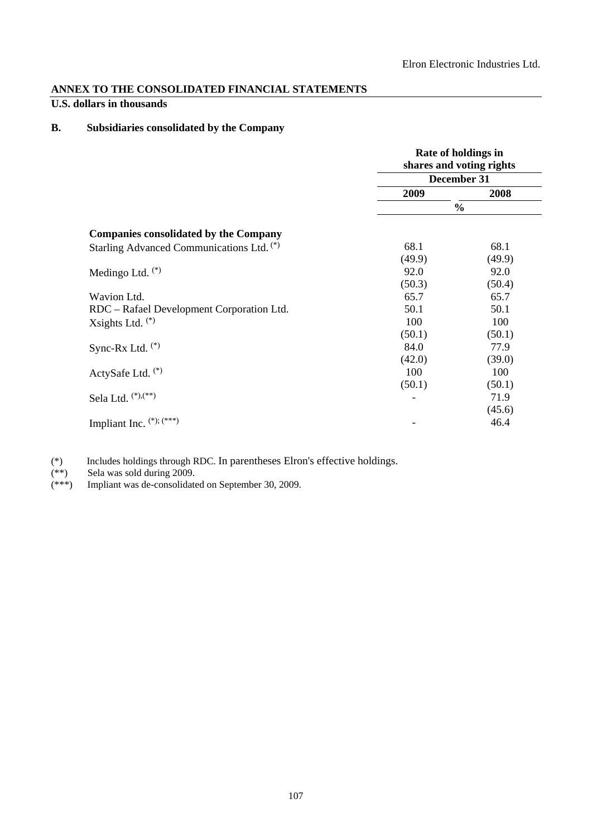## **ANNEX TO THE CONSOLIDATED FINANCIAL STATEMENTS**

# **U.S. dollars in thousands**

## **B. Subsidiaries consolidated by the Company**

|                                                      | Rate of holdings in<br>shares and voting rights<br>December 31 |               |  |
|------------------------------------------------------|----------------------------------------------------------------|---------------|--|
|                                                      |                                                                |               |  |
|                                                      | 2009                                                           | 2008          |  |
|                                                      |                                                                | $\frac{0}{0}$ |  |
| <b>Companies consolidated by the Company</b>         |                                                                |               |  |
| Starling Advanced Communications Ltd. <sup>(*)</sup> | 68.1                                                           | 68.1          |  |
|                                                      | (49.9)                                                         | (49.9)        |  |
| Medingo Ltd. $(*)$                                   | 92.0                                                           | 92.0          |  |
|                                                      | (50.3)                                                         | (50.4)        |  |
| Wavion Ltd.                                          | 65.7                                                           | 65.7          |  |
| RDC - Rafael Development Corporation Ltd.            | 50.1                                                           | 50.1          |  |
| Xsights Ltd. $(*)$                                   | 100                                                            | 100           |  |
|                                                      | (50.1)                                                         | (50.1)        |  |
| Sync-Rx Ltd. (*)                                     | 84.0                                                           | 77.9          |  |
|                                                      | (42.0)                                                         | (39.0)        |  |
| ActySafe Ltd. $(*)$                                  | 100                                                            | 100           |  |
|                                                      | (50.1)                                                         | (50.1)        |  |
| Sela Ltd. $(*)$ , $(**)$ ,                           |                                                                | 71.9          |  |
|                                                      |                                                                | (45.6)        |  |
| Impliant Inc. (*); (***)                             |                                                                | 46.4          |  |

(\*) Includes holdings through RDC. In parentheses Elron's effective holdings.<br>
(\*\*\*) Sela was sold during 2009.<br>
(\*\*\*) Impliant was de-consolidated on September 30, 2009.

Sela was sold during 2009.

Impliant was de-consolidated on September 30, 2009.